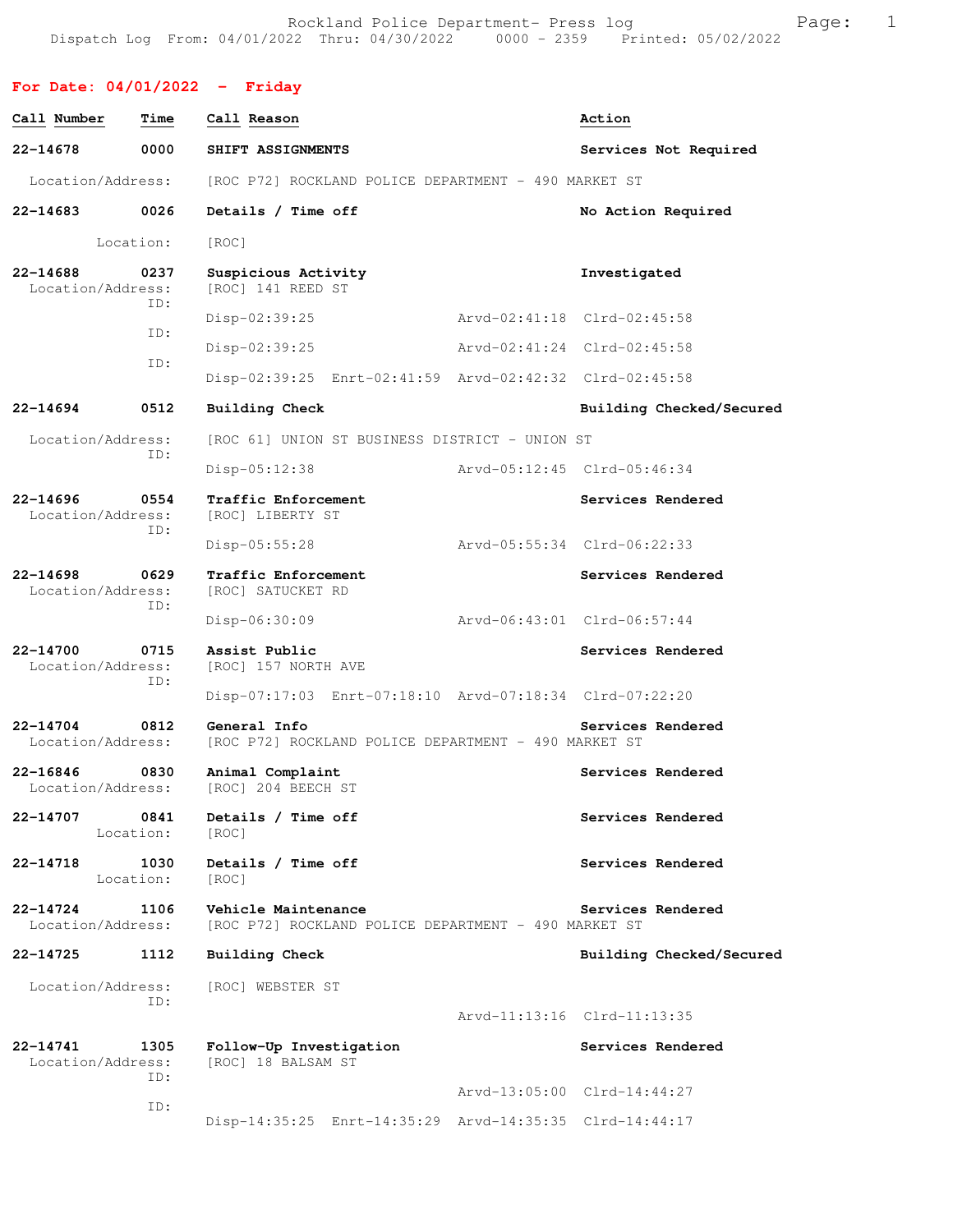Rockland Police Department- Press log entitled and Page: 1 Dispatch Log From: 04/01/2022 Thru: 04/30/2022 0000 - 2359 Printed: 05/02/2022

| For Date: $04/01/2022 -$ Friday   |                   |                                                                             |                             |
|-----------------------------------|-------------------|-----------------------------------------------------------------------------|-----------------------------|
| Call Number                       | Time              | Call Reason                                                                 | Action                      |
| 22-14678                          | 0000              | SHIFT ASSIGNMENTS                                                           | Services Not Required       |
| Location/Address:                 |                   | [ROC P72] ROCKLAND POLICE DEPARTMENT - 490 MARKET ST                        |                             |
| 22-14683                          | 0026              | Details / Time off                                                          | No Action Required          |
|                                   | Location:         | [ROC]                                                                       |                             |
| 22-14688<br>Location/Address:     | 0237<br>ID:       | Suspicious Activity<br>[ROC] 141 REED ST                                    | Investigated                |
|                                   | ID:               | Disp-02:39:25                                                               | Arvd-02:41:18 Clrd-02:45:58 |
|                                   | ID:               | Disp-02:39:25                                                               | Arvd-02:41:24 Clrd-02:45:58 |
|                                   |                   | Disp-02:39:25 Enrt-02:41:59 Arvd-02:42:32 Clrd-02:45:58                     |                             |
| $22 - 14694$                      | 0512              | <b>Building Check</b>                                                       | Building Checked/Secured    |
| Location/Address:                 | ID:               | [ROC 61] UNION ST BUSINESS DISTRICT - UNION ST                              |                             |
|                                   |                   | Disp-05:12:38                                                               | Arvd-05:12:45 Clrd-05:46:34 |
| $22 - 14696$<br>Location/Address: | 0554<br>ID:       | Traffic Enforcement<br>[ROC] LIBERTY ST                                     | Services Rendered           |
|                                   |                   | Disp-05:55:28                                                               | Arvd-05:55:34 Clrd-06:22:33 |
| $22 - 14698$<br>Location/Address: | 0629<br>ID:       | Traffic Enforcement<br>[ROC] SATUCKET RD                                    | Services Rendered           |
|                                   |                   | Disp-06:30:09                                                               | Arvd-06:43:01 Clrd-06:57:44 |
| 22-14700<br>Location/Address:     | 0715<br>ID:       | Assist Public<br>[ROC] 157 NORTH AVE                                        | Services Rendered           |
|                                   |                   | Disp-07:17:03 Enrt-07:18:10 Arvd-07:18:34 Clrd-07:22:20                     |                             |
| $22 - 14704$<br>Location/Address: | 0812              | General Info<br>[ROC P72] ROCKLAND POLICE DEPARTMENT - 490 MARKET ST        | Services Rendered           |
| 22-16846<br>Location/Address:     | 0830              | Animal Complaint<br>[ROC] 204 BEECH ST                                      | Services Rendered           |
| 22-14707                          | 0841<br>Location: | Details / Time off<br>[ROC]                                                 | Services Rendered           |
| 22-14718                          | 1030<br>Location: | Details / Time off<br>[ROC]                                                 | Services Rendered           |
| $22 - 14724$<br>Location/Address: | 1106              | Vehicle Maintenance<br>[ROC P72] ROCKLAND POLICE DEPARTMENT - 490 MARKET ST | Services Rendered           |
| $22 - 14725$                      | 1112              | Building Check                                                              | Building Checked/Secured    |
| Location/Address:                 |                   | [ROC] WEBSTER ST                                                            |                             |
|                                   | ID:               |                                                                             | Arvd-11:13:16 Clrd-11:13:35 |
| $22 - 14741$<br>Location/Address: | 1305<br>ID:       | Follow-Up Investigation<br>[ROC] 18 BALSAM ST                               | Services Rendered           |
|                                   | ID:               |                                                                             | Arvd-13:05:00 Clrd-14:44:27 |
|                                   |                   | Disp-14:35:25 Enrt-14:35:29 Arvd-14:35:35 Clrd-14:44:17                     |                             |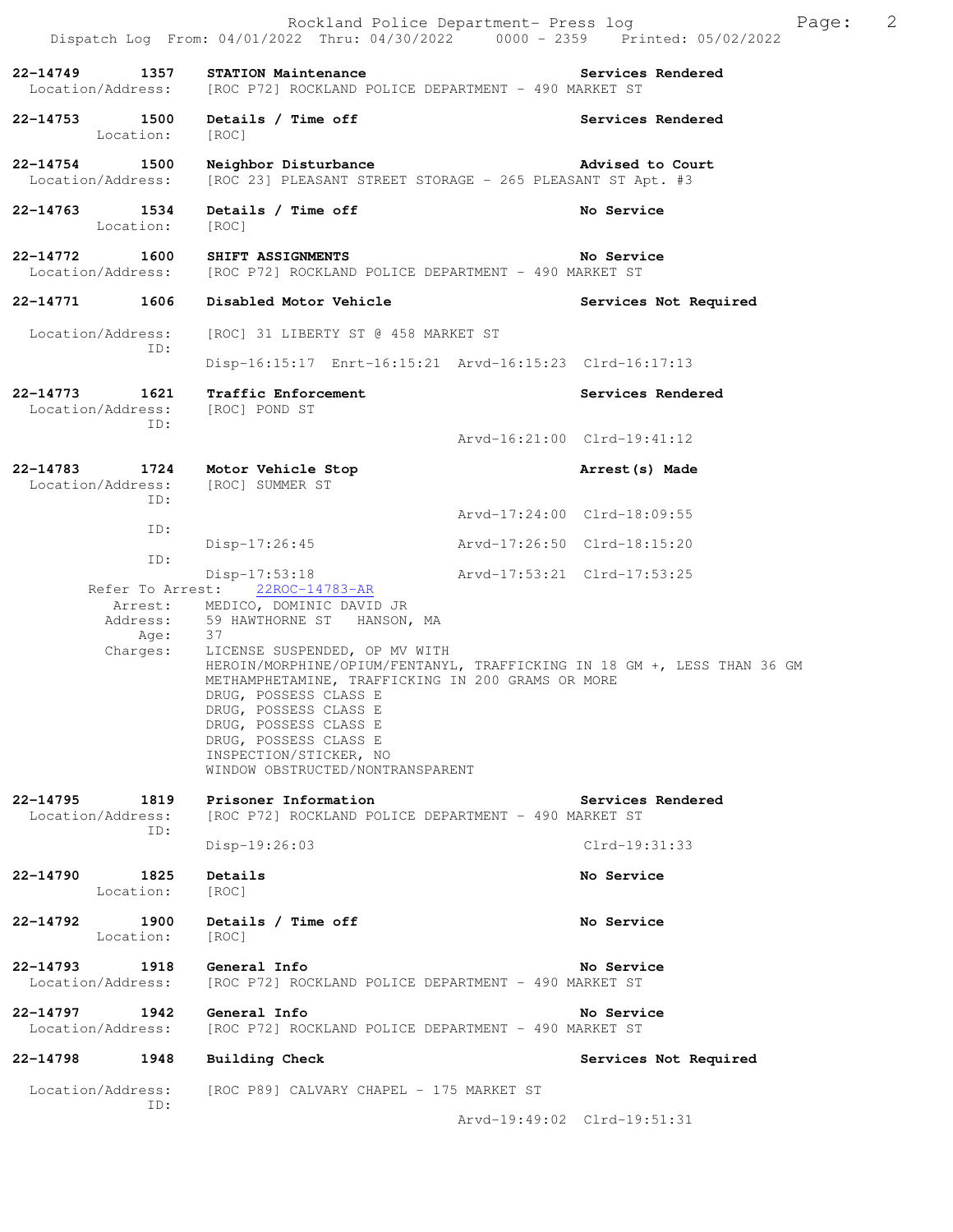|                                    |                   | Rockland Police Department- Press log<br>Dispatch Log From: 04/01/2022 Thru: 04/30/2022 0000 - 2359 Printed: 05/02/2022                                                                                                                                                                                                                                                                                          |                             | Page:                 | 2 |
|------------------------------------|-------------------|------------------------------------------------------------------------------------------------------------------------------------------------------------------------------------------------------------------------------------------------------------------------------------------------------------------------------------------------------------------------------------------------------------------|-----------------------------|-----------------------|---|
| 22-14749<br>Location/Address:      | 1357              | STATION Maintenance<br>[ROC P72] ROCKLAND POLICE DEPARTMENT - 490 MARKET ST                                                                                                                                                                                                                                                                                                                                      |                             | Services Rendered     |   |
| 22-14753                           | 1500<br>Location: | Details / Time off<br>[ROC]                                                                                                                                                                                                                                                                                                                                                                                      |                             | Services Rendered     |   |
| 22-14754<br>Location/Address:      | 1500              | Neighbor Disturbance<br>[ROC 23] PLEASANT STREET STORAGE - 265 PLEASANT ST Apt. #3                                                                                                                                                                                                                                                                                                                               |                             | Advised to Court      |   |
| 22–14763 1534                      | Location:         | Details / Time off<br>[ROC]                                                                                                                                                                                                                                                                                                                                                                                      |                             | No Service            |   |
| 22-14772 1600<br>Location/Address: |                   | SHIFT ASSIGNMENTS<br>[ROC P72] ROCKLAND POLICE DEPARTMENT - 490 MARKET ST                                                                                                                                                                                                                                                                                                                                        |                             | No Service            |   |
| 22-14771 1606                      |                   | Disabled Motor Vehicle                                                                                                                                                                                                                                                                                                                                                                                           |                             | Services Not Required |   |
| Location/Address:                  |                   | [ROC] 31 LIBERTY ST @ 458 MARKET ST                                                                                                                                                                                                                                                                                                                                                                              |                             |                       |   |
|                                    | ID:               | Disp-16:15:17 Enrt-16:15:21 Arvd-16:15:23 Clrd-16:17:13                                                                                                                                                                                                                                                                                                                                                          |                             |                       |   |
| $22 - 14773$<br>Location/Address:  | 1621<br>ID:       | Traffic Enforcement<br>[ROC] POND ST                                                                                                                                                                                                                                                                                                                                                                             |                             | Services Rendered     |   |
|                                    |                   |                                                                                                                                                                                                                                                                                                                                                                                                                  | Arvd-16:21:00 Clrd-19:41:12 |                       |   |
| 22-14783<br>Location/Address:      | 1724<br>ID:       | Motor Vehicle Stop<br>[ROC] SUMMER ST                                                                                                                                                                                                                                                                                                                                                                            |                             | Arrest (s) Made       |   |
|                                    | ID:               |                                                                                                                                                                                                                                                                                                                                                                                                                  | Arvd-17:24:00 Clrd-18:09:55 |                       |   |
|                                    | ID:               | $Disp-17:26:45$                                                                                                                                                                                                                                                                                                                                                                                                  | Arvd-17:26:50 Clrd-18:15:20 |                       |   |
|                                    |                   | $Disp-17:53:18$<br>Refer To Arrest: 22ROC-14783-AR                                                                                                                                                                                                                                                                                                                                                               | Arvd-17:53:21 Clrd-17:53:25 |                       |   |
|                                    | Age:<br>Charges:  | Arrest: MEDICO, DOMINIC DAVID JR<br>Address: 59 HAWTHORNE ST HANSON, MA<br>37<br>LICENSE SUSPENDED, OP MV WITH<br>HEROIN/MORPHINE/OPIUM/FENTANYL, TRAFFICKING IN 18 GM +, LESS THAN 36 GM<br>METHAMPHETAMINE, TRAFFICKING IN 200 GRAMS OR MORE<br>DRUG, POSSESS CLASS E<br>DRUG, POSSESS CLASS E<br>DRUG, POSSESS CLASS E<br>DRUG, POSSESS CLASS E<br>INSPECTION/STICKER, NO<br>WINDOW OBSTRUCTED/NONTRANSPARENT |                             |                       |   |
| 22-14795<br>Location/Address:      | 1819<br>ID:       | Prisoner Information<br>[ROC P72] ROCKLAND POLICE DEPARTMENT - 490 MARKET ST                                                                                                                                                                                                                                                                                                                                     |                             | Services Rendered     |   |
|                                    |                   | Disp-19:26:03                                                                                                                                                                                                                                                                                                                                                                                                    |                             | $Clrd-19:31:33$       |   |
| 22-14790                           | 1825<br>Location: | Details<br>[ROC]                                                                                                                                                                                                                                                                                                                                                                                                 |                             | No Service            |   |
| 22-14792                           | 1900<br>Location: | Details / Time off<br>[ROC]                                                                                                                                                                                                                                                                                                                                                                                      |                             | No Service            |   |
| 22-14793<br>Location/Address:      | 1918              | General Info<br>[ROC P72] ROCKLAND POLICE DEPARTMENT - 490 MARKET ST                                                                                                                                                                                                                                                                                                                                             |                             | No Service            |   |
| 22-14797<br>Location/Address:      | 1942              | General Info<br>[ROC P72] ROCKLAND POLICE DEPARTMENT - 490 MARKET ST                                                                                                                                                                                                                                                                                                                                             |                             | No Service            |   |
| 22-14798                           | 1948              | Building Check                                                                                                                                                                                                                                                                                                                                                                                                   |                             | Services Not Required |   |
| Location/Address:                  |                   | [ROC P89] CALVARY CHAPEL - 175 MARKET ST                                                                                                                                                                                                                                                                                                                                                                         |                             |                       |   |
|                                    | ID:               |                                                                                                                                                                                                                                                                                                                                                                                                                  | Arvd-19:49:02 Clrd-19:51:31 |                       |   |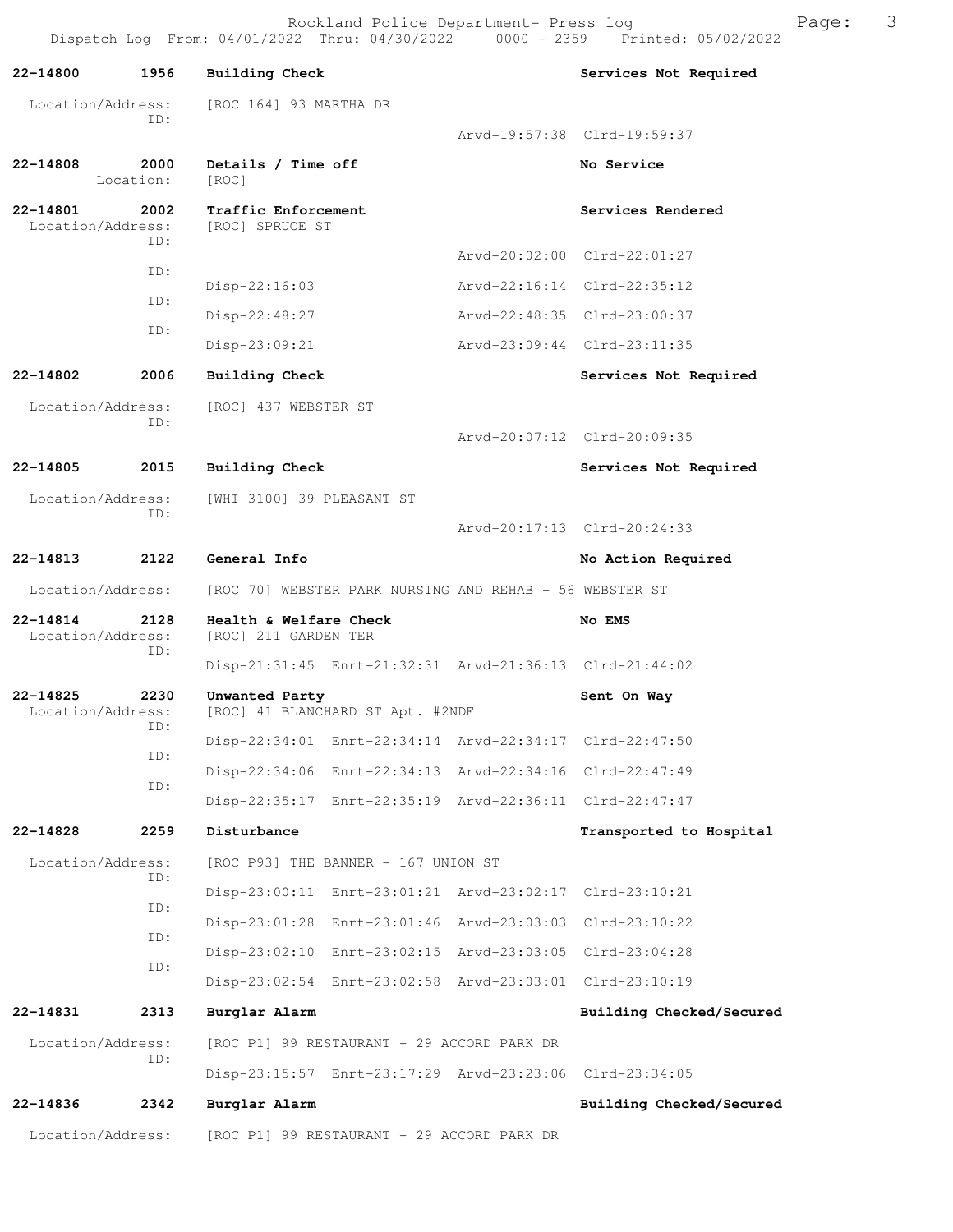Rockland Police Department- Press log Fage: 3<br>22 Thru: 04/30/2022 0000 - 2359 Printed: 05/02/2022 Dispatch Log From: 04/01/2022 Thru: 04/30/2022

**22-14800 1956 Building Check Services Not Required**  Location/Address: [ROC 164] 93 MARTHA DR ID: Arvd-19:57:38 Clrd-19:59:37 **22-14808 2000 Details / Time off No Service**  Location: [ROC] **22-14801 2002 Traffic Enforcement Services Rendered**  Location/Address: [ROC] SPRUCE ST ID: Arvd-20:02:00 Clrd-22:01:27 ID: Disp-22:16:03 Arvd-22:16:14 Clrd-22:35:12 ID: Disp-22:48:27 Arvd-22:48:35 Clrd-23:00:37 ID: Disp-23:09:21 Arvd-23:09:44 Clrd-23:11:35 **22-14802 2006 Building Check Services Not Required**  Location/Address: [ROC] 437 WEBSTER ST ID: Arvd-20:07:12 Clrd-20:09:35 **22-14805 2015 Building Check Services Not Required**  Location/Address: [WHI 3100] 39 PLEASANT ST ID: Arvd-20:17:13 Clrd-20:24:33 **22-14813 2122 General Info No Action Required**  Location/Address: [ROC 70] WEBSTER PARK NURSING AND REHAB - 56 WEBSTER ST **22-14814 2128 Health & Welfare Check No EMS**  Location/Address: [ROC] 211 GARDEN TER ID: Disp-21:31:45 Enrt-21:32:31 Arvd-21:36:13 Clrd-21:44:02 **22-14825 2230 Unwanted Party Sent On Way**<br>Location/Address: [ROC] 41 BLANCHARD ST Apt. #2NDF [ROC] 41 BLANCHARD ST Apt. #2NDF ID: Disp-22:34:01 Enrt-22:34:14 Arvd-22:34:17 Clrd-22:47:50 ID: Disp-22:34:06 Enrt-22:34:13 Arvd-22:34:16 Clrd-22:47:49 ID: Disp-22:35:17 Enrt-22:35:19 Arvd-22:36:11 Clrd-22:47:47 **22-14828 2259 Disturbance Transported to Hospital**  Location/Address: [ROC P93] THE BANNER - 167 UNION ST ID: Disp-23:00:11 Enrt-23:01:21 Arvd-23:02:17 Clrd-23:10:21 ID: Disp-23:01:28 Enrt-23:01:46 Arvd-23:03:03 Clrd-23:10:22 ID: Disp-23:02:10 Enrt-23:02:15 Arvd-23:03:05 Clrd-23:04:28 ID: Disp-23:02:54 Enrt-23:02:58 Arvd-23:03:01 Clrd-23:10:19 **22-14831 2313 Burglar Alarm Building Checked/Secured**  Location/Address: [ROC P1] 99 RESTAURANT - 29 ACCORD PARK DR ID: Disp-23:15:57 Enrt-23:17:29 Arvd-23:23:06 Clrd-23:34:05 **22-14836 2342 Burglar Alarm Building Checked/Secured**  Location/Address: [ROC P1] 99 RESTAURANT - 29 ACCORD PARK DR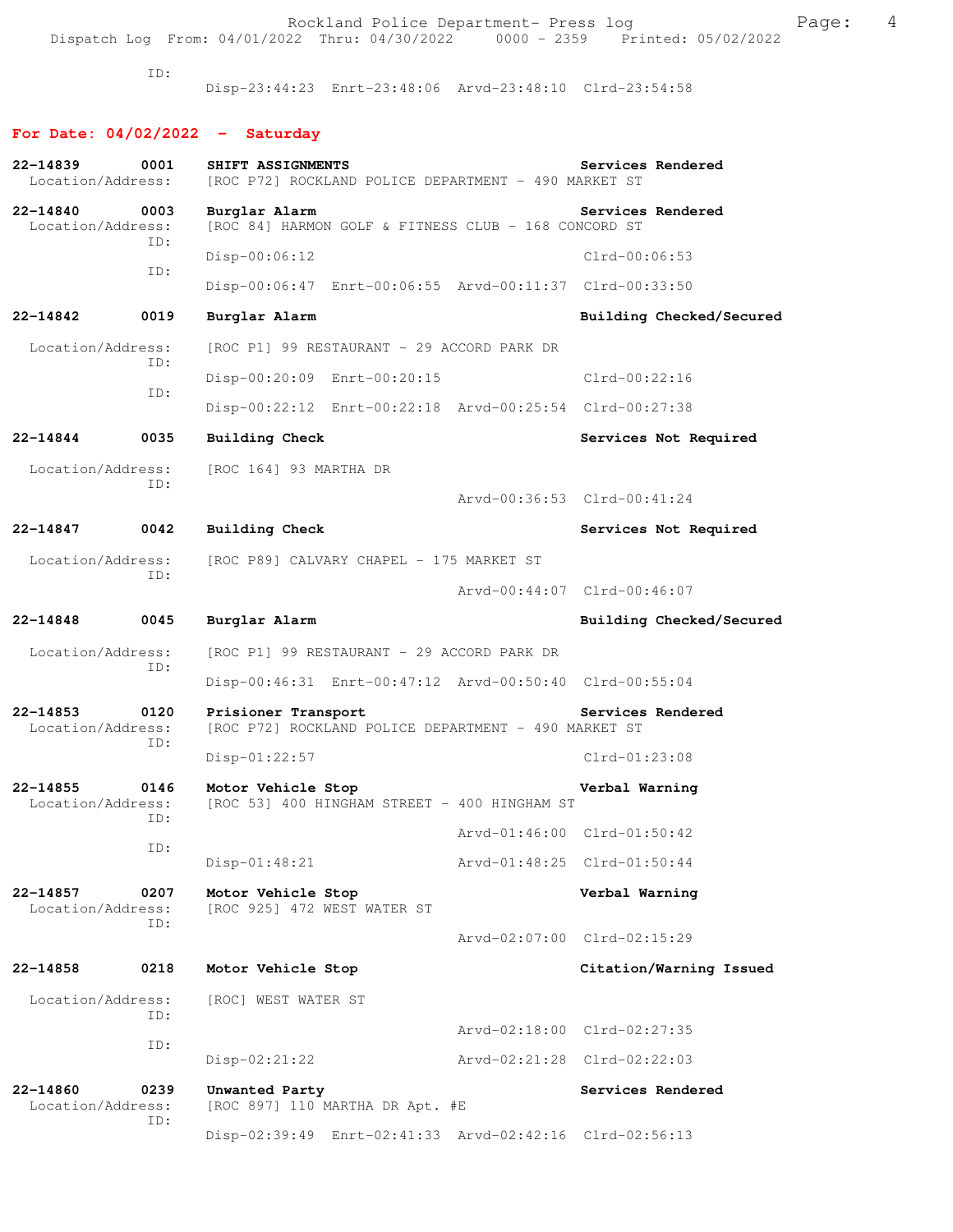Rockland Police Department- Press log entitled and Page: 4 Dispatch Log From: 04/01/2022 Thru: 04/30/2022 0000 - 2359 Printed: 05/02/2022

ID:

Disp-23:44:23 Enrt-23:48:06 Arvd-23:48:10 Clrd-23:54:58

### **For Date: 04/02/2022 - Saturday**

| 22-14839<br>Location/Address:     | 0001        | SHIFT ASSIGNMENTS<br>[ROC P72] ROCKLAND POLICE DEPARTMENT - 490 MARKET ST   |                             | Services Rendered           |  |  |
|-----------------------------------|-------------|-----------------------------------------------------------------------------|-----------------------------|-----------------------------|--|--|
| 22-14840<br>Location/Address:     | 0003<br>ID: | Burglar Alarm<br>[ROC 84] HARMON GOLF & FITNESS CLUB - 168 CONCORD ST       |                             | Services Rendered           |  |  |
|                                   | ID:         | $Disp-00:06:12$                                                             |                             | $Clrd-00:06:53$             |  |  |
|                                   |             | Disp-00:06:47 Enrt-00:06:55 Arvd-00:11:37 Clrd-00:33:50                     |                             |                             |  |  |
| 22-14842                          | 0019        | Burglar Alarm                                                               |                             | Building Checked/Secured    |  |  |
| Location/Address:                 | ID:         | [ROC P1] 99 RESTAURANT - 29 ACCORD PARK DR                                  |                             |                             |  |  |
|                                   | ID:         | Disp-00:20:09 Enrt-00:20:15                                                 |                             | $Clrd-00:22:16$             |  |  |
|                                   |             | Disp-00:22:12 Enrt-00:22:18 Arvd-00:25:54 Clrd-00:27:38                     |                             |                             |  |  |
| 22-14844                          | 0035        | <b>Building Check</b>                                                       |                             | Services Not Required       |  |  |
| Location/Address:                 |             | [ROC 164] 93 MARTHA DR                                                      |                             |                             |  |  |
|                                   | ID:         |                                                                             |                             | Aryd-00:36:53 Clrd-00:41:24 |  |  |
| 22-14847                          | 0042        | <b>Building Check</b>                                                       |                             | Services Not Required       |  |  |
| Location/Address:                 |             | [ROC P89] CALVARY CHAPEL - 175 MARKET ST                                    |                             |                             |  |  |
|                                   | ID:         |                                                                             |                             | Arvd-00:44:07 Clrd-00:46:07 |  |  |
| 22-14848                          | 0045        | Burglar Alarm                                                               |                             | Building Checked/Secured    |  |  |
| Location/Address:                 |             | [ROC P1] 99 RESTAURANT - 29 ACCORD PARK DR                                  |                             |                             |  |  |
|                                   | ID:         | Disp-00:46:31 Enrt-00:47:12 Arvd-00:50:40 Clrd-00:55:04                     |                             |                             |  |  |
| $22 - 14853$<br>Location/Address: | 0120<br>ID: | Prisioner Transport<br>[ROC P72] ROCKLAND POLICE DEPARTMENT - 490 MARKET ST | Services Rendered           |                             |  |  |
|                                   |             | Disp-01:22:57                                                               |                             | $Clrd-01:23:08$             |  |  |
| $22 - 14855$<br>Location/Address: | 0146<br>ID: | Motor Vehicle Stop<br>[ROC 53] 400 HINGHAM STREET - 400 HINGHAM ST          |                             | Verbal Warning              |  |  |
|                                   | ID:         |                                                                             | Arvd-01:46:00 Clrd-01:50:42 |                             |  |  |
|                                   |             | $Disp-01:48:21$                                                             | Arvd-01:48:25 Clrd-01:50:44 |                             |  |  |
| 22-14857<br>Location/Address:     | 0207<br>ID: | Motor Vehicle Stop<br>[ROC 925] 472 WEST WATER ST                           |                             | Verbal Warning              |  |  |
|                                   |             |                                                                             | Arvd-02:07:00 Clrd-02:15:29 |                             |  |  |
| 22-14858                          | 0218        | Motor Vehicle Stop                                                          |                             | Citation/Warning Issued     |  |  |
| Location/Address:                 | ID:         | [ROC] WEST WATER ST                                                         |                             |                             |  |  |
|                                   | ID:         |                                                                             | Arvd-02:18:00 Clrd-02:27:35 |                             |  |  |
|                                   |             | $Disp-02:21:22$                                                             | Arvd-02:21:28 Clrd-02:22:03 |                             |  |  |
| 22-14860<br>Location/Address:     | 0239<br>ID: | Unwanted Party<br>[ROC 897] 110 MARTHA DR Apt. #E                           |                             | Services Rendered           |  |  |
|                                   |             | Disp-02:39:49 Enrt-02:41:33 Arvd-02:42:16 Clrd-02:56:13                     |                             |                             |  |  |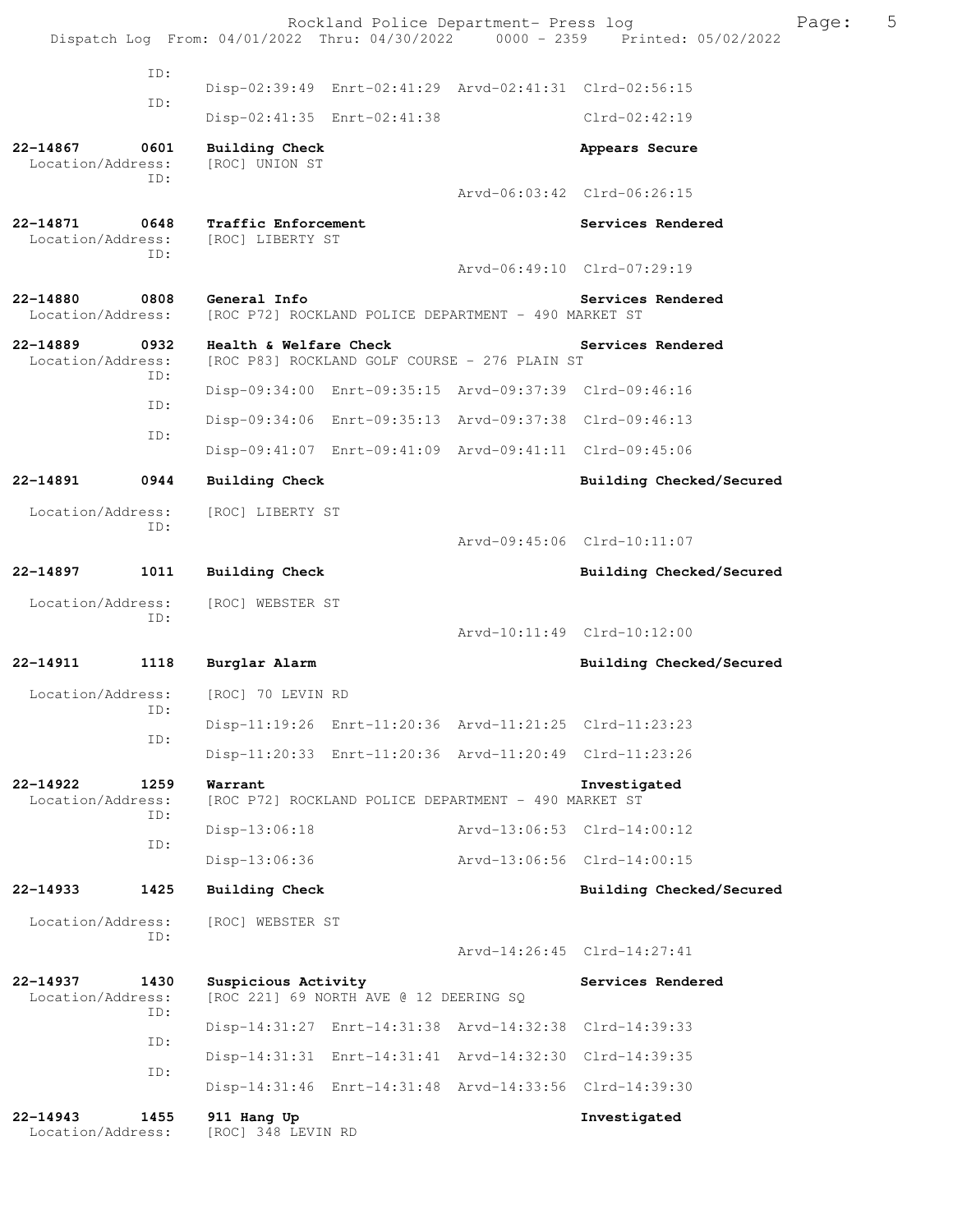Rockland Police Department- Press log Fage: 5 Dispatch Log From: 04/01/2022 Thru: 04/30/2022 0000 - 2359 Printed: 05/02/2022 ID: Disp-02:39:49 Enrt-02:41:29 Arvd-02:41:31 Clrd-02:56:15 ID: Disp-02:41:35 Enrt-02:41:38 Clrd-02:42:19 **22-14867 0601 Building Check Appears Secure**  Location/Address: [ROC] UNION ST ID: Arvd-06:03:42 Clrd-06:26:15 **22-14871 0648 Traffic Enforcement 122-14871 0648 Traffic Enforcement Services Rendered Location/Address:** [ROC] LIBERTY ST Location/Address: ID: Arvd-06:49:10 Clrd-07:29:19 **22-14880 0808 General Info Services Rendered** Location/Address: [ROC P72] ROCKLAND POLICE DEPARTMENT - 490 MARKET ST [ROC P72] ROCKLAND POLICE DEPARTMENT - 490 MARKET ST **22-14889 0932 Health & Welfare Check Services Rendered**  Location/Address: [ROC P83] ROCKLAND GOLF COURSE - 276 PLAIN ST ID: Disp-09:34:00 Enrt-09:35:15 Arvd-09:37:39 Clrd-09:46:16 ID: Disp-09:34:06 Enrt-09:35:13 Arvd-09:37:38 Clrd-09:46:13 ID: Disp-09:41:07 Enrt-09:41:09 Arvd-09:41:11 Clrd-09:45:06 **22-14891 0944 Building Check Building Checked/Secured**  Location/Address: [ROC] LIBERTY ST ID: Arvd-09:45:06 Clrd-10:11:07 **22-14897 1011 Building Check Building Checked/Secured**  Location/Address: [ROC] WEBSTER ST ID: Arvd-10:11:49 Clrd-10:12:00 **22-14911 1118 Burglar Alarm Building Checked/Secured**  Location/Address: [ROC] 70 LEVIN RD ID: Disp-11:19:26 Enrt-11:20:36 Arvd-11:21:25 Clrd-11:23:23 ID: Disp-11:20:33 Enrt-11:20:36 Arvd-11:20:49 Clrd-11:23:26 **22-14922 1259 Warrant Investigated**  Location/Address: [ROC P72] ROCKLAND POLICE DEPARTMENT - 490 MARKET ST ID: Disp-13:06:18 Arvd-13:06:53 Clrd-14:00:12 ID: Disp-13:06:36 Arvd-13:06:56 Clrd-14:00:15 **22-14933 1425 Building Check Building Checked/Secured**  Location/Address: [ROC] WEBSTER ST ID: Arvd-14:26:45 Clrd-14:27:41 **22-14937 1430 Suspicious Activity Services Rendered**  Location/Address: [ROC 221] 69 NORTH AVE @ 12 DEERING SQ ID: Disp-14:31:27 Enrt-14:31:38 Arvd-14:32:38 Clrd-14:39:33 ID: Disp-14:31:31 Enrt-14:31:41 Arvd-14:32:30 Clrd-14:39:35 ID: Disp-14:31:46 Enrt-14:31:48 Arvd-14:33:56 Clrd-14:39:30 **22-14943 1455 911 Hang Up Investigated**  Location/Address: [ROC] 348 LEVIN RD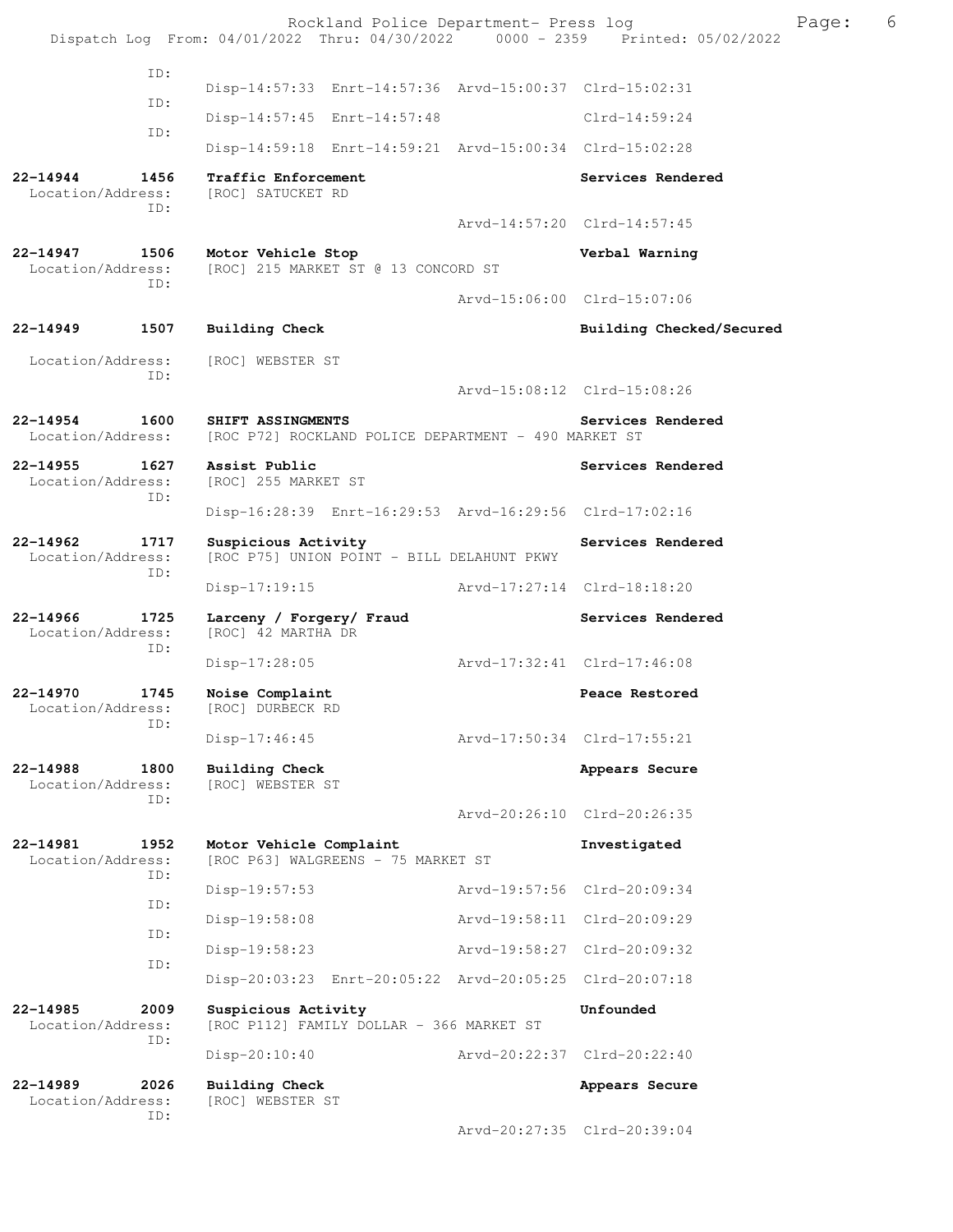|                                                  | Rockland Police Department- Press log<br>Dispatch Log From: 04/01/2022 Thru: 04/30/2022 0000 - 2359 Printed: 05/02/2022 |                             |                             | Page: | 6 |
|--------------------------------------------------|-------------------------------------------------------------------------------------------------------------------------|-----------------------------|-----------------------------|-------|---|
| ID:                                              |                                                                                                                         |                             |                             |       |   |
| ID:                                              | Disp-14:57:33 Enrt-14:57:36 Arvd-15:00:37 Clrd-15:02:31                                                                 |                             |                             |       |   |
| ID:                                              | Disp-14:57:45 Enrt-14:57:48                                                                                             |                             | Clrd-14:59:24               |       |   |
|                                                  | Disp-14:59:18 Enrt-14:59:21 Arvd-15:00:34 Clrd-15:02:28                                                                 |                             |                             |       |   |
| 22-14944<br>1456<br>Location/Address:<br>ID:     | Traffic Enforcement<br>[ROC] SATUCKET RD                                                                                |                             | Services Rendered           |       |   |
|                                                  |                                                                                                                         |                             | Arvd-14:57:20 Clrd-14:57:45 |       |   |
| 22-14947<br>1506<br>Location/Address:<br>ID:     | Motor Vehicle Stop<br>[ROC] 215 MARKET ST @ 13 CONCORD ST                                                               |                             | Verbal Warning              |       |   |
|                                                  |                                                                                                                         |                             | Arvd-15:06:00 Clrd-15:07:06 |       |   |
| 22-14949<br>1507                                 | <b>Building Check</b>                                                                                                   |                             | Building Checked/Secured    |       |   |
| Location/Address:<br>ID:                         | [ROC] WEBSTER ST                                                                                                        |                             | Arvd-15:08:12 Clrd-15:08:26 |       |   |
|                                                  |                                                                                                                         |                             |                             |       |   |
| 22-14954<br>1600<br>Location/Address:            | SHIFT ASSINGMENTS<br>[ROC P72] ROCKLAND POLICE DEPARTMENT - 490 MARKET ST                                               |                             | Services Rendered           |       |   |
| 1627<br>22–14955<br>Location/Address:            | Assist Public<br>[ROC] 255 MARKET ST                                                                                    |                             | Services Rendered           |       |   |
| ID:                                              | Disp-16:28:39 Enrt-16:29:53 Arvd-16:29:56 Clrd-17:02:16                                                                 |                             |                             |       |   |
| 22-14962<br>1717<br>Location/Address:<br>ID:     | Suspicious Activity<br>[ROC P75] UNION POINT - BILL DELAHUNT PKWY                                                       |                             | Services Rendered           |       |   |
|                                                  | Disp-17:19:15                                                                                                           | Arvd-17:27:14 Clrd-18:18:20 |                             |       |   |
| 22-14966<br>1725<br>Location/Address:<br>ID:     | Larceny / Forgery/ Fraud<br>[ROC] 42 MARTHA DR                                                                          |                             | Services Rendered           |       |   |
|                                                  | Disp-17:28:05                                                                                                           | Arvd-17:32:41 Clrd-17:46:08 |                             |       |   |
| 22-14970<br>1745<br>Location/Address:<br>ID:     | Noise Complaint<br>[ROC] DURBECK RD                                                                                     |                             | Peace Restored              |       |   |
|                                                  | $Disp-17:46:45$                                                                                                         |                             | Arvd-17:50:34 Clrd-17:55:21 |       |   |
| 22-14988<br>1800<br>Location/Address:<br>ID:     | <b>Building Check</b><br>[ROC] WEBSTER ST                                                                               |                             | Appears Secure              |       |   |
|                                                  |                                                                                                                         |                             | Arvd-20:26:10 Clrd-20:26:35 |       |   |
| 22-14981<br>1952<br>Location/Address:<br>ID:     | Motor Vehicle Complaint<br>[ROC P63] WALGREENS - 75 MARKET ST                                                           |                             | Investigated                |       |   |
| ID:                                              | Disp-19:57:53                                                                                                           |                             | Arvd-19:57:56 Clrd-20:09:34 |       |   |
| ID:                                              | Disp-19:58:08                                                                                                           |                             | Arvd-19:58:11 Clrd-20:09:29 |       |   |
| ID:                                              | Disp-19:58:23                                                                                                           |                             | Arvd-19:58:27 Clrd-20:09:32 |       |   |
|                                                  | Disp-20:03:23 Enrt-20:05:22 Arvd-20:05:25 Clrd-20:07:18                                                                 |                             |                             |       |   |
| 22-14985<br>2009<br>Location/Address:<br>ID:     | Suspicious Activity<br>[ROC P112] FAMILY DOLLAR - 366 MARKET ST                                                         |                             | Unfounded                   |       |   |
|                                                  | $Disp-20:10:40$                                                                                                         |                             | Arvd-20:22:37 Clrd-20:22:40 |       |   |
| $22 - 14989$<br>2026<br>Location/Address:<br>ID: | <b>Building Check</b><br>[ROC] WEBSTER ST                                                                               |                             | Appears Secure              |       |   |
|                                                  |                                                                                                                         |                             | Arvd-20:27:35 Clrd-20:39:04 |       |   |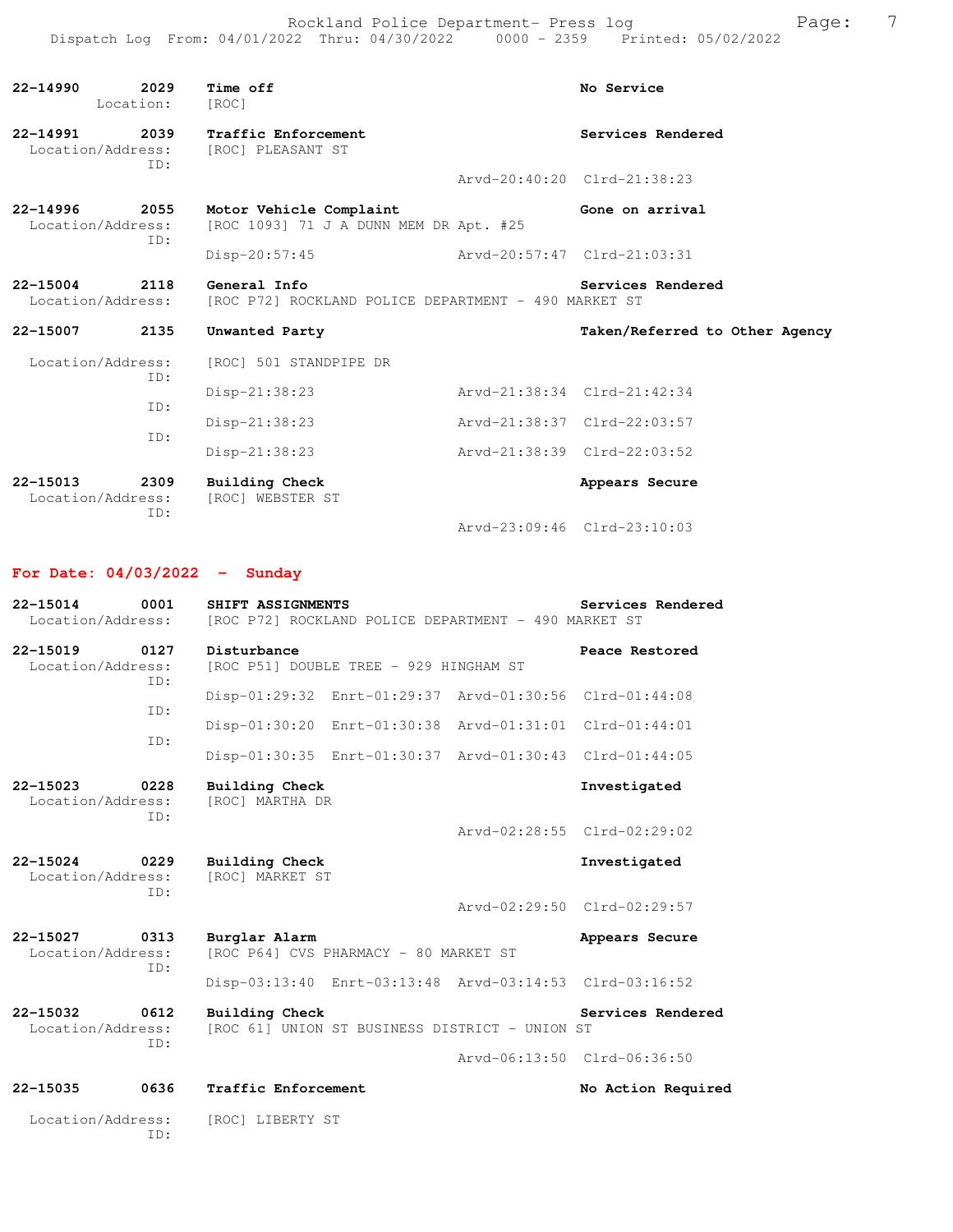Rockland Police Department- Press log entitled and Page: 7 Dispatch Log From: 04/01/2022 Thru: 04/30/2022 0000 - 2359 Printed: 05/02/2022

| 2029<br>$22 - 14990$<br>Location:                | Time off<br>[ROC]                                                    |                             | No Service                     |
|--------------------------------------------------|----------------------------------------------------------------------|-----------------------------|--------------------------------|
| $22 - 14991$<br>2039<br>Location/Address:<br>TD: | Traffic Enforcement<br>[ROC] PLEASANT ST                             |                             | Services Rendered              |
|                                                  |                                                                      |                             | Arvd-20:40:20 Clrd-21:38:23    |
| $22 - 14996$<br>2055<br>Location/Address:<br>TD: | Motor Vehicle Complaint<br>[ROC 1093] 71 J A DUNN MEM DR Apt. #25    |                             | Gone on arrival                |
|                                                  | $Disp-20:57:45$                                                      | Arvd-20:57:47 Clrd-21:03:31 |                                |
| $22 - 15004$<br>2118<br>Location/Address:        | General Info<br>[ROC P72] ROCKLAND POLICE DEPARTMENT - 490 MARKET ST |                             | Services Rendered              |
| 22-15007<br>2135                                 | Unwanted Party                                                       |                             | Taken/Referred to Other Agency |
| Location/Address:                                | [ROC] 501 STANDPIPE DR                                               |                             |                                |
| TD:<br>TD:                                       | $Disp-21:38:23$                                                      |                             | Arvd-21:38:34 Clrd-21:42:34    |
| TD:                                              | $Disp-21:38:23$                                                      |                             | Arvd-21:38:37 Clrd-22:03:57    |
|                                                  | $Disp-21:38:23$                                                      |                             | Arvd-21:38:39 Clrd-22:03:52    |
| $22 - 15013$<br>2309<br>Location/Address:<br>ID: | <b>Building Check</b><br>[ROC] WEBSTER ST                            |                             | Appears Secure                 |
|                                                  |                                                                      |                             |                                |

### **For Date: 04/03/2022 - Sunday**

ID:

| 22-15014<br>Location/Address:     | 0001        | SHIFT ASSIGNMENTS                                     | [ROC P72] ROCKLAND POLICE DEPARTMENT - 490 MARKET ST                                                               |  | Services Rendered           |
|-----------------------------------|-------------|-------------------------------------------------------|--------------------------------------------------------------------------------------------------------------------|--|-----------------------------|
| $22 - 15019$<br>Location/Address: | 0127<br>ID: | Disturbance<br>[ROC P51] DOUBLE TREE - 929 HINGHAM ST |                                                                                                                    |  | Peace Restored              |
|                                   | ID:         |                                                       | Disp-01:29:32 Enrt-01:29:37 Arvd-01:30:56 Clrd-01:44:08                                                            |  |                             |
|                                   | TD:         |                                                       | Disp-01:30:20 Enrt-01:30:38 Arvd-01:31:01 Clrd-01:44:01<br>Disp-01:30:35 Enrt-01:30:37 Arvd-01:30:43 Clrd-01:44:05 |  |                             |
| $22 - 15023$<br>Location/Address: | 0228        | <b>Building Check</b><br>[ROC] MARTHA DR              |                                                                                                                    |  | Investigated                |
|                                   | TD:         |                                                       |                                                                                                                    |  | Arvd-02:28:55 Clrd-02:29:02 |
| $22 - 15024$<br>Location/Address: | 0229<br>ID: | <b>Building Check</b><br>[ROC] MARKET ST              |                                                                                                                    |  | Investigated                |
|                                   |             |                                                       |                                                                                                                    |  | Arvd-02:29:50 Clrd-02:29:57 |
| $22 - 15027$<br>Location/Address: | 0313<br>TD: | Burglar Alarm                                         | [ROC P64] CVS PHARMACY - 80 MARKET ST                                                                              |  | Appears Secure              |
|                                   |             |                                                       | Disp-03:13:40 Enrt-03:13:48 Arvd-03:14:53 Clrd-03:16:52                                                            |  |                             |
| 22-15032<br>Location/Address:     | 0612<br>TD: | <b>Building Check</b>                                 | [ROC 61] UNION ST BUSINESS DISTRICT - UNION ST                                                                     |  | Services Rendered           |
|                                   |             |                                                       |                                                                                                                    |  | Arvd-06:13:50 Clrd-06:36:50 |
| 22-15035                          | 0636        | Traffic Enforcement                                   |                                                                                                                    |  | No Action Required          |
| Location/Address:                 |             | [ROC] LIBERTY ST                                      |                                                                                                                    |  |                             |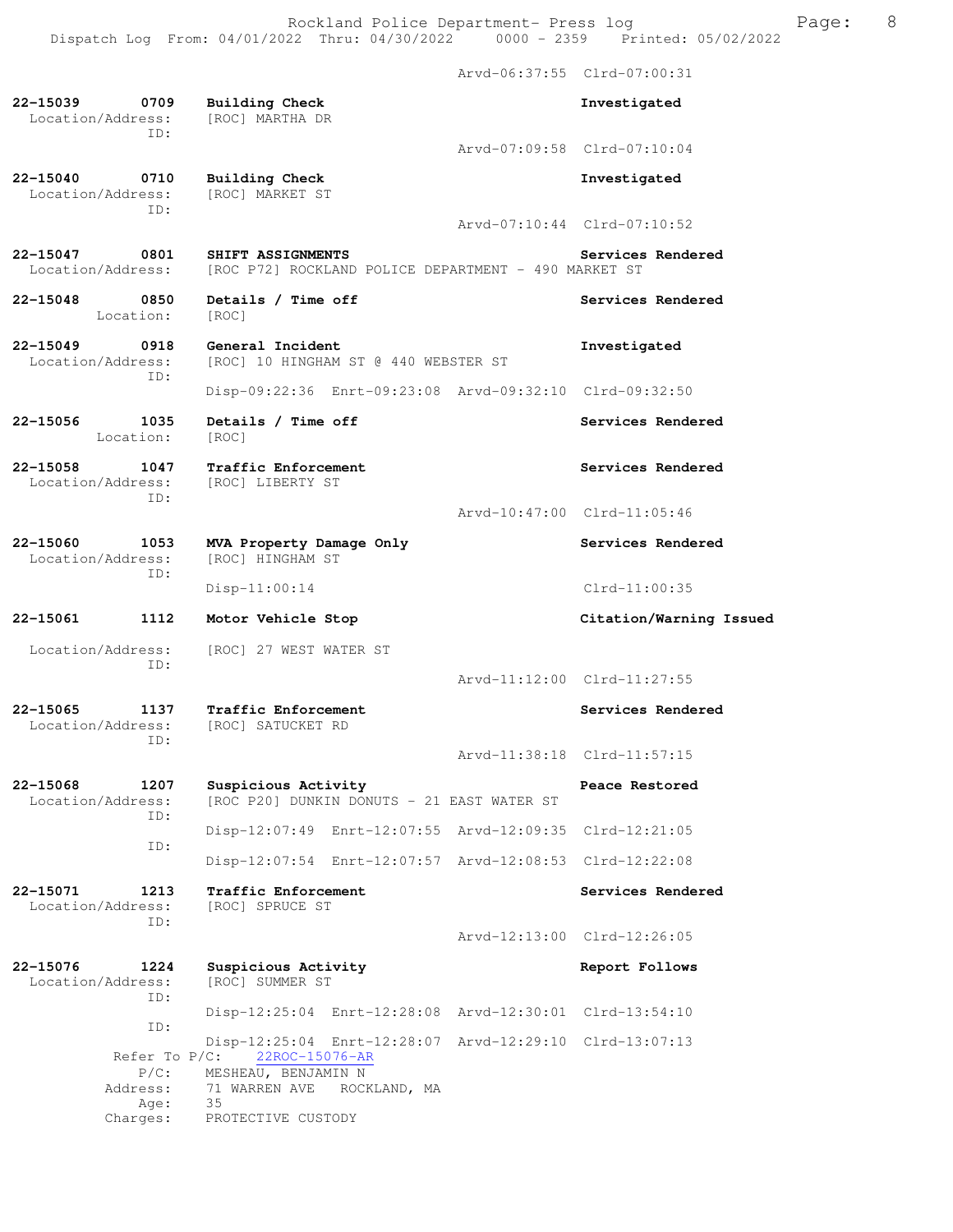Arvd-06:37:55 Clrd-07:00:31 **22-15039 0709 Building Check Investigated**  Location/Address: [ROC] MARTHA DR ID: Arvd-07:09:58 Clrd-07:10:04 **22-15040 0710 Building Check Investigated**  Location/Address: [ROC] MARKET ST ID: Arvd-07:10:44 Clrd-07:10:52 **22-15047 0801 SHIFT ASSIGNMENTS Services Rendered**  Location/Address: [ROC P72] ROCKLAND POLICE DEPARTMENT - 490 MARKET ST **22-15048 0850 Details / Time off Services Rendered**  Location: [ROC] **22-15049 0918 General Incident Investigated**  Location/Address: [ROC] 10 HINGHAM ST @ 440 WEBSTER ST ID: Disp-09:22:36 Enrt-09:23:08 Arvd-09:32:10 Clrd-09:32:50 **22-15056 1035 Details / Time off <b>Services Rendered Services Rendered Integral** Location: **22-15058 1047 Traffic Enforcement 1047 Services Rendered Location/Address:** [ROC] LIBERTY ST Location/Address: ID: Arvd-10:47:00 Clrd-11:05:46 **22-15060 1053 MVA Property Damage Only Services Rendered**  Location/Address: [ROC] HINGHAM ST ID: Disp-11:00:14 Clrd-11:00:35 **22-15061 1112 Motor Vehicle Stop Citation/Warning Issued**  Location/Address: [ROC] 27 WEST WATER ST ID: Arvd-11:12:00 Clrd-11:27:55 **22-15065 1137 Traffic Enforcement Services Rendered**  Location/Address: [ROC] SATUCKET RD ID: Arvd-11:38:18 Clrd-11:57:15 **22-15068 1207 Suspicious Activity Peace Restored**  Location/Address: [ROC P20] DUNKIN DONUTS - 21 EAST WATER ST ID: Disp-12:07:49 Enrt-12:07:55 Arvd-12:09:35 Clrd-12:21:05 ID: Disp-12:07:54 Enrt-12:07:57 Arvd-12:08:53 Clrd-12:22:08 **22-15071 1213 Traffic Enforcement Services Rendered**  Location/Address: [ROC] SPRUCE ST ID: Arvd-12:13:00 Clrd-12:26:05 **22-15076 1224 Suspicious Activity Report Follows**  Location/Address: [ROC] SUMMER ST ID: Disp-12:25:04 Enrt-12:28:08 Arvd-12:30:01 Clrd-13:54:10 ID: Disp-12:25:04 Enrt-12:28:07 Arvd-12:29:10 Clrd-13:07:13 Refer To P/C: 22ROC-15076-AR P/C: MESHEAU, BENJAMIN N<br>Address: 71 WARREN AVE ROCK 71 WARREN AVE ROCKLAND, MA<br>35 Age:

Charges: PROTECTIVE CUSTODY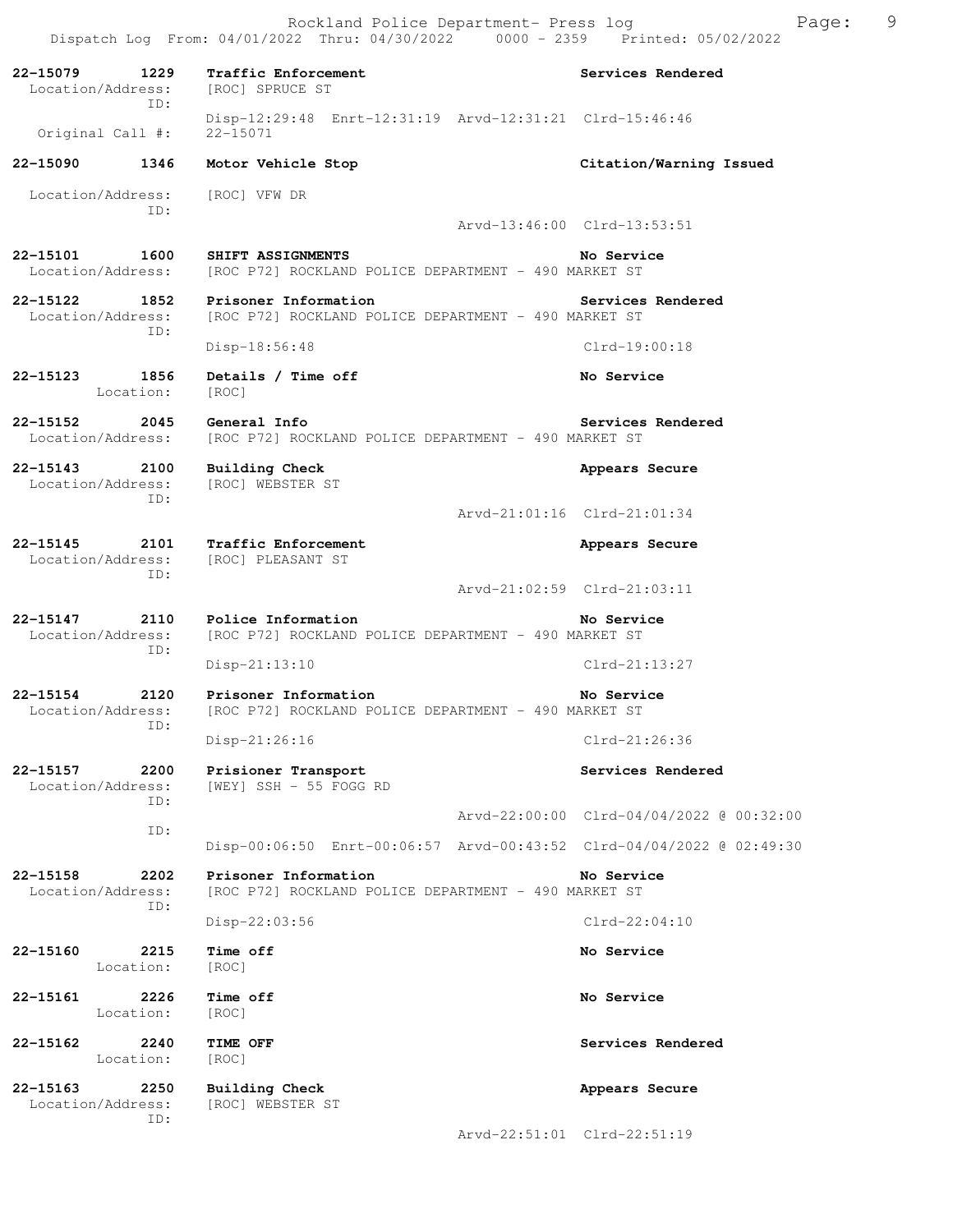**22-15079 1229 Traffic Enforcement Services Rendered Location/Address:** [ROC] SPRUCE ST Location/Address: ID: Disp-12:29:48 Enrt-12:31:19 Arvd-12:31:21 Clrd-15:46:46 Original Call #: **22-15090 1346 Motor Vehicle Stop Citation/Warning Issued**  Location/Address: [ROC] VFW DR ID: Arvd-13:46:00 Clrd-13:53:51 **22-15101 1600 SHIFT ASSIGNMENTS No Service**  Location/Address: [ROC P72] ROCKLAND POLICE DEPARTMENT - 490 MARKET ST **22-15122 1852 Prisoner Information Services Rendered** Location/Address: [ROC P72] ROCKLAND POLICE DEPARTMENT - 490 MARKET ST [ROC P72] ROCKLAND POLICE DEPARTMENT - 490 MARKET ST ID: Disp-18:56:48 Clrd-19:00:18 **22-15123 1856 Details / Time off No Service**  Location: [ROC] **22-15152 2045 General Info Services Rendered**  Location/Address: [ROC P72] ROCKLAND POLICE DEPARTMENT - 490 MARKET ST **22-15143 2100 Building Check Appears Secure**  Location/Address: [ROC] WEBSTER ST ID: Arvd-21:01:16 Clrd-21:01:34 **22-15145 2101 Traffic Enforcement Appears Secure** Location/Address: [ROC] PLEASANT ST Location/Address: ID: Arvd-21:02:59 Clrd-21:03:11 **22-15147 2110 Police Information No Service**  Location/Address: [ROC P72] ROCKLAND POLICE DEPARTMENT - 490 MARKET ST ID: Disp-21:13:10 Clrd-21:13:27 **22-15154 2120 Prisoner Information No Service**  [ROC P72] ROCKLAND POLICE DEPARTMENT - 490 MARKET ST ID: Disp-21:26:16 Clrd-21:26:36 **22-15157 2200 Prisioner Transport Services Rendered Location/Address:** [WEY] SSH - 55 FOGG RD  $[WEY]$  SSH - 55 FOGG RD ID: Arvd-22:00:00 Clrd-04/04/2022 @ 00:32:00 ID: Disp-00:06:50 Enrt-00:06:57 Arvd-00:43:52 Clrd-04/04/2022 @ 02:49:30 **22-15158 2202 Prisoner Information No Service**  Location/Address: [ROC P72] ROCKLAND POLICE DEPARTMENT - 490 MARKET ST ID: Disp-22:03:56 Clrd-22:04:10 **22-15160 2215 Time off No Service**  Location: [ROC] **22-15161 2226 Time off No Service**  Location: [ROC] **22-15162 2240 TIME OFF Services Rendered**  Location: [ROC] **22-15163 2250 Building Check Appears Secure**  Location/Address: [ROC] WEBSTER ST ID: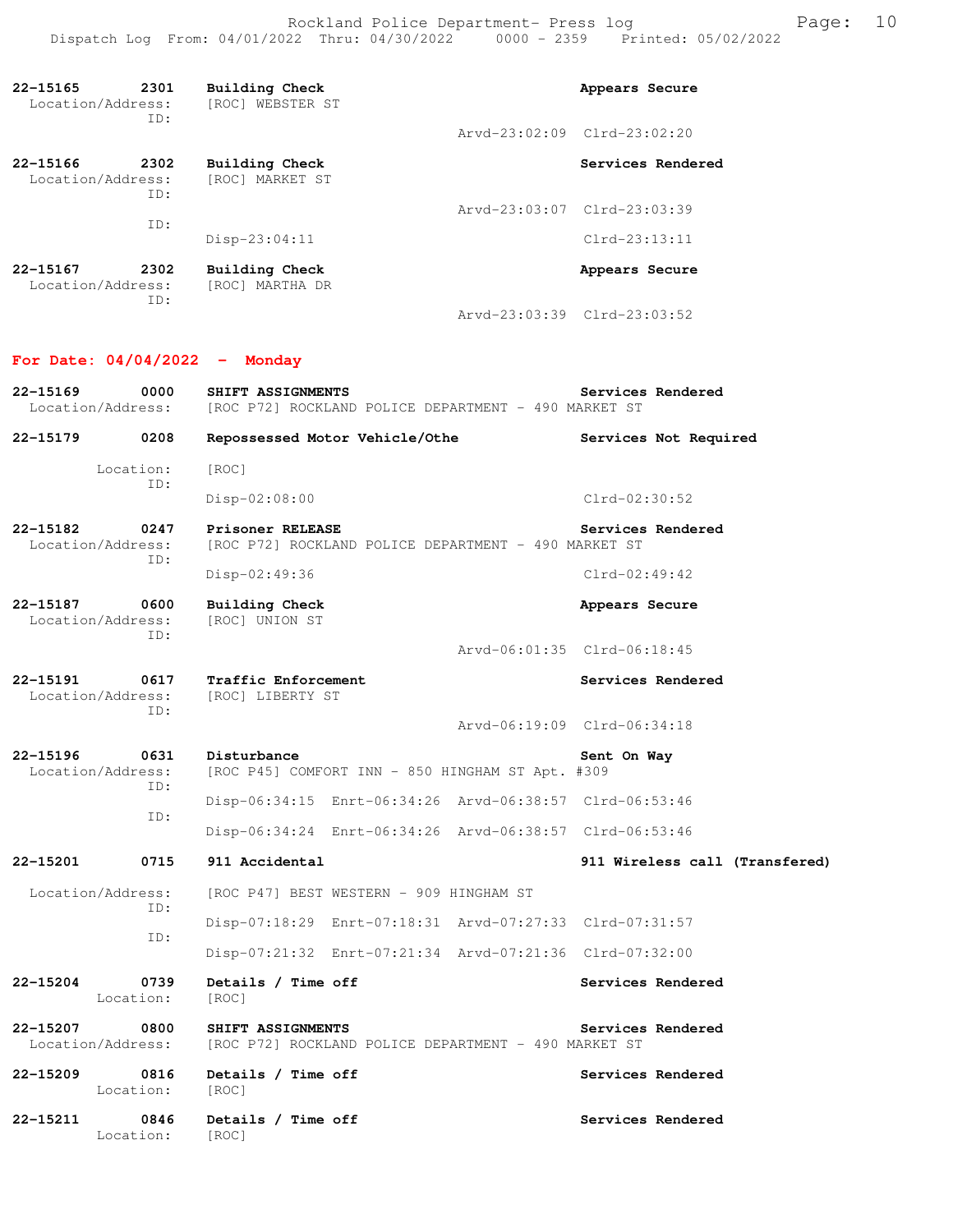Rockland Police Department- Press log entitled and Page: 10 Dispatch Log From: 04/01/2022 Thru: 04/30/2022 0000 - 2359 Printed: 05/02/2022

| 22-15165<br>2301<br>Location/Address:<br>TD: |             | Building Check<br>[ROC] WEBSTER ST | Appears Secure |                                     |  |
|----------------------------------------------|-------------|------------------------------------|----------------|-------------------------------------|--|
|                                              |             |                                    |                | $Arvd - 23:02:09$ $Clrd - 23:02:20$ |  |
| 22-15166<br>Location/Address:                | 2302<br>ID: | Building Check<br>[ROC] MARKET ST  |                | Services Rendered                   |  |
|                                              |             |                                    |                | Arvd-23:03:07 Clrd-23:03:39         |  |
|                                              | TD:         | $Disp-23:04:11$                    |                | $Clrd-23:13:11$                     |  |
| 22-15167<br>Location/Address:                | 2302<br>ID: | Building Check<br>[ROC] MARTHA DR  |                | Appears Secure                      |  |
|                                              |             |                                    |                | Arvd-23:03:39 Clrd-23:03:52         |  |

# **For Date: 04/04/2022 - Monday**

| $22 - 15169$<br>0000<br>Location/Address:    | SHIFT ASSIGNMENTS<br>[ROC P72] ROCKLAND POLICE DEPARTMENT - 490 MARKET ST | Services Rendered              |
|----------------------------------------------|---------------------------------------------------------------------------|--------------------------------|
| $22 - 15179$<br>0208                         | Repossessed Motor Vehicle/Othe                                            | Services Not Required          |
| Location:                                    | [ROC]                                                                     |                                |
| ID:                                          | $Disp-02:08:00$                                                           | $Clrd-02:30:52$                |
| 22-15182<br>0247<br>Location/Address:<br>TD: | Prisoner RELEASE<br>[ROC P72] ROCKLAND POLICE DEPARTMENT - 490 MARKET ST  | Services Rendered              |
|                                              | $Disp-02:49:36$                                                           | $Clrd-02:49:42$                |
| 22-15187<br>0600<br>Location/Address:<br>TD: | Building Check<br>[ROC] UNION ST                                          | Appears Secure                 |
|                                              |                                                                           | Arvd-06:01:35 Clrd-06:18:45    |
| 22-15191<br>0617<br>Location/Address:<br>ID: | Traffic Enforcement<br>[ROC] LIBERTY ST                                   | Services Rendered              |
|                                              |                                                                           | Arvd-06:19:09 Clrd-06:34:18    |
| $22 - 15196$<br>0631<br>Location/Address:    | Disturbance<br>[ROC P45] COMFORT INN - 850 HINGHAM ST Apt. #309           | Sent On Way                    |
| TD:                                          | Disp-06:34:15 Enrt-06:34:26 Arvd-06:38:57 Clrd-06:53:46                   |                                |
| ID:                                          | Disp-06:34:24 Enrt-06:34:26 Arvd-06:38:57 Clrd-06:53:46                   |                                |
| 22-15201<br>0715                             | 911 Accidental                                                            | 911 Wireless call (Transfered) |
| Location/Address:                            | [ROC P47] BEST WESTERN - 909 HINGHAM ST                                   |                                |
| TD:                                          | Disp-07:18:29 Enrt-07:18:31 Arvd-07:27:33 Clrd-07:31:57                   |                                |
| ID:                                          | Disp-07:21:32 Enrt-07:21:34 Arvd-07:21:36 Clrd-07:32:00                   |                                |
| 22-15204<br>0739<br>Location:                | Details / Time off<br>[ROC]                                               | Services Rendered              |
| 22-15207<br>0800<br>Location/Address:        | SHIFT ASSIGNMENTS<br>[ROC P72] ROCKLAND POLICE DEPARTMENT - 490 MARKET ST | Services Rendered              |
| $22 - 15209$<br>0816<br>Location:            | Details / Time off<br>[ROC]                                               | Services Rendered              |
| 22-15211<br>0846<br>Location:                | Details / Time off<br>[ROC]                                               | Services Rendered              |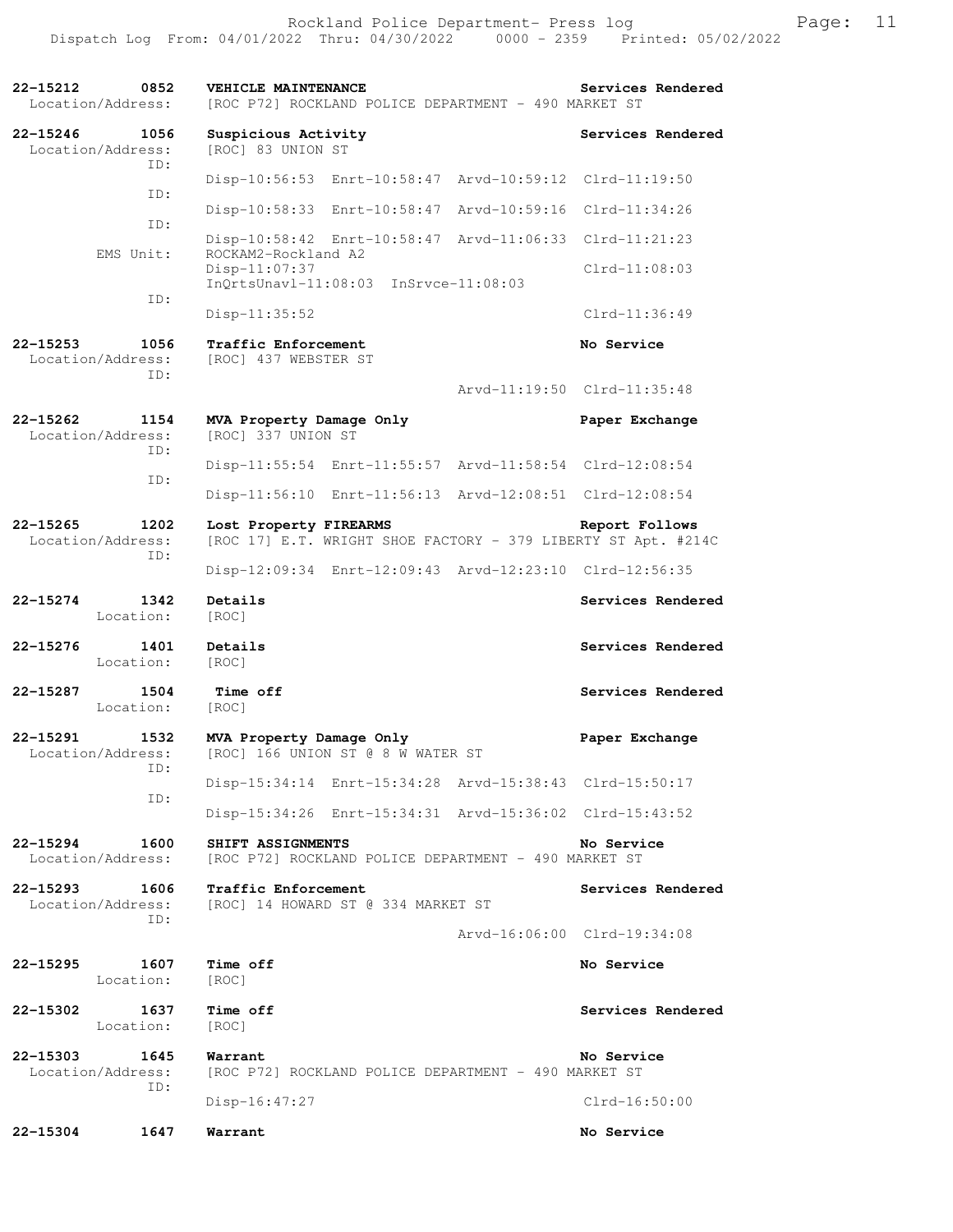| 22-15212<br>0852<br>Location/Address:        | VEHICLE MAINTENANCE<br>[ROC P72] ROCKLAND POLICE DEPARTMENT - 490 MARKET ST             | Services Rendered           |
|----------------------------------------------|-----------------------------------------------------------------------------------------|-----------------------------|
| 22-15246<br>1056<br>Location/Address:<br>TD: | Suspicious Activity<br>[ROC] 83 UNION ST                                                | Services Rendered           |
| ID:                                          | Disp-10:56:53 Enrt-10:58:47 Arvd-10:59:12 Clrd-11:19:50                                 |                             |
|                                              | Disp-10:58:33 Enrt-10:58:47 Arvd-10:59:16 Clrd-11:34:26                                 |                             |
| ID:<br>EMS Unit:                             | Disp-10:58:42 Enrt-10:58:47 Arvd-11:06:33                                               | $Clrd-11:21:23$             |
|                                              | ROCKAM2-Rockland A2<br>Disp-11:07:37<br>InOrtsUnavl-11:08:03 InSrvce-11:08:03           | $Clrd-11:08:03$             |
| ID:                                          | $Disp-11:35:52$                                                                         | Clrd-11:36:49               |
| 22-15253<br>1056<br>Location/Address:<br>ID: | Traffic Enforcement<br>[ROC] 437 WEBSTER ST                                             | No Service                  |
|                                              |                                                                                         | Arvd-11:19:50 Clrd-11:35:48 |
| 22-15262<br>1154<br>Location/Address:        | MVA Property Damage Only<br>[ROC] 337 UNION ST                                          | Paper Exchange              |
| ID:                                          | Disp-11:55:54 Enrt-11:55:57 Arvd-11:58:54 Clrd-12:08:54                                 |                             |
| ID:                                          | Disp-11:56:10 Enrt-11:56:13 Arvd-12:08:51 Clrd-12:08:54                                 |                             |
| 22-15265<br>1202<br>Location/Address:        | Lost Property FIREARMS<br>[ROC 17] E.T. WRIGHT SHOE FACTORY - 379 LIBERTY ST Apt. #214C | Report Follows              |
| ID:                                          | Disp-12:09:34 Enrt-12:09:43 Arvd-12:23:10 Clrd-12:56:35                                 |                             |
| 22-15274<br>1342<br>Location:                | Details<br>[ROC]                                                                        | Services Rendered           |
| 22-15276<br>1401<br>Location:                | Details<br>[ROC]                                                                        | Services Rendered           |
| 22-15287<br>1504<br>Location:                | Time off<br>[ROC]                                                                       | Services Rendered           |
| 22-15291<br>1532<br>Location/Address:        | MVA Property Damage Only<br>[ROC] 166 UNION ST @ 8 W WATER ST                           | Paper Exchange              |
| ID:                                          | Disp-15:34:14 Enrt-15:34:28 Arvd-15:38:43 Clrd-15:50:17                                 |                             |
| ID:                                          | Disp-15:34:26 Enrt-15:34:31 Arvd-15:36:02 Clrd-15:43:52                                 |                             |
| 22-15294<br>1600<br>Location/Address:        | SHIFT ASSIGNMENTS<br>[ROC P72] ROCKLAND POLICE DEPARTMENT - 490 MARKET ST               | No Service                  |
| 22-15293<br>1606<br>Location/Address:<br>ID: | Traffic Enforcement<br>[ROC] 14 HOWARD ST @ 334 MARKET ST                               | Services Rendered           |
|                                              |                                                                                         | Arvd-16:06:00 Clrd-19:34:08 |
| 22-15295<br>1607<br>Location:                | Time off<br>[ROC]                                                                       | No Service                  |
| 1637<br>22-15302<br>Location:                | Time off<br>[ROC]                                                                       | Services Rendered           |
| 22–15303<br>1645<br>Location/Address:        | Warrant<br>[ROC P72] ROCKLAND POLICE DEPARTMENT - 490 MARKET ST                         | No Service                  |
| ID:                                          | Disp-16:47:27                                                                           | $Clrd-16:50:00$             |

**22-15304 1647 Warrant No Service**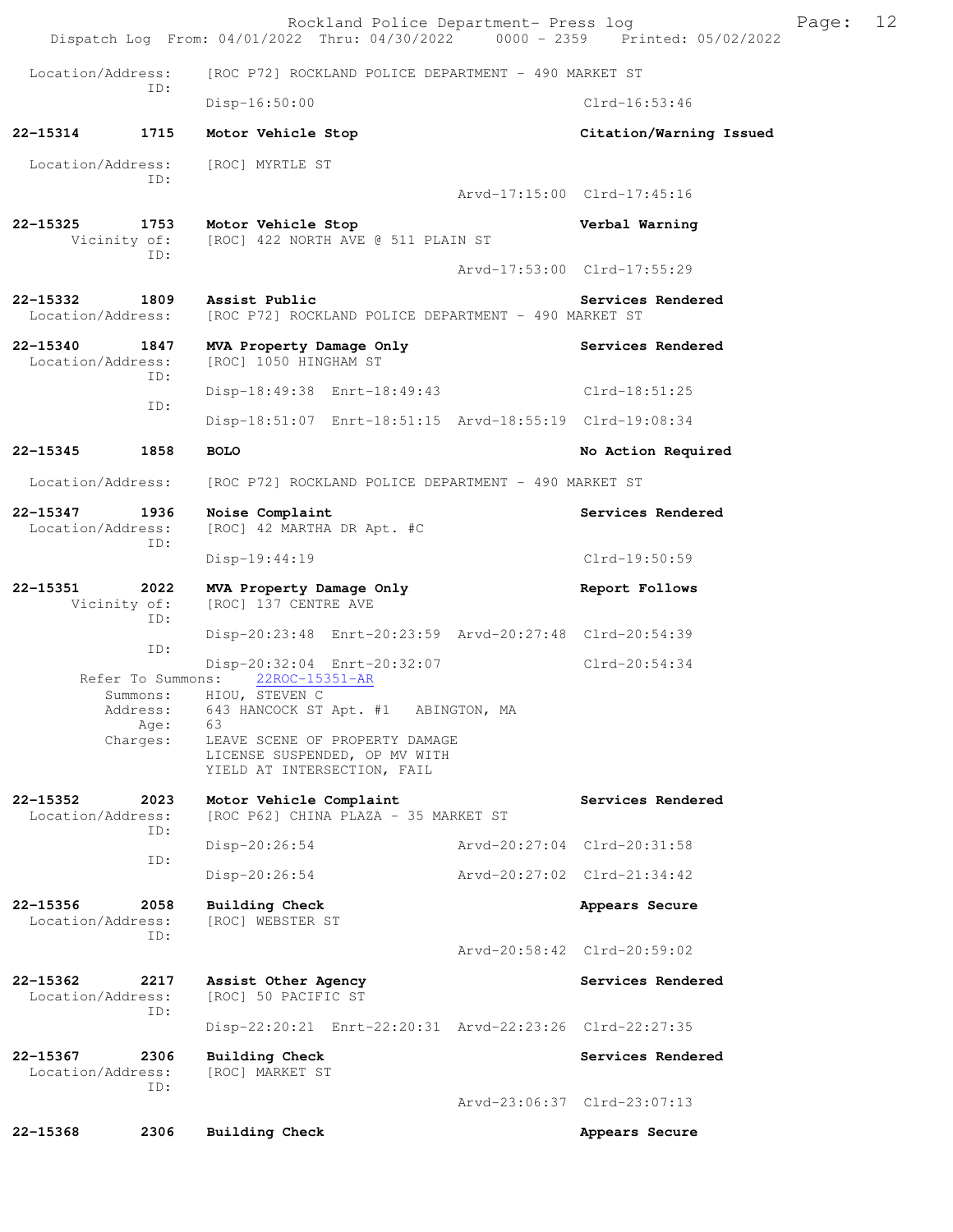|                               |                                                   | Rockland Police Department- Press log<br>Dispatch Log From: 04/01/2022 Thru: 04/30/2022 0000 - 2359 Printed: 05/02/2022                                                                                                 |                             |                             | Page: | 12 |
|-------------------------------|---------------------------------------------------|-------------------------------------------------------------------------------------------------------------------------------------------------------------------------------------------------------------------------|-----------------------------|-----------------------------|-------|----|
| Location/Address:             |                                                   | [ROC P72] ROCKLAND POLICE DEPARTMENT - 490 MARKET ST                                                                                                                                                                    |                             |                             |       |    |
|                               | ID:                                               | $Disp-16:50:00$                                                                                                                                                                                                         |                             | $Clrd-16:53:46$             |       |    |
| 22-15314                      | 1715                                              | Motor Vehicle Stop                                                                                                                                                                                                      |                             | Citation/Warning Issued     |       |    |
| Location/Address:             | ID:                                               | [ROC] MYRTLE ST                                                                                                                                                                                                         |                             |                             |       |    |
|                               |                                                   |                                                                                                                                                                                                                         |                             | Arvd-17:15:00 Clrd-17:45:16 |       |    |
| 22-15325<br>Vicinity of:      | 1753<br>ID:                                       | Motor Vehicle Stop<br>[ROC] 422 NORTH AVE @ 511 PLAIN ST                                                                                                                                                                |                             | Verbal Warning              |       |    |
|                               |                                                   |                                                                                                                                                                                                                         |                             | Arvd-17:53:00 Clrd-17:55:29 |       |    |
| 22-15332<br>Location/Address: | 1809                                              | Assist Public<br>[ROC P72] ROCKLAND POLICE DEPARTMENT - 490 MARKET ST                                                                                                                                                   |                             | Services Rendered           |       |    |
| 22-15340<br>Location/Address: | 1847<br>ID:                                       | MVA Property Damage Only<br>[ROC] 1050 HINGHAM ST                                                                                                                                                                       |                             | Services Rendered           |       |    |
|                               | ID:                                               | Disp-18:49:38 Enrt-18:49:43                                                                                                                                                                                             |                             | Clrd-18:51:25               |       |    |
|                               |                                                   | Disp-18:51:07 Enrt-18:51:15 Arvd-18:55:19 Clrd-19:08:34                                                                                                                                                                 |                             |                             |       |    |
| 22-15345                      | 1858                                              | <b>BOLO</b>                                                                                                                                                                                                             |                             | No Action Required          |       |    |
| Location/Address:             |                                                   | [ROC P72] ROCKLAND POLICE DEPARTMENT - 490 MARKET ST                                                                                                                                                                    |                             |                             |       |    |
| 22-15347<br>Location/Address: | 1936<br>ID:                                       | Noise Complaint<br>[ROC] 42 MARTHA DR Apt. #C                                                                                                                                                                           |                             | Services Rendered           |       |    |
|                               |                                                   | Disp-19:44:19                                                                                                                                                                                                           |                             | Clrd-19:50:59               |       |    |
| 22-15351<br>Vicinity of:      | 2022<br>ID:                                       | MVA Property Damage Only<br>[ROC] 137 CENTRE AVE                                                                                                                                                                        |                             | Report Follows              |       |    |
|                               | ID:                                               | Disp-20:23:48 Enrt-20:23:59 Arvd-20:27:48 Clrd-20:54:39                                                                                                                                                                 |                             |                             |       |    |
|                               | Refer To Summons:<br>Summons:<br>Age:<br>Charges: | Disp-20:32:04 Enrt-20:32:07<br>22ROC-15351-AR<br>HIOU, STEVEN C<br>Address: 643 HANCOCK ST Apt. #1 ABINGTON, MA<br>63<br>LEAVE SCENE OF PROPERTY DAMAGE<br>LICENSE SUSPENDED, OP MV WITH<br>YIELD AT INTERSECTION, FAIL |                             | Clrd-20:54:34               |       |    |
| 22-15352<br>Location/Address: | 2023<br>ID:                                       | Motor Vehicle Complaint<br>[ROC P62] CHINA PLAZA - 35 MARKET ST                                                                                                                                                         |                             | Services Rendered           |       |    |
|                               | ID:                                               | $Disp-20:26:54$                                                                                                                                                                                                         | Arvd-20:27:04 Clrd-20:31:58 |                             |       |    |
|                               |                                                   | $Disp-20:26:54$                                                                                                                                                                                                         |                             | Arvd-20:27:02 Clrd-21:34:42 |       |    |
| 22-15356<br>Location/Address: | 2058<br>ID:                                       | <b>Building Check</b><br>[ROC] WEBSTER ST                                                                                                                                                                               |                             | Appears Secure              |       |    |
|                               |                                                   |                                                                                                                                                                                                                         |                             | Arvd-20:58:42 Clrd-20:59:02 |       |    |
| 22-15362<br>Location/Address: | 2217<br>ID:                                       | Assist Other Agency<br>[ROC] 50 PACIFIC ST                                                                                                                                                                              |                             | Services Rendered           |       |    |
|                               |                                                   | Disp-22:20:21 Enrt-22:20:31 Arvd-22:23:26 Clrd-22:27:35                                                                                                                                                                 |                             |                             |       |    |
| 22-15367<br>Location/Address: | 2306<br>ID:                                       | <b>Building Check</b><br>[ROC] MARKET ST                                                                                                                                                                                |                             | Services Rendered           |       |    |
|                               |                                                   |                                                                                                                                                                                                                         |                             | Arvd-23:06:37 Clrd-23:07:13 |       |    |
| 22-15368                      | 2306                                              | <b>Building Check</b>                                                                                                                                                                                                   |                             | Appears Secure              |       |    |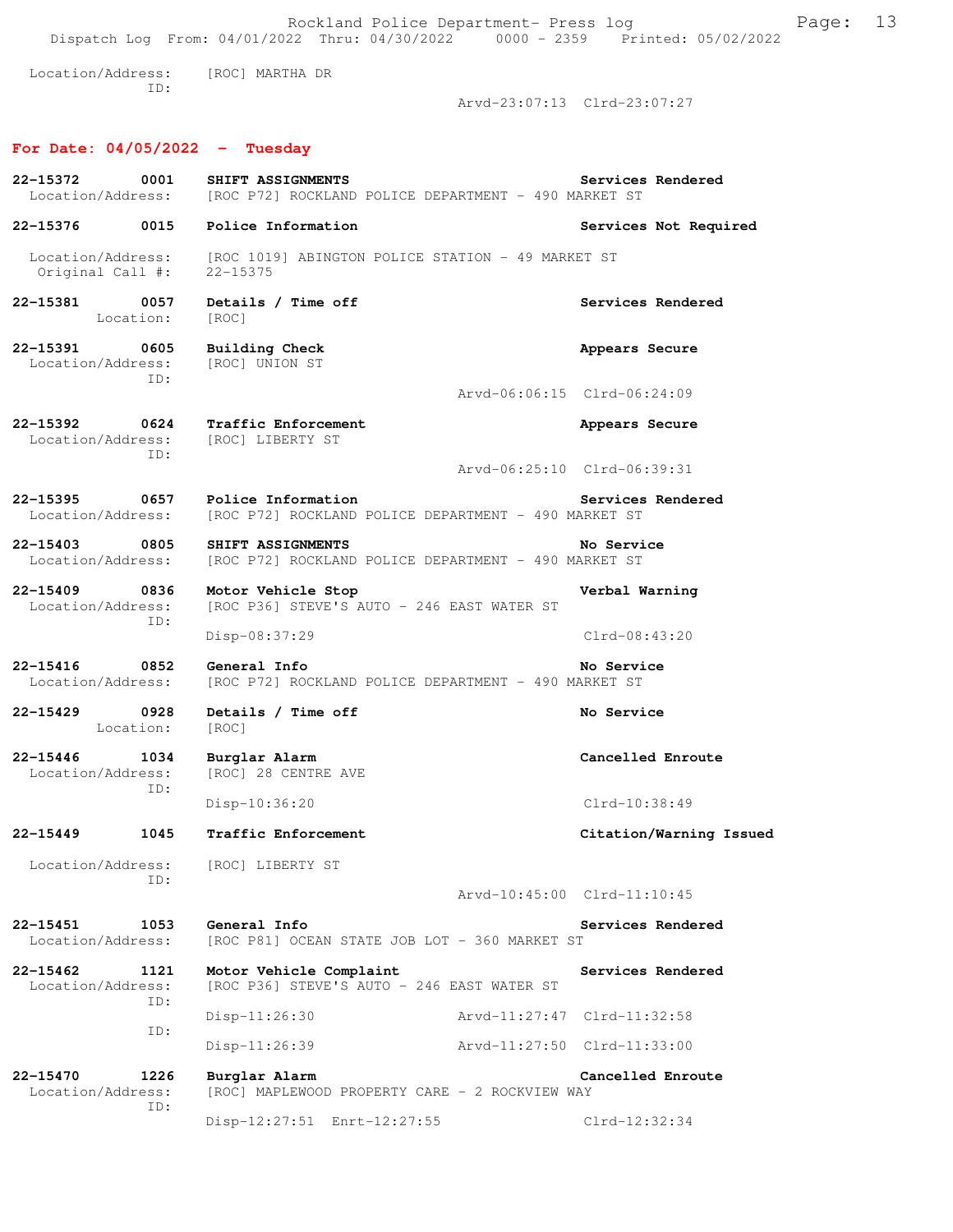|                                       |             | Rockland Police Department- Press log<br>Dispatch Log From: 04/01/2022 Thru: 04/30/2022 0000 - 2359 Printed: 05/02/2022 |                             | Page: | 13 |
|---------------------------------------|-------------|-------------------------------------------------------------------------------------------------------------------------|-----------------------------|-------|----|
| Location/Address:                     |             | [ROC] MARTHA DR                                                                                                         |                             |       |    |
|                                       | ID:         |                                                                                                                         | Arvd-23:07:13 Clrd-23:07:27 |       |    |
| For Date: $04/05/2022 - Tuesday$      |             |                                                                                                                         |                             |       |    |
| 22-15372                              | 0001        | SHIFT ASSIGNMENTS<br>Location/Address: [ROC P72] ROCKLAND POLICE DEPARTMENT - 490 MARKET ST                             | Services Rendered           |       |    |
|                                       |             | 22-15376 0015 Police Information                                                                                        | Services Not Required       |       |    |
| Location/Address:<br>Original Call #: |             | [ROC 1019] ABINGTON POLICE STATION - 49 MARKET ST<br>22-15375                                                           |                             |       |    |
| 22-15381<br>Location:                 | 0057        | Details / Time off<br>[ROC]                                                                                             | Services Rendered           |       |    |
| 22-15391<br>Location/Address:         | 0605<br>ID: | <b>Building Check</b><br>[ROC] UNION ST                                                                                 | Appears Secure              |       |    |
|                                       |             |                                                                                                                         | Arvd-06:06:15 Clrd-06:24:09 |       |    |
| 22-15392<br>Location/Address:         | 0624        | Traffic Enforcement<br>[ROC] LIBERTY ST                                                                                 | Appears Secure              |       |    |
|                                       | ID:         |                                                                                                                         | Arvd-06:25:10 Clrd-06:39:31 |       |    |
| 22-15395<br>Location/Address:         |             | 0657 Police Information<br>[ROC P72] ROCKLAND POLICE DEPARTMENT - 490 MARKET ST                                         | Services Rendered           |       |    |
| 22-15403<br>Location/Address:         | 0805        | SHIFT ASSIGNMENTS<br>[ROC P72] ROCKLAND POLICE DEPARTMENT - 490 MARKET ST                                               | No Service                  |       |    |
| 22-15409<br>0836<br>Location/Address: |             | Motor Vehicle Stop<br>[ROC P36] STEVE'S AUTO - 246 EAST WATER ST                                                        | Verbal Warning              |       |    |
|                                       | ID:         | Disp-08:37:29                                                                                                           | $Clrd-08:43:20$             |       |    |
| 22-15416                              | 0852        | General Info<br>Location/Address: [ROC P72] ROCKLAND POLICE DEPARTMENT - 490 MARKET ST                                  | No Service                  |       |    |
| Location:                             |             | 22-15429 0928 Details / Time off<br>[ROC]                                                                               | No Service                  |       |    |
| 22-15446<br>Location/Address:         | 1034        | Burglar Alarm<br>[ROC] 28 CENTRE AVE                                                                                    | Cancelled Enroute           |       |    |
|                                       | ID:         | Disp-10:36:20                                                                                                           | Clrd-10:38:49               |       |    |
| $22 - 15449$                          | 1045        | Traffic Enforcement                                                                                                     | Citation/Warning Issued     |       |    |
| Location/Address:                     |             | [ROC] LIBERTY ST                                                                                                        |                             |       |    |
|                                       | ID:         |                                                                                                                         | Arvd-10:45:00 Clrd-11:10:45 |       |    |
| 22-15451<br>Location/Address:         | 1053        | General Info<br>[ROC P81] OCEAN STATE JOB LOT - 360 MARKET ST                                                           | Services Rendered           |       |    |
| $22 - 15462$<br>Location/Address:     | 1121        | Motor Vehicle Complaint<br>[ROC P36] STEVE'S AUTO - 246 EAST WATER ST                                                   | Services Rendered           |       |    |
|                                       | ID:         | Disp-11:26:30                                                                                                           | Arvd-11:27:47 Clrd-11:32:58 |       |    |
|                                       | ID:         | $Disp-11:26:39$                                                                                                         | Arvd-11:27:50 Clrd-11:33:00 |       |    |
| 22-15470<br>Location/Address:         | 1226        | Burglar Alarm<br>[ROC] MAPLEWOOD PROPERTY CARE - 2 ROCKVIEW WAY                                                         | Cancelled Enroute           |       |    |
|                                       | ID:         | Disp-12:27:51 Enrt-12:27:55                                                                                             | Clrd-12:32:34               |       |    |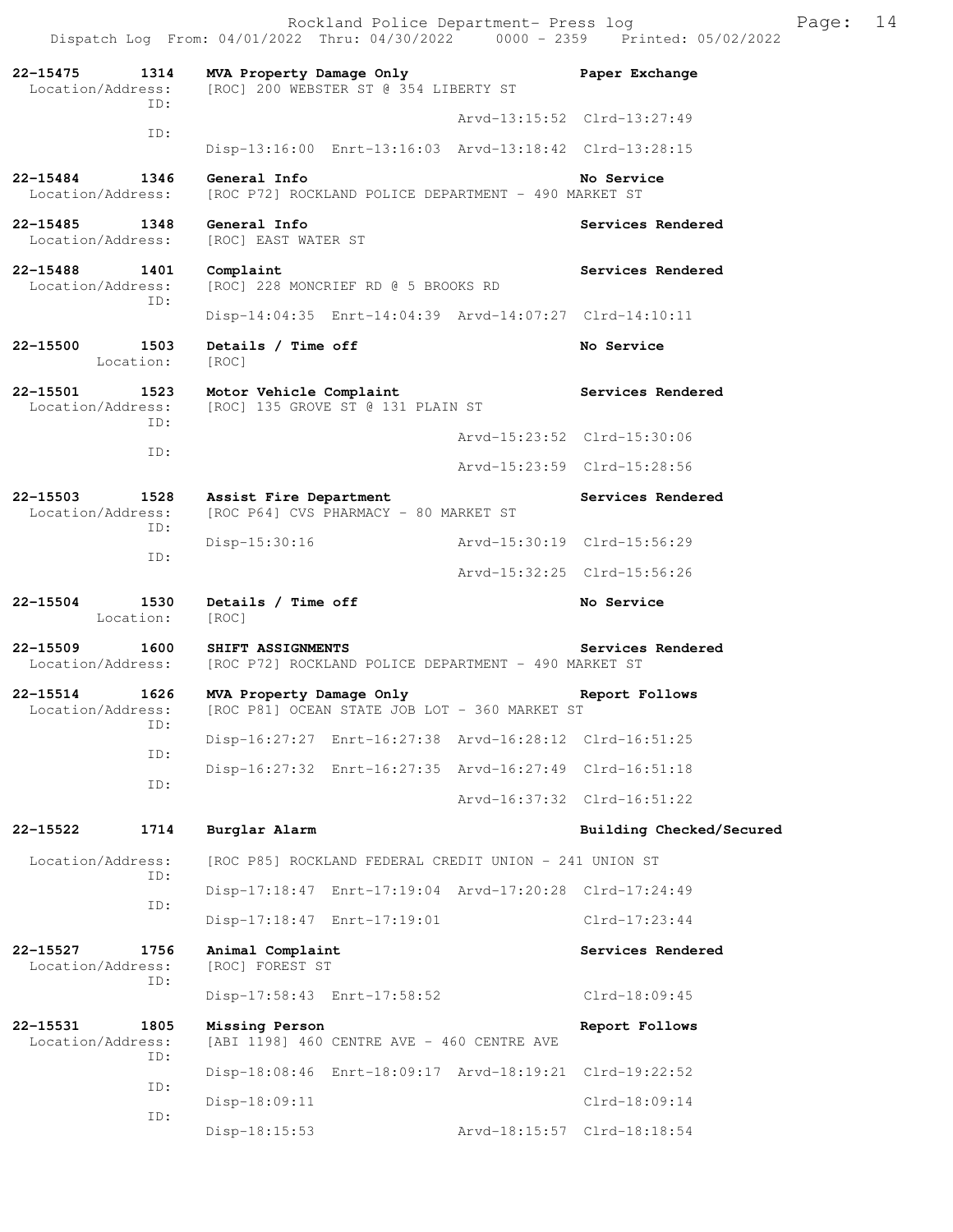**22-15475 1314 MVA Property Damage Only Paper Exchange**  Location/Address: [ROC] 200 WEBSTER ST @ 354 LIBERTY ST ID: Arvd-13:15:52 Clrd-13:27:49 ID: Disp-13:16:00 Enrt-13:16:03 Arvd-13:18:42 Clrd-13:28:15 **22-15484 1346 General Info No Service**  Location/Address: [ROC P72] ROCKLAND POLICE DEPARTMENT - 490 MARKET ST **22-15485 1348 General Info Services Rendered Info Services Rendered** Services Rendered **Info** [ROC] EAST WATER ST **22-15488 1401 Complaint Services Rendered**  Location/Address: [ROC] 228 MONCRIEF RD @ 5 BROOKS RD ID: Disp-14:04:35 Enrt-14:04:39 Arvd-14:07:27 Clrd-14:10:11 **22-15500 1503 Details / Time off No Service**  Location: [ROC] **22-15501 1523 Motor Vehicle Complaint Services Rendered**  Location/Address: [ROC] 135 GROVE ST @ 131 PLAIN ST ID: Arvd-15:23:52 Clrd-15:30:06 ID: Arvd-15:23:59 Clrd-15:28:56 **22-15503 1528 Assist Fire Department Services Rendered**  Location/Address: [ROC P64] CVS PHARMACY - 80 MARKET ST ID: Disp-15:30:16 Arvd-15:30:19 Clrd-15:56:29 ID: Arvd-15:32:25 Clrd-15:56:26 **22-15504 1530 Details / Time off No Service**  Location: [ROC] **22-15509 1600 SHIFT ASSIGNMENTS Services Rendered**  Location/Address: [ROC P72] ROCKLAND POLICE DEPARTMENT - 490 MARKET ST **22-15514 1626 MVA Property Damage Only Report Follows**  Location/Address: [ROC P81] OCEAN STATE JOB LOT - 360 MARKET ST ID: Disp-16:27:27 Enrt-16:27:38 Arvd-16:28:12 Clrd-16:51:25 ID: Disp-16:27:32 Enrt-16:27:35 Arvd-16:27:49 Clrd-16:51:18 ID: Arvd-16:37:32 Clrd-16:51:22 **22-15522 1714 Burglar Alarm Building Checked/Secured**  Location/Address: [ROC P85] ROCKLAND FEDERAL CREDIT UNION - 241 UNION ST ID: Disp-17:18:47 Enrt-17:19:04 Arvd-17:20:28 Clrd-17:24:49 ID: Disp-17:18:47 Enrt-17:19:01 Clrd-17:23:44 **22-15527 1756 Animal Complaint Services Rendered Location/Address:** [ROC] FOREST ST Location/Address: ID: Disp-17:58:43 Enrt-17:58:52 Clrd-18:09:45 **22-15531 1805 Missing Person Report Follows**  Location/Address: [ABI 1198] 460 CENTRE AVE - 460 CENTRE AVE ID: Disp-18:08:46 Enrt-18:09:17 Arvd-18:19:21 Clrd-19:22:52 ID: Disp-18:09:11 Clrd-18:09:14 ID:

Disp-18:15:53 Arvd-18:15:57 Clrd-18:18:54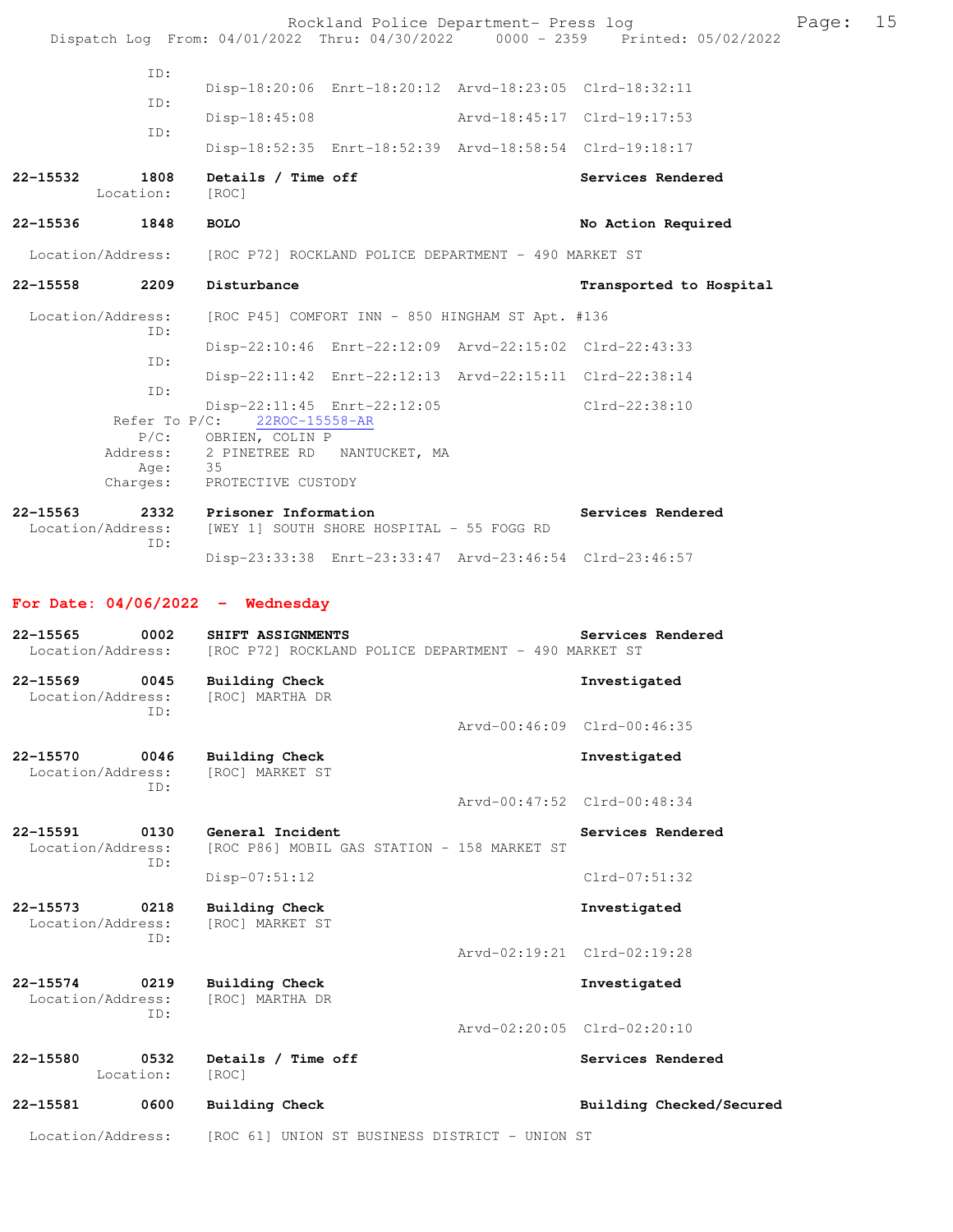|              |                           | Dispatch Log From: 04/01/2022 Thru: 04/30/2022 0000 - 2359 Printed: 05/02/2022 | Rockland Police Department- Press log                   |                             |                             | Page: | 15 |
|--------------|---------------------------|--------------------------------------------------------------------------------|---------------------------------------------------------|-----------------------------|-----------------------------|-------|----|
|              | ID:                       |                                                                                |                                                         |                             |                             |       |    |
|              | ID:                       |                                                                                | Disp-18:20:06 Enrt-18:20:12 Arvd-18:23:05 Clrd-18:32:11 |                             |                             |       |    |
|              | ID:                       | $Disp-18:45:08$                                                                |                                                         | Arvd-18:45:17 Clrd-19:17:53 |                             |       |    |
|              |                           |                                                                                | Disp-18:52:35 Enrt-18:52:39 Arvd-18:58:54 Clrd-19:18:17 |                             |                             |       |    |
| 22-15532     | 1808<br>Location:         | Details / Time off<br>[ROC]                                                    |                                                         |                             | Services Rendered           |       |    |
| 22-15536     | 1848                      | <b>BOTO</b>                                                                    |                                                         |                             | No Action Required          |       |    |
|              | Location/Address:         | [ROC P72] ROCKLAND POLICE DEPARTMENT - 490 MARKET ST                           |                                                         |                             |                             |       |    |
| 22-15558     | 2209                      | Disturbance                                                                    |                                                         |                             | Transported to Hospital     |       |    |
|              | Location/Address:<br>ID:  | [ROC P45] COMFORT INN - 850 HINGHAM ST Apt. #136                               |                                                         |                             |                             |       |    |
|              | ID:                       |                                                                                | Disp-22:10:46 Enrt-22:12:09 Arvd-22:15:02 Clrd-22:43:33 |                             |                             |       |    |
|              | ID:                       |                                                                                | Disp-22:11:42 Enrt-22:12:13 Arvd-22:15:11 Clrd-22:38:14 |                             |                             |       |    |
|              | Refer To $P/C$ :          | 22ROC-15558-AR                                                                 | Disp-22:11:45 Enrt-22:12:05                             |                             | Clrd-22:38:10               |       |    |
|              |                           | P/C: OBRIEN, COLIN P                                                           |                                                         |                             |                             |       |    |
|              | Address:<br>Age:          | 2 PINETREE RD NANTUCKET, MA<br>35                                              |                                                         |                             |                             |       |    |
|              | Charges:                  | PROTECTIVE CUSTODY                                                             |                                                         |                             |                             |       |    |
| 22-15563     | Location/Address:         | 2332 Prisoner Information<br>[WEY 1] SOUTH SHORE HOSPITAL - 55 FOGG RD         |                                                         |                             | Services Rendered           |       |    |
|              | ID:                       |                                                                                | Disp-23:33:38 Enrt-23:33:47 Arvd-23:46:54 Clrd-23:46:57 |                             |                             |       |    |
|              |                           | For Date: $04/06/2022 -$ Wednesday                                             |                                                         |                             |                             |       |    |
|              |                           |                                                                                |                                                         |                             |                             |       |    |
| 22-15565     | 0002<br>Location/Address: | SHIFT ASSIGNMENTS<br>[ROC P72] ROCKLAND POLICE DEPARTMENT - 490 MARKET ST      |                                                         |                             | Services Rendered           |       |    |
| $22 - 15569$ | 0045<br>Location/Address: | Building Check<br>[ROC] MARTHA DR                                              |                                                         |                             | Investigated                |       |    |
|              | ID:                       |                                                                                |                                                         |                             | Arvd-00:46:09 Clrd-00:46:35 |       |    |
| 22-15570     | 0046<br>Location/Address: | Building Check<br>[ROC] MARKET ST                                              |                                                         |                             | Investigated                |       |    |
|              | ID:                       |                                                                                |                                                         | Arvd-00:47:52 Clrd-00:48:34 |                             |       |    |
| 22-15591     | 0130                      | General Incident                                                               |                                                         |                             | Services Rendered           |       |    |
|              | Location/Address:<br>ID:  |                                                                                | [ROC P86] MOBIL GAS STATION - 158 MARKET ST             |                             |                             |       |    |
|              |                           | $Disp-07:51:12$                                                                |                                                         |                             | Clrd-07:51:32               |       |    |
| 22-15573     | 0218<br>Location/Address: | Building Check<br>[ROC] MARKET ST                                              |                                                         |                             | Investigated                |       |    |
|              | ID:                       |                                                                                |                                                         | Arvd-02:19:21 Clrd-02:19:28 |                             |       |    |
| $22 - 15574$ | 0219                      | Building Check                                                                 |                                                         |                             | Investigated                |       |    |
|              | Location/Address:<br>ID:  | [ROC] MARTHA DR                                                                |                                                         |                             |                             |       |    |
|              |                           |                                                                                |                                                         | Arvd-02:20:05 Clrd-02:20:10 |                             |       |    |
| 22-15580     | 0532<br>Location:         | Details / Time off<br>[ROC]                                                    |                                                         |                             | Services Rendered           |       |    |
| 22-15581     | 0600                      | Building Check                                                                 |                                                         |                             | Building Checked/Secured    |       |    |
|              | Location/Address:         |                                                                                | [ROC 61] UNION ST BUSINESS DISTRICT - UNION ST          |                             |                             |       |    |
|              |                           |                                                                                |                                                         |                             |                             |       |    |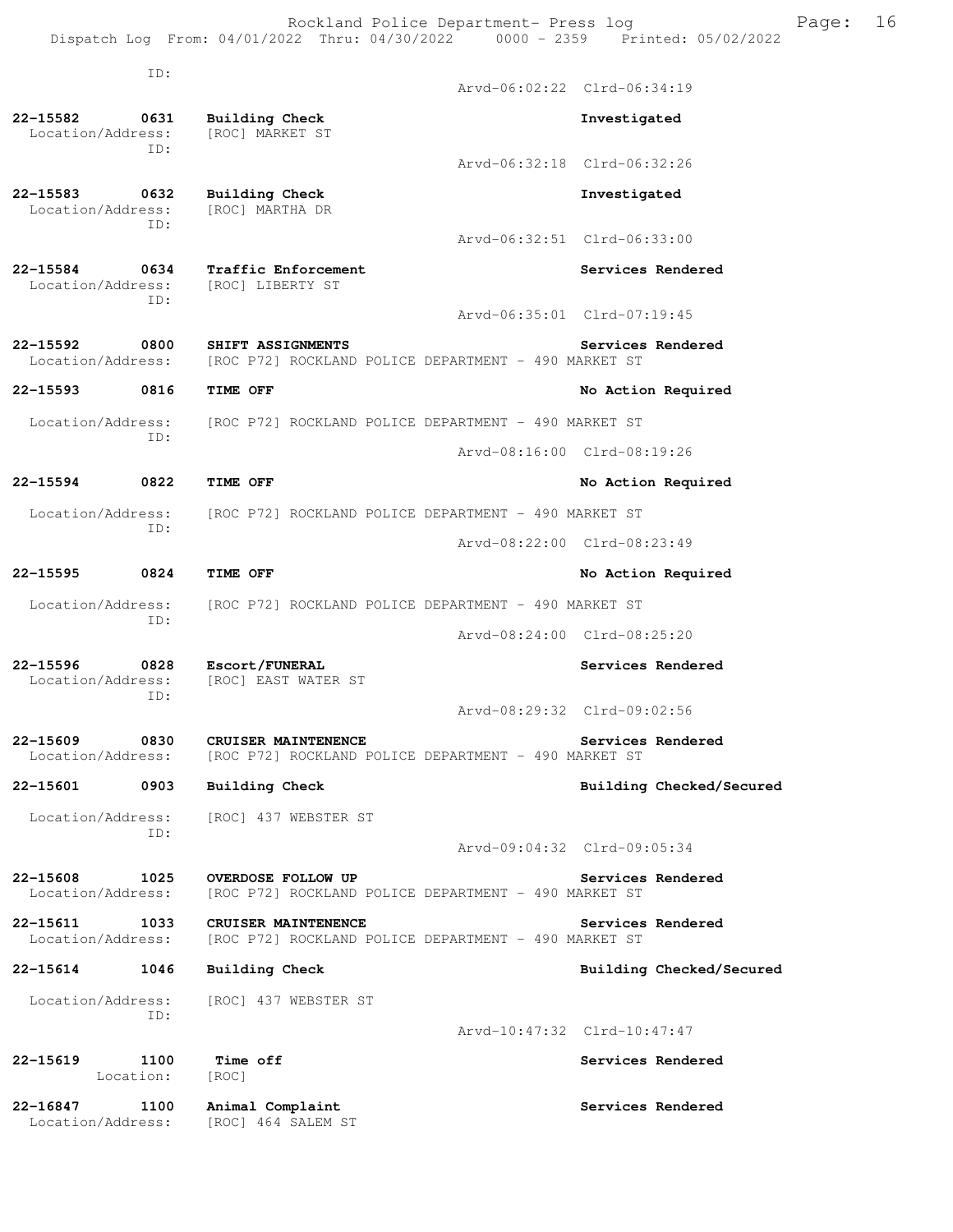| ID:                                          |                                          |                                                                           |  |
|----------------------------------------------|------------------------------------------|---------------------------------------------------------------------------|--|
|                                              |                                          | Arvd-06:02:22 Clrd-06:34:19                                               |  |
| 22-15582<br>0631<br>Location/Address:<br>TD: | <b>Building Check</b><br>[ROC] MARKET ST | Investigated                                                              |  |
|                                              |                                          | Aryd-06:32:18 Clrd-06:32:26                                               |  |
| 22-15583<br>0632<br>Location/Address:<br>ID: | Building Check<br>[ROC] MARTHA DR        | Investigated                                                              |  |
|                                              |                                          | Arvd-06:32:51 Clrd-06:33:00                                               |  |
| 22-15584<br>0634<br>Location/Address:<br>ID: | Traffic Enforcement<br>[ROC] LIBERTY ST  | Services Rendered                                                         |  |
|                                              |                                          | Arvd-06:35:01 Clrd-07:19:45                                               |  |
| 22-15592<br>0800<br>Location/Address:        | SHIFT ASSIGNMENTS                        | Services Rendered<br>[ROC P72] ROCKLAND POLICE DEPARTMENT - 490 MARKET ST |  |
| 22–15593<br>0816                             | TIME OFF                                 | No Action Required                                                        |  |
| Location/Address:<br>ID:                     |                                          | [ROC P72] ROCKLAND POLICE DEPARTMENT - 490 MARKET ST                      |  |
|                                              |                                          | Arvd-08:16:00 Clrd-08:19:26                                               |  |
| 22-15594<br>0822                             | TIME OFF                                 | No Action Required                                                        |  |
| Location/Address:                            |                                          | [ROC P72] ROCKLAND POLICE DEPARTMENT - 490 MARKET ST                      |  |
| ID:                                          |                                          | Arvd-08:22:00 Clrd-08:23:49                                               |  |
| 22-15595<br>0824                             | TIME OFF                                 | No Action Required                                                        |  |
| Location/Address:                            |                                          | [ROC P72] ROCKLAND POLICE DEPARTMENT - 490 MARKET ST                      |  |
| ID:                                          |                                          | Arvd-08:24:00 Clrd-08:25:20                                               |  |
| 22-15596<br>0828<br>Location/Address:<br>ID: | Escort/FUNERAL<br>[ROC] EAST WATER ST    | Services Rendered                                                         |  |
|                                              |                                          | Arvd-08:29:32 Clrd-09:02:56                                               |  |
| 22-15609<br>0830<br>Location/Address:        | CRUISER MAINTENENCE                      | Services Rendered<br>[ROC P72] ROCKLAND POLICE DEPARTMENT - 490 MARKET ST |  |
| 22-15601<br>0903                             | <b>Building Check</b>                    | Building Checked/Secured                                                  |  |
| Location/Address:<br>ID:                     | [ROC] 437 WEBSTER ST                     | Arvd-09:04:32 Clrd-09:05:34                                               |  |
| 22-15608<br>1025                             | <b>OVERDOSE FOLLOW UP</b>                | Services Rendered                                                         |  |
| Location/Address:                            |                                          | [ROC P72] ROCKLAND POLICE DEPARTMENT - 490 MARKET ST                      |  |
| 22-15611<br>1033<br>Location/Address:        | CRUISER MAINTENENCE                      | Services Rendered<br>[ROC P72] ROCKLAND POLICE DEPARTMENT - 490 MARKET ST |  |
| 22-15614<br>1046                             | <b>Building Check</b>                    | Building Checked/Secured                                                  |  |
| Location/Address:<br>ID:                     | [ROC] 437 WEBSTER ST                     | Arvd-10:47:32 Clrd-10:47:47                                               |  |
| 22-15619<br>1100                             | Time off                                 | Services Rendered                                                         |  |
| Location:                                    | [ROC]                                    |                                                                           |  |
| 22-16847<br>1100<br>Location/Address:        | Animal Complaint<br>[ROC] 464 SALEM ST   | Services Rendered                                                         |  |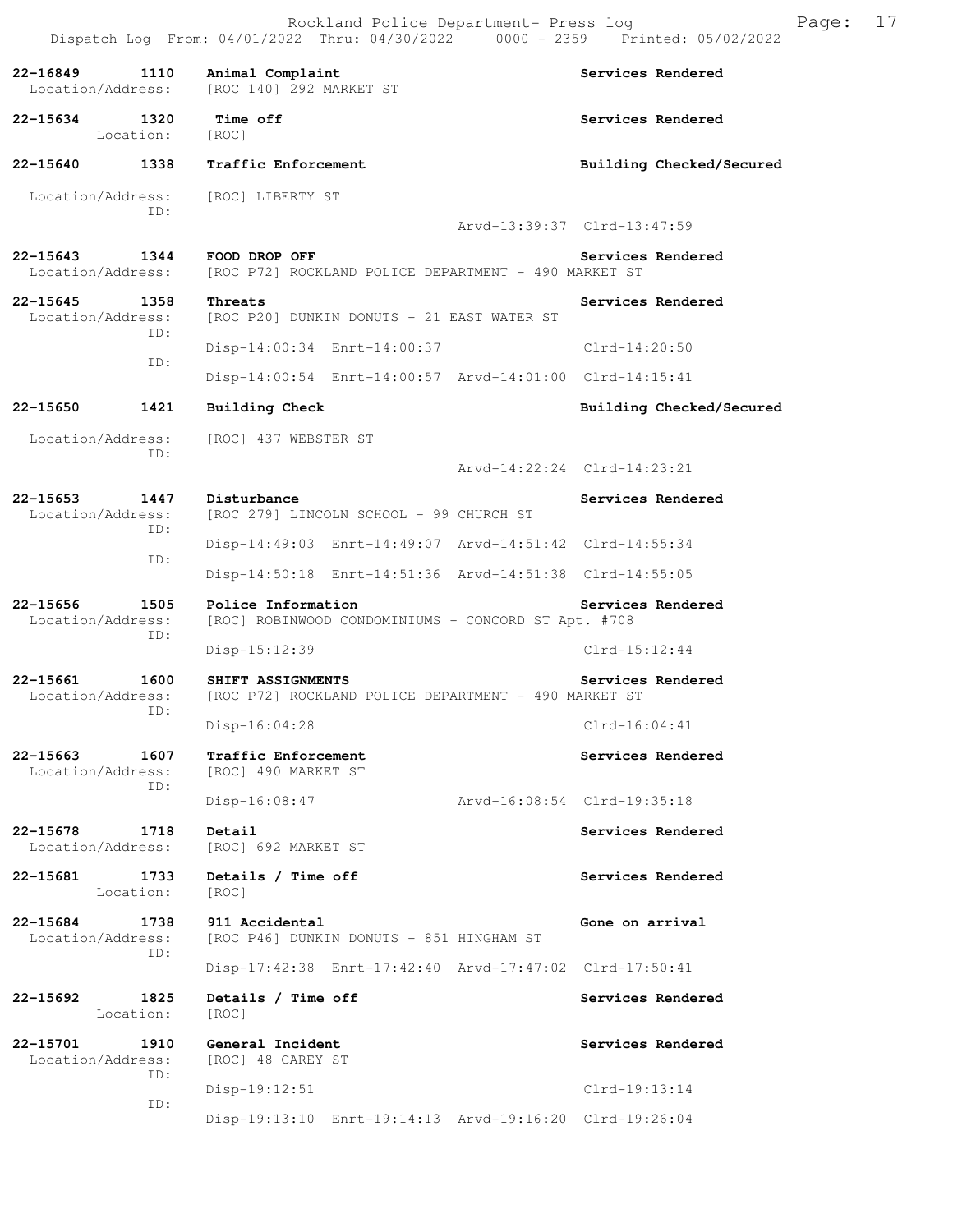Dispatch Log From: 04/01/2022 Thru: 04/30/2022 0000 - 2359 Printed: 05/02/2022 22-16849 1110 Animal Complaint **Services Rendered** Location/Address: [ROC 140] 292 MARKET ST **22-15634 1320 Time off Services Rendered**  Location: [ROC] **22-15640 1338 Traffic Enforcement Building Checked/Secured**  Location/Address: [ROC] LIBERTY ST ID: Arvd-13:39:37 Clrd-13:47:59 **22-15643** 1344 FOOD DROP OFF Services Rendered Location/Address: [ROC P72] ROCKLAND POLICE DEPARTMENT - 490 MARKET ST [ROC P72] ROCKLAND POLICE DEPARTMENT - 490 MARKET ST **22-15645** 1358 Threats **1358** Threats **Services Rendered Location/Address:** [ROC P20] DUNKIN DONUTS - 21 EAST WATER ST [ROC P20] DUNKIN DONUTS - 21 EAST WATER ST ID: Disp-14:00:34 Enrt-14:00:37 Clrd-14:20:50 ID: Disp-14:00:54 Enrt-14:00:57 Arvd-14:01:00 Clrd-14:15:41 **22-15650 1421 Building Check Building Checked/Secured**  Location/Address: [ROC] 437 WEBSTER ST ID: Arvd-14:22:24 Clrd-14:23:21 **22-15653 1447 Disturbance Services Rendered** Location/Address: [ROC 279] LINCOLN SCHOOL - 99 CHURCH ST [ROC 279] LINCOLN SCHOOL - 99 CHURCH ST ID: Disp-14:49:03 Enrt-14:49:07 Arvd-14:51:42 Clrd-14:55:34 ID: Disp-14:50:18 Enrt-14:51:36 Arvd-14:51:38 Clrd-14:55:05 **22-15656 1505 Police Information Services Rendered**  Location/Address: [ROC] ROBINWOOD CONDOMINIUMS - CONCORD ST Apt. #708 ID: Disp-15:12:39 Clrd-15:12:44 **22-15661 1600 SHIFT ASSIGNMENTS Services Rendered**  Location/Address: [ROC P72] ROCKLAND POLICE DEPARTMENT - 490 MARKET ST ID: Disp-16:04:28 Clrd-16:04:41 22-15663 1607 Traffic Enforcement **1607** Services Rendered Location/Address: [ROC] 490 MARKET ST ID: Disp-16:08:47 Arvd-16:08:54 Clrd-19:35:18 **22-15678 1718 Detail Services Rendered** Location/Address: [ROC] 692 MARKET ST [ROC] 692 MARKET ST **22-15681 1733 Details / Time off Services Rendered**  Location: [ROC] **22-15684 1738 911 Accidental Gone on arrival**  Location/Address: [ROC P46] DUNKIN DONUTS - 851 HINGHAM ST ID: Disp-17:42:38 Enrt-17:42:40 Arvd-17:47:02 Clrd-17:50:41 **22-15692 1825 Details / Time off Services Rendered**  Location: [ROC] **22-15701 1910 General Incident Services Rendered Location/Address:** [ROC] 48 CAREY ST Location/Address: ID: Disp-19:12:51 Clrd-19:13:14 ID: Disp-19:13:10 Enrt-19:14:13 Arvd-19:16:20 Clrd-19:26:04

Rockland Police Department- Press log Fage: 17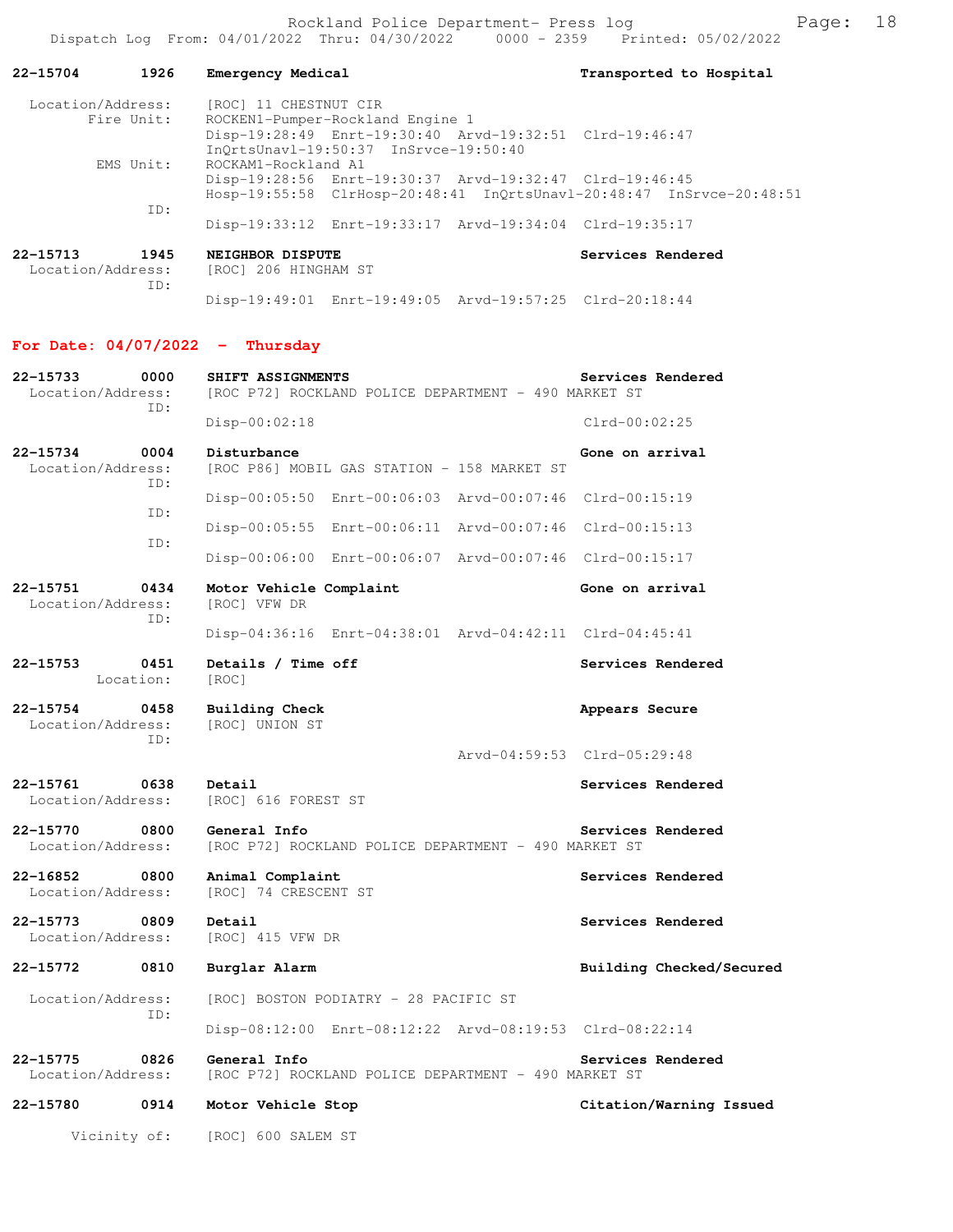Rockland Police Department- Press log Fage: 18 Dispatch Log From: 04/01/2022 Thru: 04/30/2022 0000 - 2359 Printed: 05/02/2022

Disp-19:49:01 Enrt-19:49:05 Arvd-19:57:25 Clrd-20:18:44

**22-15704 1926 Emergency Medical Transported to Hospital**  Location/Address: [ROC] 11 CHESTNUT CIR<br>Fire Unit: ROCKEN1-Pumper-Rocklar ROCKEN1-Pumper-Rockland Engine 1 Disp-19:28:49 Enrt-19:30:40 Arvd-19:32:51 Clrd-19:46:47 InQrtsUnavl-19:50:37 InSrvce-19:50:40 EMS Unit: ROCKAM1-Rockland A1 Disp-19:28:56 Enrt-19:30:37 Arvd-19:32:47 Clrd-19:46:45 Hosp-19:55:58 ClrHosp-20:48:41 InQrtsUnavl-20:48:47 InSrvce-20:48:51 ID: Disp-19:33:12 Enrt-19:33:17 Arvd-19:34:04 Clrd-19:35:17

#### **22-15713 1945 NEIGHBOR DISPUTE Services Rendered**

 Location/Address: [ROC] 206 HINGHAM ST ID:

**For Date: 04/07/2022 - Thursday**

**22-15733 0000 SHIFT ASSIGNMENTS Services Rendered** Location/Address: [ROC P72] ROCKLAND POLICE DEPARTMENT - 490 MARKET ST [ROC P72] ROCKLAND POLICE DEPARTMENT - 490 MARKET ST ID: Disp-00:02:18 Clrd-00:02:25 **22-15734 0004 Disturbance Gone on arrival**  Location/Address: [ROC P86] MOBIL GAS STATION - 158 MARKET ST ID: Disp-00:05:50 Enrt-00:06:03 Arvd-00:07:46 Clrd-00:15:19 ID: Disp-00:05:55 Enrt-00:06:11 Arvd-00:07:46 Clrd-00:15:13 ID: Disp-00:06:00 Enrt-00:06:07 Arvd-00:07:46 Clrd-00:15:17 **22-15751 0434 Motor Vehicle Complaint Gone on arrival**  Location/Address: [ROC] VFW DR ID: Disp-04:36:16 Enrt-04:38:01 Arvd-04:42:11 Clrd-04:45:41 **22-15753 0451 Details / Time off Services Rendered**  Location: [ROC] **22-15754 0458 Building Check Appears Secure**  Location/Address: [ROC] UNION ST ID: Arvd-04:59:53 Clrd-05:29:48 **22-15761 0638 Detail Services Rendered**  Location/Address: [ROC] 616 FOREST ST **22-15770 0800 General Info Services Rendered** Location/Address: [ROC P72] ROCKLAND POLICE DEPARTMENT - 490 MARKET ST [ROC P72] ROCKLAND POLICE DEPARTMENT - 490 MARKET ST 22-16852 0800 Animal Complaint **Services Rendered Services** Rendered Location/Address: [ROC] 74 CRESCENT ST **22-15773 0809 Detail Services Rendered** Services Rendered **Services Rendered** [ROC] 415 VFW DR **22-15772 0810 Burglar Alarm Building Checked/Secured**  Location/Address: [ROC] BOSTON PODIATRY - 28 PACIFIC ST ID: Disp-08:12:00 Enrt-08:12:22 Arvd-08:19:53 Clrd-08:22:14 **22-15775 0826 General Info Services Rendered**  Location/Address: [ROC P72] ROCKLAND POLICE DEPARTMENT - 490 MARKET ST **22-15780 0914 Motor Vehicle Stop Citation/Warning Issued**  Vicinity of: [ROC] 600 SALEM ST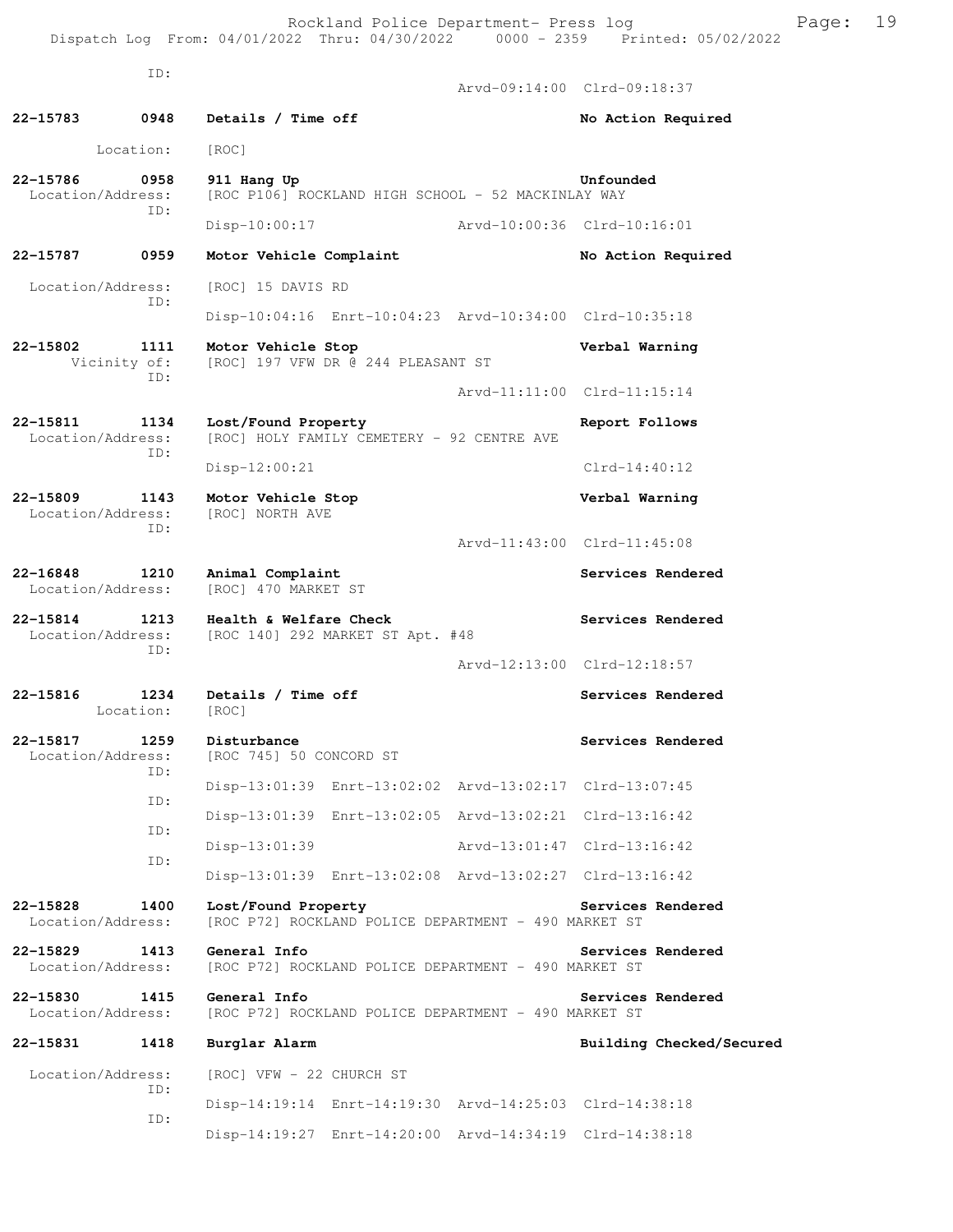|                                   | ID:                         |                                                                             |                             | Arvd-09:14:00 Clrd-09:18:37 |
|-----------------------------------|-----------------------------|-----------------------------------------------------------------------------|-----------------------------|-----------------------------|
| 22-15783                          | 0948                        | Details / Time off                                                          |                             | No Action Required          |
|                                   | Location:                   | [ROC]                                                                       |                             |                             |
| 22-15786<br>Location/Address:     | 0958                        | 911 Hang Up<br>[ROC P106] ROCKLAND HIGH SCHOOL - 52 MACKINLAY WAY           |                             | Unfounded                   |
|                                   | ID:                         | Disp-10:00:17                                                               | Arvd-10:00:36 Clrd-10:16:01 |                             |
| 22-15787                          | 0959                        | Motor Vehicle Complaint                                                     |                             | No Action Required          |
| Location/Address:                 | ID:                         | [ROC] 15 DAVIS RD                                                           |                             |                             |
|                                   |                             | Disp-10:04:16 Enrt-10:04:23 Arvd-10:34:00 Clrd-10:35:18                     |                             |                             |
| 22-15802                          | 1111<br>Vicinity of:<br>ID: | Motor Vehicle Stop<br>[ROC] 197 VFW DR @ 244 PLEASANT ST                    |                             | Verbal Warning              |
|                                   |                             |                                                                             |                             | Arvd-11:11:00 Clrd-11:15:14 |
| 22-15811<br>Location/Address:     | 1134<br>ID:                 | Lost/Found Property<br>[ROC] HOLY FAMILY CEMETERY - 92 CENTRE AVE           |                             | Report Follows              |
|                                   |                             | Disp-12:00:21                                                               |                             | $Clrd-14:40:12$             |
| 22-15809<br>Location/Address:     | 1143<br>ID:                 | Motor Vehicle Stop<br>[ROC] NORTH AVE                                       |                             | Verbal Warning              |
|                                   |                             |                                                                             |                             | Arvd-11:43:00 Clrd-11:45:08 |
| $22 - 16848$<br>Location/Address: | 1210                        | Animal Complaint<br>[ROC] 470 MARKET ST                                     |                             | Services Rendered           |
| 22-15814<br>Location/Address:     | 1213<br>ID:                 | Health & Welfare Check<br>[ROC 140] 292 MARKET ST Apt. #48                  |                             | Services Rendered           |
|                                   |                             |                                                                             |                             | Arvd-12:13:00 Clrd-12:18:57 |
| $22 - 15816$                      | 1234<br>Location:           | Details / Time off<br>[ROC]                                                 |                             | Services Rendered           |
| 22-15817<br>Location/Address:     | 1259<br>ID:                 | Disturbance<br>[ROC 745] 50 CONCORD ST                                      |                             | Services Rendered           |
|                                   | ID:                         | Disp-13:01:39 Enrt-13:02:02 Arvd-13:02:17 Clrd-13:07:45                     |                             |                             |
|                                   | ID:                         | Disp-13:01:39 Enrt-13:02:05 Arvd-13:02:21 Clrd-13:16:42                     |                             |                             |
|                                   | ID:                         | $Disp-13:01:39$                                                             |                             | Arvd-13:01:47 Clrd-13:16:42 |
|                                   |                             | Disp-13:01:39 Enrt-13:02:08 Arvd-13:02:27 Clrd-13:16:42                     |                             |                             |
| 22-15828<br>Location/Address:     | 1400                        | Lost/Found Property<br>[ROC P72] ROCKLAND POLICE DEPARTMENT - 490 MARKET ST |                             | Services Rendered           |
| $22 - 15829$<br>Location/Address: | 1413                        | General Info<br>[ROC P72] ROCKLAND POLICE DEPARTMENT - 490 MARKET ST        |                             | Services Rendered           |
| 22-15830<br>Location/Address:     | 1415                        | General Info<br>[ROC P72] ROCKLAND POLICE DEPARTMENT - 490 MARKET ST        |                             | Services Rendered           |
| 22-15831                          | 1418                        | Burglar Alarm                                                               |                             | Building Checked/Secured    |
| Location/Address:                 | ID:                         | [ROC] VFW - 22 CHURCH ST                                                    |                             |                             |
|                                   | ID:                         | Disp-14:19:14 Enrt-14:19:30 Arvd-14:25:03 Clrd-14:38:18                     |                             |                             |
|                                   |                             | Disp-14:19:27 Enrt-14:20:00 Arvd-14:34:19 Clrd-14:38:18                     |                             |                             |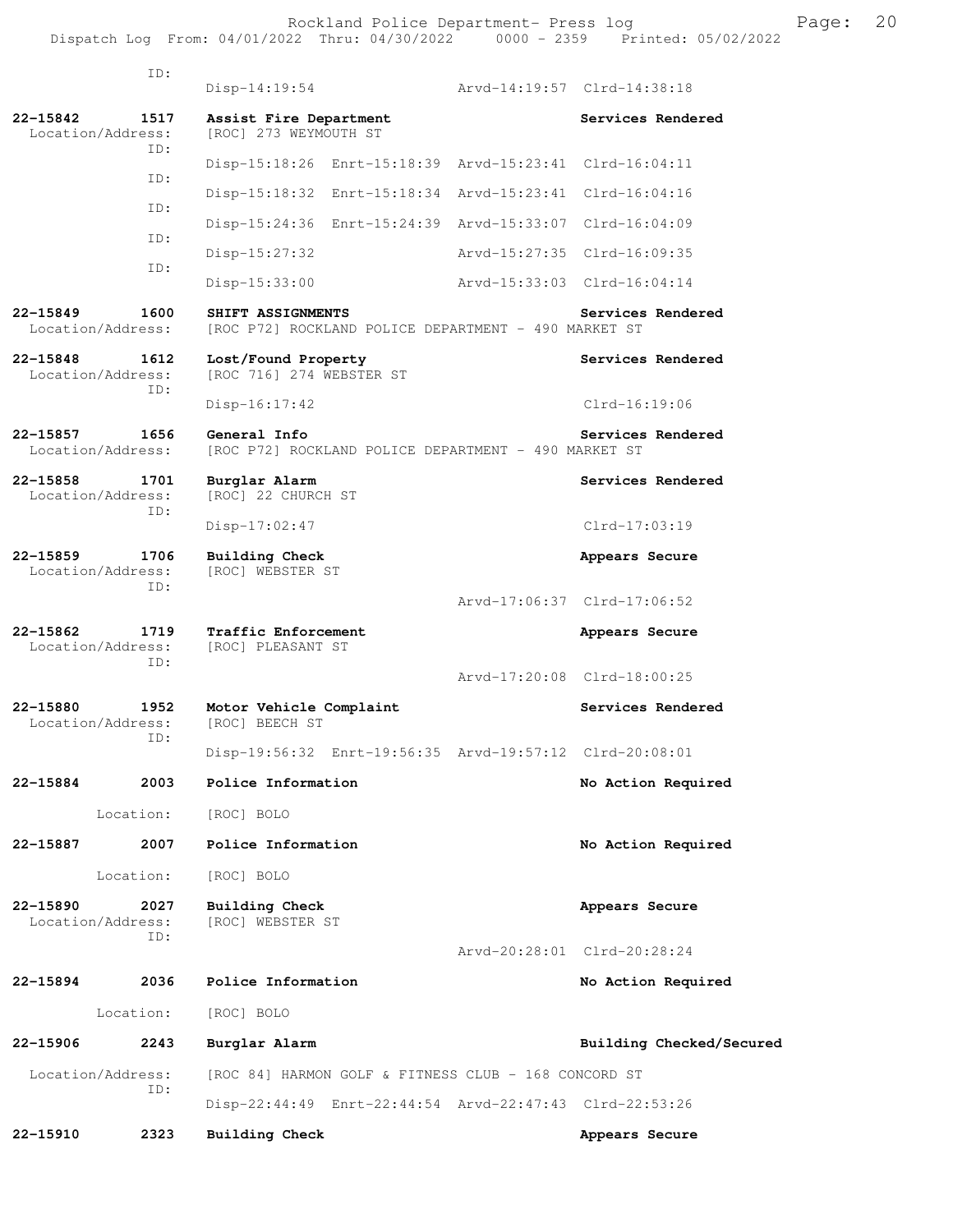Rockland Police Department- Press log entitled and Page: 20 Dispatch Log From: 04/01/2022 Thru: 04/30/2022 0000 - 2359 Printed: 05/02/2022

|                                   | ID:         | $Disp-14:19:54$                                 | Arvd-14:19:57 Clrd-14:38:18                             |                 |                          |
|-----------------------------------|-------------|-------------------------------------------------|---------------------------------------------------------|-----------------|--------------------------|
|                                   |             |                                                 |                                                         |                 |                          |
| 22-15842<br>Location/Address:     | 1517<br>ID: | Assist Fire Department<br>[ROC] 273 WEYMOUTH ST |                                                         |                 | Services Rendered        |
|                                   | TD:         |                                                 | Disp-15:18:26 Enrt-15:18:39 Arvd-15:23:41 Clrd-16:04:11 |                 |                          |
|                                   |             |                                                 | Disp-15:18:32 Enrt-15:18:34 Arvd-15:23:41 Clrd-16:04:16 |                 |                          |
|                                   | ID:         |                                                 | Disp-15:24:36 Enrt-15:24:39 Arvd-15:33:07 Clrd-16:04:09 |                 |                          |
|                                   | ID:         | $Disp-15:27:32$                                 | Arvd-15:27:35 Clrd-16:09:35                             |                 |                          |
|                                   | ID:         | $Disp-15:33:00$                                 | Arvd-15:33:03 Clrd-16:04:14                             |                 |                          |
| $22 - 15849$<br>Location/Address: | 1600        | SHIFT ASSIGNMENTS                               | [ROC P72] ROCKLAND POLICE DEPARTMENT - 490 MARKET ST    |                 | Services Rendered        |
| 22-15848<br>Location/Address:     | 1612<br>ID: | Lost/Found Property<br>[ROC 716] 274 WEBSTER ST |                                                         |                 | Services Rendered        |
|                                   |             | Disp-16:17:42                                   |                                                         | Clrd-16:19:06   |                          |
| 22-15857<br>Location/Address:     | 1656        | General Info                                    | [ROC P72] ROCKLAND POLICE DEPARTMENT - 490 MARKET ST    |                 | Services Rendered        |
| 22-15858<br>Location/Address:     | 1701<br>ID: | Burglar Alarm<br>[ROC] 22 CHURCH ST             |                                                         |                 | Services Rendered        |
|                                   |             | $Disp-17:02:47$                                 |                                                         | $Clrd-17:03:19$ |                          |
| $22 - 15859$<br>Location/Address: | 1706<br>ID: | Building Check<br>[ROC] WEBSTER ST              |                                                         | Appears Secure  |                          |
|                                   |             |                                                 | Arvd-17:06:37 Clrd-17:06:52                             |                 |                          |
| $22 - 15862$<br>Location/Address: | 1719        | Traffic Enforcement<br>[ROC] PLEASANT ST        |                                                         | Appears Secure  |                          |
|                                   | ID:         |                                                 | Arvd-17:20:08 Clrd-18:00:25                             |                 |                          |
| 22-15880<br>Location/Address:     | 1952<br>ID: | Motor Vehicle Complaint<br>[ROC] BEECH ST       |                                                         |                 | Services Rendered        |
|                                   |             |                                                 | Disp-19:56:32 Enrt-19:56:35 Arvd-19:57:12 Clrd-20:08:01 |                 |                          |
| 22-15884                          | 2003        | Police Information                              |                                                         |                 | No Action Required       |
|                                   | Location:   | [ROC] BOLO                                      |                                                         |                 |                          |
| 22-15887                          | 2007        | Police Information                              |                                                         |                 | No Action Required       |
|                                   | Location:   | [ROC] BOLO                                      |                                                         |                 |                          |
| 22-15890<br>Location/Address:     | 2027        | Building Check<br>[ROC] WEBSTER ST              |                                                         | Appears Secure  |                          |
|                                   | ID:         |                                                 | Arvd-20:28:01 Clrd-20:28:24                             |                 |                          |
| 22-15894                          | 2036        | Police Information                              |                                                         |                 | No Action Required       |
|                                   | Location:   | [ROC] BOLO                                      |                                                         |                 |                          |
| 22-15906                          | 2243        | Burglar Alarm                                   |                                                         |                 | Building Checked/Secured |
| Location/Address:                 |             |                                                 | [ROC 84] HARMON GOLF & FITNESS CLUB - 168 CONCORD ST    |                 |                          |
|                                   | ID:         |                                                 | Disp-22:44:49 Enrt-22:44:54 Arvd-22:47:43 Clrd-22:53:26 |                 |                          |
| 22-15910                          | 2323        | <b>Building Check</b>                           |                                                         | Appears Secure  |                          |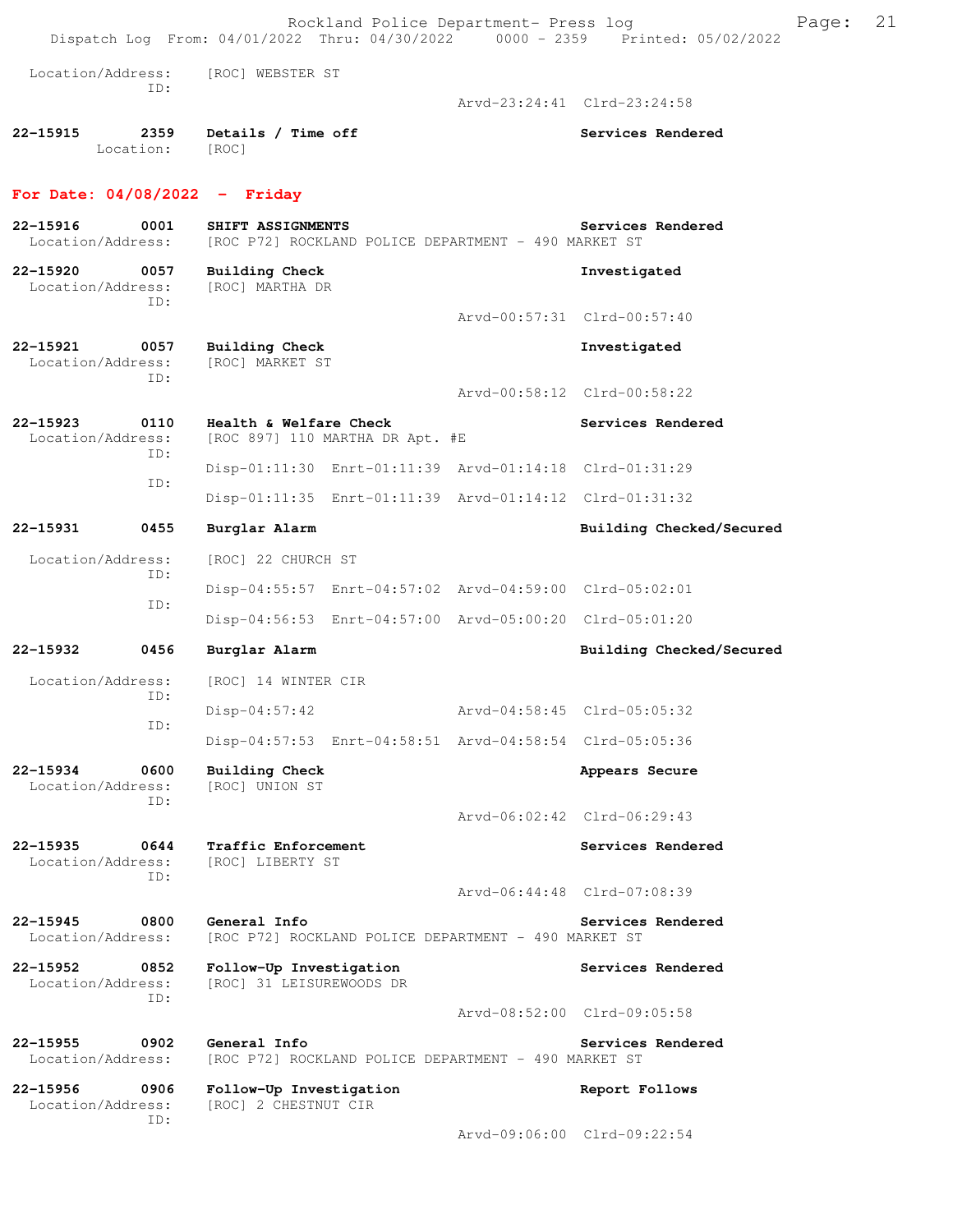|                                                  | Dispatch Log From: 04/01/2022 Thru: 04/30/2022 0000 - 2359 Printed: 05/02/2022 |                                 | Rockland Police Department- Press log                   |                   |                          | Page: | 21 |
|--------------------------------------------------|--------------------------------------------------------------------------------|---------------------------------|---------------------------------------------------------|-------------------|--------------------------|-------|----|
| Location/Address:                                | [ROC] WEBSTER ST                                                               |                                 |                                                         |                   |                          |       |    |
| ID:                                              |                                                                                |                                 | Arvd-23:24:41 Clrd-23:24:58                             |                   |                          |       |    |
| 22-15915<br>2359<br>Location:                    | Details / Time off<br>[ROC]                                                    |                                 |                                                         | Services Rendered |                          |       |    |
| For Date: $04/08/2022 -$ Friday                  |                                                                                |                                 |                                                         |                   |                          |       |    |
| 22-15916<br>0001<br>Location/Address:            | SHIFT ASSIGNMENTS                                                              |                                 | [ROC P72] ROCKLAND POLICE DEPARTMENT - 490 MARKET ST    |                   | Services Rendered        |       |    |
| 22-15920<br>0057<br>Location/Address:            | <b>Building Check</b><br>[ROC] MARTHA DR                                       |                                 |                                                         | Investigated      |                          |       |    |
| ID:                                              |                                                                                |                                 | Arvd-00:57:31 Clrd-00:57:40                             |                   |                          |       |    |
| 22-15921<br>0057<br>Location/Address:            | <b>Building Check</b><br>[ROC] MARKET ST                                       |                                 |                                                         | Investigated      |                          |       |    |
| ID:                                              |                                                                                |                                 | Arvd-00:58:12 Clrd-00:58:22                             |                   |                          |       |    |
| 22-15923<br>0110<br>Location/Address:            | Health & Welfare Check                                                         | [ROC 897] 110 MARTHA DR Apt. #E |                                                         | Services Rendered |                          |       |    |
| ID:<br>ID:                                       |                                                                                |                                 | Disp-01:11:30 Enrt-01:11:39 Arvd-01:14:18 Clrd-01:31:29 |                   |                          |       |    |
|                                                  |                                                                                |                                 | Disp-01:11:35 Enrt-01:11:39 Arvd-01:14:12 Clrd-01:31:32 |                   |                          |       |    |
| 22-15931<br>0455                                 | Burglar Alarm                                                                  |                                 |                                                         |                   | Building Checked/Secured |       |    |
| Location/Address:<br>TD:                         | [ROC] 22 CHURCH ST                                                             |                                 |                                                         |                   |                          |       |    |
| ID:                                              |                                                                                |                                 | Disp-04:55:57 Enrt-04:57:02 Arvd-04:59:00 Clrd-05:02:01 |                   |                          |       |    |
|                                                  |                                                                                |                                 | Disp-04:56:53 Enrt-04:57:00 Arvd-05:00:20 Clrd-05:01:20 |                   |                          |       |    |
| $22 - 15932$<br>0456                             | Burglar Alarm                                                                  |                                 |                                                         |                   | Building Checked/Secured |       |    |
| Location/Address:<br>ID:                         | [ROC] 14 WINTER CIR                                                            |                                 |                                                         |                   |                          |       |    |
| ID:                                              | $Disp-04:57:42$                                                                |                                 | Arvd-04:58:45 Clrd-05:05:32                             |                   |                          |       |    |
|                                                  |                                                                                |                                 | Disp-04:57:53 Enrt-04:58:51 Arvd-04:58:54 Clrd-05:05:36 |                   |                          |       |    |
| 22-15934<br>0600<br>Location/Address:<br>ID:     | <b>Building Check</b><br>[ROC] UNION ST                                        |                                 |                                                         | Appears Secure    |                          |       |    |
|                                                  |                                                                                |                                 | Arvd-06:02:42 Clrd-06:29:43                             |                   |                          |       |    |
| 22-15935<br>0644<br>Location/Address:<br>ID:     | Traffic Enforcement<br>[ROC] LIBERTY ST                                        |                                 |                                                         | Services Rendered |                          |       |    |
|                                                  |                                                                                |                                 | Arvd-06:44:48 Clrd-07:08:39                             |                   |                          |       |    |
| 22-15945<br>0800<br>Location/Address:            | General Info                                                                   |                                 | [ROC P72] ROCKLAND POLICE DEPARTMENT - 490 MARKET ST    | Services Rendered |                          |       |    |
| 22-15952<br>0852<br>Location/Address:<br>ID:     | Follow-Up Investigation<br>[ROC] 31 LEISUREWOODS DR                            |                                 | Arvd-08:52:00 Clrd-09:05:58                             | Services Rendered |                          |       |    |
| 22-15955<br>0902                                 | General Info                                                                   |                                 |                                                         | Services Rendered |                          |       |    |
| Location/Address:                                |                                                                                |                                 | [ROC P72] ROCKLAND POLICE DEPARTMENT - 490 MARKET ST    |                   |                          |       |    |
| $22 - 15956$<br>0906<br>Location/Address:<br>ID: | Follow-Up Investigation<br>[ROC] 2 CHESTNUT CIR                                |                                 |                                                         | Report Follows    |                          |       |    |
|                                                  |                                                                                |                                 | Arvd-09:06:00 Clrd-09:22:54                             |                   |                          |       |    |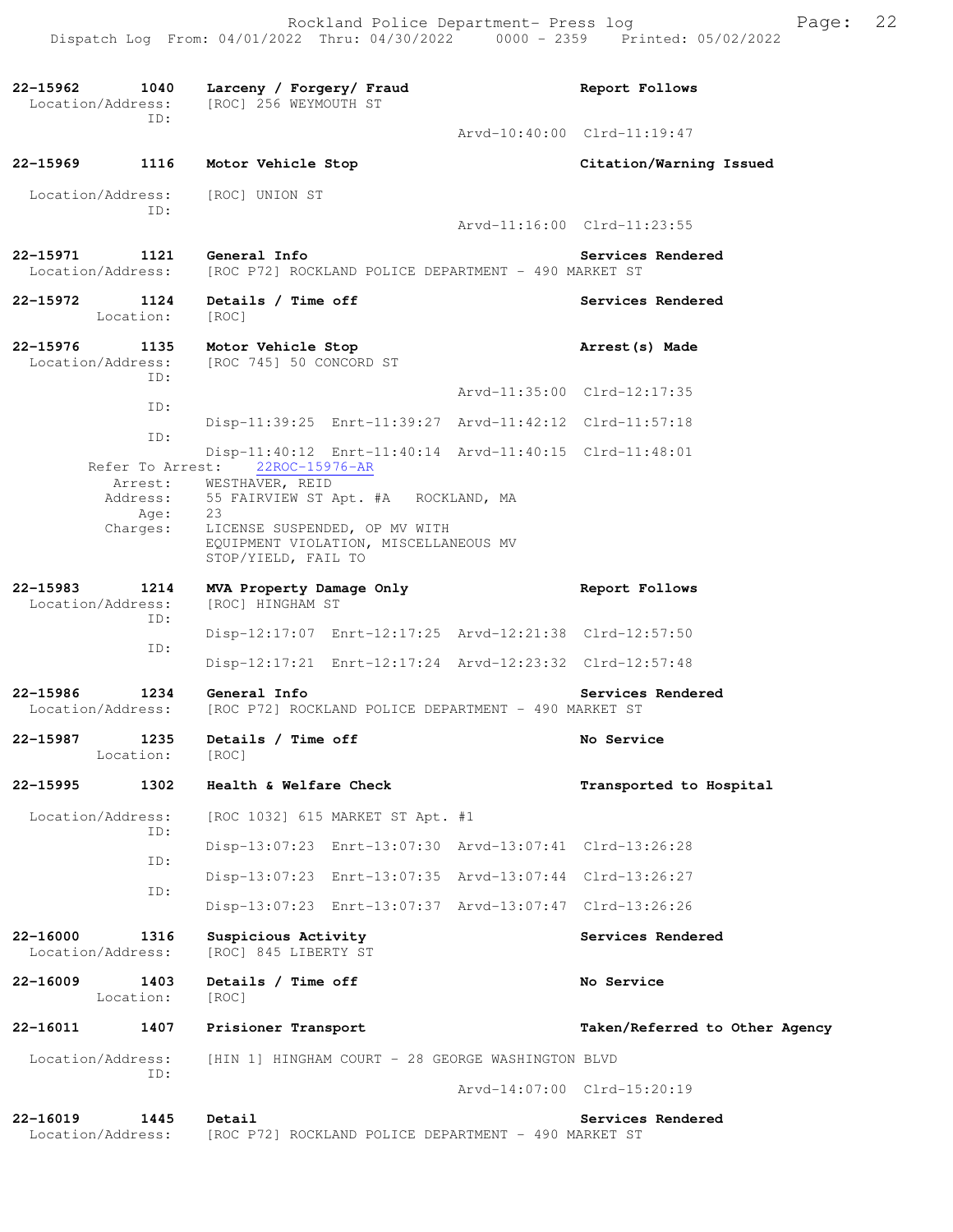| 22-15962<br>Location/Address:     | 1040                                    | Larceny / Forgery/ Fraud<br>[ROC] 256 WEYMOUTH ST                                                                                          |                             | Report Follows                 |
|-----------------------------------|-----------------------------------------|--------------------------------------------------------------------------------------------------------------------------------------------|-----------------------------|--------------------------------|
|                                   | ID:                                     |                                                                                                                                            | Arvd-10:40:00 Clrd-11:19:47 |                                |
| $22 - 15969$                      | 1116                                    | Motor Vehicle Stop                                                                                                                         |                             | Citation/Warning Issued        |
| Location/Address:                 | ID:                                     | [ROC] UNION ST                                                                                                                             |                             |                                |
|                                   |                                         |                                                                                                                                            | Arvd-11:16:00 Clrd-11:23:55 |                                |
| 22-15971<br>Location/Address:     | 1121                                    | General Info<br>[ROC P72] ROCKLAND POLICE DEPARTMENT - 490 MARKET ST                                                                       |                             | Services Rendered              |
| 22-15972                          | 1124<br>Location:                       | Details / Time off<br>[ROC]                                                                                                                |                             | Services Rendered              |
| 22-15976<br>Location/Address:     | 1135<br>TD:                             | Motor Vehicle Stop<br>[ROC 745] 50 CONCORD ST                                                                                              |                             | Arrest (s) Made                |
|                                   | ID:                                     |                                                                                                                                            | Arvd-11:35:00 Clrd-12:17:35 |                                |
|                                   | ID:                                     | Disp-11:39:25 Enrt-11:39:27 Arvd-11:42:12 Clrd-11:57:18                                                                                    |                             |                                |
|                                   | Refer To Arrest:<br>Arrest:<br>Address: | Disp-11:40:12 Enrt-11:40:14 Arvd-11:40:15 Clrd-11:48:01<br>22ROC-15976-AR<br>WESTHAVER, REID                                               |                             |                                |
|                                   | Age:<br>Charges:                        | 55 FAIRVIEW ST Apt. #A ROCKLAND, MA<br>23<br>LICENSE SUSPENDED, OP MV WITH<br>EQUIPMENT VIOLATION, MISCELLANEOUS MV<br>STOP/YIELD, FAIL TO |                             |                                |
| $22 - 15983$<br>Location/Address: | 1214                                    | MVA Property Damage Only<br>[ROC] HINGHAM ST                                                                                               |                             | Report Follows                 |
|                                   | ID:<br>ID:                              | Disp-12:17:07 Enrt-12:17:25 Arvd-12:21:38 Clrd-12:57:50                                                                                    |                             |                                |
|                                   |                                         | Disp-12:17:21 Enrt-12:17:24 Arvd-12:23:32 Clrd-12:57:48                                                                                    |                             |                                |
| 22-15986<br>Location/Address:     | 1234                                    | General Info<br>[ROC P72] ROCKLAND POLICE DEPARTMENT - 490 MARKET ST                                                                       |                             | Services Rendered              |
| 22-15987                          | 1235<br>Location:                       | Details / Time off<br>[ROC]                                                                                                                |                             | No Service                     |
| 22-15995                          | 1302                                    | Health & Welfare Check                                                                                                                     |                             | Transported to Hospital        |
| Location/Address:                 | ID:                                     | [ROC 1032] 615 MARKET ST Apt. #1                                                                                                           |                             |                                |
|                                   | ID:                                     | Disp-13:07:23 Enrt-13:07:30 Arvd-13:07:41 Clrd-13:26:28                                                                                    |                             |                                |
|                                   | ID:                                     | Disp-13:07:23 Enrt-13:07:35 Arvd-13:07:44 Clrd-13:26:27                                                                                    |                             |                                |
|                                   |                                         | Disp-13:07:23 Enrt-13:07:37 Arvd-13:07:47 Clrd-13:26:26                                                                                    |                             |                                |
| 22-16000<br>Location/Address:     | 1316                                    | Suspicious Activity<br>[ROC] 845 LIBERTY ST                                                                                                |                             | Services Rendered              |
| 22-16009                          | 1403<br>Location:                       | Details / Time off<br>[ROC]                                                                                                                |                             | No Service                     |
| 22-16011                          | 1407                                    | Prisioner Transport                                                                                                                        |                             | Taken/Referred to Other Agency |
| Location/Address:                 | ID:                                     | [HIN 1] HINGHAM COURT - 28 GEORGE WASHINGTON BLVD                                                                                          |                             |                                |
|                                   |                                         |                                                                                                                                            | Arvd-14:07:00 Clrd-15:20:19 |                                |
| $22 - 16019$<br>Location/Address: | 1445                                    | Detail<br>[ROC P72] ROCKLAND POLICE DEPARTMENT - 490 MARKET ST                                                                             |                             | Services Rendered              |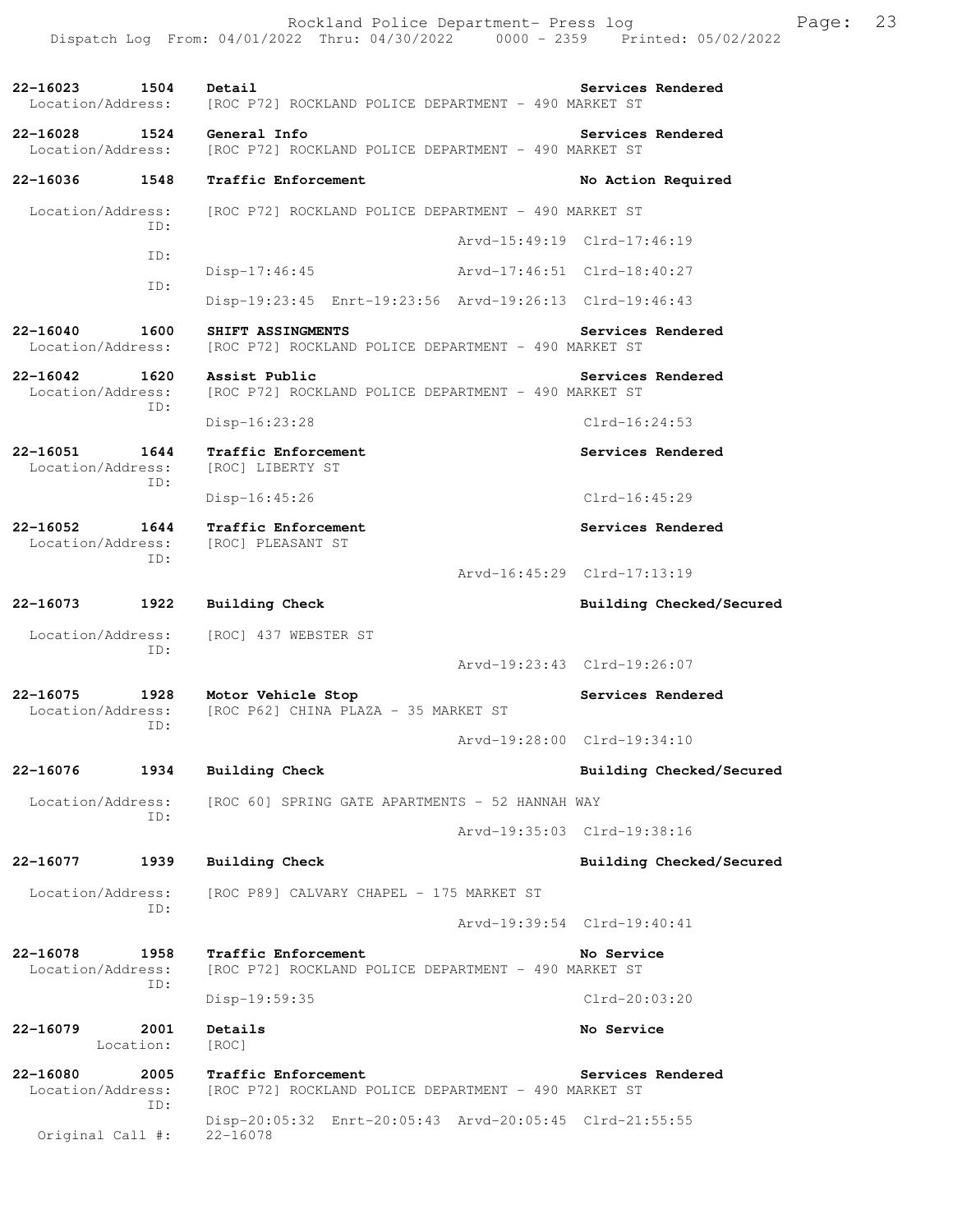Rockland Police Department- Press log Freed Page: 23 Dispatch Log From: 04/01/2022 Thru: 04/30/2022 0000 - 2359 Printed: 05/02/2022

**22-16023 1504 Detail Services Rendered**  Location/Address: [ROC P72] ROCKLAND POLICE DEPARTMENT - 490 MARKET ST **22-16028 1524 General Info Services Rendered**  [ROC P72] ROCKLAND POLICE DEPARTMENT - 490 MARKET ST **22-16036 1548 Traffic Enforcement No Action Required**  Location/Address: [ROC P72] ROCKLAND POLICE DEPARTMENT - 490 MARKET ST ID: Arvd-15:49:19 Clrd-17:46:19 ID: Disp-17:46:45 Arvd-17:46:51 Clrd-18:40:27 ID: Disp-19:23:45 Enrt-19:23:56 Arvd-19:26:13 Clrd-19:46:43 **22-16040 1600 SHIFT ASSINGMENTS Services Rendered** Location/Address: [ROC P72] ROCKLAND POLICE DEPARTMENT - 490 MARKET ST [ROC P72] ROCKLAND POLICE DEPARTMENT - 490 MARKET ST **22-16042** 1620 Assist Public **Services Rendered** Location/Address: [ROC P72] ROCKLAND POLICE DEPARTMENT - 490 MARKET ST [ROC P72] ROCKLAND POLICE DEPARTMENT - 490 MARKET ST ID: Disp-16:23:28 Clrd-16:24:53 **22-16051 1644 Traffic Enforcement Services Rendered**  Location/Address: [ROC] LIBERTY ST ID: Disp-16:45:26 Clrd-16:45:29 **22-16052 1644 Traffic Enforcement 1644 Services Rendered** Services Rendered **Services** Rendered [ROC] PLEASANT ST ID: Arvd-16:45:29 Clrd-17:13:19 **22-16073 1922 Building Check Building Checked/Secured**  Location/Address: [ROC] 437 WEBSTER ST ID: Arvd-19:23:43 Clrd-19:26:07 **22-16075 1928 Motor Vehicle Stop Services Rendered**  Location/Address: [ROC P62] CHINA PLAZA - 35 MARKET ST ID: Arvd-19:28:00 Clrd-19:34:10 **22-16076 1934 Building Check Building Checked/Secured**  Location/Address: [ROC 60] SPRING GATE APARTMENTS - 52 HANNAH WAY ID: Arvd-19:35:03 Clrd-19:38:16 **22-16077 1939 Building Check Building Checked/Secured**  Location/Address: [ROC P89] CALVARY CHAPEL - 175 MARKET ST ID: Arvd-19:39:54 Clrd-19:40:41 **22-16078 1958 Traffic Enforcement No Service**  Location/Address: [ROC P72] ROCKLAND POLICE DEPARTMENT - 490 MARKET ST ID: Disp-19:59:35 Clrd-20:03:20 **22-16079 2001 Details No Service**  Location: [ROC] **22-16080 2005 Traffic Enforcement Services Rendered**  Location/Address: [ROC P72] ROCKLAND POLICE DEPARTMENT - 490 MARKET ST ID: Disp-20:05:32 Enrt-20:05:43 Arvd-20:05:45 Clrd-21:55:55 Original Call #: 22-16078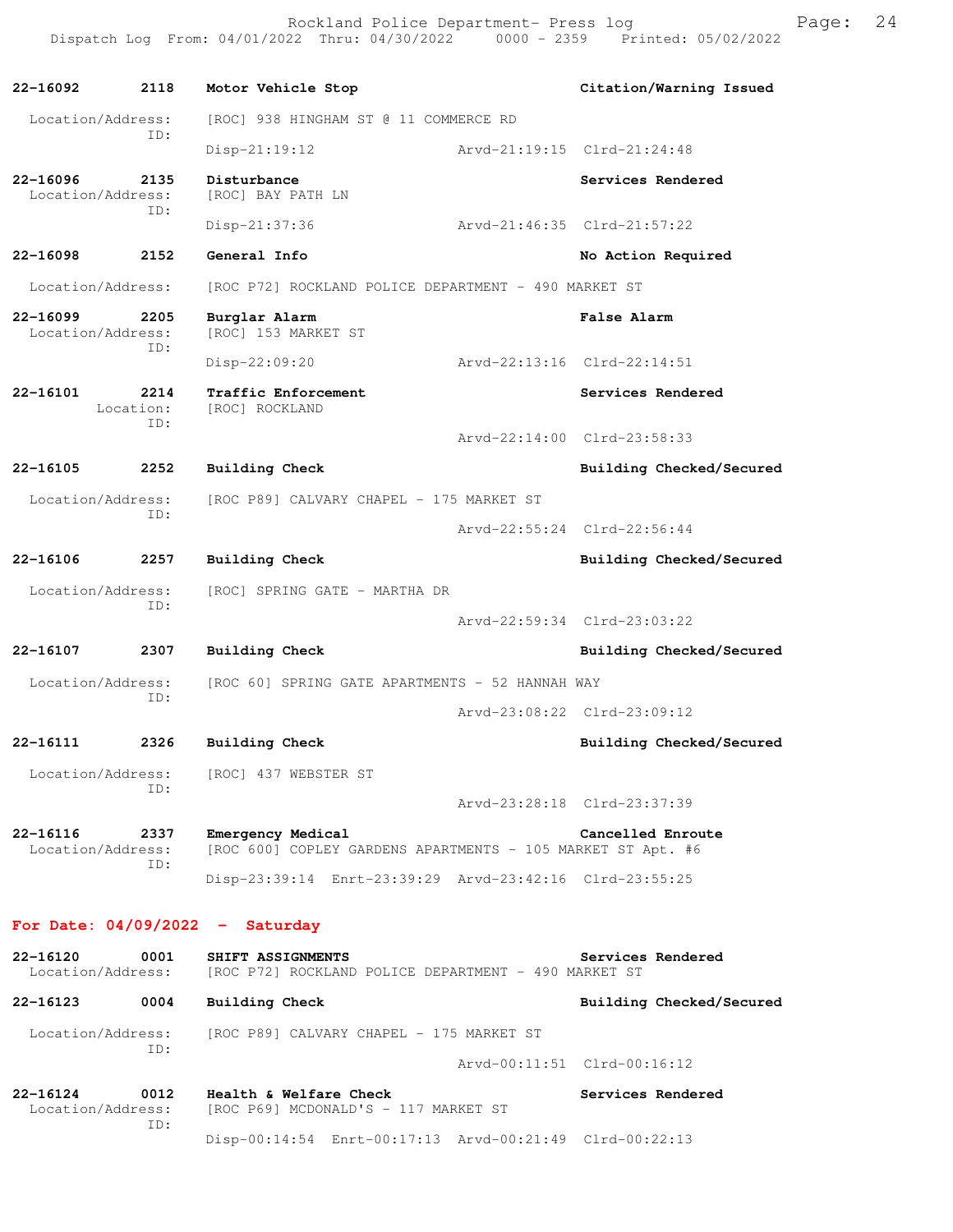Rockland Police Department- Press log Frank Page: 24 Dispatch Log From: 04/01/2022 Thru: 04/30/2022 0000 - 2359 Printed: 05/02/2022

**22-16092 2118 Motor Vehicle Stop Citation/Warning Issued**  Location/Address: [ROC] 938 HINGHAM ST @ 11 COMMERCE RD ID: Disp-21:19:12 Arvd-21:19:15 Clrd-21:24:48 **22-16096 2135 Disturbance Services Rendered Location/Address:** [ROC] BAY PATH LN Location/Address: ID: Disp-21:37:36 Arvd-21:46:35 Clrd-21:57:22 **22-16098 2152 General Info No Action Required**  Location/Address: [ROC P72] ROCKLAND POLICE DEPARTMENT - 490 MARKET ST **22-16099 2205 Burglar Alarm False Alarm**  [ROC] 153 MARKET ST ID: Disp-22:09:20 Arvd-22:13:16 Clrd-22:14:51 **22-16101 2214 Traffic Enforcement Services Rendered**  Location: [ROC] ROCKLAND ID: Arvd-22:14:00 Clrd-23:58:33 **22-16105 2252 Building Check Building Checked/Secured**  Location/Address: [ROC P89] CALVARY CHAPEL - 175 MARKET ST ID: Arvd-22:55:24 Clrd-22:56:44 **22-16106 2257 Building Check Building Checked/Secured**  Location/Address: [ROC] SPRING GATE - MARTHA DR ID: Arvd-22:59:34 Clrd-23:03:22 **22-16107 2307 Building Check Building Checked/Secured**  Location/Address: [ROC 60] SPRING GATE APARTMENTS - 52 HANNAH WAY ID: Arvd-23:08:22 Clrd-23:09:12 **22-16111 2326 Building Check Building Checked/Secured**  Location/Address: [ROC] 437 WEBSTER ST ID: Arvd-23:28:18 Clrd-23:37:39 **22-16116 2337 Emergency Medical Cancelled Enroute**  Location/Address: [ROC 600] COPLEY GARDENS APARTMENTS - 105 MARKET ST Apt. #6 ID: Disp-23:39:14 Enrt-23:39:29 Arvd-23:42:16 Clrd-23:55:25 **For Date: 04/09/2022 - Saturday 22-16120 0001 SHIFT ASSIGNMENTS Services Rendered**  Location/Address: [ROC P72] ROCKLAND POLICE DEPARTMENT - 490 MARKET ST **22-16123 0004 Building Check Building Checked/Secured** 

Location/Address: [ROC P89] CALVARY CHAPEL - 175 MARKET ST

Arvd-00:11:51 Clrd-00:16:12

**22-16124 0012 Health & Welfare Check Services Rendered** Location/Address: [ROC P69] MCDONALD'S - 117 MARKET ST [ROC P69] MCDONALD'S - 117 MARKET ST ID: Disp-00:14:54 Enrt-00:17:13 Arvd-00:21:49 Clrd-00:22:13

ID: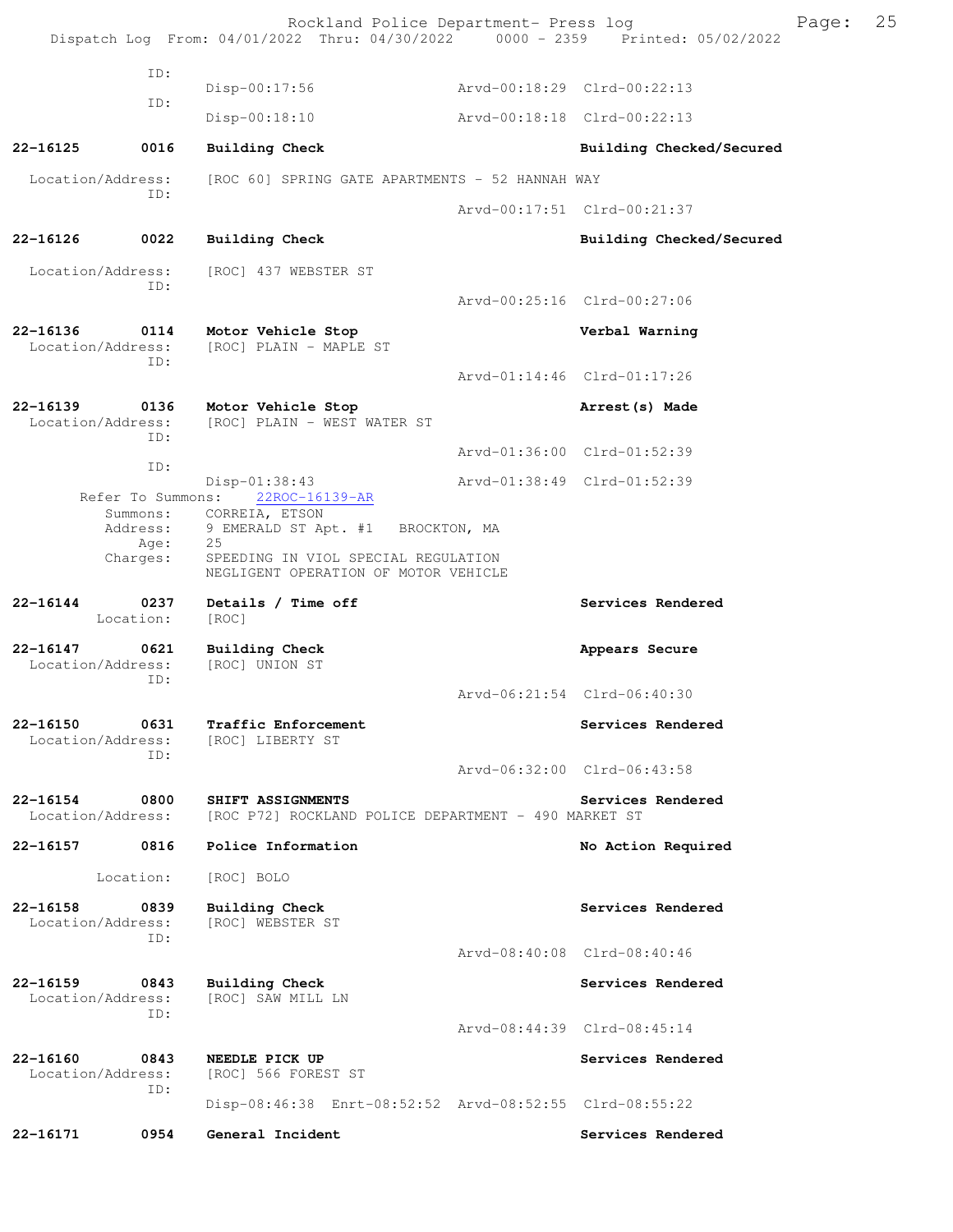Rockland Police Department- Press log Freed Page: 25 Dispatch Log From: 04/01/2022 Thru: 04/30/2022 0000 - 2359 Printed: 05/02/2022 ID: Disp-00:17:56 Arvd-00:18:29 Clrd-00:22:13 ID: Disp-00:18:10 Arvd-00:18:18 Clrd-00:22:13 **22-16125 0016 Building Check Building Checked/Secured**  Location/Address: [ROC 60] SPRING GATE APARTMENTS - 52 HANNAH WAY ID: Arvd-00:17:51 Clrd-00:21:37 **22-16126 0022 Building Check Building Checked/Secured**  Location/Address: [ROC] 437 WEBSTER ST ID: Arvd-00:25:16 Clrd-00:27:06 **22-16136 0114 Motor Vehicle Stop Verbal Warning**  [ROC] PLAIN - MAPLE ST ID: Arvd-01:14:46 Clrd-01:17:26 **22-16139 0136 Motor Vehicle Stop Arrest(s) Made**  Location/Address: [ROC] PLAIN - WEST WATER ST ID: Arvd-01:36:00 Clrd-01:52:39 ID: Disp-01:38:43 Arvd-01:38:49 Clrd-01:52:39 Refer To Summons: 22ROC-16139-AR Summons: CORREIA, ETSON<br>Address: 9 EMERALD ST Apt. 9 EMERALD ST Apt. #1 BROCKTON, MA Age: 25<br>Charges: SPE SPEEDING IN VIOL SPECIAL REGULATION NEGLIGENT OPERATION OF MOTOR VEHICLE **22-16144 0237 Details / Time off Services Rendered**  Location: [ROC] **22-16147 0621 Building Check Appears Secure**  Location/Address: [ROC] UNION ST ID: Arvd-06:21:54 Clrd-06:40:30 **22-16150** 0631 **Traffic Enforcement 1.1625 Services Rendered Services Rendered Integral** [ROC] LIBERTY ST ID: Arvd-06:32:00 Clrd-06:43:58 **22-16154 0800 SHIFT ASSIGNMENTS Services Rendered**  Location/Address: [ROC P72] ROCKLAND POLICE DEPARTMENT - 490 MARKET ST **22-16157 0816 Police Information No Action Required**  Location: [ROC] BOLO **22-16158 0839 Building Check Services Rendered**  Location/Address: [ROC] WEBSTER ST ID: Arvd-08:40:08 Clrd-08:40:46 **22-16159 0843 Building Check Services Rendered**  Location/Address: [ROC] SAW MILL LN ID: Arvd-08:44:39 Clrd-08:45:14 **22-16160 0843 NEEDLE PICK UP Services Rendered**  Location/Address: [ROC] 566 FOREST ST ID: Disp-08:46:38 Enrt-08:52:52 Arvd-08:52:55 Clrd-08:55:22 **22-16171 0954 General Incident Services Rendered**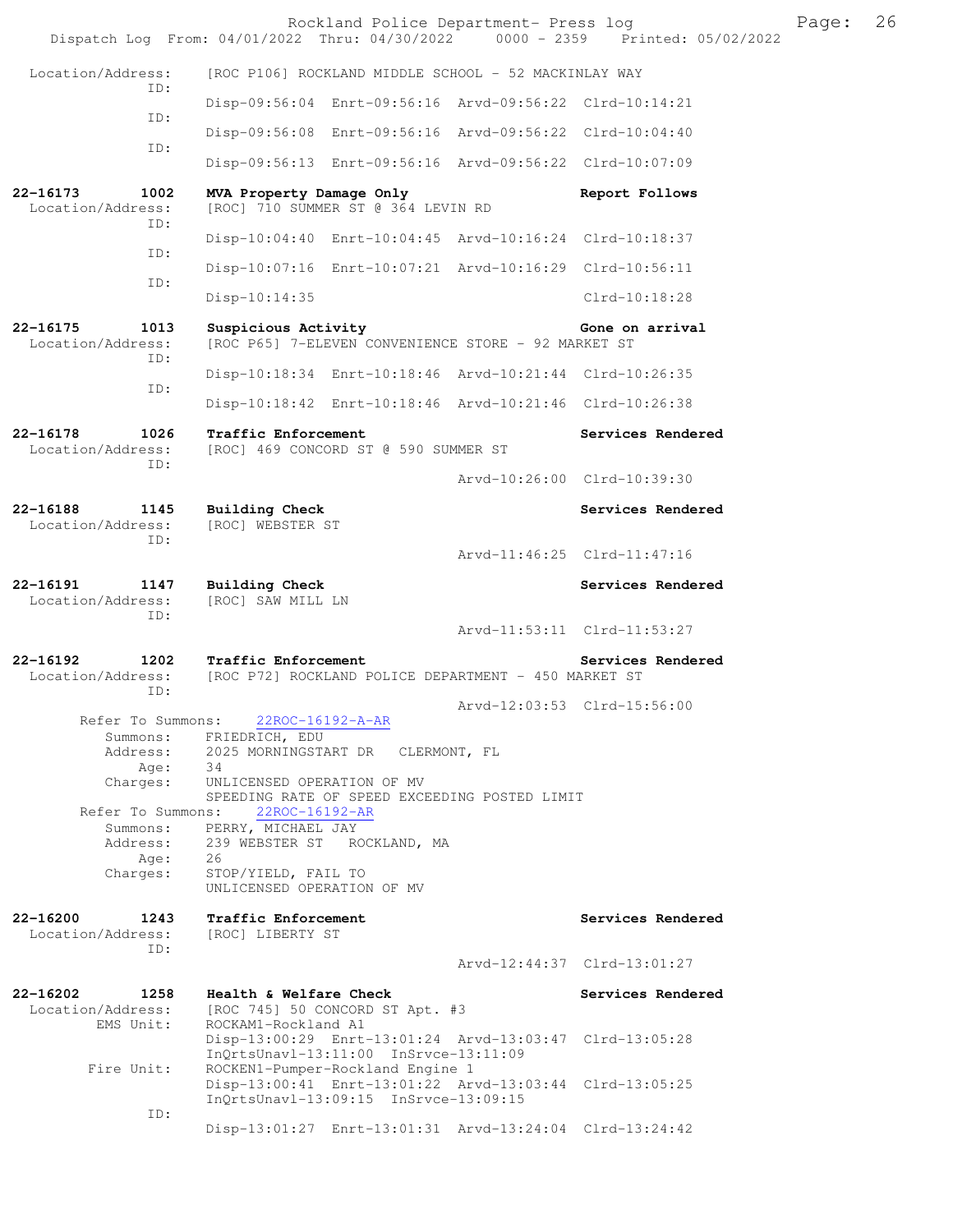|                                                                           |                                                                                                                                                                                                               | Rockland Police Department- Press log | Dispatch Log From: 04/01/2022 Thru: 04/30/2022 0000 - 2359 Printed: 05/02/2022 | Page: | 26 |
|---------------------------------------------------------------------------|---------------------------------------------------------------------------------------------------------------------------------------------------------------------------------------------------------------|---------------------------------------|--------------------------------------------------------------------------------|-------|----|
| Location/Address:                                                         | [ROC P106] ROCKLAND MIDDLE SCHOOL - 52 MACKINLAY WAY                                                                                                                                                          |                                       |                                                                                |       |    |
| TD:                                                                       | Disp-09:56:04 Enrt-09:56:16 Arvd-09:56:22 Clrd-10:14:21                                                                                                                                                       |                                       |                                                                                |       |    |
| ID:                                                                       | Disp-09:56:08 Enrt-09:56:16 Arvd-09:56:22 Clrd-10:04:40                                                                                                                                                       |                                       |                                                                                |       |    |
| ID:                                                                       | Disp-09:56:13 Enrt-09:56:16 Arvd-09:56:22 Clrd-10:07:09                                                                                                                                                       |                                       |                                                                                |       |    |
| 22-16173<br>1002<br>Location/Address:<br>ID:                              | MVA Property Damage Only<br>[ROC] 710 SUMMER ST @ 364 LEVIN RD                                                                                                                                                |                                       | Report Follows                                                                 |       |    |
| ID:                                                                       | Disp-10:04:40 Enrt-10:04:45 Arvd-10:16:24 Clrd-10:18:37                                                                                                                                                       |                                       |                                                                                |       |    |
| ID:                                                                       | Disp-10:07:16 Enrt-10:07:21 Arvd-10:16:29 Clrd-10:56:11                                                                                                                                                       |                                       |                                                                                |       |    |
|                                                                           | $Disp-10:14:35$                                                                                                                                                                                               |                                       | Clrd-10:18:28                                                                  |       |    |
| $22 - 16175$<br>1013<br>Location/Address:<br>ID:                          | Suspicious Activity<br>[ROC P65] 7-ELEVEN CONVENIENCE STORE - 92 MARKET ST                                                                                                                                    |                                       | Gone on arrival                                                                |       |    |
| ID:                                                                       | Disp-10:18:34 Enrt-10:18:46 Arvd-10:21:44 Clrd-10:26:35                                                                                                                                                       |                                       |                                                                                |       |    |
|                                                                           | Disp-10:18:42 Enrt-10:18:46 Arvd-10:21:46 Clrd-10:26:38                                                                                                                                                       |                                       |                                                                                |       |    |
| 22-16178<br>1026<br>Location/Address:<br>ID:                              | Traffic Enforcement<br>[ROC] 469 CONCORD ST @ 590 SUMMER ST                                                                                                                                                   |                                       | Services Rendered                                                              |       |    |
|                                                                           |                                                                                                                                                                                                               |                                       | Arvd-10:26:00 Clrd-10:39:30                                                    |       |    |
| $22 - 16188$<br>1145<br>Location/Address:<br>ID:                          | <b>Building Check</b><br>[ROC] WEBSTER ST                                                                                                                                                                     |                                       | Services Rendered                                                              |       |    |
|                                                                           |                                                                                                                                                                                                               |                                       | Arvd-11:46:25 Clrd-11:47:16                                                    |       |    |
| 22-16191<br>1147<br>Location/Address:<br>ID:                              | <b>Building Check</b><br>[ROC] SAW MILL LN                                                                                                                                                                    |                                       | Services Rendered                                                              |       |    |
|                                                                           |                                                                                                                                                                                                               |                                       | Arvd-11:53:11 Clrd-11:53:27                                                    |       |    |
| $22 - 16192$<br>1202<br>Location/Address:<br>TD:                          | Traffic Enforcement<br>[ROC P72] ROCKLAND POLICE DEPARTMENT - 450 MARKET ST                                                                                                                                   |                                       | Services Rendered                                                              |       |    |
| Refer To Summons:                                                         | 22ROC-16192-A-AR                                                                                                                                                                                              |                                       | Arvd-12:03:53 Clrd-15:56:00                                                    |       |    |
| Summons:<br>Address:<br>Age:                                              | FRIEDRICH, EDU<br>2025 MORNINGSTART DR CLERMONT, FL<br>34                                                                                                                                                     |                                       |                                                                                |       |    |
| Charges:<br>Refer To Summons:<br>Summons:<br>Address:<br>Age:<br>Charges: | UNLICENSED OPERATION OF MV<br>SPEEDING RATE OF SPEED EXCEEDING POSTED LIMIT<br>22ROC-16192-AR<br>PERRY, MICHAEL JAY<br>239 WEBSTER ST ROCKLAND, MA<br>26<br>STOP/YIELD, FAIL TO<br>UNLICENSED OPERATION OF MV |                                       |                                                                                |       |    |
| 22-16200<br>1243<br>Location/Address:                                     | Traffic Enforcement<br>[ROC] LIBERTY ST                                                                                                                                                                       |                                       | Services Rendered                                                              |       |    |
| ID:                                                                       |                                                                                                                                                                                                               |                                       | Arvd-12:44:37 Clrd-13:01:27                                                    |       |    |
| 22-16202<br>1258<br>Location/Address:<br>EMS Unit:                        | Health & Welfare Check<br>[ROC 745] 50 CONCORD ST Apt. #3<br>ROCKAM1-Rockland A1                                                                                                                              |                                       | Services Rendered                                                              |       |    |
|                                                                           | Disp-13:00:29 Enrt-13:01:24 Arvd-13:03:47 Clrd-13:05:28<br>InQrtsUnavl-13:11:00 InSrvce-13:11:09                                                                                                              |                                       |                                                                                |       |    |
| Fire Unit:                                                                | ROCKEN1-Pumper-Rockland Engine 1<br>Disp-13:00:41 Enrt-13:01:22 Arvd-13:03:44 Clrd-13:05:25<br>InQrtsUnavl-13:09:15 InSrvce-13:09:15                                                                          |                                       |                                                                                |       |    |
| ID:                                                                       | Disp-13:01:27 Enrt-13:01:31 Arvd-13:24:04 Clrd-13:24:42                                                                                                                                                       |                                       |                                                                                |       |    |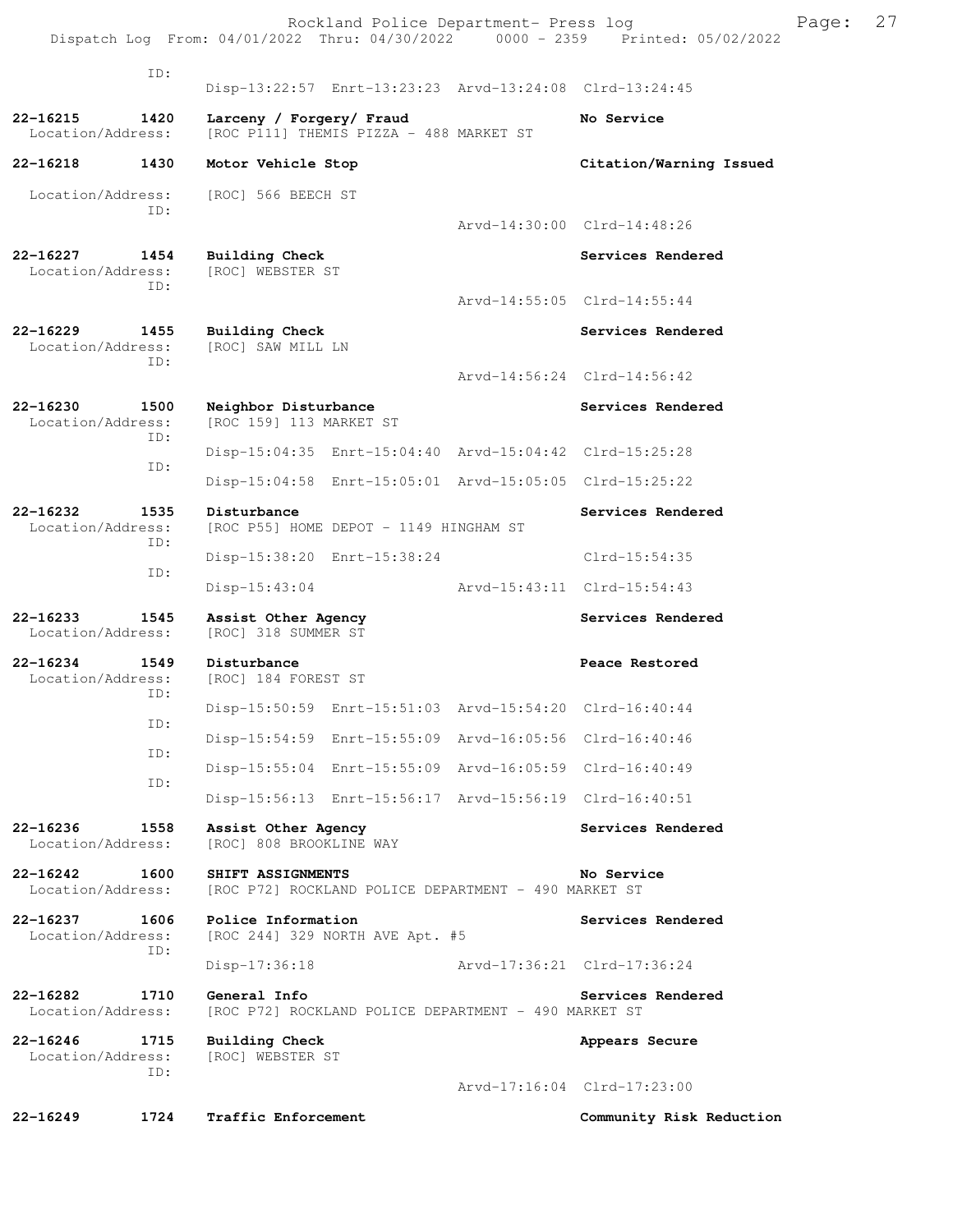Rockland Police Department- Press log France Press 27 Dispatch Log From: 04/01/2022 Thru: 04/30/2022 0000 - 2359 Printed: 05/02/2022 ID: Disp-13:22:57 Enrt-13:23:23 Arvd-13:24:08 Clrd-13:24:45 **22-16215 1420 Larceny / Forgery/ Fraud No Service**  Location/Address: [ROC P111] THEMIS PIZZA - 488 MARKET ST **22-16218 1430 Motor Vehicle Stop Citation/Warning Issued**  Location/Address: [ROC] 566 BEECH ST ID: Arvd-14:30:00 Clrd-14:48:26 **22-16227 1454 Building Check Services Rendered**  Location/Address: [ROC] WEBSTER ST ID: Arvd-14:55:05 Clrd-14:55:44 **22-16229 1455 Building Check Services Rendered**  [ROC] SAW MILL LN ID: Arvd-14:56:24 Clrd-14:56:42 **22-16230 1500 Neighbor Disturbance Services Rendered**  Location/Address: [ROC 159] 113 MARKET ST ID: Disp-15:04:35 Enrt-15:04:40 Arvd-15:04:42 Clrd-15:25:28 ID: Disp-15:04:58 Enrt-15:05:01 Arvd-15:05:05 Clrd-15:25:22 **22-16232 1535 Disturbance Services Rendered**  Location/Address: [ROC P55] HOME DEPOT - 1149 HINGHAM ST ID: Disp-15:38:20 Enrt-15:38:24 Clrd-15:54:35 ID: Disp-15:43:04 Arvd-15:43:11 Clrd-15:54:43 **22-16233 1545 Assist Other Agency Services Rendered** Location/Address: [ROC] 318 SUMMER ST [ROC] 318 SUMMER ST **22-16234 1549 Disturbance Peace Restored**  Location/Address: [ROC] 184 FOREST ST ID: Disp-15:50:59 Enrt-15:51:03 Arvd-15:54:20 Clrd-16:40:44 ID: Disp-15:54:59 Enrt-15:55:09 Arvd-16:05:56 Clrd-16:40:46 ID: Disp-15:55:04 Enrt-15:55:09 Arvd-16:05:59 Clrd-16:40:49 ID: Disp-15:56:13 Enrt-15:56:17 Arvd-15:56:19 Clrd-16:40:51 **22-16236 1558 Assist Other Agency Services Rendered**  Location/Address: [ROC] 808 BROOKLINE WAY **22-16242 1600 SHIFT ASSIGNMENTS No Service**  [ROC P72] ROCKLAND POLICE DEPARTMENT - 490 MARKET ST **22-16237 1606 Police Information Services Rendered**  Location/Address: [ROC 244] 329 NORTH AVE Apt. #5 ID: Disp-17:36:18 Arvd-17:36:21 Clrd-17:36:24 **22-16282 1710 General Info Services Rendered**  Location/Address: [ROC P72] ROCKLAND POLICE DEPARTMENT - 490 MARKET ST **22-16246 1715 Building Check Appears Secure**  Location/Address: [ROC] WEBSTER ST ID: Arvd-17:16:04 Clrd-17:23:00

**22-16249 1724 Traffic Enforcement Community Risk Reduction**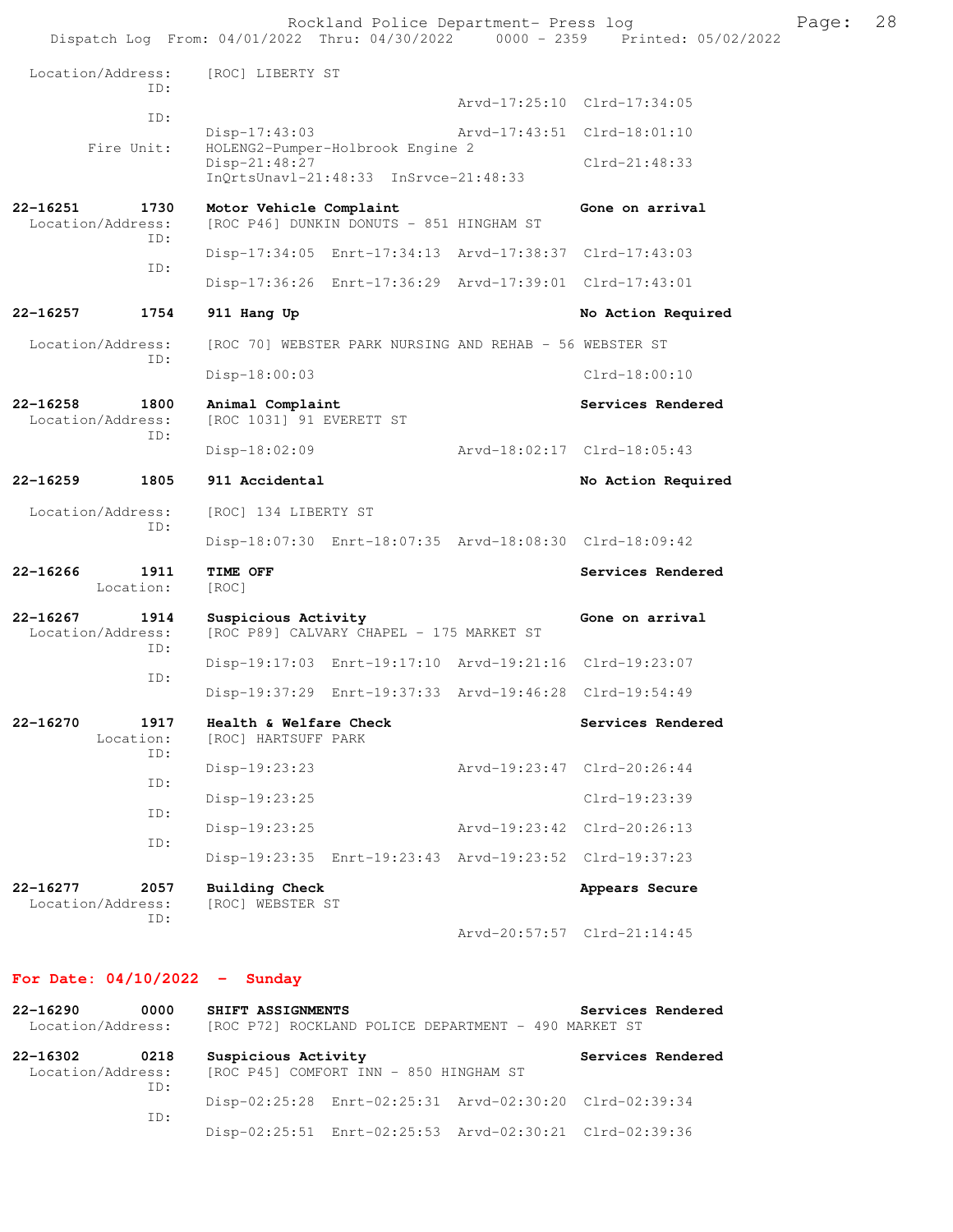Rockland Police Department- Press log Freed Page: 28 Dispatch Log From: 04/01/2022 Thru: 04/30/2022 0000 - 2359 Printed: 05/02/2022 Location/Address: [ROC] LIBERTY ST ID: Arvd-17:25:10 Clrd-17:34:05 ID: Disp-17:43:03 Arvd-17:43:51 Clrd-18:01:10<br>Fire Unit: HOLENG2-Pumper-Holbrook Engine 2 HOLENG2-Pumper-Holbrook Engine 2 Disp-21:48:27 Clrd-21:48:33 InQrtsUnavl-21:48:33 InSrvce-21:48:33 **22-16251 1730 Motor Vehicle Complaint 6one on arrival** Location/Address: [ROC P46] DUNKIN DONUTS - 851 HINGHAM ST [ROC P46] DUNKIN DONUTS - 851 HINGHAM ST ID: Disp-17:34:05 Enrt-17:34:13 Arvd-17:38:37 Clrd-17:43:03 ID: Disp-17:36:26 Enrt-17:36:29 Arvd-17:39:01 Clrd-17:43:01 **22-16257 1754 911 Hang Up No Action Required**  Location/Address: [ROC 70] WEBSTER PARK NURSING AND REHAB - 56 WEBSTER ST ID: Disp-18:00:03 Clrd-18:00:10 **22-16258 1800 Animal Complaint Complexion Services Rendered** Location/Address: [ROC 1031] 91 EVERETT ST [ROC 1031] 91 EVERETT ST ID: Disp-18:02:09 Arvd-18:02:17 Clrd-18:05:43 **22-16259 1805 911 Accidental No Action Required**  Location/Address: [ROC] 134 LIBERTY ST ID: Disp-18:07:30 Enrt-18:07:35 Arvd-18:08:30 Clrd-18:09:42 **22-16266 1911 TIME OFF Services Rendered**  Location: [ROC] **22-16267 1914 Suspicious Activity 6one on arrival** Location/Address: [ROC P89] CALVARY CHAPEL - 175 MARKET ST [ROC P89] CALVARY CHAPEL - 175 MARKET ST ID: Disp-19:17:03 Enrt-19:17:10 Arvd-19:21:16 Clrd-19:23:07 ID: Disp-19:37:29 Enrt-19:37:33 Arvd-19:46:28 Clrd-19:54:49 **22-16270 1917 Health & Welfare Check Services Rendered**  Location: [ROC] HARTSUFF PARK ID: Disp-19:23:23 Arvd-19:23:47 Clrd-20:26:44 ID: Disp-19:23:25 Clrd-19:23:39 ID: Disp-19:23:25 Arvd-19:23:42 Clrd-20:26:13 ID: Disp-19:23:35 Enrt-19:23:43 Arvd-19:23:52 Clrd-19:37:23 **22-16277 2057 Building Check Appears Secure**  Location/Address: [ROC] WEBSTER ST ID: Arvd-20:57:57 Clrd-21:14:45

#### **For Date: 04/10/2022 - Sunday**

| 22-16290                      | 0000        | SHIFT ASSIGNMENTS                                             | Services Rendered |
|-------------------------------|-------------|---------------------------------------------------------------|-------------------|
| Location/Address:             |             | [ROC P72] ROCKLAND POLICE DEPARTMENT - 490 MARKET ST          |                   |
| 22-16302<br>Location/Address: | 0218<br>TD: | Suspicious Activity<br>[ROC P45] COMFORT INN - 850 HINGHAM ST | Services Rendered |
|                               | ID:         | Disp-02:25:28 Enrt-02:25:31 Arvd-02:30:20 Clrd-02:39:34       |                   |
|                               |             | Disp-02:25:51 Enrt-02:25:53 Arvd-02:30:21 Clrd-02:39:36       |                   |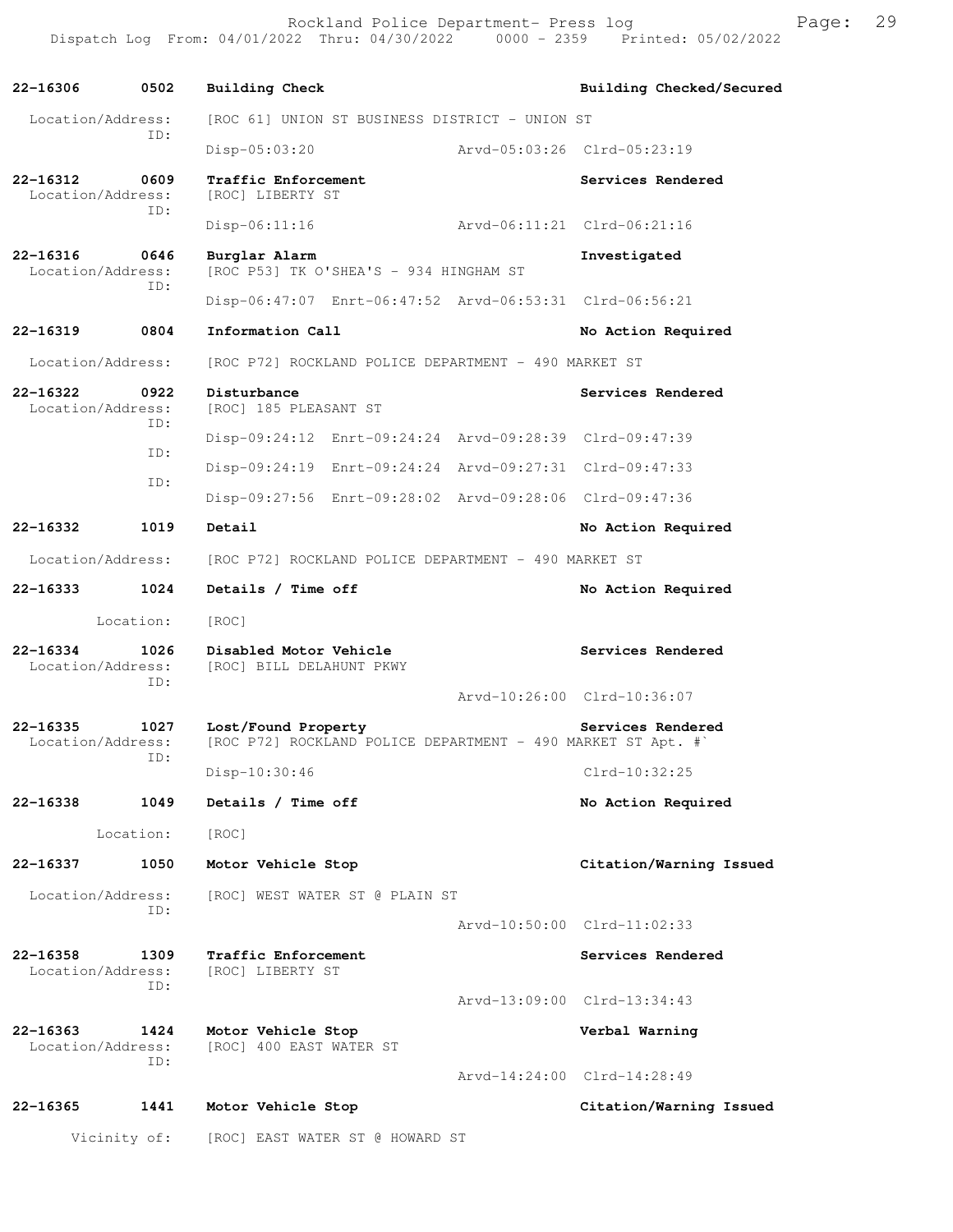Rockland Police Department- Press log Fage: 29 Dispatch Log From: 04/01/2022 Thru: 04/30/2022 0000 - 2359 Printed: 05/02/2022

**22-16306 0502 Building Check Building Checked/Secured**  Location/Address: [ROC 61] UNION ST BUSINESS DISTRICT - UNION ST ID: Disp-05:03:20 Arvd-05:03:26 Clrd-05:23:19 **22-16312 0609 Traffic Enforcement 122-16312 0609 Traffic Enforcement Services Rendered Location/Address:** [ROC] LIBERTY ST Location/Address: ID: Disp-06:11:16 Arvd-06:11:21 Clrd-06:21:16 **22-16316 0646 Burglar Alarm Investigated**  Location/Address: [ROC P53] TK O'SHEA'S - 934 HINGHAM ST ID: Disp-06:47:07 Enrt-06:47:52 Arvd-06:53:31 Clrd-06:56:21 **22-16319 0804 Information Call No Action Required**  Location/Address: [ROC P72] ROCKLAND POLICE DEPARTMENT - 490 MARKET ST **22-16322 0922 Disturbance Services Rendered**  Location/Address: [ROC] 185 PLEASANT ST ID: Disp-09:24:12 Enrt-09:24:24 Arvd-09:28:39 Clrd-09:47:39 ID: Disp-09:24:19 Enrt-09:24:24 Arvd-09:27:31 Clrd-09:47:33 ID: Disp-09:27:56 Enrt-09:28:02 Arvd-09:28:06 Clrd-09:47:36 **22-16332 1019 Detail No Action Required**  Location/Address: [ROC P72] ROCKLAND POLICE DEPARTMENT - 490 MARKET ST **22-16333 1024 Details / Time off No Action Required**  Location: [ROC] **22-16334 1026 Disabled Motor Vehicle Services Rendered Location/Address:** [ROC] BILL DELAHUNT PKWY [ROC] BILL DELAHUNT PKWY ID: Arvd-10:26:00 Clrd-10:36:07 **22-16335 1027 Lost/Found Property Services Rendered**  Location/Address: [ROC P72] ROCKLAND POLICE DEPARTMENT - 490 MARKET ST Apt. #` ID: Disp-10:30:46 Clrd-10:32:25 **22-16338 1049 Details / Time off No Action Required**  Location: [ROC] **22-16337 1050 Motor Vehicle Stop Citation/Warning Issued**  Location/Address: [ROC] WEST WATER ST @ PLAIN ST ID: Arvd-10:50:00 Clrd-11:02:33 22-16358 1309 Traffic Enforcement **Services Rendered** Services Rendered Location/Address: [ROC] LIBERTY ST ID: Arvd-13:09:00 Clrd-13:34:43 **22-16363 1424 Motor Vehicle Stop Verbal Warning**  Location/Address: [ROC] 400 EAST WATER ST ID: Arvd-14:24:00 Clrd-14:28:49 **22-16365 1441 Motor Vehicle Stop Citation/Warning Issued**  Vicinity of: [ROC] EAST WATER ST @ HOWARD ST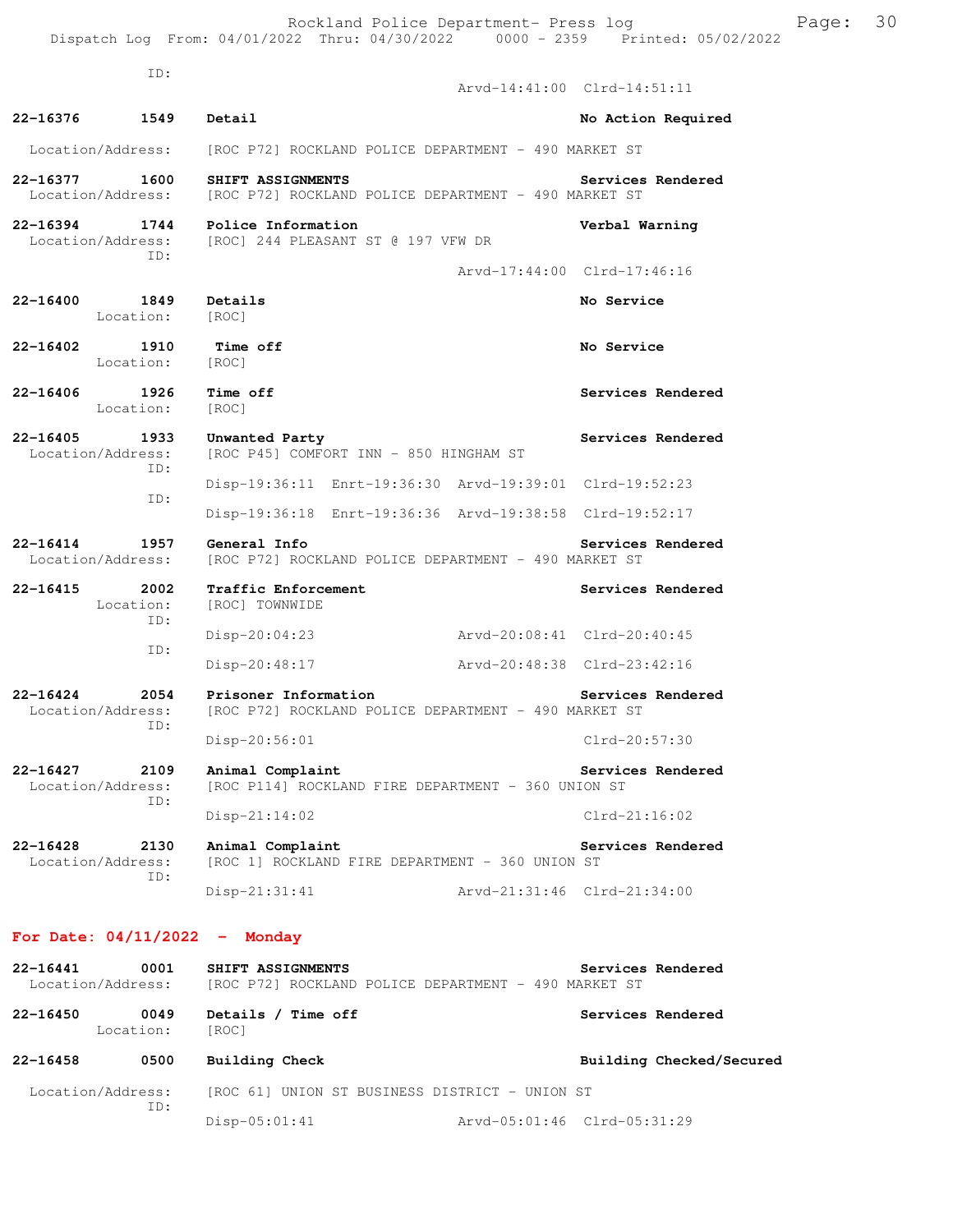|                               | ID:               |                                                                                             | Arvd-14:41:00 Clrd-14:51:11 |
|-------------------------------|-------------------|---------------------------------------------------------------------------------------------|-----------------------------|
| 22-16376                      | 1549              | Detail                                                                                      | No Action Required          |
| Location/Address:             |                   | [ROC P72] ROCKLAND POLICE DEPARTMENT - 490 MARKET ST                                        |                             |
| 22-16377                      | 1600              | SHIFT ASSIGNMENTS<br>Location/Address: [ROC P72] ROCKLAND POLICE DEPARTMENT - 490 MARKET ST | Services Rendered           |
| 22-16394<br>Location/Address: |                   | 1744 Police Information<br>[ROC] 244 PLEASANT ST @ 197 VFW DR                               | Verbal Warning              |
|                               | ID:               |                                                                                             | Arvd-17:44:00 Clrd-17:46:16 |
| 22-16400                      | 1849<br>Location: | Details<br>[ROC]                                                                            | No Service                  |
| 22-16402                      | 1910<br>Location: | Time off<br>[ROC]                                                                           | No Service                  |
| 22-16406                      | 1926<br>Location: | Time off<br>[ROC]                                                                           | Services Rendered           |
| 22-16405<br>Location/Address: | 1933              | Unwanted Party<br>[ROC P45] COMFORT INN - 850 HINGHAM ST                                    | Services Rendered           |
| ID:                           |                   | Disp-19:36:11 Enrt-19:36:30 Arvd-19:39:01 Clrd-19:52:23                                     |                             |
|                               | ID:               | Disp-19:36:18 Enrt-19:36:36 Arvd-19:38:58 Clrd-19:52:17                                     |                             |
| 22-16414<br>Location/Address: | 1957              | General Info<br>[ROC P72] ROCKLAND POLICE DEPARTMENT - 490 MARKET ST                        | Services Rendered           |
| 22-16415                      | 2002<br>Location: | Traffic Enforcement<br>[ROC] TOWNWIDE                                                       | Services Rendered           |
|                               | ID:<br>ID:        | $Disp-20:04:23$                                                                             | Arvd-20:08:41 Clrd-20:40:45 |
|                               |                   | Disp-20:48:17                                                                               | Arvd-20:48:38 Clrd-23:42:16 |
| 22-16424<br>Location/Address: | 2054<br>ID:       | Prisoner Information<br>[ROC P72] ROCKLAND POLICE DEPARTMENT - 490 MARKET ST                | Services Rendered           |
|                               |                   | Disp-20:56:01                                                                               | Clrd-20:57:30               |
| 22-16427<br>Location/Address: | 2109<br>ID:       | Animal Complaint<br>[ROC P114] ROCKLAND FIRE DEPARTMENT - 360 UNION ST                      | Services Rendered           |
|                               |                   | Disp-21:14:02                                                                               | $Clrd-21:16:02$             |
| 22-16428<br>Location/Address: | 2130<br>ID:       | Animal Complaint<br>[ROC 1] ROCKLAND FIRE DEPARTMENT - 360 UNION ST                         | Services Rendered           |
|                               |                   | $Disp-21:31:41$                                                                             | Arvd-21:31:46 Clrd-21:34:00 |

# **For Date: 04/11/2022 - Monday**

| 22-16441     | 0001<br>Location/Address: | SHIFT ASSIGNMENTS                                    | Services Rendered        |
|--------------|---------------------------|------------------------------------------------------|--------------------------|
|              |                           | [ROC P72] ROCKLAND POLICE DEPARTMENT - 490 MARKET ST |                          |
| 22-16450     | 0049<br>Location:         | Details / Time off<br>[ROC]                          | Services Rendered        |
|              |                           |                                                      |                          |
| $22 - 16458$ | 0500                      | Building Check                                       | Building Checked/Secured |
|              | Location/Address:<br>ID:  | [ROC 61] UNION ST BUSINESS DISTRICT - UNION ST       |                          |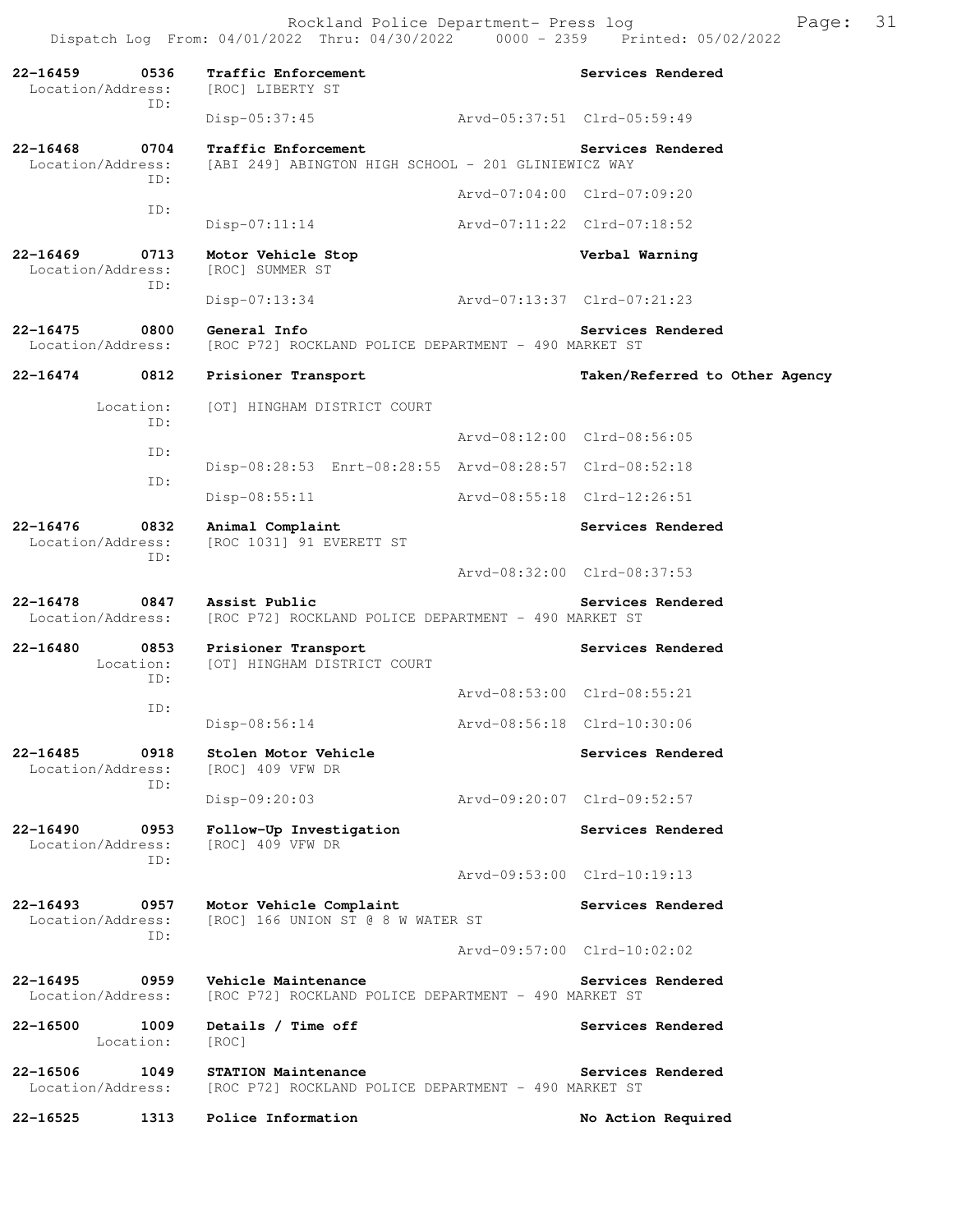Dispatch Log From: 04/01/2022 Thru: 04/30/2022 0000 - 2359 Printed: 05/02/2022 **22-16459 0536 Traffic Enforcement Services Rendered**  Location/Address: [ROC] LIBERTY ST ID: Disp-05:37:45 Arvd-05:37:51 Clrd-05:59:49 **22-16468 0704 Traffic Enforcement Services Rendered**  Location/Address: [ABI 249] ABINGTON HIGH SCHOOL - 201 GLINIEWICZ WAY ID: Arvd-07:04:00 Clrd-07:09:20 ID: Disp-07:11:14 Arvd-07:11:22 Clrd-07:18:52 **22-16469 0713 Motor Vehicle Stop Verbal Warning**  Location/Address: [ROC] SUMMER ST ID: Disp-07:13:34 Arvd-07:13:37 Clrd-07:21:23 **22-16475 0800 General Info Services Rendered**  Location/Address: [ROC P72] ROCKLAND POLICE DEPARTMENT - 490 MARKET ST **22-16474 0812 Prisioner Transport Taken/Referred to Other Agency** Location: [OT] HINGHAM DISTRICT COURT ID: Arvd-08:12:00 Clrd-08:56:05 ID: Disp-08:28:53 Enrt-08:28:55 Arvd-08:28:57 Clrd-08:52:18 ID: Disp-08:55:11 Arvd-08:55:18 Clrd-12:26:51 **22-16476 0832 Animal Complaint Services Rendered**  Location/Address: [ROC 1031] 91 EVERETT ST ID: Arvd-08:32:00 Clrd-08:37:53 **22-16478 0847 Assist Public Services Rendered**  Location/Address: [ROC P72] ROCKLAND POLICE DEPARTMENT - 490 MARKET ST **22-16480 0853 Prisioner Transport Services Rendered**  Location: [OT] HINGHAM DISTRICT COURT ID: Arvd-08:53:00 Clrd-08:55:21 ID: Disp-08:56:14 Arvd-08:56:18 Clrd-10:30:06 **22-16485 0918 Stolen Motor Vehicle Services Rendered** Location/Address: [ROC] 409 VFW DR [ROC] 409 VFW DR ID: Disp-09:20:03 Arvd-09:20:07 Clrd-09:52:57 **22-16490 0953 Follow-Up Investigation Services Rendered**  Location/Address: [ROC] 409 VFW DR ID: Arvd-09:53:00 Clrd-10:19:13 **22-16493 0957 Motor Vehicle Complaint Services Rendered**  Location/Address: [ROC] 166 UNION ST @ 8 W WATER ST ID: Arvd-09:57:00 Clrd-10:02:02 22-16495 0959 Vehicle Maintenance **Services Rendered Services** Rendered Location/Address: [ROC P72] ROCKLAND POLICE DEPARTMENT - 490 MARKET ST 22-16500 1009 Details / Time off **Services Rendered**  Location: [ROC] **22-16506 1049 STATION Maintenance Services Rendered**  Location/Address: [ROC P72] ROCKLAND POLICE DEPARTMENT - 490 MARKET ST **22-16525 1313 Police Information No Action Required** 

Rockland Police Department- Press log Frank Page: 31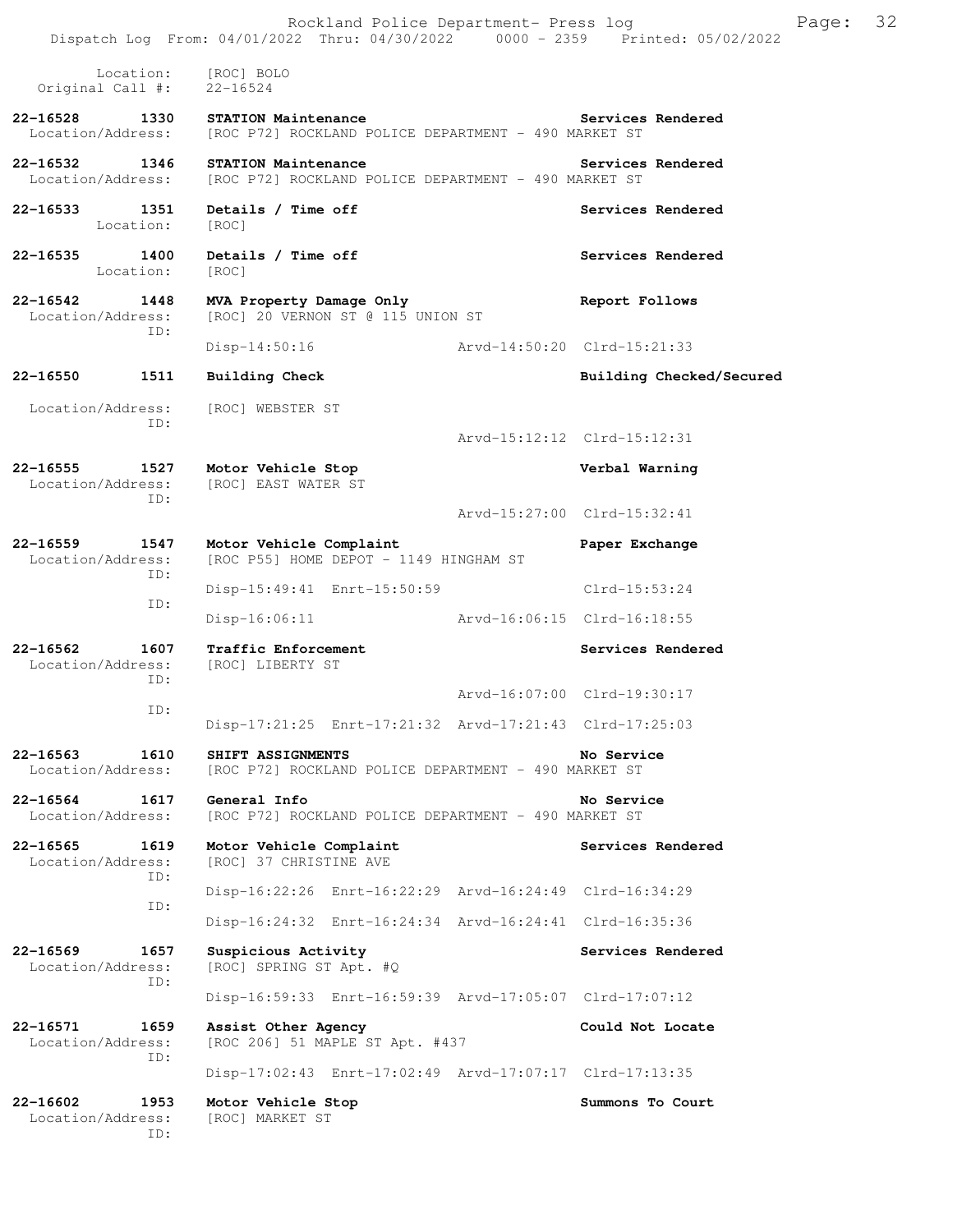|                                                  | Dispatch Log From: 04/01/2022 Thru: 04/30/2022 0000 - 2359 Printed: 05/02/2022                              |                             | Rockland Police Department- Press log | Page: | 32 |
|--------------------------------------------------|-------------------------------------------------------------------------------------------------------------|-----------------------------|---------------------------------------|-------|----|
| Original Call $\#$ : 22-16524                    | Location: [ROC] BOLO                                                                                        |                             |                                       |       |    |
| 22-16528 1330                                    | <b>STATION Maintenance</b><br>Location/Address: [ROC P72] ROCKLAND POLICE DEPARTMENT - 490 MARKET ST        |                             | Services Rendered                     |       |    |
|                                                  | 22-16532 1346 STATION Maintenance<br>Location/Address: [ROC P72] ROCKLAND POLICE DEPARTMENT - 490 MARKET ST |                             | Services Rendered                     |       |    |
| 22-16533 1351<br>Location:                       | Details / Time off<br>[ROC]                                                                                 |                             | Services Rendered                     |       |    |
| 22-16535 1400<br>Location:                       | Details / Time off<br>[ROC]                                                                                 |                             | Services Rendered                     |       |    |
| 22-16542 1448<br>Location/Address:<br>ID:        | MVA Property Damage Only<br>[ROC] 20 VERNON ST @ 115 UNION ST                                               |                             | Report Follows                        |       |    |
|                                                  | Disp-14:50:16                                                                                               | Arvd-14:50:20 Clrd-15:21:33 |                                       |       |    |
| 22-16550 1511                                    | <b>Building Check</b>                                                                                       |                             | Building Checked/Secured              |       |    |
| Location/Address:                                | [ROC] WEBSTER ST                                                                                            |                             |                                       |       |    |
| ID:                                              |                                                                                                             |                             | Arvd-15:12:12 Clrd-15:12:31           |       |    |
| Location/Address:<br>ID:                         | 22-16555 1527 Motor Vehicle Stop<br>[ROC] EAST WATER ST                                                     |                             | Verbal Warning                        |       |    |
|                                                  |                                                                                                             |                             | Arvd-15:27:00 Clrd-15:32:41           |       |    |
| 22-16559 1547<br>Location/Address:<br>ID:        | Motor Vehicle Complaint<br>[ROC P55] HOME DEPOT - 1149 HINGHAM ST                                           |                             | Paper Exchange                        |       |    |
| ID:                                              | Disp-15:49:41 Enrt-15:50:59                                                                                 |                             | Clrd-15:53:24                         |       |    |
|                                                  | Disp-16:06:11 Arvd-16:06:15 Clrd-16:18:55                                                                   |                             |                                       |       |    |
| ID:                                              | 22-16562 1607 Traffic Enforcement<br>Location/Address: [ROC] LIBERTY ST                                     |                             | Services Rendered                     |       |    |
| ID:                                              |                                                                                                             |                             | Arvd-16:07:00 Clrd-19:30:17           |       |    |
|                                                  | Disp-17:21:25 Enrt-17:21:32 Arvd-17:21:43 Clrd-17:25:03                                                     |                             |                                       |       |    |
| 22-16563<br>1610<br>Location/Address:            | SHIFT ASSIGNMENTS<br>[ROC P72] ROCKLAND POLICE DEPARTMENT - 490 MARKET ST                                   |                             | No Service                            |       |    |
| $22 - 16564$<br>1617<br>Location/Address:        | General Info<br>[ROC P72] ROCKLAND POLICE DEPARTMENT - 490 MARKET ST                                        |                             | No Service                            |       |    |
| $22 - 16565$<br>1619<br>Location/Address:<br>ID: | Motor Vehicle Complaint<br>[ROC] 37 CHRISTINE AVE                                                           |                             | Services Rendered                     |       |    |
| ID:                                              | Disp-16:22:26 Enrt-16:22:29 Arvd-16:24:49 Clrd-16:34:29                                                     |                             |                                       |       |    |
|                                                  | Disp-16:24:32 Enrt-16:24:34 Arvd-16:24:41 Clrd-16:35:36                                                     |                             |                                       |       |    |
| $22 - 16569$<br>1657<br>Location/Address:<br>ID: | Suspicious Activity<br>[ROC] SPRING ST Apt. #Q                                                              |                             | Services Rendered                     |       |    |
|                                                  | Disp-16:59:33 Enrt-16:59:39 Arvd-17:05:07 Clrd-17:07:12                                                     |                             |                                       |       |    |
| 22-16571<br>1659<br>Location/Address:<br>ID:     | Assist Other Agency<br>[ROC 206] 51 MAPLE ST Apt. #437                                                      |                             | Could Not Locate                      |       |    |
|                                                  | Disp-17:02:43 Enrt-17:02:49 Arvd-17:07:17 Clrd-17:13:35                                                     |                             |                                       |       |    |
| 22-16602<br>1953<br>Location/Address:<br>ID:     | Motor Vehicle Stop<br>[ROC] MARKET ST                                                                       |                             | Summons To Court                      |       |    |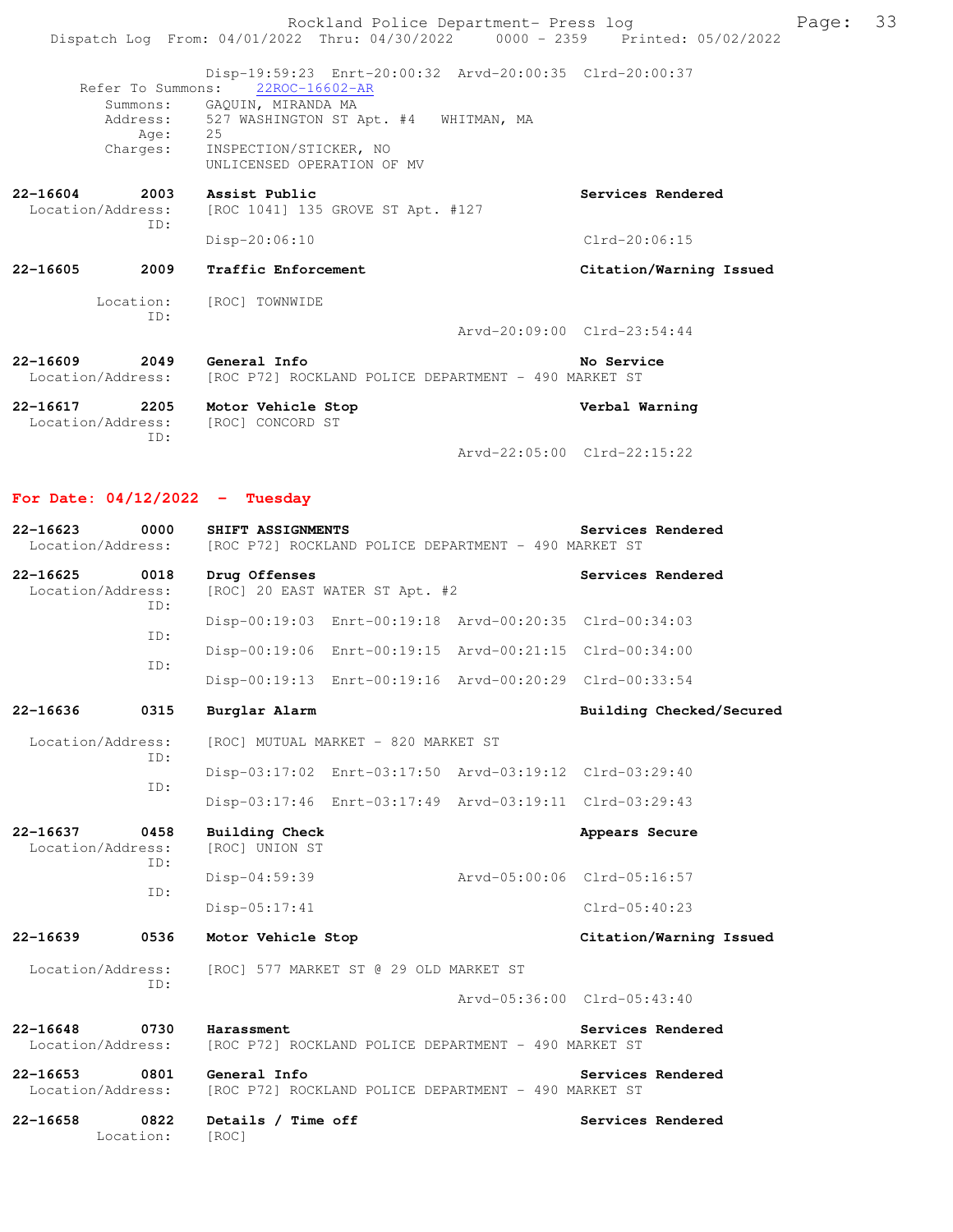Rockland Police Department- Press log Page: 33 Dispatch Log From: 04/01/2022 Thru: 04/30/2022 0000 - 2359 Printed: 05/02/2022 Disp-19:59:23 Enrt-20:00:32 Arvd-20:00:35 Clrd-20:00:37 Refer To Summons: 22ROC-16602-AR Summons: GAQUIN, MIRANDA MA Address: 527 WASHINGTON ST Apt. #4 WHITMAN, MA Age: 25 Charges: INSPECTION/STICKER, NO UNLICENSED OPERATION OF MV **22-16604 2003 Assist Public Services Rendered**  Location/Address: [ROC 1041] 135 GROVE ST Apt. #127 ID: Disp-20:06:10 Clrd-20:06:15 **22-16605 2009 Traffic Enforcement Citation/Warning Issued**  Location: [ROC] TOWNWIDE ID: Arvd-20:09:00 Clrd-23:54:44 **22-16609 2049 General Info No Service**  [ROC P72] ROCKLAND POLICE DEPARTMENT - 490 MARKET ST **22-16617 2205 Motor Vehicle Stop Verbal Warning**  Location/Address: [ROC] CONCORD ST ID:

Arvd-22:05:00 Clrd-22:15:22

#### **For Date: 04/12/2022 - Tuesday**

| $22 - 16623$<br>Location/Address: | 0000              | SHIFT ASSIGNMENTS                       | [ROC P72] ROCKLAND POLICE DEPARTMENT - 490 MARKET ST    |                             | Services Rendered           |
|-----------------------------------|-------------------|-----------------------------------------|---------------------------------------------------------|-----------------------------|-----------------------------|
| $22 - 16625$<br>Location/Address: | 0018<br>ID:       | Drug Offenses                           | [ROC] 20 EAST WATER ST Apt. #2                          |                             | Services Rendered           |
|                                   | TD:               |                                         | Disp-00:19:03 Enrt-00:19:18 Arvd-00:20:35 Clrd-00:34:03 |                             |                             |
|                                   |                   |                                         | Disp-00:19:06 Enrt-00:19:15 Arvd-00:21:15 Clrd-00:34:00 |                             |                             |
|                                   | ID:               |                                         | Disp-00:19:13 Enrt-00:19:16 Arvd-00:20:29 Clrd-00:33:54 |                             |                             |
| $22 - 16636$                      | 0315              | Burglar Alarm                           |                                                         |                             | Building Checked/Secured    |
| Location/Address:                 |                   |                                         | [ROC] MUTUAL MARKET - 820 MARKET ST                     |                             |                             |
|                                   | TD:               |                                         | Disp-03:17:02 Enrt-03:17:50 Arvd-03:19:12 Clrd-03:29:40 |                             |                             |
|                                   | TD:               |                                         | Disp-03:17:46 Enrt-03:17:49 Arvd-03:19:11 Clrd-03:29:43 |                             |                             |
| $22 - 16637$<br>Location/Address: | 0458              | <b>Building Check</b><br>[ROC] UNION ST |                                                         |                             | Appears Secure              |
|                                   | ID:               | Disp-04:59:39                           |                                                         | Arvd-05:00:06 Clrd-05:16:57 |                             |
|                                   | TD:               | Disp-05:17:41                           |                                                         |                             | $Clrd-05:40:23$             |
| $22 - 16639$                      | 0536              | Motor Vehicle Stop                      |                                                         |                             | Citation/Warning Issued     |
| Location/Address:                 |                   |                                         | [ROC] 577 MARKET ST @ 29 OLD MARKET ST                  |                             |                             |
|                                   | ID:               |                                         |                                                         |                             | Arvd-05:36:00 Clrd-05:43:40 |
| $22 - 16648$<br>Location/Address: | 0730              | Harassment                              | [ROC P72] ROCKLAND POLICE DEPARTMENT - 490 MARKET ST    |                             | Services Rendered           |
| $22 - 16653$<br>Location/Address: | 0801              | General Info                            | [ROC P72] ROCKLAND POLICE DEPARTMENT - 490 MARKET ST    |                             | Services Rendered           |
| $22 - 16658$                      | 0822<br>Location: | Details / Time off<br>[ROC]             |                                                         |                             | Services Rendered           |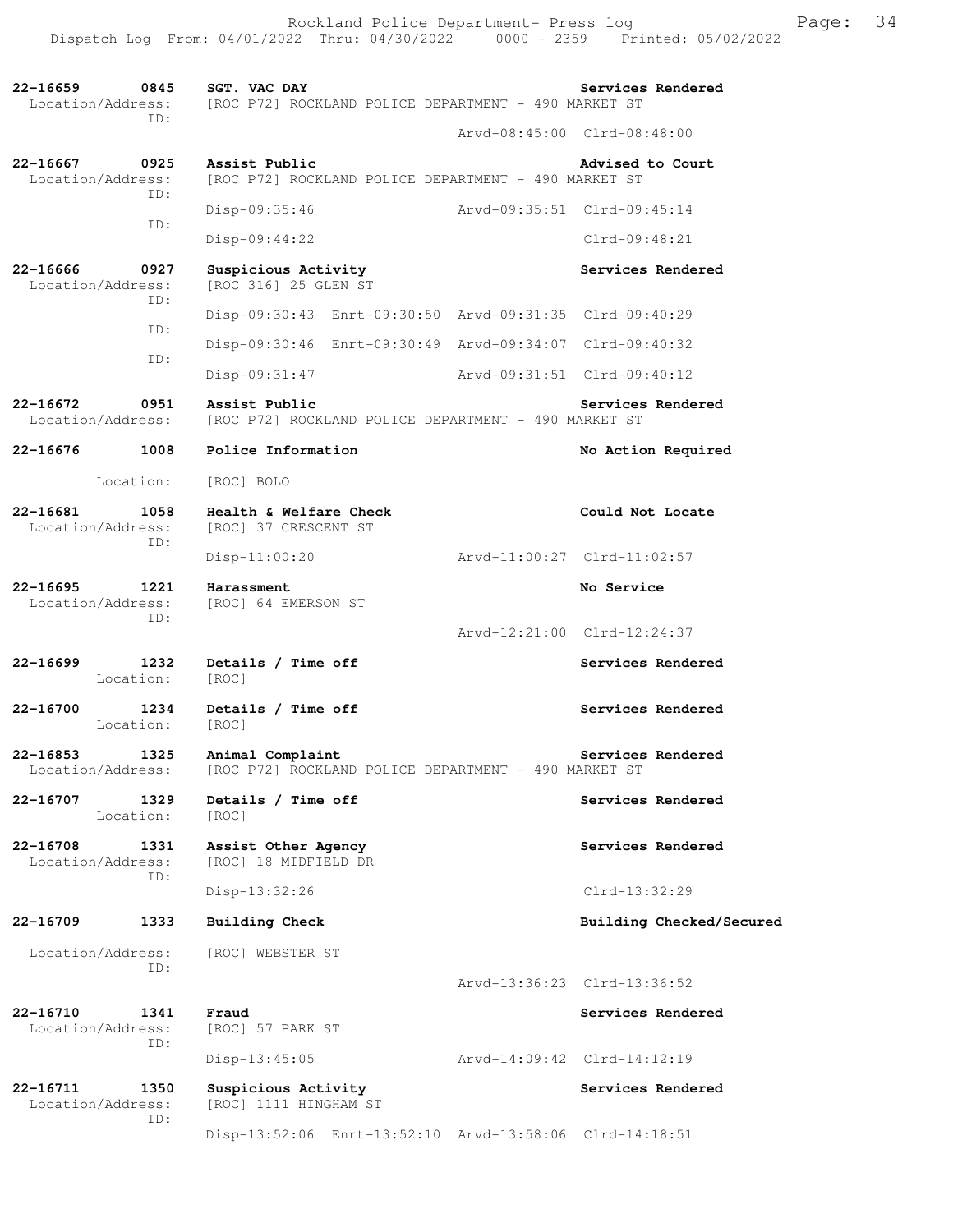Rockland Police Department- Press log entitled and Page: 34 Dispatch Log From: 04/01/2022 Thru: 04/30/2022 0000 - 2359 Printed: 05/02/2022

| 22-16659<br>0845<br>Location/Address:                          | SGT. VAC DAY<br>[ROC P72] ROCKLAND POLICE DEPARTMENT - 490 MARKET ST                       | Services Rendered  |                             |  |  |  |  |
|----------------------------------------------------------------|--------------------------------------------------------------------------------------------|--------------------|-----------------------------|--|--|--|--|
| ID:                                                            |                                                                                            |                    | Arvd-08:45:00 Clrd-08:48:00 |  |  |  |  |
| 22-16667<br>0925<br>Location/Address:<br>ID:                   | Assist Public<br>Advised to Court<br>[ROC P72] ROCKLAND POLICE DEPARTMENT - 490 MARKET ST  |                    |                             |  |  |  |  |
| ID:                                                            | Disp-09:35:46                                                                              |                    | Arvd-09:35:51 Clrd-09:45:14 |  |  |  |  |
|                                                                | Disp-09:44:22                                                                              |                    | $Clrd-09:48:21$             |  |  |  |  |
| $22 - 16666$<br>0927<br>Location/Address:<br>ID:<br>ID:<br>ID: | Suspicious Activity<br>[ROC 316] 25 GLEN ST                                                | Services Rendered  |                             |  |  |  |  |
|                                                                | Disp-09:30:43 Enrt-09:30:50 Arvd-09:31:35 Clrd-09:40:29                                    |                    |                             |  |  |  |  |
|                                                                | Disp-09:30:46 Enrt-09:30:49 Arvd-09:34:07 Clrd-09:40:32                                    |                    |                             |  |  |  |  |
|                                                                | $Disp-09:31:47$                                                                            |                    | Arvd-09:31:51 Clrd-09:40:12 |  |  |  |  |
| 22-16672<br>0951<br>Location/Address:                          | Assist Public<br>Services Rendered<br>[ROC P72] ROCKLAND POLICE DEPARTMENT - 490 MARKET ST |                    |                             |  |  |  |  |
| $22 - 16676$<br>1008                                           | Police Information                                                                         | No Action Required |                             |  |  |  |  |
| Location:                                                      | [ROC] BOLO                                                                                 |                    |                             |  |  |  |  |
| $22 - 16681$<br>1058<br>Location/Address:<br>ID:               | Health & Welfare Check<br>[ROC] 37 CRESCENT ST                                             | Could Not Locate   |                             |  |  |  |  |
|                                                                | $Disp-11:00:20$                                                                            |                    | Arvd-11:00:27 Clrd-11:02:57 |  |  |  |  |
| 22-16695<br>1221<br>Location/Address:<br>ID:                   | Harassment<br>[ROC] 64 EMERSON ST                                                          | No Service         |                             |  |  |  |  |
|                                                                |                                                                                            |                    | Arvd-12:21:00 Clrd-12:24:37 |  |  |  |  |
| $22 - 16699$<br>1232<br>Location:                              | Details / Time off<br>[ROC]                                                                |                    | Services Rendered           |  |  |  |  |
| 22-16700<br>1234<br>Location:                                  | Details / Time off<br>[ROC]                                                                |                    | Services Rendered           |  |  |  |  |
| 22-16853<br>1325<br>Location/Address:                          | Animal Complaint<br>[ROC P72] ROCKLAND POLICE DEPARTMENT - 490 MARKET ST                   | Services Rendered  |                             |  |  |  |  |
| 22-16707<br>1329<br>Location:                                  | Details / Time off<br>[ROC]                                                                |                    | Services Rendered           |  |  |  |  |
| 22-16708<br>1331<br>Location/Address:<br>TD:                   | Assist Other Agency<br>[ROC] 18 MIDFIELD DR                                                |                    | Services Rendered           |  |  |  |  |
|                                                                | Disp-13:32:26                                                                              | $Clrd-13:32:29$    |                             |  |  |  |  |
| $22 - 16709$<br>1333                                           | Building Check                                                                             |                    | Building Checked/Secured    |  |  |  |  |
| Location/Address:<br>ID:                                       | [ROC] WEBSTER ST                                                                           |                    | Arvd-13:36:23 Clrd-13:36:52 |  |  |  |  |
| 22-16710<br>1341                                               | Fraud                                                                                      |                    | Services Rendered           |  |  |  |  |
| Location/Address:<br>ID:                                       | [ROC] 57 PARK ST                                                                           |                    |                             |  |  |  |  |
|                                                                | $Disp-13:45:05$                                                                            |                    | Arvd-14:09:42 Clrd-14:12:19 |  |  |  |  |
| 22-16711<br>1350<br>Location/Address:<br>ID:                   | Suspicious Activity<br>[ROC] 1111 HINGHAM ST                                               |                    | Services Rendered           |  |  |  |  |
|                                                                | Disp-13:52:06 Enrt-13:52:10 Arvd-13:58:06 Clrd-14:18:51                                    |                    |                             |  |  |  |  |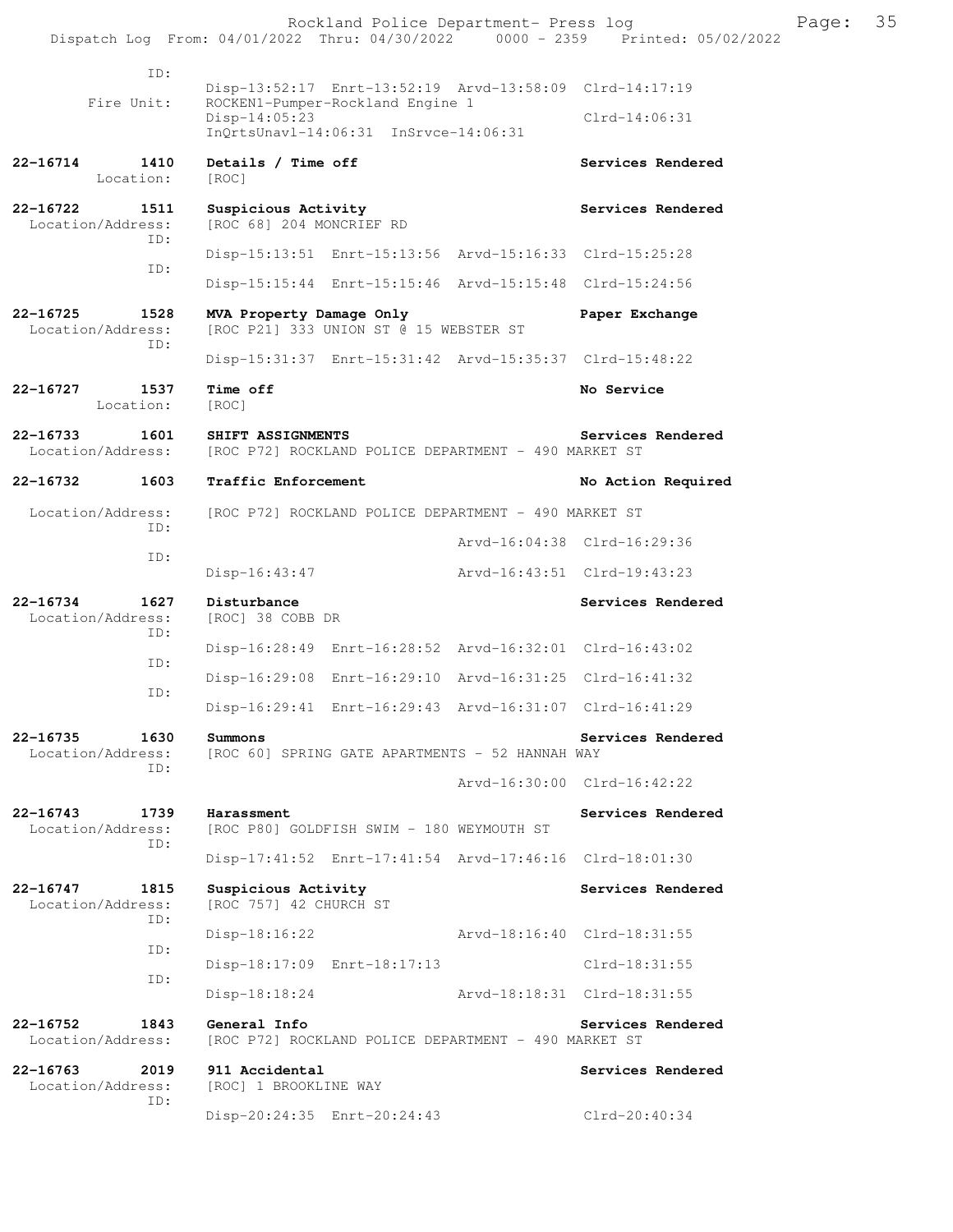|                                              |             |                                                            | Rockland Police Department- Press log                                                       |                             | Dispatch Log From: 04/01/2022 Thru: 04/30/2022 0000 - 2359 Printed: 05/02/2022 | Page: | 35 |
|----------------------------------------------|-------------|------------------------------------------------------------|---------------------------------------------------------------------------------------------|-----------------------------|--------------------------------------------------------------------------------|-------|----|
|                                              | ID:         |                                                            |                                                                                             |                             |                                                                                |       |    |
| Fire Unit:                                   |             |                                                            | Disp-13:52:17 Enrt-13:52:19 Arvd-13:58:09 Clrd-14:17:19<br>ROCKEN1-Pumper-Rockland Engine 1 |                             |                                                                                |       |    |
|                                              |             | Disp-14:05:23<br>InQrtsUnavl-14:06:31 InSrvce-14:06:31     |                                                                                             | $Clrd-14:06:31$             |                                                                                |       |    |
| 22-16714<br>Location:                        | 1410        | Details / Time off<br>[ROC]                                |                                                                                             |                             | Services Rendered                                                              |       |    |
| 22-16722<br>Location/Address:                | 1511<br>ID: | Suspicious Activity<br>[ROC 68] 204 MONCRIEF RD            |                                                                                             |                             | Services Rendered                                                              |       |    |
|                                              | ID:         |                                                            | Disp-15:13:51 Enrt-15:13:56 Arvd-15:16:33 Clrd-15:25:28                                     |                             |                                                                                |       |    |
|                                              |             |                                                            | Disp-15:15:44 Enrt-15:15:46 Arvd-15:15:48 Clrd-15:24:56                                     |                             |                                                                                |       |    |
| 22-16725<br>1528<br>Location/Address:<br>ID: |             | MVA Property Damage Only                                   | [ROC P21] 333 UNION ST @ 15 WEBSTER ST                                                      |                             | Paper Exchange                                                                 |       |    |
|                                              |             |                                                            | Disp-15:31:37 Enrt-15:31:42 Arvd-15:35:37 Clrd-15:48:22                                     |                             |                                                                                |       |    |
| 22-16727<br>Location:                        | 1537        | Time off<br>[ROC]                                          |                                                                                             |                             | No Service                                                                     |       |    |
| 22-16733<br>Location/Address:                | 1601        | SHIFT ASSIGNMENTS                                          | [ROC P72] ROCKLAND POLICE DEPARTMENT - 490 MARKET ST                                        |                             | Services Rendered                                                              |       |    |
| 22-16732                                     | 1603        | Traffic Enforcement                                        |                                                                                             |                             | No Action Required                                                             |       |    |
| Location/Address:                            |             |                                                            | [ROC P72] ROCKLAND POLICE DEPARTMENT - 490 MARKET ST                                        |                             |                                                                                |       |    |
|                                              | ID:         |                                                            |                                                                                             |                             | Arvd-16:04:38 Clrd-16:29:36                                                    |       |    |
|                                              | ID:         | Disp-16:43:47                                              |                                                                                             | Arvd-16:43:51 Clrd-19:43:23 |                                                                                |       |    |
| 22-16734<br>Location/Address:                | 1627<br>ID: | Disturbance<br>[ROC] 38 COBB DR                            |                                                                                             |                             | Services Rendered                                                              |       |    |
|                                              | ID:         |                                                            | Disp-16:28:49 Enrt-16:28:52 Arvd-16:32:01 Clrd-16:43:02                                     |                             |                                                                                |       |    |
|                                              | ID:         |                                                            | Disp-16:29:08 Enrt-16:29:10 Arvd-16:31:25 Clrd-16:41:32                                     |                             |                                                                                |       |    |
|                                              |             |                                                            | Disp-16:29:41 Enrt-16:29:43 Arvd-16:31:07 Clrd-16:41:29                                     |                             |                                                                                |       |    |
| 22-16735<br>1630<br>Location/Address:        | ID:         | Summons<br>[ROC 60] SPRING GATE APARTMENTS - 52 HANNAH WAY |                                                                                             | Services Rendered           |                                                                                |       |    |
|                                              |             |                                                            |                                                                                             |                             | Arvd-16:30:00 Clrd-16:42:22                                                    |       |    |
| 22-16743<br>1739<br>Location/Address:        | ID:         | Harassment                                                 | [ROC P80] GOLDFISH SWIM - 180 WEYMOUTH ST                                                   |                             | Services Rendered                                                              |       |    |
|                                              |             |                                                            | Disp-17:41:52 Enrt-17:41:54 Arvd-17:46:16 Clrd-18:01:30                                     |                             |                                                                                |       |    |
| 22-16747<br>Location/Address:                | 1815<br>ID: | Suspicious Activity<br>[ROC 757] 42 CHURCH ST              |                                                                                             |                             | Services Rendered                                                              |       |    |
|                                              | ID:         | $Disp-18:16:22$                                            |                                                                                             | Arvd-18:16:40 Clrd-18:31:55 |                                                                                |       |    |
|                                              |             |                                                            | Disp-18:17:09 Enrt-18:17:13                                                                 |                             | Clrd-18:31:55                                                                  |       |    |
|                                              | ID:         | Disp-18:18:24                                              |                                                                                             |                             |                                                                                |       |    |
| 22-16752<br>Location/Address:                | 1843        | General Info                                               | [ROC P72] ROCKLAND POLICE DEPARTMENT - 490 MARKET ST                                        |                             | Services Rendered                                                              |       |    |
| 22-16763<br>2019<br>Location/Address:        |             | 911 Accidental<br>[ROC] 1 BROOKLINE WAY                    |                                                                                             |                             | Services Rendered                                                              |       |    |
|                                              | ID:         |                                                            | Disp-20:24:35 Enrt-20:24:43                                                                 |                             | Clrd-20:40:34                                                                  |       |    |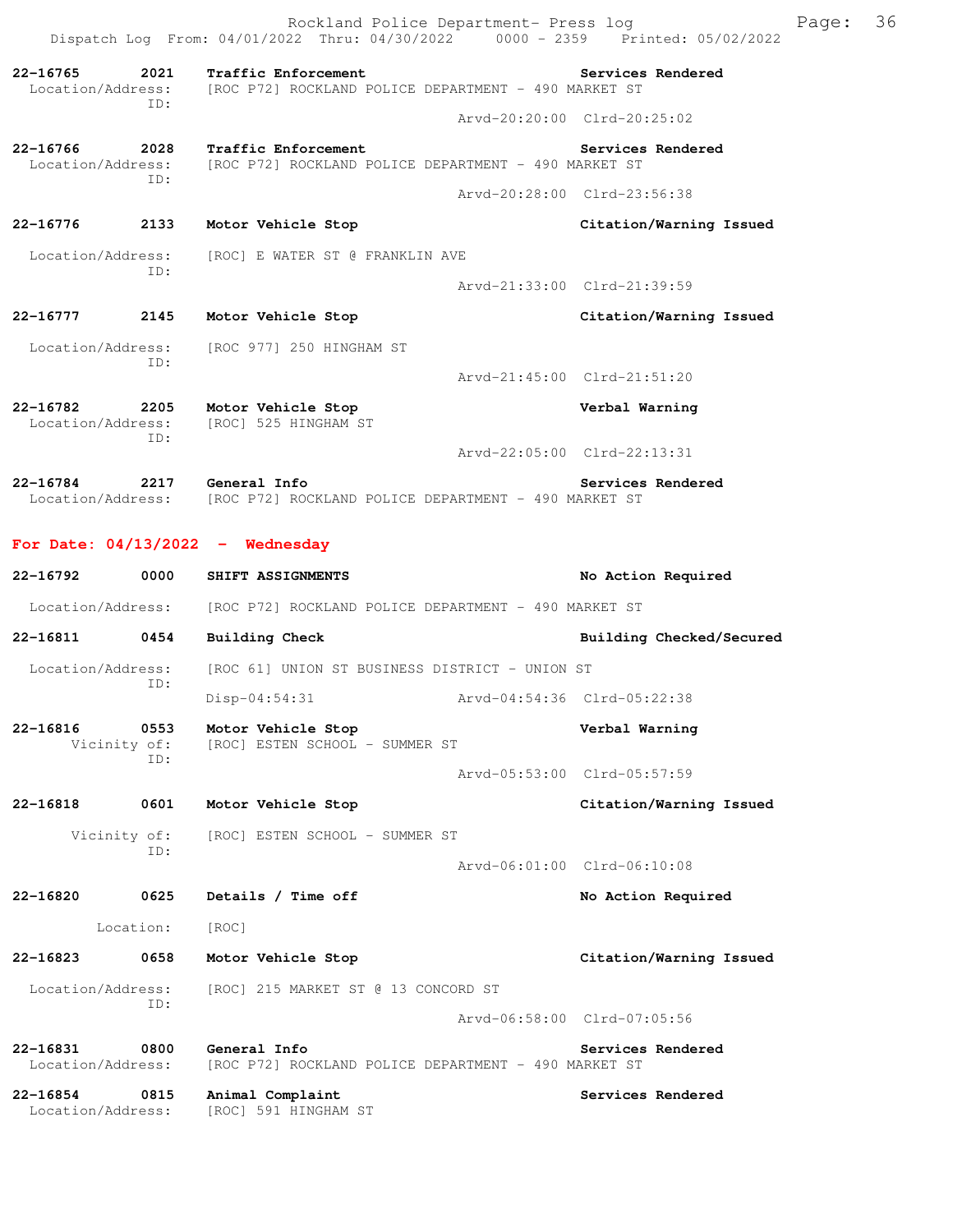Rockland Police Department- Press log Frank Page: 36 Dispatch Log From: 04/01/2022 Thru: 04/30/2022 0000 - 2359 Printed: 05/02/2022 **22-16765 2021 Traffic Enforcement Services Rendered**  Location/Address: [ROC P72] ROCKLAND POLICE DEPARTMENT - 490 MARKET ST ID: Arvd-20:20:00 Clrd-20:25:02 **22-16766 2028 Traffic Enforcement Services Rendered**  Location/Address: [ROC P72] ROCKLAND POLICE DEPARTMENT - 490 MARKET ST ID: Arvd-20:28:00 Clrd-23:56:38 **22-16776 2133 Motor Vehicle Stop Citation/Warning Issued**  Location/Address: [ROC] E WATER ST @ FRANKLIN AVE ID: Arvd-21:33:00 Clrd-21:39:59 **22-16777 2145 Motor Vehicle Stop Citation/Warning Issued**  Location/Address: [ROC 977] 250 HINGHAM ST ID: Arvd-21:45:00 Clrd-21:51:20 **22-16782 2205 Motor Vehicle Stop Verbal Warning**  Location/Address: [ROC] 525 HINGHAM ST ID: Arvd-22:05:00 Clrd-22:13:31 **22-16784 2217 General Info Services Rendered**  Location/Address: [ROC P72] ROCKLAND POLICE DEPARTMENT - 490 MARKET ST **For Date: 04/13/2022 - Wednesday 22-16792 0000 SHIFT ASSIGNMENTS No Action Required**  Location/Address: [ROC P72] ROCKLAND POLICE DEPARTMENT - 490 MARKET ST **22-16811 0454 Building Check Building Checked/Secured**  Location/Address: [ROC 61] UNION ST BUSINESS DISTRICT - UNION ST ID: Disp-04:54:31 Arvd-04:54:36 Clrd-05:22:38 **22-16816 0553 Motor Vehicle Stop Verbal Warning**  Vicinity of: [ROC] ESTEN SCHOOL - SUMMER ST ID: Arvd-05:53:00 Clrd-05:57:59 **22-16818 0601 Motor Vehicle Stop Citation/Warning Issued**  Vicinity of: [ROC] ESTEN SCHOOL - SUMMER ST ID: Arvd-06:01:00 Clrd-06:10:08 **22-16820 0625 Details / Time off No Action Required**  Location: [ROC] **22-16823 0658 Motor Vehicle Stop Citation/Warning Issued**  Location/Address: [ROC] 215 MARKET ST @ 13 CONCORD ST ID: Arvd-06:58:00 Clrd-07:05:56 **22-16831 0800 General Info Services Rendered Services Rendered Location/Address:** [ROC P72] ROCKLAND POLICE DEPARTMENT - 490 MARKET ST [ROC P72] ROCKLAND POLICE DEPARTMENT - 490 MARKET ST **22-16854 0815 Animal Complaint Services Rendered**  Location/Address: [ROC] 591 HINGHAM ST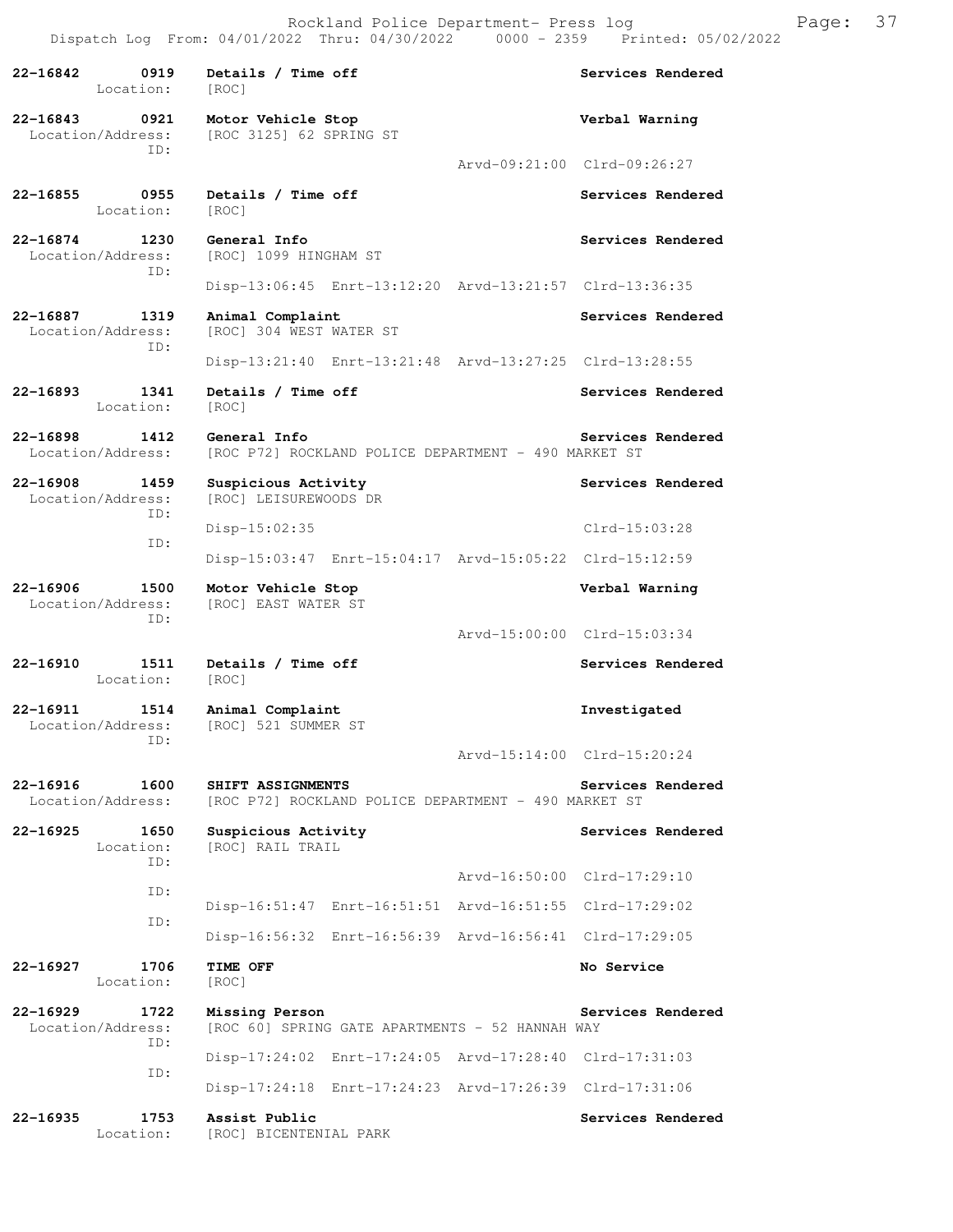Rockland Police Department- Press log Franch Page: 37 Dispatch Log From: 04/01/2022 Thru: 04/30/2022 0000 - 2359 Printed: 05/02/2022

22-16842 0919 Details / Time off **Services Rendered** Location: [ROC] **22-16843 0921 Motor Vehicle Stop Verbal Warning**  Location/Address: [ROC 3125] 62 SPRING ST ID: Arvd-09:21:00 Clrd-09:26:27 22-16855 0955 Details / Time off **Services Rendered Services** Rendered Location: [ROC] **22-16874 1230 General Info Services Rendered Location/Address:** [ROC] 1099 HINGHAM ST [ROC] 1099 HINGHAM ST ID: Disp-13:06:45 Enrt-13:12:20 Arvd-13:21:57 Clrd-13:36:35 **22-16887 1319 Animal Complaint Services Rendered**  Location/Address: [ROC] 304 WEST WATER ST ID: Disp-13:21:40 Enrt-13:21:48 Arvd-13:27:25 Clrd-13:28:55 22-16893 1341 Details / Time off **Services Rendered**  Location: [ROC] **22-16898 1412 General Info Services Rendered**<br>Location/Address: [ROC P72] ROCKLAND POLICE DEPARTMENT - 490 MARKET ST [ROC P72] ROCKLAND POLICE DEPARTMENT - 490 MARKET ST 22-16908 1459 Suspicious Activity **1459** Suspicious Activity **Services Rendered** Location/Address: [ROC] LEISUREWOODS DR ID: Disp-15:02:35 Clrd-15:03:28 ID: Disp-15:03:47 Enrt-15:04:17 Arvd-15:05:22 Clrd-15:12:59 **22-16906 1500 Motor Vehicle Stop Verbal Warning**  Location/Address: [ROC] EAST WATER ST ID: Arvd-15:00:00 Clrd-15:03:34 22-16910 1511 Details / Time off **Services Rendered Services** Rendered Location: [ROC] **22-16911 1514 Animal Complaint Investigated**  [ROC] 521 SUMMER ST ID: Arvd-15:14:00 Clrd-15:20:24 **22-16916 1600 SHIFT ASSIGNMENTS Services Rendered**  Location/Address: [ROC P72] ROCKLAND POLICE DEPARTMENT - 490 MARKET ST **22-16925 1650 Suspicious Activity Services Rendered**  Location: [ROC] RAIL TRAIL ID: Arvd-16:50:00 Clrd-17:29:10 ID: Disp-16:51:47 Enrt-16:51:51 Arvd-16:51:55 Clrd-17:29:02 ID: Disp-16:56:32 Enrt-16:56:39 Arvd-16:56:41 Clrd-17:29:05 **22-16927 1706 TIME OFF No Service**  Location: [ROC] **22-16929 1722 Missing Person Services Rendered**  Location/Address: [ROC 60] SPRING GATE APARTMENTS - 52 HANNAH WAY ID: Disp-17:24:02 Enrt-17:24:05 Arvd-17:28:40 Clrd-17:31:03 ID: Disp-17:24:18 Enrt-17:24:23 Arvd-17:26:39 Clrd-17:31:06 **22-16935 1753 Assist Public Services Rendered**  Location: [ROC] BICENTENIAL PARK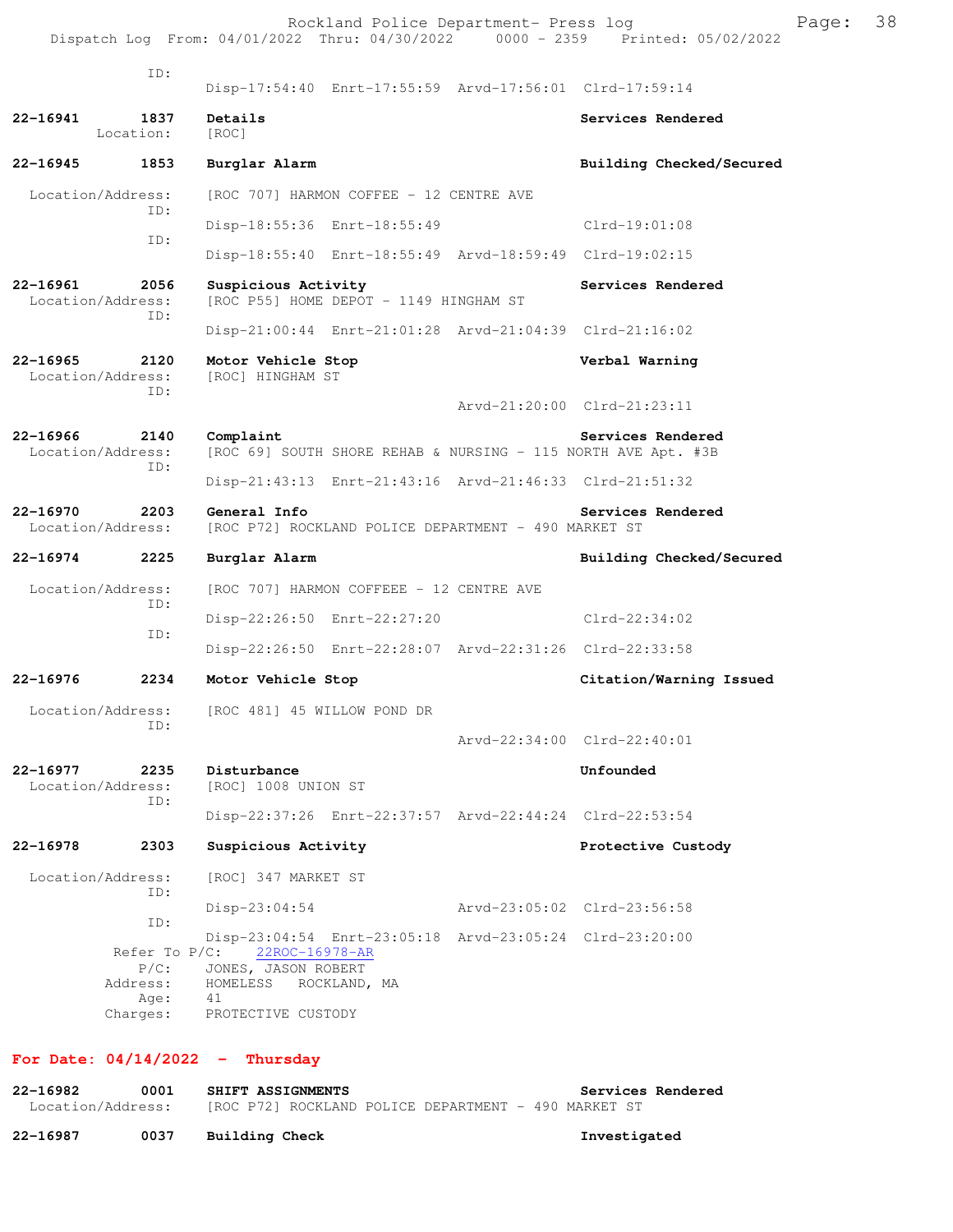|                                   |                                         | Dispatch Log From: 04/01/2022 Thru: 04/30/2022 0000 - 2359 Printed: 05/02/2022                                               | Rockland Police Department- Press log |                    |                          | Page: | 38 |
|-----------------------------------|-----------------------------------------|------------------------------------------------------------------------------------------------------------------------------|---------------------------------------|--------------------|--------------------------|-------|----|
|                                   | ID:                                     | Disp-17:54:40 Enrt-17:55:59 Arvd-17:56:01 Clrd-17:59:14                                                                      |                                       |                    |                          |       |    |
| 22-16941                          | 1837<br>Location:                       | Details<br>[ROC]                                                                                                             |                                       | Services Rendered  |                          |       |    |
| 22-16945                          | 1853                                    | Burglar Alarm                                                                                                                |                                       |                    | Building Checked/Secured |       |    |
| Location/Address:                 | ID:                                     | [ROC 707] HARMON COFFEE - 12 CENTRE AVE                                                                                      |                                       |                    |                          |       |    |
|                                   | ID:                                     | Disp-18:55:36 Enrt-18:55:49                                                                                                  |                                       | $Clrd-19:01:08$    |                          |       |    |
|                                   |                                         | Disp-18:55:40 Enrt-18:55:49 Arvd-18:59:49 Clrd-19:02:15                                                                      |                                       |                    |                          |       |    |
| 22-16961<br>Location/Address:     | 2056<br>ID:                             | Suspicious Activity<br>[ROC P55] HOME DEPOT - 1149 HINGHAM ST                                                                |                                       | Services Rendered  |                          |       |    |
|                                   |                                         | Disp-21:00:44 Enrt-21:01:28 Arvd-21:04:39 Clrd-21:16:02                                                                      |                                       |                    |                          |       |    |
| $22 - 16965$<br>Location/Address: | 2120<br>ID:                             | Motor Vehicle Stop<br>[ROC] HINGHAM ST                                                                                       |                                       | Verbal Warning     |                          |       |    |
|                                   |                                         |                                                                                                                              | Arvd-21:20:00 Clrd-21:23:11           |                    |                          |       |    |
| 22-16966<br>Location/Address:     | 2140<br>ID:                             | Complaint<br>[ROC 69] SOUTH SHORE REHAB & NURSING - 115 NORTH AVE Apt. #3B                                                   |                                       | Services Rendered  |                          |       |    |
|                                   |                                         | Disp-21:43:13 Enrt-21:43:16 Arvd-21:46:33 Clrd-21:51:32                                                                      |                                       |                    |                          |       |    |
| 22-16970<br>Location/Address:     | 2203                                    | General Info<br>[ROC P72] ROCKLAND POLICE DEPARTMENT - 490 MARKET ST                                                         |                                       | Services Rendered  |                          |       |    |
| 22-16974                          | 2225                                    | Burglar Alarm                                                                                                                |                                       |                    | Building Checked/Secured |       |    |
| Location/Address:                 | ID:                                     | [ROC 707] HARMON COFFEEE - 12 CENTRE AVE                                                                                     |                                       |                    |                          |       |    |
|                                   | ID:                                     | Disp-22:26:50 Enrt-22:27:20                                                                                                  |                                       | Clrd-22:34:02      |                          |       |    |
|                                   |                                         | Disp-22:26:50 Enrt-22:28:07 Arvd-22:31:26 Clrd-22:33:58                                                                      |                                       |                    |                          |       |    |
| 22-16976                          | 2234                                    | Motor Vehicle Stop                                                                                                           |                                       |                    | Citation/Warning Issued  |       |    |
|                                   | ID:                                     | Location/Address: [ROC 481] 45 WILLOW POND DR                                                                                |                                       |                    |                          |       |    |
|                                   |                                         |                                                                                                                              | Arvd-22:34:00 Clrd-22:40:01           |                    |                          |       |    |
| $22 - 16977$<br>Location/Address: | 2235<br>ID:                             | Disturbance<br>[ROC] 1008 UNION ST                                                                                           |                                       | Unfounded          |                          |       |    |
|                                   |                                         | Disp-22:37:26 Enrt-22:37:57 Arvd-22:44:24 Clrd-22:53:54                                                                      |                                       |                    |                          |       |    |
| 22-16978                          | 2303                                    | Suspicious Activity                                                                                                          |                                       | Protective Custody |                          |       |    |
| Location/Address:                 | ID:                                     | [ROC] 347 MARKET ST                                                                                                          |                                       |                    |                          |       |    |
|                                   | ID:                                     | $Disp-23:04:54$                                                                                                              | Arvd-23:05:02 Clrd-23:56:58           |                    |                          |       |    |
|                                   | Refer To $P/C$ :<br>$P/C$ :<br>Address: | Disp-23:04:54 Enrt-23:05:18 Arvd-23:05:24 Clrd-23:20:00<br>22ROC-16978-AR<br>JONES, JASON ROBERT<br>HOMELESS<br>ROCKLAND, MA |                                       |                    |                          |       |    |
|                                   | Age:<br>Charges:                        | 41<br>PROTECTIVE CUSTODY                                                                                                     |                                       |                    |                          |       |    |
|                                   |                                         | For Date: $04/14/2022 -$ Thursday                                                                                            |                                       |                    |                          |       |    |

**22-16982 0001 SHIFT ASSIGNMENTS Services Rendered**  Location/Address: [ROC P72] ROCKLAND POLICE DEPARTMENT - 490 MARKET ST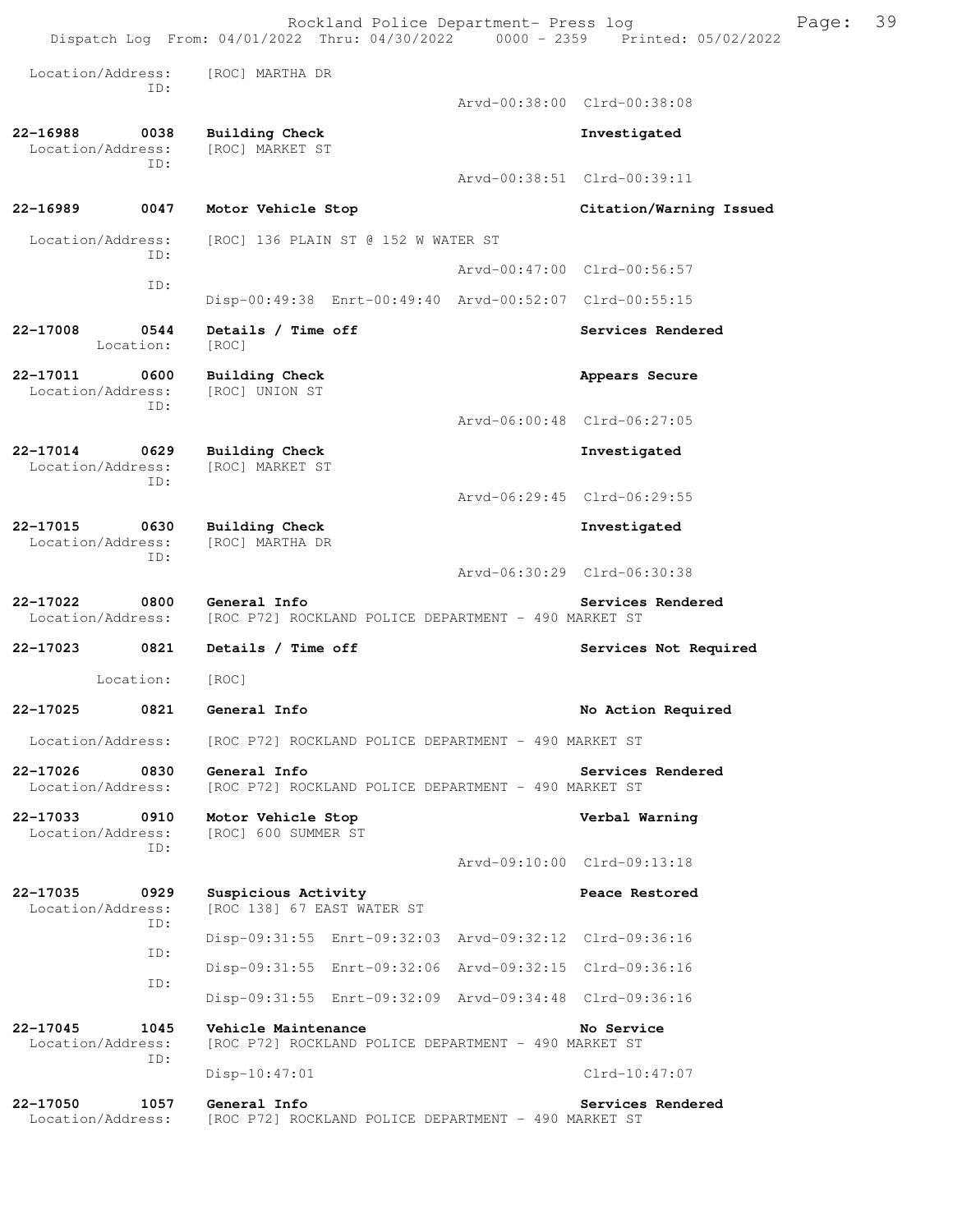Rockland Police Department- Press log Fage: 39 Dispatch Log From: 04/01/2022 Thru: 04/30/2022 0000 - 2359 Printed: 05/02/2022 Location/Address: [ROC] MARTHA DR ID: Arvd-00:38:00 Clrd-00:38:08 **22-16988 0038 Building Check Investigated**  Location/Address: [ROC] MARKET ST ID: Arvd-00:38:51 Clrd-00:39:11 **22-16989 0047 Motor Vehicle Stop Citation/Warning Issued**  Location/Address: [ROC] 136 PLAIN ST @ 152 W WATER ST ID: Arvd-00:47:00 Clrd-00:56:57 ID: Disp-00:49:38 Enrt-00:49:40 Arvd-00:52:07 Clrd-00:55:15 **22-17008 0544 Details / Time off Services Rendered**  Location: [ROC] **22-17011 0600 Building Check Appears Secure**  Location/Address: ID: Arvd-06:00:48 Clrd-06:27:05 **22-17014 0629 Building Check Investigated**  Location/Address: [ROC] MARKET ST ID: Arvd-06:29:45 Clrd-06:29:55 **22-17015 0630 Building Check Investigated**  Location/Address: ID: Arvd-06:30:29 Clrd-06:30:38 **22-17022 0800 General Info Services Rendered**  Location/Address: [ROC P72] ROCKLAND POLICE DEPARTMENT - 490 MARKET ST 22-17023 0821 Details / Time off **Services Not Required**  Location: [ROC] **22-17025 0821 General Info No Action Required**  Location/Address: [ROC P72] ROCKLAND POLICE DEPARTMENT - 490 MARKET ST **22-17026** 0830 General Info<br>
Location/Address: [ROC P72] ROCKLAND POLICE DEPARTMENT - 490 MARKET ST [ROC P72] ROCKLAND POLICE DEPARTMENT - 490 MARKET ST **22-17033 0910 Motor Vehicle Stop Verbal Warning**  Location/Address: [ROC] 600 SUMMER ST ID: Arvd-09:10:00 Clrd-09:13:18 **22-17035 0929 Suspicious Activity Peace Restored**  Location/Address: [ROC 138] 67 EAST WATER ST ID: Disp-09:31:55 Enrt-09:32:03 Arvd-09:32:12 Clrd-09:36:16 ID: Disp-09:31:55 Enrt-09:32:06 Arvd-09:32:15 Clrd-09:36:16 ID: Disp-09:31:55 Enrt-09:32:09 Arvd-09:34:48 Clrd-09:36:16 **22-17045 1045 Vehicle Maintenance No Service**  Location/Address: [ROC P72] ROCKLAND POLICE DEPARTMENT - 490 MARKET ST ID: Disp-10:47:01 Clrd-10:47:07 **22-17050 1057 General Info Services Rendered**  Location/Address: [ROC P72] ROCKLAND POLICE DEPARTMENT - 490 MARKET ST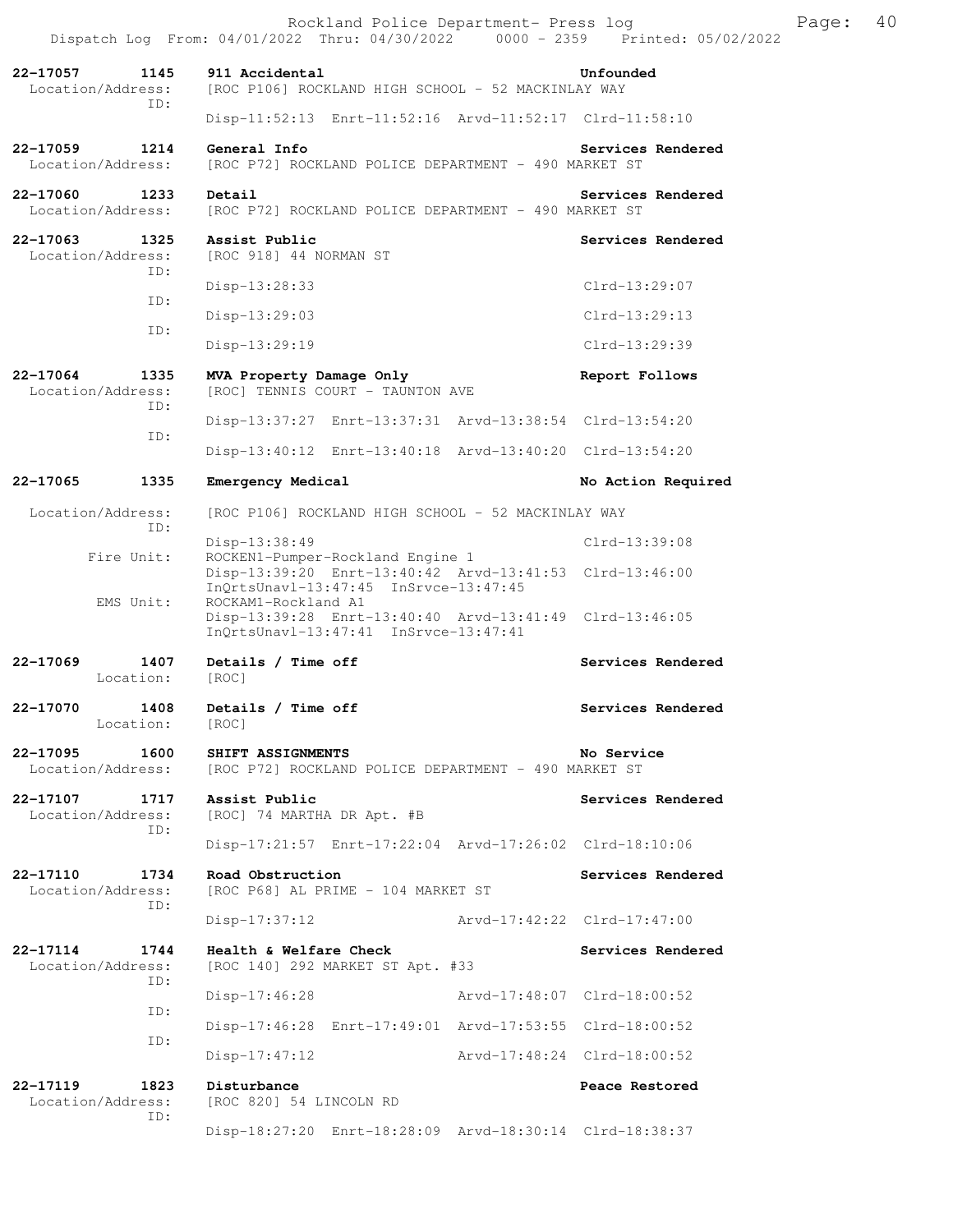|                                              | Rockland Police Department- Press log<br>Dispatch Log From: 04/01/2022 Thru: 04/30/2022 0000 - 2359 Printed: 05/02/2022              | 40<br>Page:                 |
|----------------------------------------------|--------------------------------------------------------------------------------------------------------------------------------------|-----------------------------|
| 1145<br>22-17057<br>Location/Address:        | 911 Accidental<br>[ROC P106] ROCKLAND HIGH SCHOOL - 52 MACKINLAY WAY                                                                 | Unfounded                   |
| ID:                                          | Disp-11:52:13 Enrt-11:52:16 Arvd-11:52:17 Clrd-11:58:10                                                                              |                             |
| 22-17059<br>1214<br>Location/Address:        | General Info<br>[ROC P72] ROCKLAND POLICE DEPARTMENT - 490 MARKET ST                                                                 | Services Rendered           |
| 22-17060<br>1233<br>Location/Address:        | Detail<br>[ROC P72] ROCKLAND POLICE DEPARTMENT - 490 MARKET ST                                                                       | Services Rendered           |
| 22-17063<br>1325<br>Location/Address:<br>ID: | Assist Public<br>[ROC 918] 44 NORMAN ST                                                                                              | Services Rendered           |
| ID:                                          | Disp-13:28:33                                                                                                                        | Clrd-13:29:07               |
|                                              | $Disp-13:29:03$                                                                                                                      | $Clrd-13:29:13$             |
| ID:                                          | $Disp-13:29:19$                                                                                                                      | Clrd-13:29:39               |
| 22-17064<br>1335<br>Location/Address:<br>ID: | MVA Property Damage Only<br>[ROC] TENNIS COURT - TAUNTON AVE                                                                         | Report Follows              |
| ID:                                          | Disp-13:37:27 Enrt-13:37:31 Arvd-13:38:54 Clrd-13:54:20                                                                              |                             |
|                                              | Disp-13:40:12 Enrt-13:40:18 Arvd-13:40:20 Clrd-13:54:20                                                                              |                             |
| 22-17065<br>1335                             | Emergency Medical                                                                                                                    | No Action Required          |
| Location/Address:                            | [ROC P106] ROCKLAND HIGH SCHOOL - 52 MACKINLAY WAY                                                                                   |                             |
| ID:                                          | $Disp-13:38:49$                                                                                                                      | Clrd-13:39:08               |
| Fire Unit:                                   | ROCKEN1-Pumper-Rockland Engine 1<br>Disp-13:39:20 Enrt-13:40:42 Arvd-13:41:53 Clrd-13:46:00<br>InQrtsUnavl-13:47:45 InSrvce-13:47:45 |                             |
| EMS Unit:                                    | ROCKAM1-Rockland A1<br>Disp-13:39:28 Enrt-13:40:40 Arvd-13:41:49 Clrd-13:46:05<br>InOrtsUnavl-13:47:41 InSrvce-13:47:41              |                             |
| 22-17069<br>1407<br>Location:                | Details / Time off<br>[ROC]                                                                                                          | Services Rendered           |
| 22-17070<br>1408<br>Location:                | Details / Time off<br>[ROC]                                                                                                          | Services Rendered           |
| 22-17095<br>Location/Address:                | 1600 SHIFT ASSIGNMENTS<br>[ROC P72] ROCKLAND POLICE DEPARTMENT - 490 MARKET ST                                                       | No Service                  |
| 22-17107<br>1717<br>Location/Address:<br>ID: | Assist Public<br>[ROC] 74 MARTHA DR Apt. #B                                                                                          | Services Rendered           |
|                                              | Disp-17:21:57 Enrt-17:22:04 Arvd-17:26:02 Clrd-18:10:06                                                                              |                             |
| 22-17110<br>1734<br>Location/Address:<br>ID: | Road Obstruction<br>[ROC P68] AL PRIME - 104 MARKET ST                                                                               | Services Rendered           |
|                                              | Arvd-17:42:22 Clrd-17:47:00<br>Disp-17:37:12                                                                                         |                             |
| 22-17114<br>1744<br>Location/Address:<br>ID: | Health & Welfare Check<br>[ROC 140] 292 MARKET ST Apt. #33                                                                           | Services Rendered           |
| ID:                                          | $Disp-17:46:28$                                                                                                                      | Arvd-17:48:07 Clrd-18:00:52 |
| ID:                                          | Disp-17:46:28 Enrt-17:49:01 Arvd-17:53:55 Clrd-18:00:52                                                                              |                             |
|                                              | Disp-17:47:12                                                                                                                        | Arvd-17:48:24 Clrd-18:00:52 |
| 22-17119<br>1823<br>Location/Address:<br>ID: | Disturbance<br>[ROC 820] 54 LINCOLN RD                                                                                               | Peace Restored              |
|                                              | Disp-18:27:20 Enrt-18:28:09 Arvd-18:30:14 Clrd-18:38:37                                                                              |                             |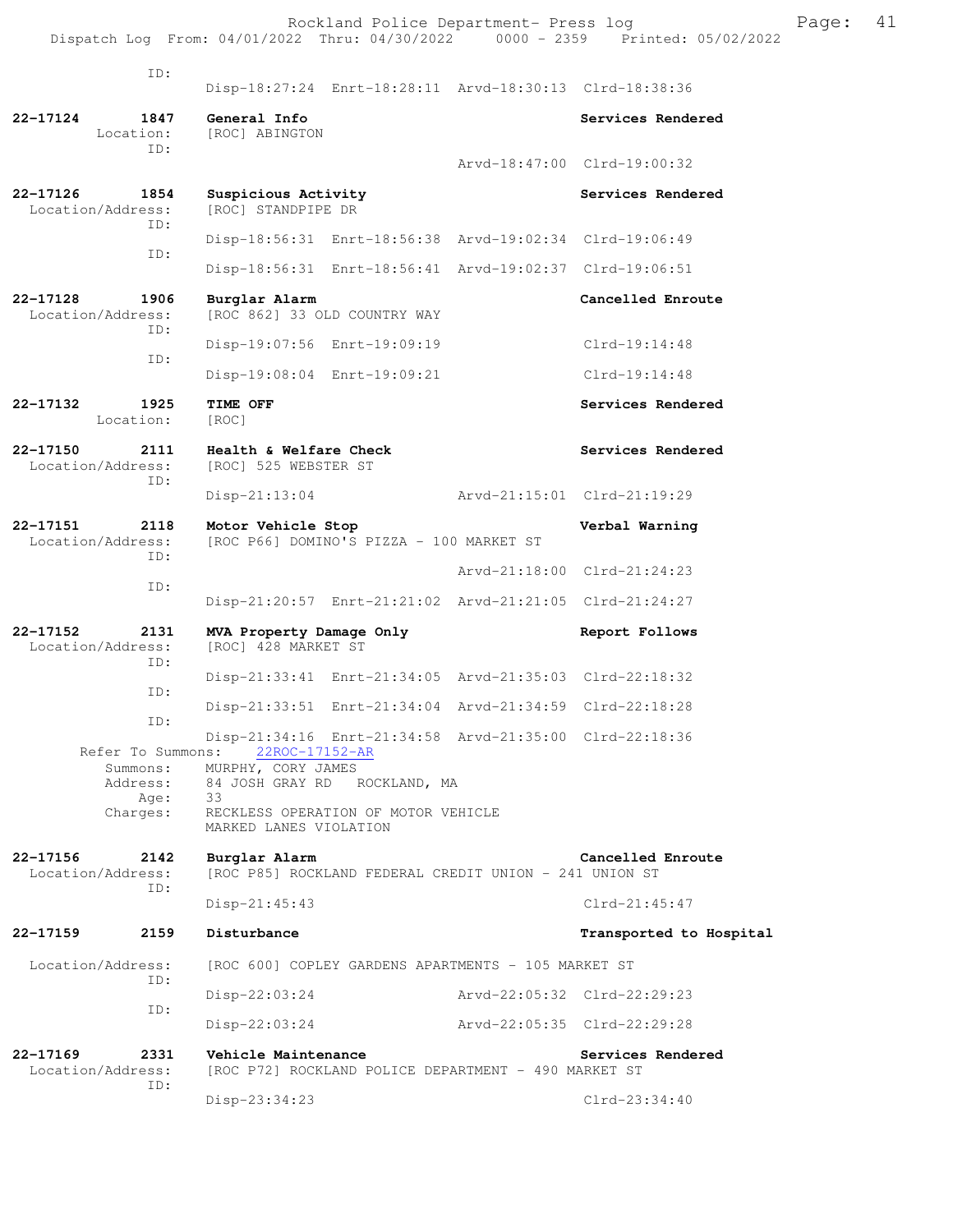| ID:                                               |                                                               |                                                         |                             |                             |
|---------------------------------------------------|---------------------------------------------------------------|---------------------------------------------------------|-----------------------------|-----------------------------|
|                                                   |                                                               | Disp-18:27:24 Enrt-18:28:11 Arvd-18:30:13 Clrd-18:38:36 |                             |                             |
| $22 - 17124$<br>1847<br>Location:<br>ID:          | General Info<br>[ROC] ABINGTON                                |                                                         |                             | Services Rendered           |
|                                                   |                                                               |                                                         |                             | Arvd-18:47:00 Clrd-19:00:32 |
| 22-17126<br>1854<br>Location/Address:<br>ID:      | Suspicious Activity<br>[ROC] STANDPIPE DR                     |                                                         |                             | Services Rendered           |
| ID:                                               |                                                               | Disp-18:56:31 Enrt-18:56:38 Arvd-19:02:34               |                             | Clrd-19:06:49               |
|                                                   |                                                               | Disp-18:56:31 Enrt-18:56:41 Arvd-19:02:37 Clrd-19:06:51 |                             |                             |
| 22-17128<br>1906<br>Location/Address:<br>ID:      | Burglar Alarm<br>[ROC 862] 33 OLD COUNTRY WAY                 |                                                         |                             | Cancelled Enroute           |
|                                                   | Disp-19:07:56 Enrt-19:09:19                                   |                                                         |                             | $Clrd-19:14:48$             |
| ID:                                               | Disp-19:08:04 Enrt-19:09:21                                   |                                                         |                             | Clrd-19:14:48               |
| 22-17132<br>1925<br>Location:                     | TIME OFF<br>[ROC]                                             |                                                         |                             | Services Rendered           |
| 22-17150<br>2111<br>Location/Address:<br>ID:      | Health & Welfare Check<br>[ROC] 525 WEBSTER ST                |                                                         |                             | Services Rendered           |
|                                                   | $Disp-21:13:04$                                               |                                                         |                             | Arvd-21:15:01 Clrd-21:19:29 |
| 22-17151<br>2118<br>Location/Address:<br>ID:      | Motor Vehicle Stop                                            | [ROC P66] DOMINO'S PIZZA - 100 MARKET ST                |                             | Verbal Warning              |
|                                                   |                                                               |                                                         | Arvd-21:18:00               | $Clrd-21:24:23$             |
| ID:                                               |                                                               | Disp-21:20:57 Enrt-21:21:02 Arvd-21:21:05 Clrd-21:24:27 |                             |                             |
| 22-17152<br>2131<br>Location/Address:<br>ID:      | MVA Property Damage Only<br>[ROC] 428 MARKET ST               |                                                         |                             | Report Follows              |
| ID:                                               |                                                               | Disp-21:33:41 Enrt-21:34:05 Arvd-21:35:03               |                             | $Clrd-22:18:32$             |
| ID:                                               |                                                               | Disp-21:33:51 Enrt-21:34:04 Arvd-21:34:59               |                             | $Clrd-22:18:28$             |
|                                                   |                                                               | Disp-21:34:16 Enrt-21:34:58 Arvd-21:35:00               |                             | $Clrd-22:18:36$             |
| Refer To Summons:<br>Summons:<br>Address:<br>Age: | 22ROC-17152-AR<br>MURPHY, CORY JAMES<br>84 JOSH GRAY RD<br>33 | ROCKLAND, MA                                            |                             |                             |
| Charges:                                          | MARKED LANES VIOLATION                                        | RECKLESS OPERATION OF MOTOR VEHICLE                     |                             |                             |
| 22-17156<br>2142<br>Location/Address:<br>ID:      | Burglar Alarm                                                 | [ROC P85] ROCKLAND FEDERAL CREDIT UNION - 241 UNION ST  |                             | Cancelled Enroute           |
|                                                   | $Disp-21:45:43$                                               |                                                         |                             | $Clrd-21:45:47$             |
| 22-17159<br>2159                                  | Disturbance                                                   |                                                         |                             | Transported to Hospital     |
| Location/Address:                                 |                                                               | [ROC 600] COPLEY GARDENS APARTMENTS - 105 MARKET ST     |                             |                             |
| ID:                                               | $Disp-22:03:24$                                               |                                                         |                             | Arvd-22:05:32 Clrd-22:29:23 |
| ID:                                               | $Disp-22:03:24$                                               |                                                         | Arvd-22:05:35 Clrd-22:29:28 |                             |
| 22-17169<br>2331<br>Location/Address:<br>ID:      | Vehicle Maintenance                                           | [ROC P72] ROCKLAND POLICE DEPARTMENT - 490 MARKET ST    |                             | Services Rendered           |
|                                                   | Disp-23:34:23                                                 |                                                         |                             | $Clrd-23:34:40$             |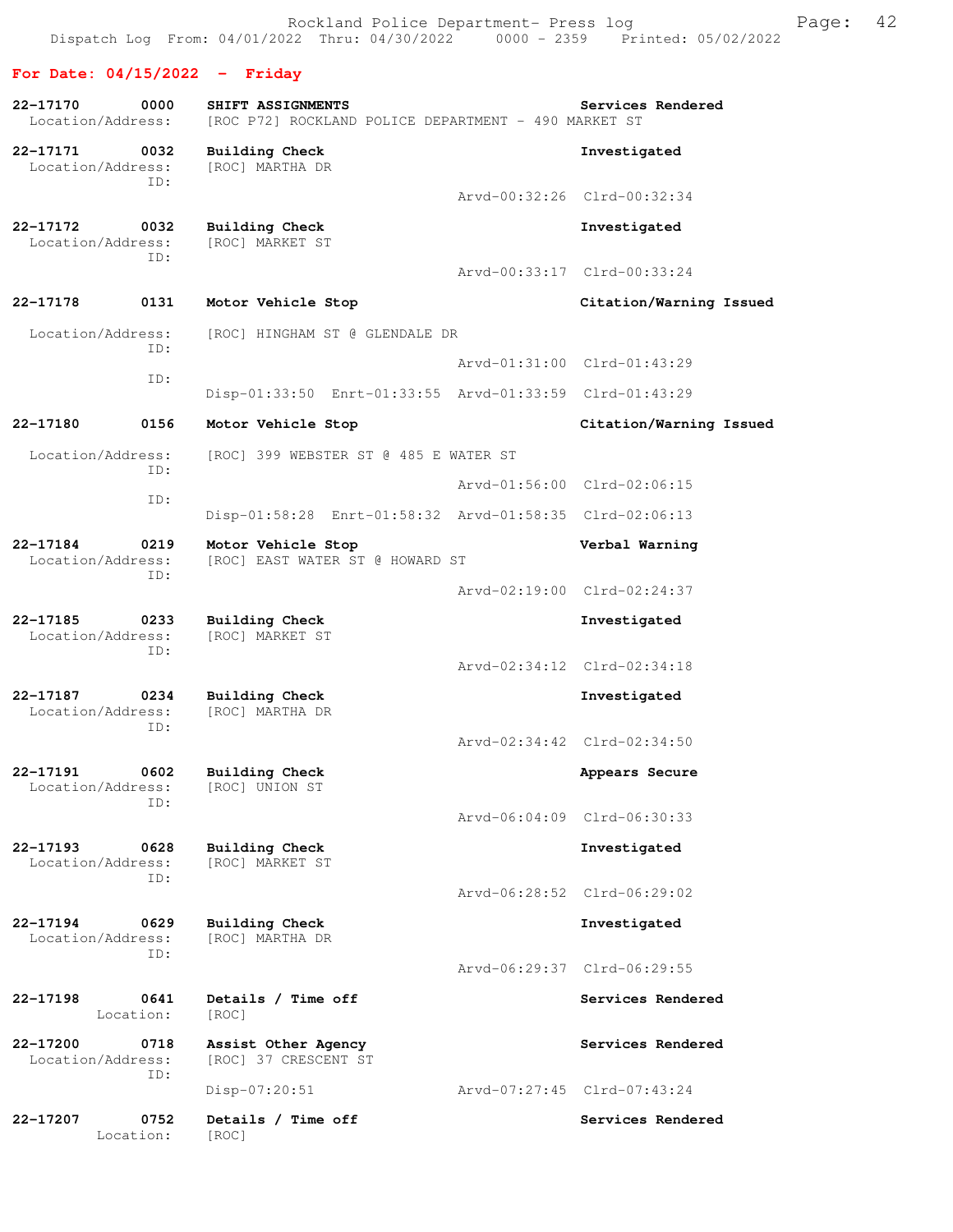**For Date: 04/15/2022 - Friday**

| 22-17170<br>0000<br>Location/Address:        | SHIFT ASSIGNMENTS<br>[ROC P72] ROCKLAND POLICE DEPARTMENT - 490 MARKET ST | Services Rendered           |
|----------------------------------------------|---------------------------------------------------------------------------|-----------------------------|
| 22-17171<br>0032<br>Location/Address:<br>ID: | <b>Building Check</b><br>[ROC] MARTHA DR                                  | Investigated                |
|                                              |                                                                           | Arvd-00:32:26 Clrd-00:32:34 |
| 22-17172<br>0032<br>Location/Address:<br>ID: | <b>Building Check</b><br>[ROC] MARKET ST                                  | Investigated                |
|                                              |                                                                           | Arvd-00:33:17 Clrd-00:33:24 |
| 22-17178<br>0131                             | Motor Vehicle Stop                                                        | Citation/Warning Issued     |
| Location/Address:<br>ID:                     | [ROC] HINGHAM ST @ GLENDALE DR                                            |                             |
| ID:                                          | Arvd-01:31:00                                                             | $Clrd-01:43:29$             |
|                                              | Disp-01:33:50 Enrt-01:33:55 Arvd-01:33:59 Clrd-01:43:29                   |                             |
| 22-17180<br>0156                             | Motor Vehicle Stop                                                        | Citation/Warning Issued     |
| Location/Address:<br>ID:                     | [ROC] 399 WEBSTER ST @ 485 E WATER ST                                     |                             |
| ID:                                          | Arvd-01:56:00                                                             | $Clrd-02:06:15$             |
|                                              | Disp-01:58:28 Enrt-01:58:32 Arvd-01:58:35 Clrd-02:06:13                   |                             |
| 22-17184<br>0219<br>Location/Address:<br>ID: | Motor Vehicle Stop<br>[ROC] EAST WATER ST @ HOWARD ST                     | Verbal Warning              |
|                                              |                                                                           | Arvd-02:19:00 Clrd-02:24:37 |
| 22-17185<br>0233<br>Location/Address:<br>ID: | <b>Building Check</b><br>[ROC] MARKET ST                                  | Investigated                |
|                                              |                                                                           | Arvd-02:34:12 Clrd-02:34:18 |
| 22-17187<br>0234<br>Location/Address:<br>ID: | <b>Building Check</b><br>[ROC] MARTHA DR                                  | Investigated                |
|                                              |                                                                           | Arvd-02:34:42 Clrd-02:34:50 |
| 22-17191<br>0602<br>Location/Address:<br>ID: | <b>Building Check</b><br>[ROC] UNION ST                                   | Appears Secure              |
|                                              |                                                                           | Arvd-06:04:09 Clrd-06:30:33 |
| 22-17193<br>0628<br>Location/Address:<br>ID: | <b>Building Check</b><br>[ROC] MARKET ST                                  | Investigated                |
|                                              | $Arvd - 06:28:52$                                                         | $Clrd-06:29:02$             |
| 22-17194<br>0629<br>Location/Address:<br>ID: | <b>Building Check</b><br>[ROC] MARTHA DR                                  | Investigated                |
|                                              |                                                                           | Arvd-06:29:37 Clrd-06:29:55 |
| 0641<br>22-17198<br>Location:                | Details / Time off<br>[ROC]                                               | Services Rendered           |
| 22-17200<br>0718<br>Location/Address:<br>ID: | Assist Other Agency<br>[ROC] 37 CRESCENT ST                               | Services Rendered           |
|                                              | Disp-07:20:51                                                             | Arvd-07:27:45 Clrd-07:43:24 |
| 0752<br>22-17207<br>Location:                | Details / Time off<br>[ROC]                                               | Services Rendered           |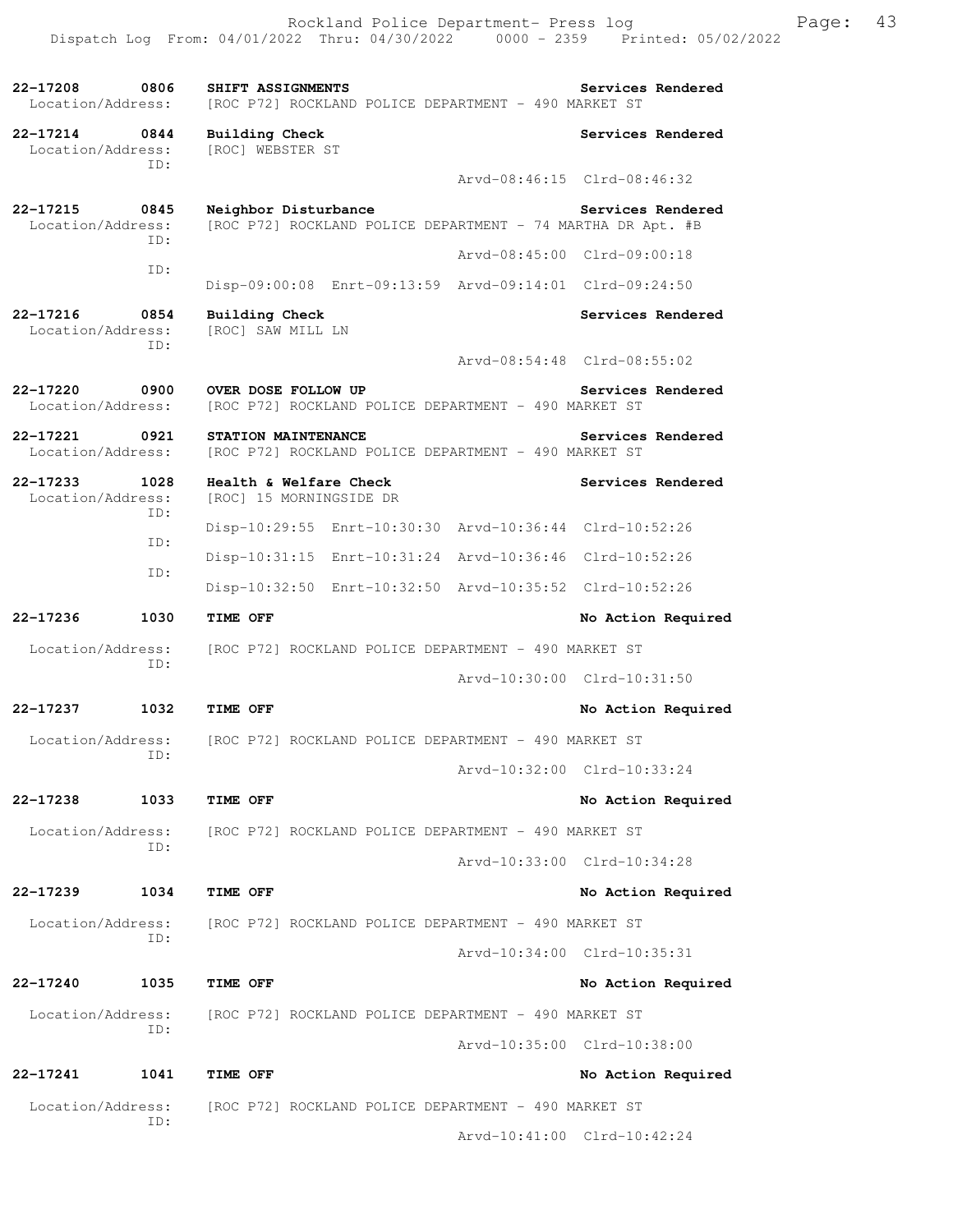Rockland Police Department- Press log Frank Page: 43 Dispatch Log From: 04/01/2022 Thru: 04/30/2022 0000 - 2359 Printed: 05/02/2022

**22-17208 0806 SHIFT ASSIGNMENTS Services Rendered**  Location/Address: [ROC P72] ROCKLAND POLICE DEPARTMENT - 490 MARKET ST **22-17214 0844 Building Check Services Rendered**  Location/Address: [ROC] WEBSTER ST ID: Arvd-08:46:15 Clrd-08:46:32 **22-17215 0845 Neighbor Disturbance Services Rendered**  Location/Address: [ROC P72] ROCKLAND POLICE DEPARTMENT - 74 MARTHA DR Apt. #B ID: Arvd-08:45:00 Clrd-09:00:18 ID: Disp-09:00:08 Enrt-09:13:59 Arvd-09:14:01 Clrd-09:24:50 **22-17216 0854 Building Check Services Rendered**  Location/Address: [ROC] SAW MILL LN ID: Arvd-08:54:48 Clrd-08:55:02 **22-17220 0900 OVER DOSE FOLLOW UP Services Rendered**  Location/Address: [ROC P72] ROCKLAND POLICE DEPARTMENT - 490 MARKET ST **22-17221 0921 STATION MAINTENANCE Services Rendered Services Rendered Location/Address:** [ROC P72] ROCKLAND POLICE DEPARTMENT - 490 MARKET ST [ROC P72] ROCKLAND POLICE DEPARTMENT - 490 MARKET ST **22-17233 1028 Health & Welfare Check Services Rendered** Location/Address: [ROC] 15 MORNINGSIDE DR [ROC] 15 MORNINGSIDE DR ID: Disp-10:29:55 Enrt-10:30:30 Arvd-10:36:44 Clrd-10:52:26 ID: Disp-10:31:15 Enrt-10:31:24 Arvd-10:36:46 Clrd-10:52:26 ID: Disp-10:32:50 Enrt-10:32:50 Arvd-10:35:52 Clrd-10:52:26 **22-17236 1030 TIME OFF No Action Required**  Location/Address: [ROC P72] ROCKLAND POLICE DEPARTMENT - 490 MARKET ST ID: Arvd-10:30:00 Clrd-10:31:50 **22-17237 1032 TIME OFF No Action Required**  Location/Address: [ROC P72] ROCKLAND POLICE DEPARTMENT - 490 MARKET ST ID: Arvd-10:32:00 Clrd-10:33:24 **22-17238 1033 TIME OFF No Action Required**  Location/Address: [ROC P72] ROCKLAND POLICE DEPARTMENT - 490 MARKET ST ID: Arvd-10:33:00 Clrd-10:34:28 **22-17239 1034 TIME OFF No Action Required**  Location/Address: [ROC P72] ROCKLAND POLICE DEPARTMENT - 490 MARKET ST ID: Arvd-10:34:00 Clrd-10:35:31 **22-17240 1035 TIME OFF No Action Required**  Location/Address: [ROC P72] ROCKLAND POLICE DEPARTMENT - 490 MARKET ST ID: Arvd-10:35:00 Clrd-10:38:00 **22-17241 1041 TIME OFF No Action Required**  Location/Address: [ROC P72] ROCKLAND POLICE DEPARTMENT - 490 MARKET ST ID: Arvd-10:41:00 Clrd-10:42:24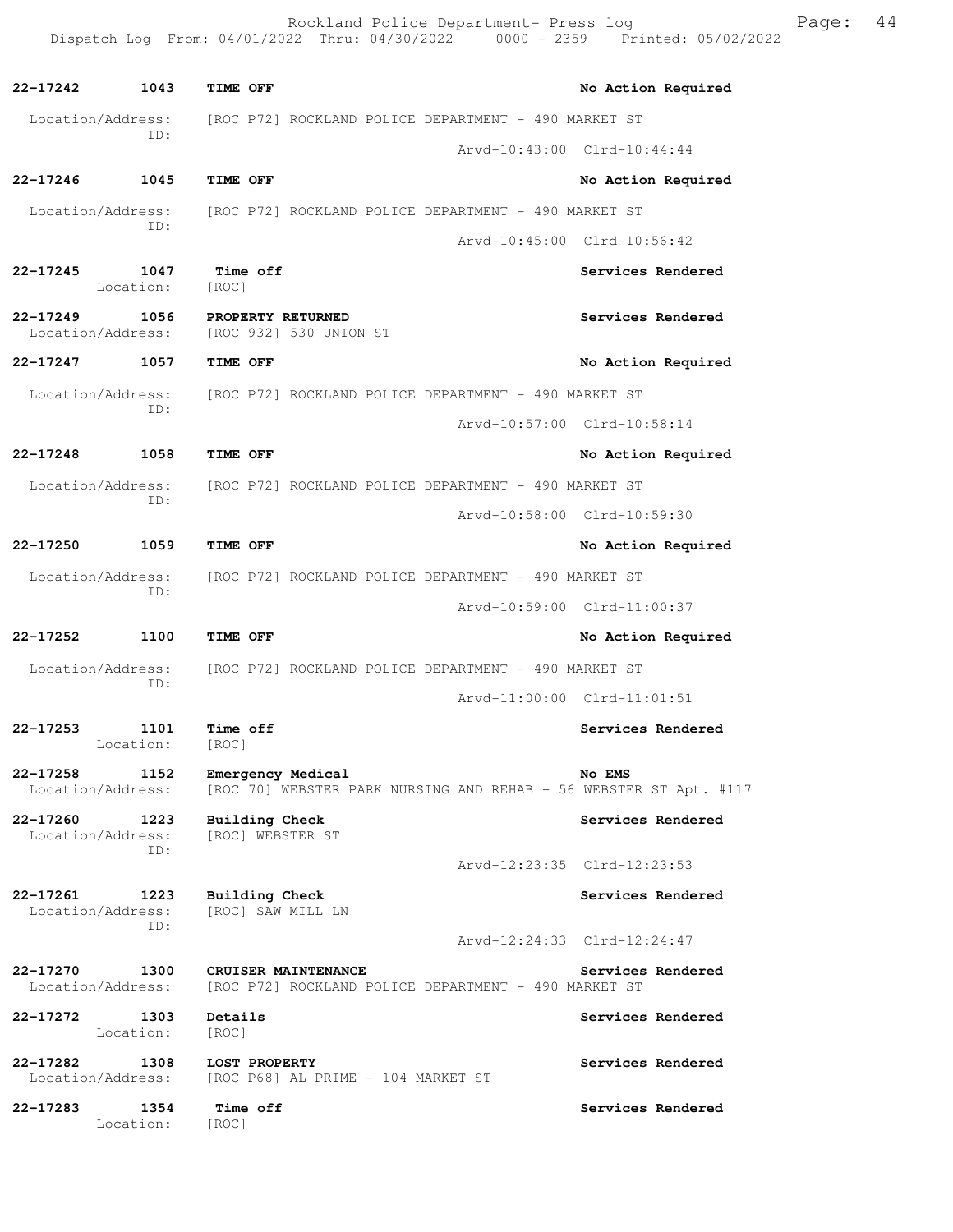Rockland Police Department- Press log Frank Page: 44 Dispatch Log From: 04/01/2022 Thru: 04/30/2022 0000 - 2359 Printed: 05/02/2022

**22-17242 1043 TIME OFF No Action Required**  Location/Address: [ROC P72] ROCKLAND POLICE DEPARTMENT - 490 MARKET ST ID: Arvd-10:43:00 Clrd-10:44:44 **22-17246 1045 TIME OFF No Action Required**  Location/Address: [ROC P72] ROCKLAND POLICE DEPARTMENT - 490 MARKET ST ID: Arvd-10:45:00 Clrd-10:56:42 **22-17245 1047 Time off Services Rendered**  Location: [ROC] **22-17249 1056 PROPERTY RETURNED 1006 Services Rendered** Location/Address: [ROC 932] 530 UNION ST [ROC 932] 530 UNION ST **22-17247 1057 TIME OFF No Action Required**  Location/Address: [ROC P72] ROCKLAND POLICE DEPARTMENT - 490 MARKET ST ID: Arvd-10:57:00 Clrd-10:58:14 **22-17248 1058 TIME OFF No Action Required**  Location/Address: [ROC P72] ROCKLAND POLICE DEPARTMENT - 490 MARKET ST ID: Arvd-10:58:00 Clrd-10:59:30 **22-17250 1059 TIME OFF No Action Required**  Location/Address: [ROC P72] ROCKLAND POLICE DEPARTMENT - 490 MARKET ST ID: Arvd-10:59:00 Clrd-11:00:37 **22-17252 1100 TIME OFF No Action Required**  Location/Address: [ROC P72] ROCKLAND POLICE DEPARTMENT - 490 MARKET ST ID: Arvd-11:00:00 Clrd-11:01:51 **22-17253 1101 Time off Services Rendered**  Location: [ROC] **22-17258 1152 Emergency Medical No EMS**  Location/Address: [ROC 70] WEBSTER PARK NURSING AND REHAB - 56 WEBSTER ST Apt. #117 **22-17260 1223 Building Check Services Rendered**  Location/Address: [ROC] WEBSTER ST ID: Arvd-12:23:35 Clrd-12:23:53 **22-17261 1223 Building Check Services Rendered**  Location/Address: [ROC] SAW MILL LN ID: Arvd-12:24:33 Clrd-12:24:47 **22-17270 1300 CRUISER MAINTENANCE Services Rendered**  Location/Address: [ROC P72] ROCKLAND POLICE DEPARTMENT - 490 MARKET ST **22-17272 1303 Details Services Rendered**  Location: [ROC] **22-17282 1308 LOST PROPERTY Services Rendered**  Location/Address: [ROC P68] AL PRIME - 104 MARKET ST **22-17283 1354 Time off Services Rendered Services Rendered Services Rendered** Location: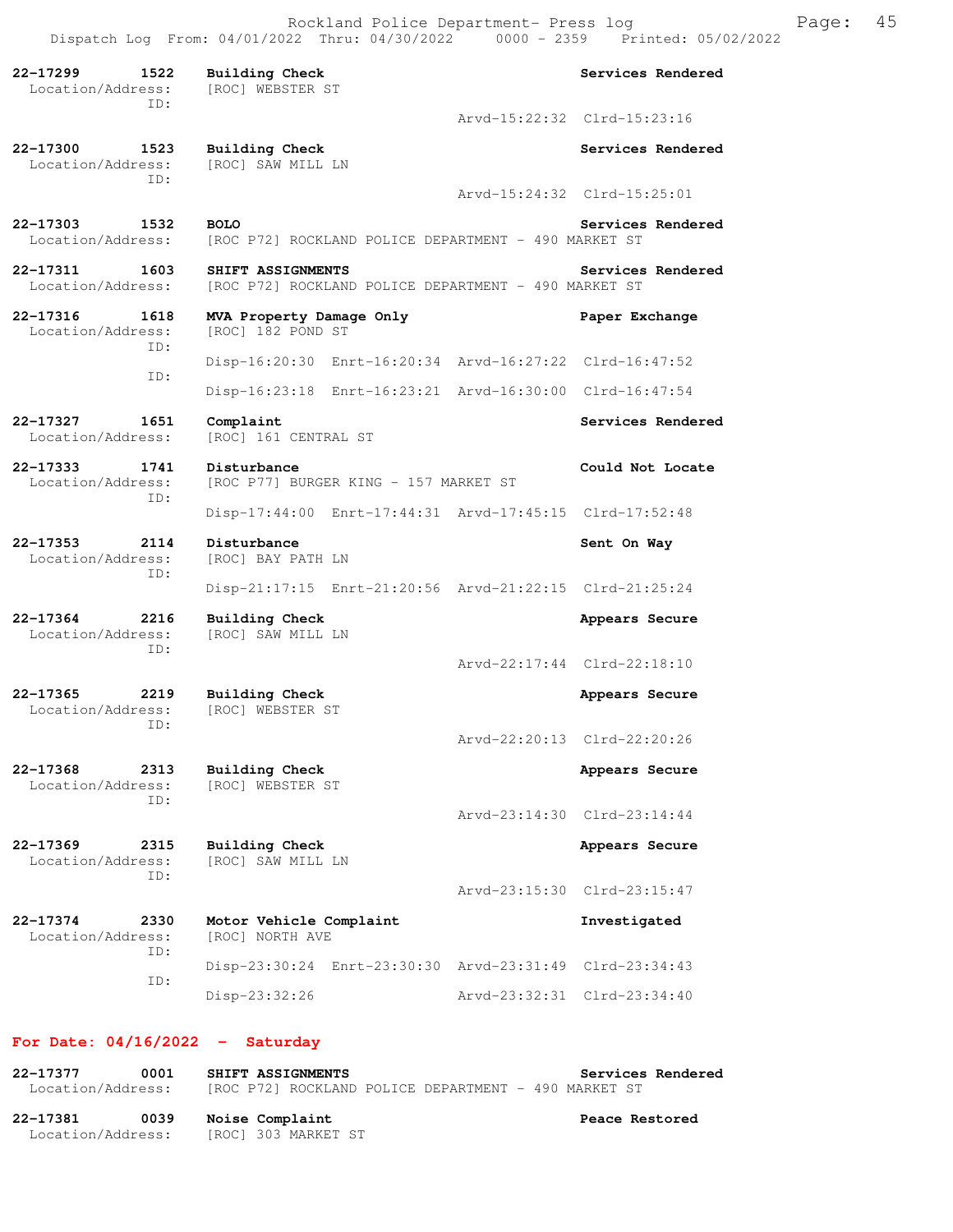**22-17299 1522 Building Check Services Rendered**  Location/Address: [ROC] WEBSTER ST ID: Arvd-15:22:32 Clrd-15:23:16 **22-17300 1523 Building Check Services Rendered** Location/Address: [ROC] SAW MILL LN Location/Address: ID: Arvd-15:24:32 Clrd-15:25:01 **22-17303 1532 BOLO Services Rendered**  [ROC P72] ROCKLAND POLICE DEPARTMENT - 490 MARKET ST **22-17311 1603 SHIFT ASSIGNMENTS Services Rendered**  Location/Address: [ROC P72] ROCKLAND POLICE DEPARTMENT - 490 MARKET ST **22-17316 1618 MVA Property Damage Only Paper Exchange**  Location/Address: [ROC] 182 POND ST ID: Disp-16:20:30 Enrt-16:20:34 Arvd-16:27:22 Clrd-16:47:52 ID: Disp-16:23:18 Enrt-16:23:21 Arvd-16:30:00 Clrd-16:47:54 **22-17327 1651 Complaint Services Rendered** Location/Address: [ROC] 161 CENTRAL ST [ROC] 161 CENTRAL ST **22-17333 1741 Disturbance Could Not Locate**  Location/Address: [ROC P77] BURGER KING - 157 MARKET ST ID: Disp-17:44:00 Enrt-17:44:31 Arvd-17:45:15 Clrd-17:52:48 **22-17353 2114 Disturbance Sent On Way**  Location/Address: [ROC] BAY PATH LN ID: Disp-21:17:15 Enrt-21:20:56 Arvd-21:22:15 Clrd-21:25:24 **22-17364 2216 Building Check Appears Secure**  [ROC] SAW MILL LN ID: Arvd-22:17:44 Clrd-22:18:10 **22-17365 2219 Building Check Appears Secure**  Location/Address: [ROC] WEBSTER ST ID: Arvd-22:20:13 Clrd-22:20:26 **22-17368** 2313 Building Check **Appears Secure** *Location/Address:* [ROC] WEBSTER ST [ROC] WEBSTER ST ID: Arvd-23:14:30 Clrd-23:14:44 **22-17369 2315 Building Check Appears Secure**  Location/Address: ID: Arvd-23:15:30 Clrd-23:15:47 **22-17374 2330 Motor Vehicle Complaint Investigated**  Location/Address: [ROC] NORTH AVE ID: Disp-23:30:24 Enrt-23:30:30 Arvd-23:31:49 Clrd-23:34:43 ID: Disp-23:32:26 Arvd-23:32:31 Clrd-23:34:40

### **For Date: 04/16/2022 - Saturday**

| 22-17377          | 0001 | <b>SHIFT ASSIGNMENTS</b> |  |                                                      |  |  | Services Rendered |
|-------------------|------|--------------------------|--|------------------------------------------------------|--|--|-------------------|
| Location/Address: |      |                          |  | [ROC P72] ROCKLAND POLICE DEPARTMENT - 490 MARKET ST |  |  |                   |

| 22-17381          | 0039 | Noise Complaint     | Peace Restored |
|-------------------|------|---------------------|----------------|
| Location/Address: |      | [ROC] 303 MARKET ST |                |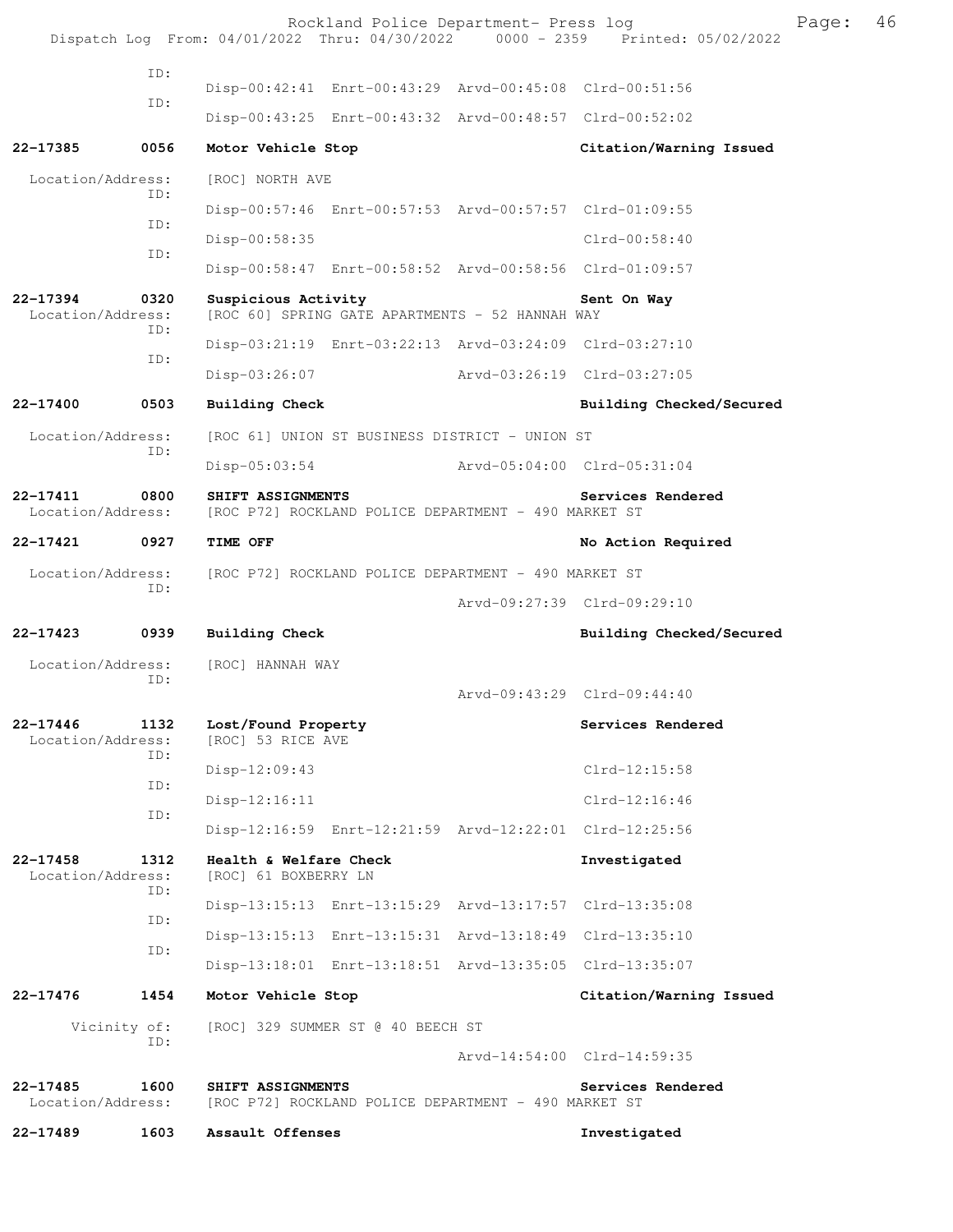| 22-17489                          | 1603        | Assault Offenses                               |                                                         |                             | Investigated                                                                   |       |    |
|-----------------------------------|-------------|------------------------------------------------|---------------------------------------------------------|-----------------------------|--------------------------------------------------------------------------------|-------|----|
| 22-17485<br>Location/Address:     | 1600        | SHIFT ASSIGNMENTS                              | [ROC P72] ROCKLAND POLICE DEPARTMENT - 490 MARKET ST    |                             | Services Rendered                                                              |       |    |
| Vicinity of:                      | ID:         |                                                | [ROC] 329 SUMMER ST @ 40 BEECH ST                       |                             | Arvd-14:54:00 Clrd-14:59:35                                                    |       |    |
| 22-17476                          | 1454        | Motor Vehicle Stop                             |                                                         |                             | Citation/Warning Issued                                                        |       |    |
|                                   |             |                                                | Disp-13:18:01 Enrt-13:18:51 Arvd-13:35:05 Clrd-13:35:07 |                             |                                                                                |       |    |
|                                   | ID:         |                                                | Disp-13:15:13 Enrt-13:15:31 Arvd-13:18:49 Clrd-13:35:10 |                             |                                                                                |       |    |
|                                   | ID:         |                                                | Disp-13:15:13 Enrt-13:15:29 Arvd-13:17:57 Clrd-13:35:08 |                             |                                                                                |       |    |
| $22 - 17458$<br>Location/Address: | 1312<br>ID: | Health & Welfare Check<br>[ROC] 61 BOXBERRY LN |                                                         |                             | Investigated                                                                   |       |    |
|                                   |             |                                                | Disp-12:16:59 Enrt-12:21:59 Arvd-12:22:01 Clrd-12:25:56 |                             |                                                                                |       |    |
|                                   | ID:         | Disp-12:16:11                                  |                                                         |                             | $Clrd-12:16:46$                                                                |       |    |
|                                   | ID:         | $Disp-12:09:43$                                |                                                         |                             | Clrd-12:15:58                                                                  |       |    |
| 22-17446<br>Location/Address:     | 1132<br>ID: | Lost/Found Property<br>[ROC] 53 RICE AVE       |                                                         |                             | Services Rendered                                                              |       |    |
| Location/Address:                 | ID:         | [ROC] HANNAH WAY                               |                                                         |                             | Arvd-09:43:29 Clrd-09:44:40                                                    |       |    |
| 22-17423                          | 0939        | <b>Building Check</b>                          |                                                         |                             | Building Checked/Secured                                                       |       |    |
|                                   |             |                                                |                                                         |                             | Arvd-09:27:39 Clrd-09:29:10                                                    |       |    |
| Location/Address:                 | ID:         |                                                | [ROC P72] ROCKLAND POLICE DEPARTMENT - 490 MARKET ST    |                             |                                                                                |       |    |
| 22-17421                          | 0927        | TIME OFF                                       |                                                         |                             | No Action Required                                                             |       |    |
| 22-17411<br>Location/Address:     | 0800        | SHIFT ASSIGNMENTS                              | [ROC P72] ROCKLAND POLICE DEPARTMENT - 490 MARKET ST    |                             | Services Rendered                                                              |       |    |
|                                   |             | Disp-05:03:54                                  |                                                         | Arvd-05:04:00 Clrd-05:31:04 |                                                                                |       |    |
| Location/Address:                 | ID:         |                                                | [ROC 61] UNION ST BUSINESS DISTRICT - UNION ST          |                             |                                                                                |       |    |
| 22-17400                          | 0503        | <b>Building Check</b>                          |                                                         |                             | Building Checked/Secured                                                       |       |    |
|                                   |             | $Disp-03:26:07$                                |                                                         |                             | Arvd-03:26:19 Clrd-03:27:05                                                    |       |    |
|                                   | ID:<br>ID:  |                                                | Disp-03:21:19 Enrt-03:22:13 Arvd-03:24:09 Clrd-03:27:10 |                             |                                                                                |       |    |
| 22-17394<br>Location/Address:     | 0320        | Suspicious Activity                            | [ROC 60] SPRING GATE APARTMENTS - 52 HANNAH WAY         |                             | Sent On Way                                                                    |       |    |
|                                   | ID:         |                                                | Disp-00:58:47 Enrt-00:58:52 Arvd-00:58:56 Clrd-01:09:57 |                             |                                                                                |       |    |
|                                   | ID:         | Disp-00:58:35                                  |                                                         |                             | Clrd-00:58:40                                                                  |       |    |
| Location/Address:                 | ID:         | [ROC] NORTH AVE                                | Disp-00:57:46 Enrt-00:57:53 Arvd-00:57:57 Clrd-01:09:55 |                             |                                                                                |       |    |
|                                   |             | Motor Vehicle Stop                             |                                                         |                             | Citation/Warning Issued                                                        |       |    |
| 22-17385                          | 0056        |                                                | Disp-00:43:25 Enrt-00:43:32 Arvd-00:48:57 Clrd-00:52:02 |                             |                                                                                |       |    |
|                                   | ID:         |                                                | Disp-00:42:41 Enrt-00:43:29 Arvd-00:45:08 Clrd-00:51:56 |                             |                                                                                |       |    |
|                                   | ID:         |                                                |                                                         |                             |                                                                                |       |    |
|                                   |             |                                                | Rockland Police Department- Press log                   |                             | Dispatch Log From: 04/01/2022 Thru: 04/30/2022 0000 - 2359 Printed: 05/02/2022 | Page: | 46 |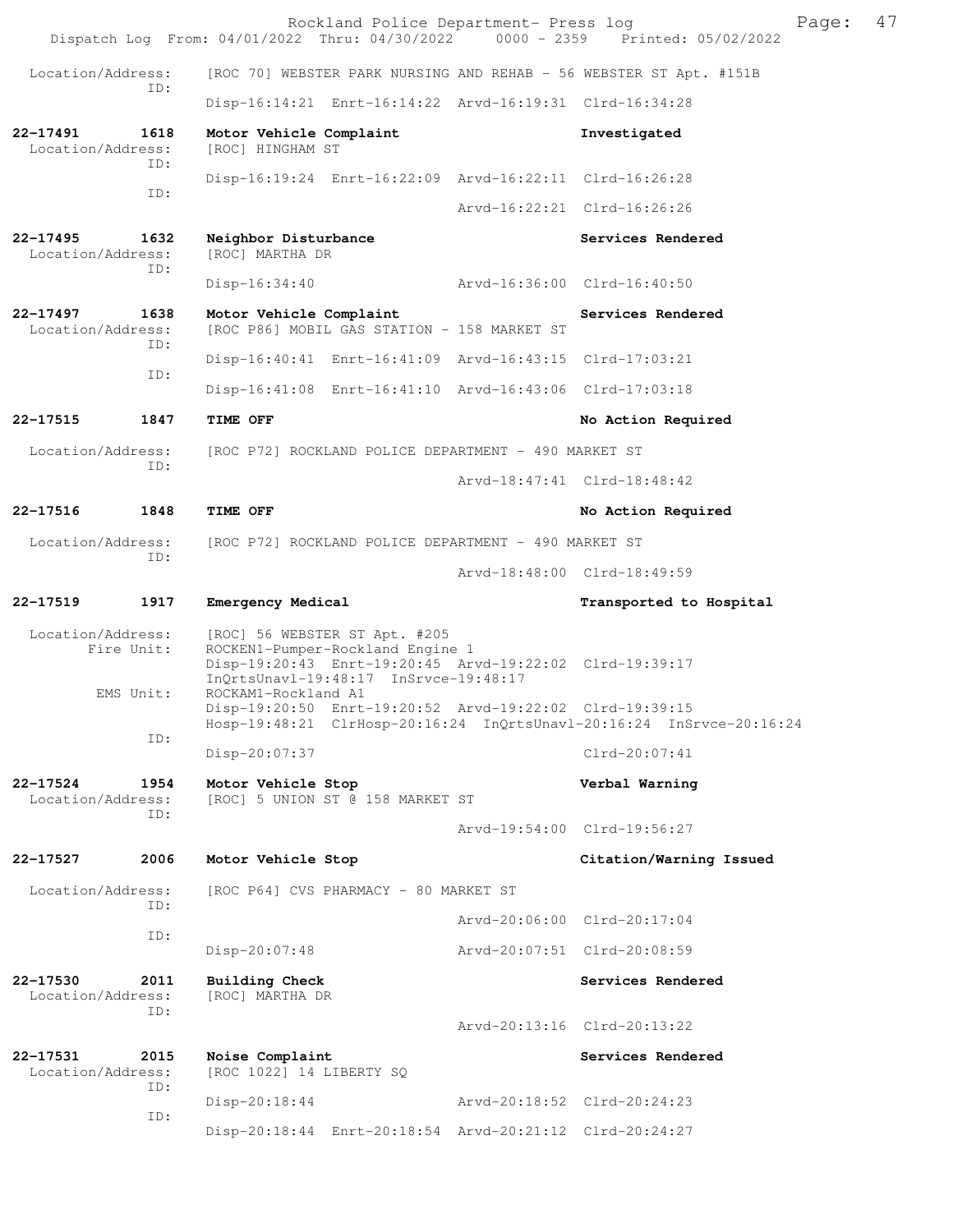|                               |             | Rockland Police Department- Press log<br>Dispatch Log From: 04/01/2022 Thru: 04/30/2022 0000 - 2359 Printed: 05/02/2022                                | Page:                       | 47 |
|-------------------------------|-------------|--------------------------------------------------------------------------------------------------------------------------------------------------------|-----------------------------|----|
| Location/Address:             |             | [ROC 70] WEBSTER PARK NURSING AND REHAB - 56 WEBSTER ST Apt. #151B                                                                                     |                             |    |
|                               | TD:         | Disp-16:14:21 Enrt-16:14:22 Arvd-16:19:31 Clrd-16:34:28                                                                                                |                             |    |
| 22-17491<br>Location/Address: | 1618        | Motor Vehicle Complaint<br>[ROC] HINGHAM ST                                                                                                            | Investigated                |    |
|                               | TD:         | Disp-16:19:24 Enrt-16:22:09 Arvd-16:22:11 Clrd-16:26:28                                                                                                |                             |    |
|                               | ID:         |                                                                                                                                                        | Arvd-16:22:21 Clrd-16:26:26 |    |
| 22-17495<br>Location/Address: | 1632<br>ID: | Neighbor Disturbance<br>[ROC] MARTHA DR                                                                                                                | Services Rendered           |    |
|                               |             | Disp-16:34:40                                                                                                                                          | Arvd-16:36:00 Clrd-16:40:50 |    |
| 22-17497<br>Location/Address: | 1638<br>ID: | Motor Vehicle Complaint<br>[ROC P86] MOBIL GAS STATION - 158 MARKET ST                                                                                 | Services Rendered           |    |
|                               | ID:         | Disp-16:40:41 Enrt-16:41:09 Arvd-16:43:15 Clrd-17:03:21                                                                                                |                             |    |
|                               |             | Disp-16:41:08 Enrt-16:41:10 Arvd-16:43:06 Clrd-17:03:18                                                                                                |                             |    |
| 22-17515                      | 1847        | TIME OFF                                                                                                                                               | No Action Required          |    |
| Location/Address:             | ID:         | [ROC P72] ROCKLAND POLICE DEPARTMENT - 490 MARKET ST                                                                                                   |                             |    |
|                               |             |                                                                                                                                                        | Arvd-18:47:41 Clrd-18:48:42 |    |
| 22-17516                      | 1848        | TIME OFF                                                                                                                                               | No Action Required          |    |
| Location/Address:             | ID:         | [ROC P72] ROCKLAND POLICE DEPARTMENT - 490 MARKET ST                                                                                                   |                             |    |
|                               |             |                                                                                                                                                        | Arvd-18:48:00 Clrd-18:49:59 |    |
| 22-17519                      | 1917        | Emergency Medical                                                                                                                                      | Transported to Hospital     |    |
| Location/Address:             | Fire Unit:  | [ROC] 56 WEBSTER ST Apt. #205<br>ROCKEN1-Pumper-Rockland Engine 1<br>Disp-19:20:43 Enrt-19:20:45 Arvd-19:22:02 Clrd-19:39:17                           |                             |    |
|                               |             | InQrtsUnavl-19:48:17 InSrvce-19:48:17                                                                                                                  |                             |    |
|                               | EMS Unit:   | ROCKAM1-Rockland A1<br>Disp-19:20:50 Enrt-19:20:52 Arvd-19:22:02 Clrd-19:39:15<br>Hosp-19:48:21 ClrHosp-20:16:24 InQrtsUnavl-20:16:24 InSrvce-20:16:24 |                             |    |
|                               | ID:         | Disp-20:07:37                                                                                                                                          | $Clrd-20:07:41$             |    |
| 22-17524<br>Location/Address: | 1954        | Motor Vehicle Stop<br>[ROC] 5 UNION ST @ 158 MARKET ST                                                                                                 | Verbal Warning              |    |
|                               | ID:         |                                                                                                                                                        | Arvd-19:54:00 Clrd-19:56:27 |    |
| $22 - 17527$                  | 2006        | Motor Vehicle Stop                                                                                                                                     | Citation/Warning Issued     |    |
| Location/Address:             |             | [ROC P64] CVS PHARMACY - 80 MARKET ST                                                                                                                  |                             |    |
|                               | ID:         |                                                                                                                                                        | Arvd-20:06:00 Clrd-20:17:04 |    |
|                               | ID:         | Disp-20:07:48                                                                                                                                          | Arvd-20:07:51 Clrd-20:08:59 |    |
| 22-17530<br>Location/Address: | 2011<br>ID: | Building Check<br>[ROC] MARTHA DR                                                                                                                      | Services Rendered           |    |
|                               |             |                                                                                                                                                        | Arvd-20:13:16 Clrd-20:13:22 |    |
| 22-17531<br>Location/Address: | 2015<br>ID: | Noise Complaint<br>[ROC 1022] 14 LIBERTY SQ                                                                                                            | Services Rendered           |    |
|                               | ID:         | Disp-20:18:44                                                                                                                                          | Arvd-20:18:52 Clrd-20:24:23 |    |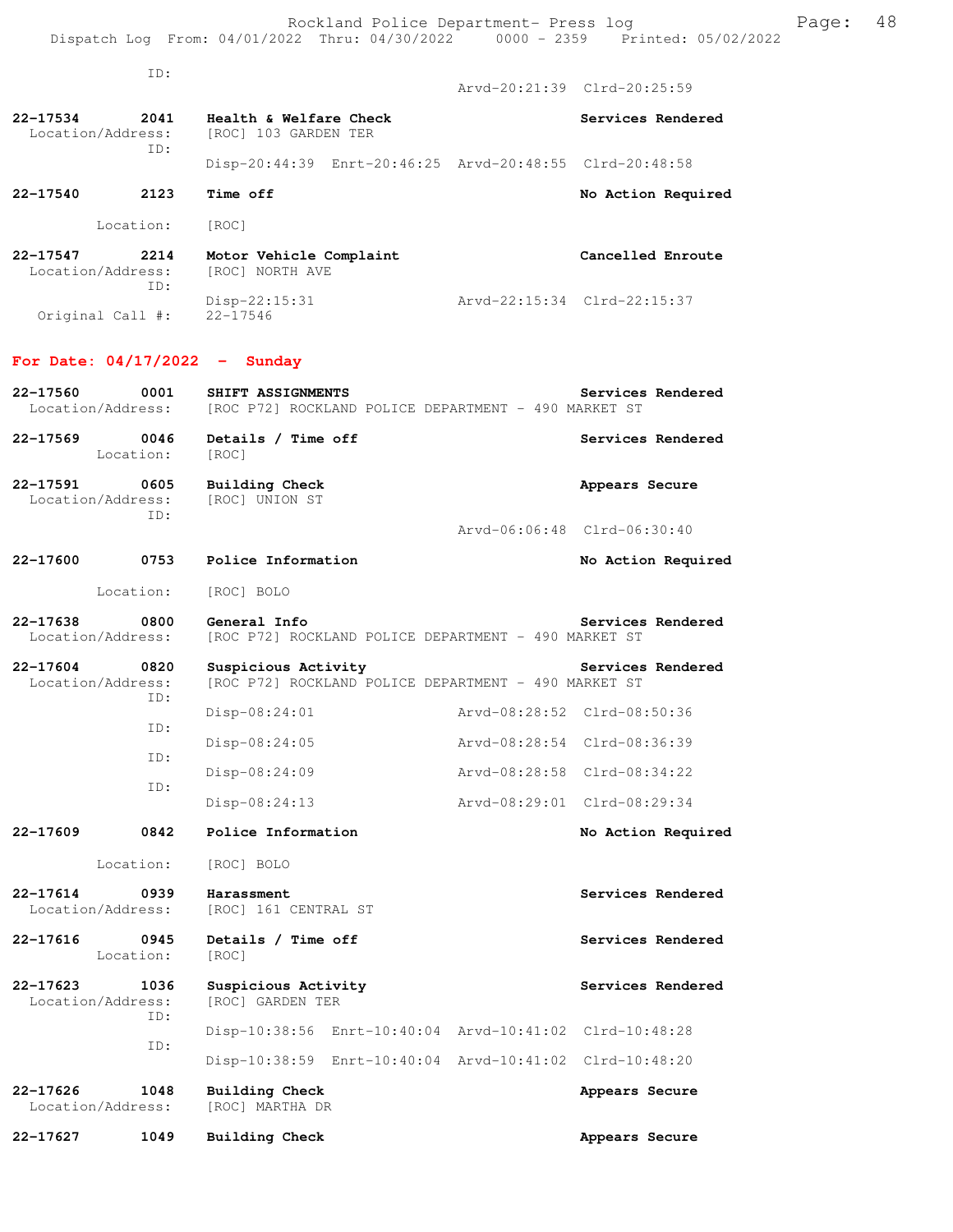Rockland Police Department- Press log entitled and Page: 48 Dispatch Log From: 04/01/2022 Thru: 04/30/2022 0000 - 2359 Printed: 05/02/2022

| TD:                                          |                                                         | Arvd-20:21:39 Clrd-20:25:59 |
|----------------------------------------------|---------------------------------------------------------|-----------------------------|
| 22-17534<br>2041<br>Location/Address:<br>TD: | Health & Welfare Check<br>[ROC] 103 GARDEN TER          | Services Rendered           |
|                                              | Disp-20:44:39 Enrt-20:46:25 Arvd-20:48:55 Clrd-20:48:58 |                             |
| 22-17540<br>2123                             | Time off                                                | No Action Required          |
| Location:                                    | [ROC]                                                   |                             |
| 22-17547<br>2214<br>Location/Address:<br>ID: | Motor Vehicle Complaint<br>[ROC] NORTH AVE              | Cancelled Enroute           |
| Original Call #:                             | $Disp-22:15:31$<br>$22 - 17546$                         | Arvd-22:15:34 Clrd-22:15:37 |

### **For Date: 04/17/2022 - Sunday**

| $101$ Date: $07/17/2022$                     | pullay                                                                      |                             |
|----------------------------------------------|-----------------------------------------------------------------------------|-----------------------------|
| 22-17560<br>0001<br>Location/Address:        | SHIFT ASSIGNMENTS<br>[ROC P72] ROCKLAND POLICE DEPARTMENT - 490 MARKET ST   | Services Rendered           |
| 22-17569<br>0046<br>Location:                | Details / Time off<br>[ROC]                                                 | Services Rendered           |
| 22-17591<br>0605<br>Location/Address:<br>ID: | Building Check<br>[ROC] UNION ST                                            | Appears Secure              |
|                                              |                                                                             | Arvd-06:06:48 Clrd-06:30:40 |
| 22-17600<br>0753                             | Police Information                                                          | No Action Required          |
| Location:                                    | [ROC] BOLO                                                                  |                             |
| 22-17638<br>0800<br>Location/Address:        | General Info<br>[ROC P72] ROCKLAND POLICE DEPARTMENT - 490 MARKET ST        | Services Rendered           |
| $22 - 17604$<br>0820<br>Location/Address:    | Suspicious Activity<br>[ROC P72] ROCKLAND POLICE DEPARTMENT - 490 MARKET ST | Services Rendered           |
| TD:                                          | $Disp-08:24:01$                                                             | Arvd-08:28:52 Clrd-08:50:36 |
| TD:                                          | $Disp-08:24:05$                                                             | Arvd-08:28:54 Clrd-08:36:39 |
| ID:<br>ID:                                   | $Disp-08:24:09$                                                             | Arvd-08:28:58 Clrd-08:34:22 |
|                                              | $Disp-08:24:13$                                                             | Arvd-08:29:01 Clrd-08:29:34 |
| 22-17609<br>0842                             | Police Information                                                          | No Action Required          |
| Location:                                    | [ROC] BOLO                                                                  |                             |
| 22-17614<br>0939<br>Location/Address:        | Harassment<br>[ROC] 161 CENTRAL ST                                          | Services Rendered           |
| 22-17616<br>0945<br>Location:                | Details / Time off<br>[ROC]                                                 | Services Rendered           |
| 22-17623<br>1036<br>Location/Address:<br>TD: | Suspicious Activity<br>[ROC] GARDEN TER                                     | Services Rendered           |
|                                              | Disp-10:38:56 Enrt-10:40:04 Arvd-10:41:02 Clrd-10:48:28                     |                             |
| ID:                                          | Disp-10:38:59 Enrt-10:40:04 Arvd-10:41:02 Clrd-10:48:20                     |                             |
| 22-17626<br>1048<br>Location/Address:        | Building Check<br>[ROC] MARTHA DR                                           | Appears Secure              |
| 22-17627<br>1049                             | <b>Building Check</b>                                                       | Appears Secure              |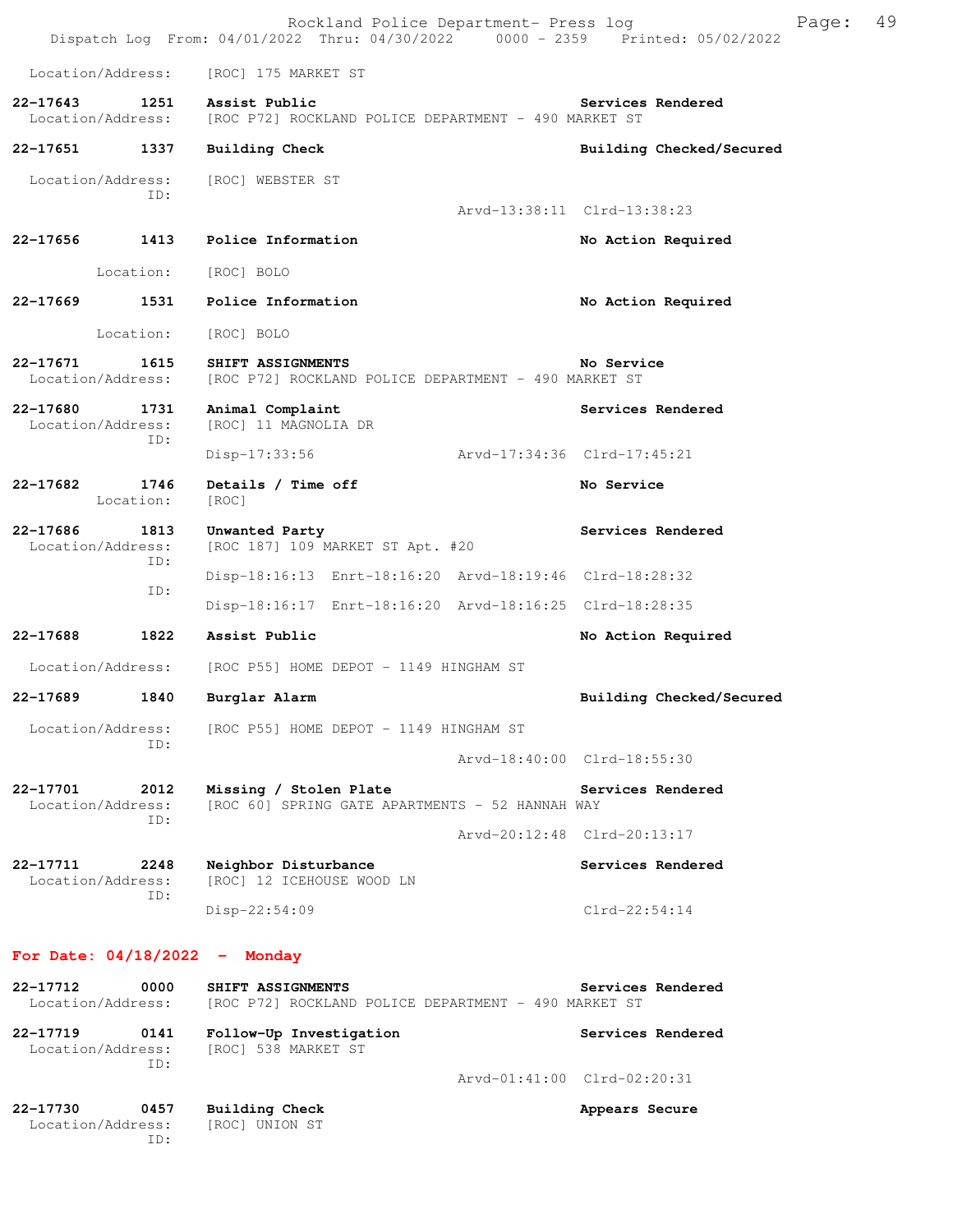|                               |                   | Rockland Police Department- Press log<br>Dispatch Log From: 04/01/2022 Thru: 04/30/2022 0000 - 2359 Printed: 05/02/2022 |                             | Page: | 49 |
|-------------------------------|-------------------|-------------------------------------------------------------------------------------------------------------------------|-----------------------------|-------|----|
| Location/Address:             |                   | [ROC] 175 MARKET ST                                                                                                     |                             |       |    |
| 22-17643<br>Location/Address: | 1251              | Assist Public<br>[ROC P72] ROCKLAND POLICE DEPARTMENT - 490 MARKET ST                                                   | Services Rendered           |       |    |
| 22-17651 1337                 |                   | <b>Building Check</b>                                                                                                   | Building Checked/Secured    |       |    |
| Location/Address:             |                   | [ROC] WEBSTER ST                                                                                                        |                             |       |    |
|                               | ID:               |                                                                                                                         | Arvd-13:38:11 Clrd-13:38:23 |       |    |
| 22-17656                      | 1413              | Police Information                                                                                                      | No Action Required          |       |    |
|                               | Location:         | [ROC] BOLO                                                                                                              |                             |       |    |
| 22-17669                      | 1531              | Police Information                                                                                                      | No Action Required          |       |    |
|                               | Location:         | [ROC] BOLO                                                                                                              |                             |       |    |
| 22-17671<br>Location/Address: | 1615              | SHIFT ASSIGNMENTS<br>[ROC P72] ROCKLAND POLICE DEPARTMENT - 490 MARKET ST                                               | No Service                  |       |    |
| 22-17680<br>Location/Address: | 1731<br>ID:       | Animal Complaint<br>[ROC] 11 MAGNOLIA DR                                                                                | Services Rendered           |       |    |
|                               |                   | Disp-17:33:56                                                                                                           | Arvd-17:34:36 Clrd-17:45:21 |       |    |
| 22-17682                      | 1746<br>Location: | Details / Time off<br>[ROC]                                                                                             | No Service                  |       |    |
| 22-17686<br>Location/Address: | 1813<br>ID:       | Unwanted Party<br>[ROC 187] 109 MARKET ST Apt. #20                                                                      | Services Rendered           |       |    |
|                               | ID:               | Disp-18:16:13 Enrt-18:16:20 Arvd-18:19:46 Clrd-18:28:32                                                                 |                             |       |    |
|                               |                   |                                                                                                                         |                             |       |    |
| 22-17688                      | 1822              | Assist Public                                                                                                           | No Action Required          |       |    |
| Location/Address:             |                   | [ROC P55] HOME DEPOT - 1149 HINGHAM ST                                                                                  |                             |       |    |
| 22-17689                      | 1840              | Burglar Alarm                                                                                                           | Building Checked/Secured    |       |    |
| Location/Address:             | ID:               | [ROC P55] HOME DEPOT - 1149 HINGHAM ST                                                                                  |                             |       |    |
|                               |                   |                                                                                                                         | Arvd-18:40:00 Clrd-18:55:30 |       |    |
| 22-17701<br>Location/Address: | 2012<br>ID:       | Missing / Stolen Plate<br>[ROC 60] SPRING GATE APARTMENTS - 52 HANNAH WAY                                               | Services Rendered           |       |    |
|                               |                   |                                                                                                                         | Arvd-20:12:48 Clrd-20:13:17 |       |    |
| 22-17711<br>Location/Address: | 2248<br>ID:       | Neighbor Disturbance<br>[ROC] 12 ICEHOUSE WOOD LN                                                                       | Services Rendered           |       |    |
|                               |                   | Disp-22:54:09                                                                                                           | $Clrd-22:54:14$             |       |    |
|                               |                   | For Date: $04/18/2022 -$ Monday                                                                                         |                             |       |    |
| 22-17712<br>Location/Address: | 0000              | SHIFT ASSIGNMENTS<br>[ROC P72] ROCKLAND POLICE DEPARTMENT - 490 MARKET ST                                               | Services Rendered           |       |    |
| 22-17719<br>Location/Address: | 0141<br>ID:       | Follow-Up Investigation<br>[ROC] 538 MARKET ST                                                                          | Services Rendered           |       |    |
|                               |                   |                                                                                                                         | Arvd-01:41:00 Clrd-02:20:31 |       |    |
| 22-17730<br>Location/Address: | 0457              | <b>Building Check</b><br>[ROC] UNION ST                                                                                 | Appears Secure              |       |    |

ID: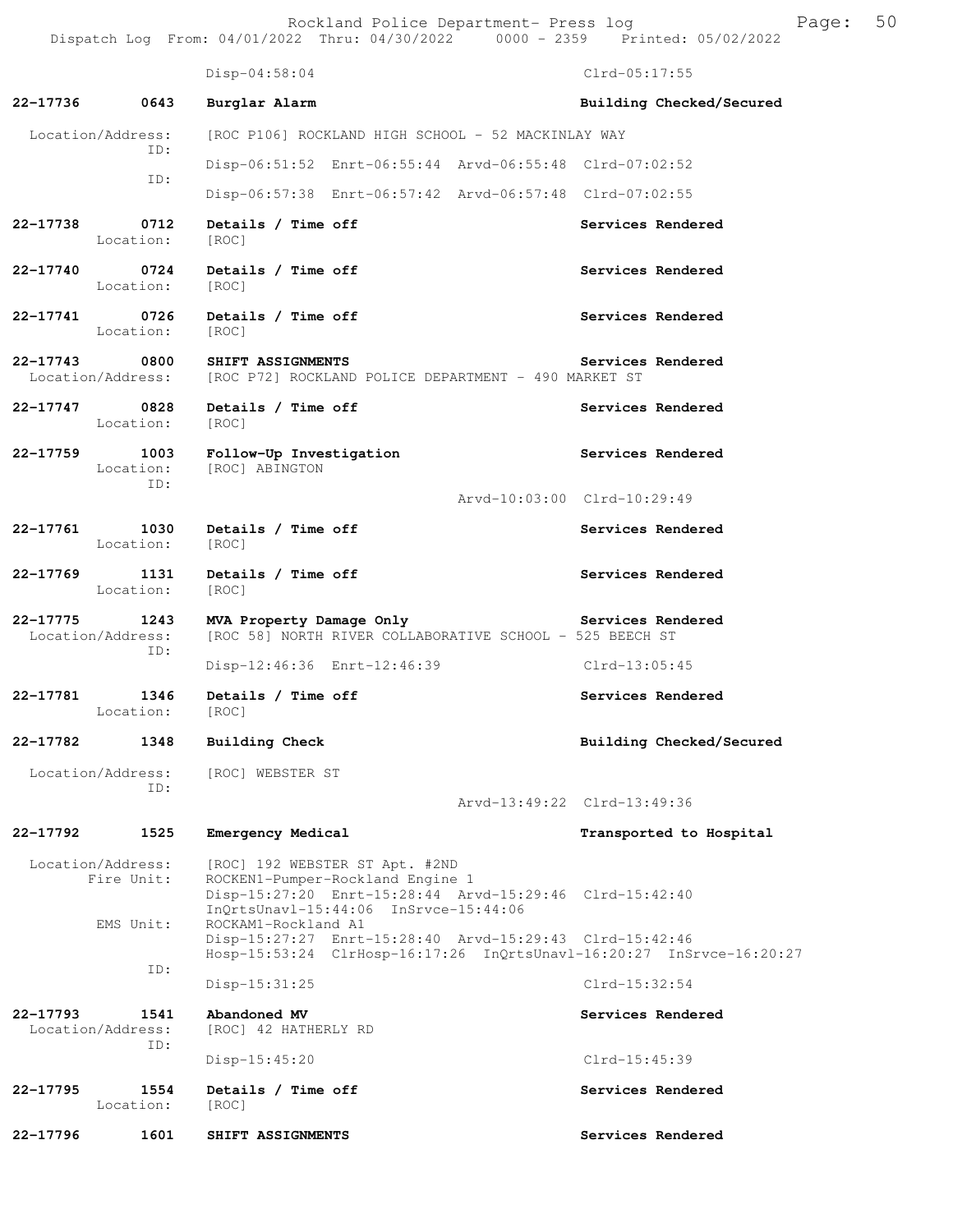Rockland Police Department- Press log Freed Page: 50 Dispatch Log From: 04/01/2022 Thru: 04/30/2022 0000 - 2359 Printed: 05/02/2022

 Disp-04:58:04 Clrd-05:17:55 **22-17736 0643 Burglar Alarm Building Checked/Secured**  Location/Address: [ROC P106] ROCKLAND HIGH SCHOOL - 52 MACKINLAY WAY ID: Disp-06:51:52 Enrt-06:55:44 Arvd-06:55:48 Clrd-07:02:52 ID: Disp-06:57:38 Enrt-06:57:42 Arvd-06:57:48 Clrd-07:02:55 **22-17738 0712 Details / Time off Services Rendered**  Location: [ROC] **22-17740 0724 Details / Time off Services Rendered**  Location: [ROC] **22-17741 0726 Details / Time off Services Rendered**  Location: [ROC] **22-17743** 0800 SHIFT ASSIGNMENTS Services Rendered Location/Address: [ROC P72] ROCKLAND POLICE DEPARTMENT - 490 MARKET ST [ROC P72] ROCKLAND POLICE DEPARTMENT - 490 MARKET ST 22-17747 0828 Details / Time off Services Rendered Location: [ROC] **22-17759 1003 Follow-Up Investigation Services Rendered**  Location: [ROC] ABINGTON ID: Arvd-10:03:00 Clrd-10:29:49 **22-17761 1030 Details / Time off Services Rendered**  Location: [ROC] 22-17769 1131 Details / Time off **Services Rendered**  Location: [ROC] **22-17775 1243 MVA Property Damage Only Services Rendered**  Location/Address: [ROC 58] NORTH RIVER COLLABORATIVE SCHOOL - 525 BEECH ST ID: Disp-12:46:36 Enrt-12:46:39 Clrd-13:05:45 **22-17781 1346 Details / Time off Services Rendered**  Location: [ROC] **22-17782 1348 Building Check Building Checked/Secured**  Location/Address: [ROC] WEBSTER ST ID: Arvd-13:49:22 Clrd-13:49:36 **22-17792 1525 Emergency Medical Transported to Hospital**  Location/Address: [ROC] 192 WEBSTER ST Apt. #2ND ROCKEN1-Pumper-Rockland Engine 1 Disp-15:27:20 Enrt-15:28:44 Arvd-15:29:46 Clrd-15:42:40 InQrtsUnavl-15:44:06 InSrvce-15:44:06 EMS Unit: ROCKAM1-Rockland A1 Disp-15:27:27 Enrt-15:28:40 Arvd-15:29:43 Clrd-15:42:46 Hosp-15:53:24 ClrHosp-16:17:26 InQrtsUnavl-16:20:27 InSrvce-16:20:27 ID: Disp-15:31:25 Clrd-15:32:54 **22-17793 1541 Abandoned MV Services Rendered**  Location/Address: [ROC] 42 HATHERLY RD ID: Disp-15:45:20 Clrd-15:45:39 22-17795 1554 Details / Time off **Services Rendered**  Location: [ROC] **22-17796 1601 SHIFT ASSIGNMENTS Services Rendered**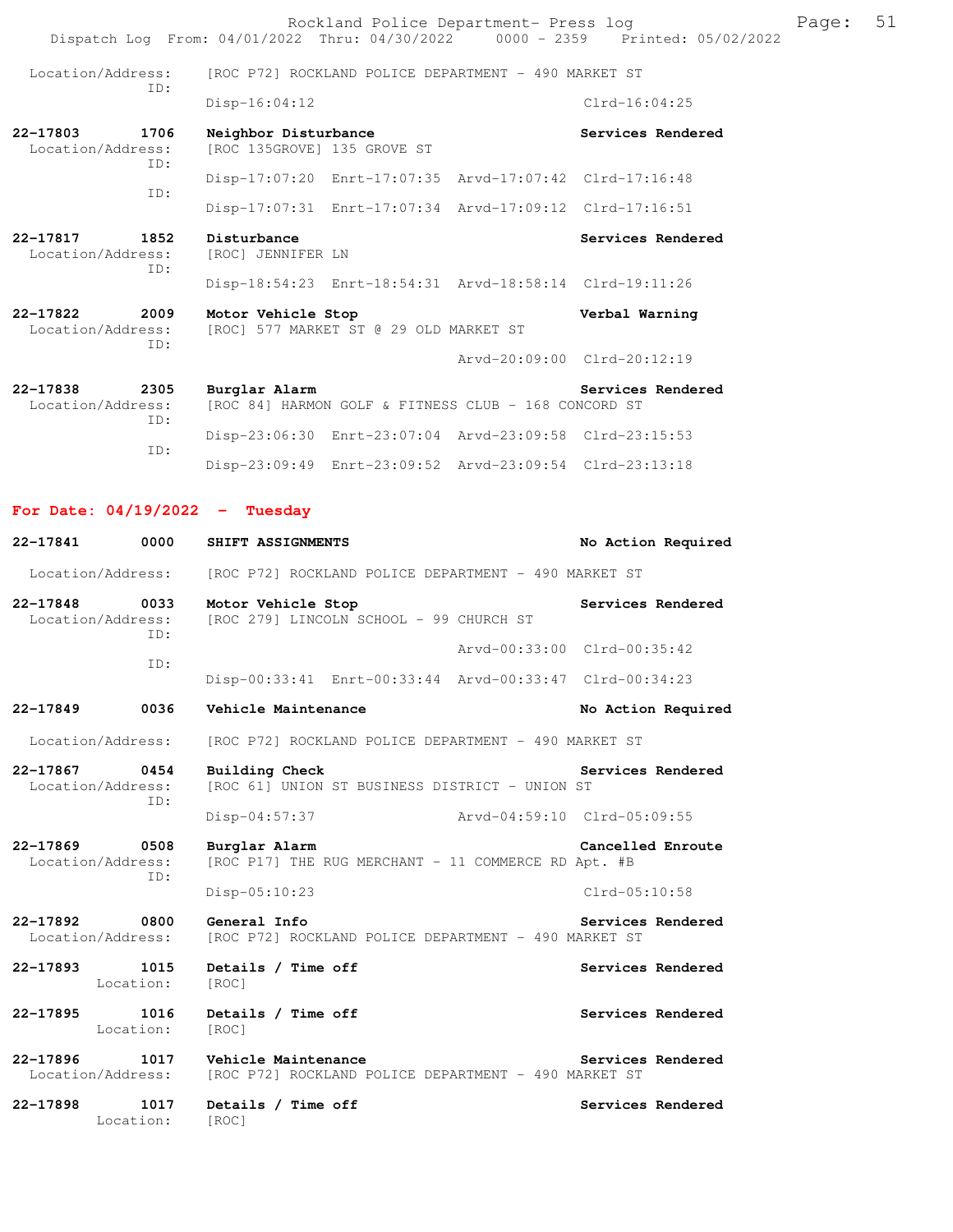Location/Address: [ROC P72] ROCKLAND POLICE DEPARTMENT - 490 MARKET ST ID: Disp-16:04:12 Clrd-16:04:25 **22-17803** 1706 Neighbor Disturbance<br>
Location/Address: [ROC 135GROVE] 135 GROVE ST [ROC 135GROVE] 135 GROVE ST ID: Disp-17:07:20 Enrt-17:07:35 Arvd-17:07:42 Clrd-17:16:48 ID: Disp-17:07:31 Enrt-17:07:34 Arvd-17:09:12 Clrd-17:16:51 **22-17817 1852 Disturbance Services Rendered**  Location/Address: [ROC] JENNIFER LN ID: Disp-18:54:23 Enrt-18:54:31 Arvd-18:58:14 Clrd-19:11:26

**22-17822 2009 Motor Vehicle Stop Verbal Warning**  [ROC] 577 MARKET ST @ 29 OLD MARKET ST ID: Arvd-20:09:00 Clrd-20:12:19

**22-17838 2305 Burglar Alarm Services Rendered**  [ROC 84] HARMON GOLF & FITNESS CLUB - 168 CONCORD ST ID: Disp-23:06:30 Enrt-23:07:04 Arvd-23:09:58 Clrd-23:15:53 ID: Disp-23:09:49 Enrt-23:09:52 Arvd-23:09:54 Clrd-23:13:18

#### **For Date: 04/19/2022 - Tuesday**

| 22-17841                           | 0000      | SHIFT ASSIGNMENTS                                                           |                             | No Action Required |
|------------------------------------|-----------|-----------------------------------------------------------------------------|-----------------------------|--------------------|
|                                    |           | Location/Address: [ROC P72] ROCKLAND POLICE DEPARTMENT - 490 MARKET ST      |                             |                    |
| 22-17848 0033<br>Location/Address: | TD:       | Motor Vehicle Stop<br>[ROC 279] LINCOLN SCHOOL - 99 CHURCH ST               |                             | Services Rendered  |
|                                    | TD:       |                                                                             | Arvd-00:33:00 Clrd-00:35:42 |                    |
|                                    |           | Disp-00:33:41 Enrt-00:33:44 Arvd-00:33:47 Clrd-00:34:23                     |                             |                    |
| 22-17849                           | 0036      | Vehicle Maintenance                                                         |                             | No Action Required |
| Location/Address:                  |           | [ROC P72] ROCKLAND POLICE DEPARTMENT - 490 MARKET ST                        |                             |                    |
| 22-17867 0454<br>Location/Address: | TD:       | <b>Building Check</b><br>[ROC 61] UNION ST BUSINESS DISTRICT - UNION ST     |                             | Services Rendered  |
|                                    |           | Disp-04:57:37                                                               | Arvd-04:59:10 Clrd-05:09:55 |                    |
| 22-17869 0508<br>Location/Address: | ID:       | Burglar Alarm<br>[ROC P17] THE RUG MERCHANT - 11 COMMERCE RD Apt. #B        |                             | Cancelled Enroute  |
|                                    |           | Disp-05:10:23                                                               |                             | Clrd-05:10:58      |
| 22-17892 0800<br>Location/Address: |           | General Info<br>[ROC P72] ROCKLAND POLICE DEPARTMENT - 490 MARKET ST        |                             | Services Rendered  |
| 22-17893 1015                      | Location: | Details / Time off<br>[ROC]                                                 |                             | Services Rendered  |
| 22-17895 1016                      | Location: | Details / Time off<br>[ROC]                                                 |                             | Services Rendered  |
| 22-17896 1017<br>Location/Address: |           | Vehicle Maintenance<br>[ROC P72] ROCKLAND POLICE DEPARTMENT - 490 MARKET ST |                             | Services Rendered  |
| 22-17898 1017                      | Location: | Details / Time off<br>[ROC]                                                 |                             | Services Rendered  |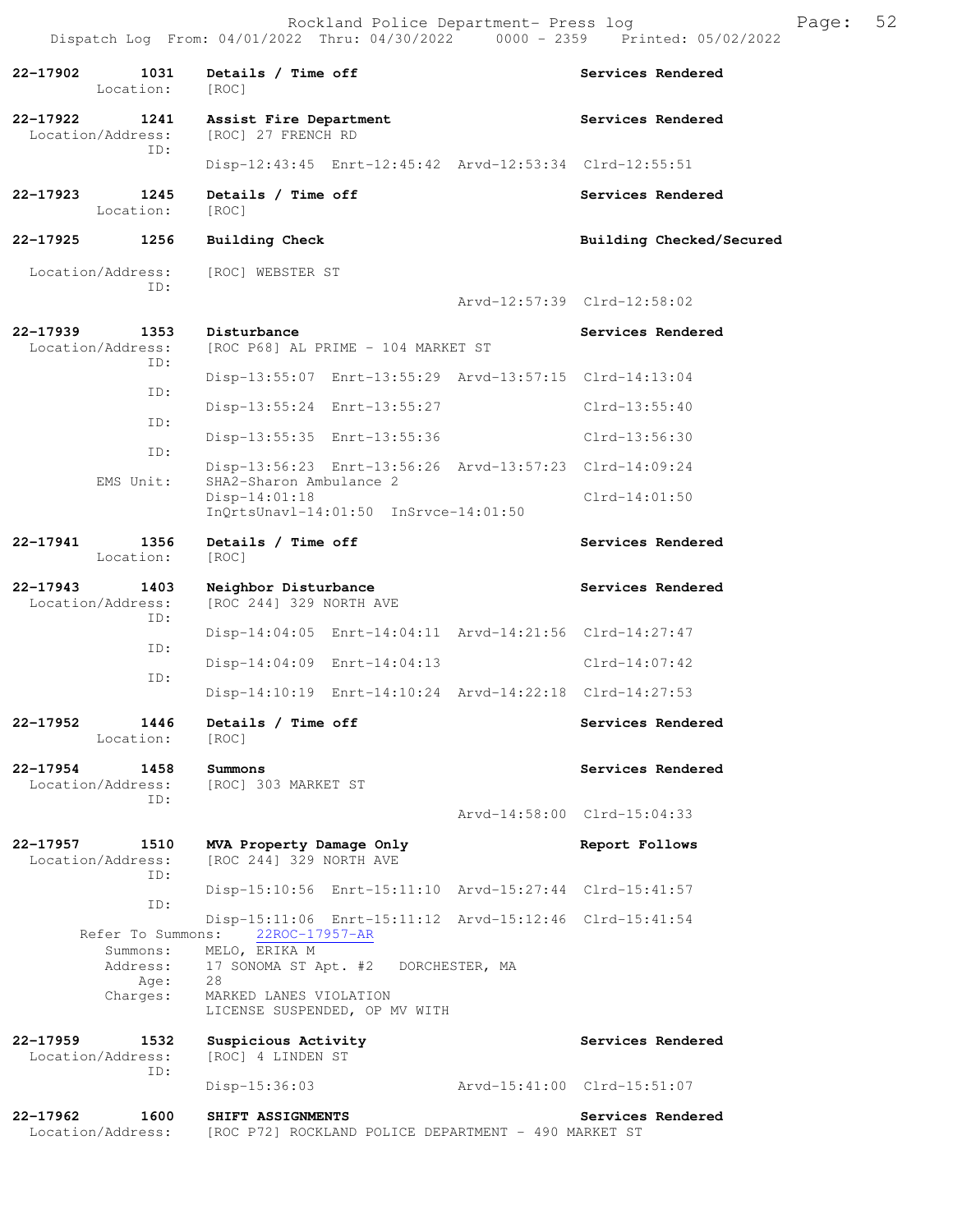Rockland Police Department- Press log Freed Page: 52 Dispatch Log From: 04/01/2022 Thru: 04/30/2022 0000 - 2359 Printed: 05/02/2022

22-17902 1031 Details / Time off **Services Rendered**  Location: [ROC] **22-17922 1241 Assist Fire Department Services Rendered**  Location/Address: [ROC] 27 FRENCH RD ID: Disp-12:43:45 Enrt-12:45:42 Arvd-12:53:34 Clrd-12:55:51 22-17923 1245 Details / Time off **Services Rendered**  Location: [ROC] **22-17925 1256 Building Check Building Checked/Secured**  Location/Address: [ROC] WEBSTER ST ID: Arvd-12:57:39 Clrd-12:58:02 **22-17939 1353 Disturbance Services Rendered**  Location/Address: [ROC P68] AL PRIME - 104 MARKET ST ID: Disp-13:55:07 Enrt-13:55:29 Arvd-13:57:15 Clrd-14:13:04 ID: Disp-13:55:24 Enrt-13:55:27 Clrd-13:55:40 ID: Disp-13:55:35 Enrt-13:55:36 Clrd-13:56:30 ID: Disp-13:56:23 Enrt-13:56:26 Arvd-13:57:23 Clrd-14:09:24 EMS Unit: SHA2-Sharon Ambulance 2<br>Disp-14:01:18 Clrd-14:01:50 InQrtsUnavl-14:01:50 InSrvce-14:01:50 22-17941 1356 Details / Time off **Services Rendered**  Location: [ROC] **22-17943 1403 Neighbor Disturbance Services Rendered**  Location/Address: [ROC 244] 329 NORTH AVE ID: Disp-14:04:05 Enrt-14:04:11 Arvd-14:21:56 Clrd-14:27:47 ID: Disp-14:04:09 Enrt-14:04:13 Clrd-14:07:42 ID: Disp-14:10:19 Enrt-14:10:24 Arvd-14:22:18 Clrd-14:27:53 22-17952 1446 Details / Time off **Services Rendered**  Location: [ROC] **22-17954 1458 Summons Services Rendered**  Location/Address: [ROC] 303 MARKET ST ID: Arvd-14:58:00 Clrd-15:04:33 **22-17957 1510 MVA Property Damage Only Report Follows**  Location/Address: [ROC 244] 329 NORTH AVE ID: Disp-15:10:56 Enrt-15:11:10 Arvd-15:27:44 Clrd-15:41:57 ID: Disp-15:11:06 Enrt-15:11:12 Arvd-15:12:46 Clrd-15:41:54 Refer To Summons: 22ROC-17957-AR Summons: MELO, ERIKA M Address: 17 SONOMA ST Apt. #2 DORCHESTER, MA Age: 28 Charges: MARKED LANES VIOLATION LICENSE SUSPENDED, OP MV WITH 22-17959 1532 Suspicious Activity **1532** Suspicious Activity **Services Rendered** Location/Address: [ROC] 4 LINDEN ST ID: Disp-15:36:03 Arvd-15:41:00 Clrd-15:51:07 **22-17962 1600 SHIFT ASSIGNMENTS Services Rendered**  Location/Address: [ROC P72] ROCKLAND POLICE DEPARTMENT - 490 MARKET ST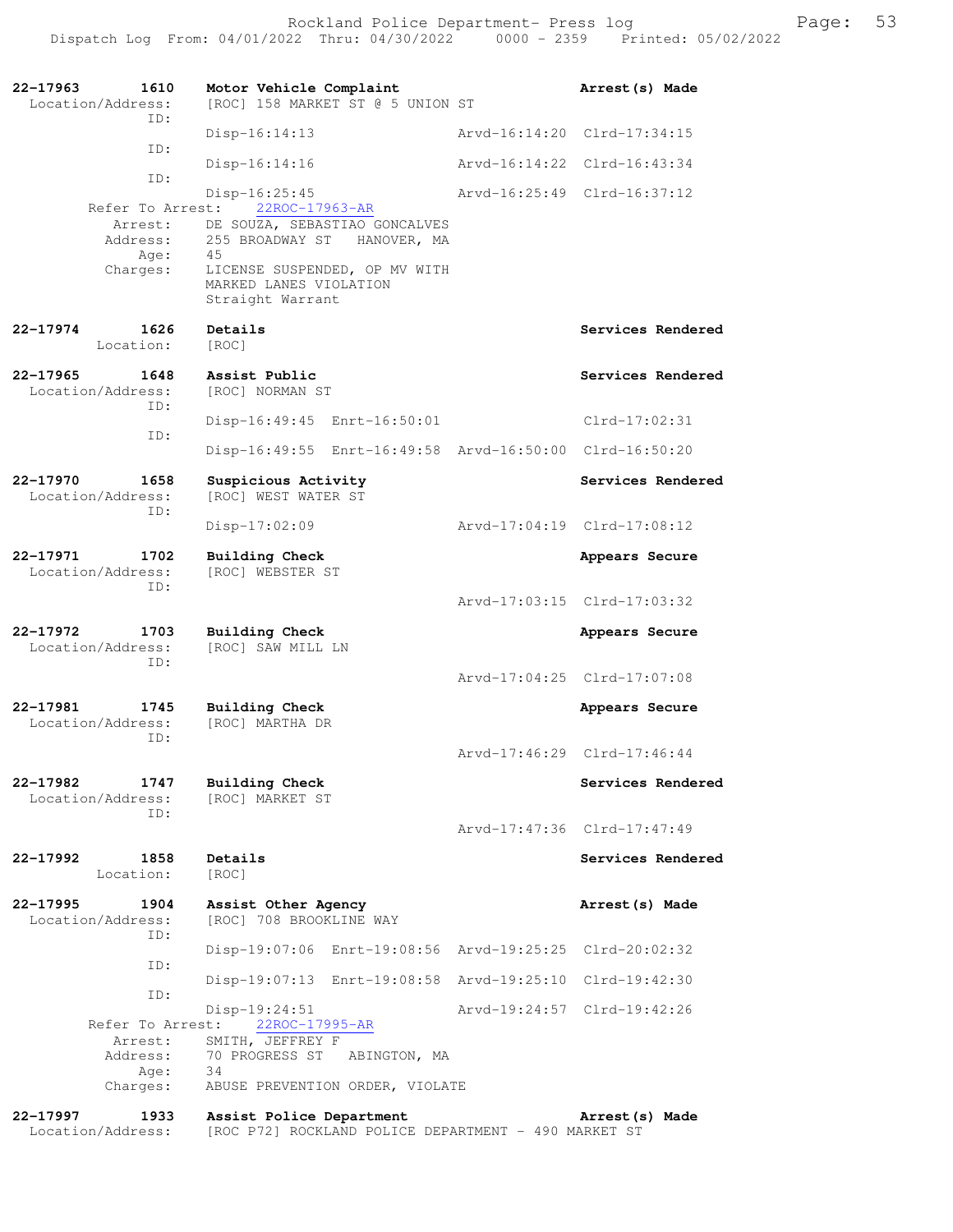Rockland Police Department- Press log entitled and Page: 53 Dispatch Log From: 04/01/2022 Thru: 04/30/2022 0000 - 2359 Printed: 05/02/2022

| 22-17963<br>1610<br>Location/Address:            | Motor Vehicle Complaint<br>[ROC] 158 MARKET ST @ 5 UNION ST                                                                                                                                                | Arrest (s) Made             |
|--------------------------------------------------|------------------------------------------------------------------------------------------------------------------------------------------------------------------------------------------------------------|-----------------------------|
| ID:                                              | $Disp-16:14:13$                                                                                                                                                                                            | Arvd-16:14:20 Clrd-17:34:15 |
| TD:                                              | Disp-16:14:16                                                                                                                                                                                              | Arvd-16:14:22 Clrd-16:43:34 |
| ID:<br>Arrest:<br>Address:<br>Age:<br>Charges:   | $Disp-16:25:45$<br>Refer To Arrest: 22ROC-17963-AR<br>DE SOUZA, SEBASTIAO GONCALVES<br>255 BROADWAY ST<br>HANOVER, MA<br>45<br>LICENSE SUSPENDED, OP MV WITH<br>MARKED LANES VIOLATION<br>Straight Warrant | Arvd-16:25:49 Clrd-16:37:12 |
| 22-17974<br>1626<br>Location:                    | Details<br>[ROC]                                                                                                                                                                                           | Services Rendered           |
| 22-17965<br>1648<br>Location/Address:<br>ID:     | Assist Public<br>[ROC] NORMAN ST                                                                                                                                                                           | Services Rendered           |
| ID:                                              | Disp-16:49:45 Enrt-16:50:01                                                                                                                                                                                | $Clrd-17:02:31$             |
|                                                  | Disp-16:49:55 Enrt-16:49:58 Arvd-16:50:00 Clrd-16:50:20                                                                                                                                                    |                             |
| 22-17970<br>1658<br>Location/Address:<br>ID:     | Suspicious Activity<br>[ROC] WEST WATER ST                                                                                                                                                                 | Services Rendered           |
|                                                  | Disp-17:02:09                                                                                                                                                                                              | Arvd-17:04:19 Clrd-17:08:12 |
| 22-17971<br>1702<br>Location/Address:<br>TD:     | <b>Building Check</b><br>[ROC] WEBSTER ST                                                                                                                                                                  | Appears Secure              |
|                                                  |                                                                                                                                                                                                            | Arvd-17:03:15 Clrd-17:03:32 |
| 22-17972<br>1703<br>Location/Address:<br>ID:     | <b>Building Check</b><br>[ROC] SAW MILL LN                                                                                                                                                                 | Appears Secure              |
|                                                  |                                                                                                                                                                                                            | Arvd-17:04:25 Clrd-17:07:08 |
| 22-17981<br>1745<br>Location/Address:<br>TD:     | <b>Building Check</b><br><b>[ROC] MARTHA DR</b>                                                                                                                                                            | Appears Secure              |
|                                                  |                                                                                                                                                                                                            | Arvd-17:46:29 Clrd-17:46:44 |
| 22-17982<br>1747<br>Location/Address:<br>TD:     | Building Check<br>[ROC] MARKET ST                                                                                                                                                                          | Services Rendered           |
|                                                  |                                                                                                                                                                                                            | Arvd-17:47:36 Clrd-17:47:49 |
| 22-17992<br>1858<br>Location:                    | Details<br>[ROC]                                                                                                                                                                                           | Services Rendered           |
| $22 - 17995$<br>1904<br>Location/Address:<br>ID: | Assist Other Agency<br>[ROC] 708 BROOKLINE WAY                                                                                                                                                             | Arrest (s) Made             |
| ID:                                              | Disp-19:07:06 Enrt-19:08:56 Arvd-19:25:25 Clrd-20:02:32                                                                                                                                                    |                             |
| ID:                                              | Disp-19:07:13 Enrt-19:08:58 Arvd-19:25:10                                                                                                                                                                  | $Clrd-19:42:30$             |
| Refer To Arrest:                                 | Disp-19:24:51<br>22ROC-17995-AR                                                                                                                                                                            | Arvd-19:24:57 Clrd-19:42:26 |
| Arrest:<br>Address:<br>Age:                      | SMITH, JEFFREY F<br>70 PROGRESS ST<br>ABINGTON, MA<br>34                                                                                                                                                   |                             |
| Charges:                                         | ABUSE PREVENTION ORDER, VIOLATE                                                                                                                                                                            |                             |
| $22 - 17997$<br>1933<br>Location/Address:        | Assist Police Department<br>[ROC P72] ROCKLAND POLICE DEPARTMENT - 490 MARKET ST                                                                                                                           | Arrest (s) Made             |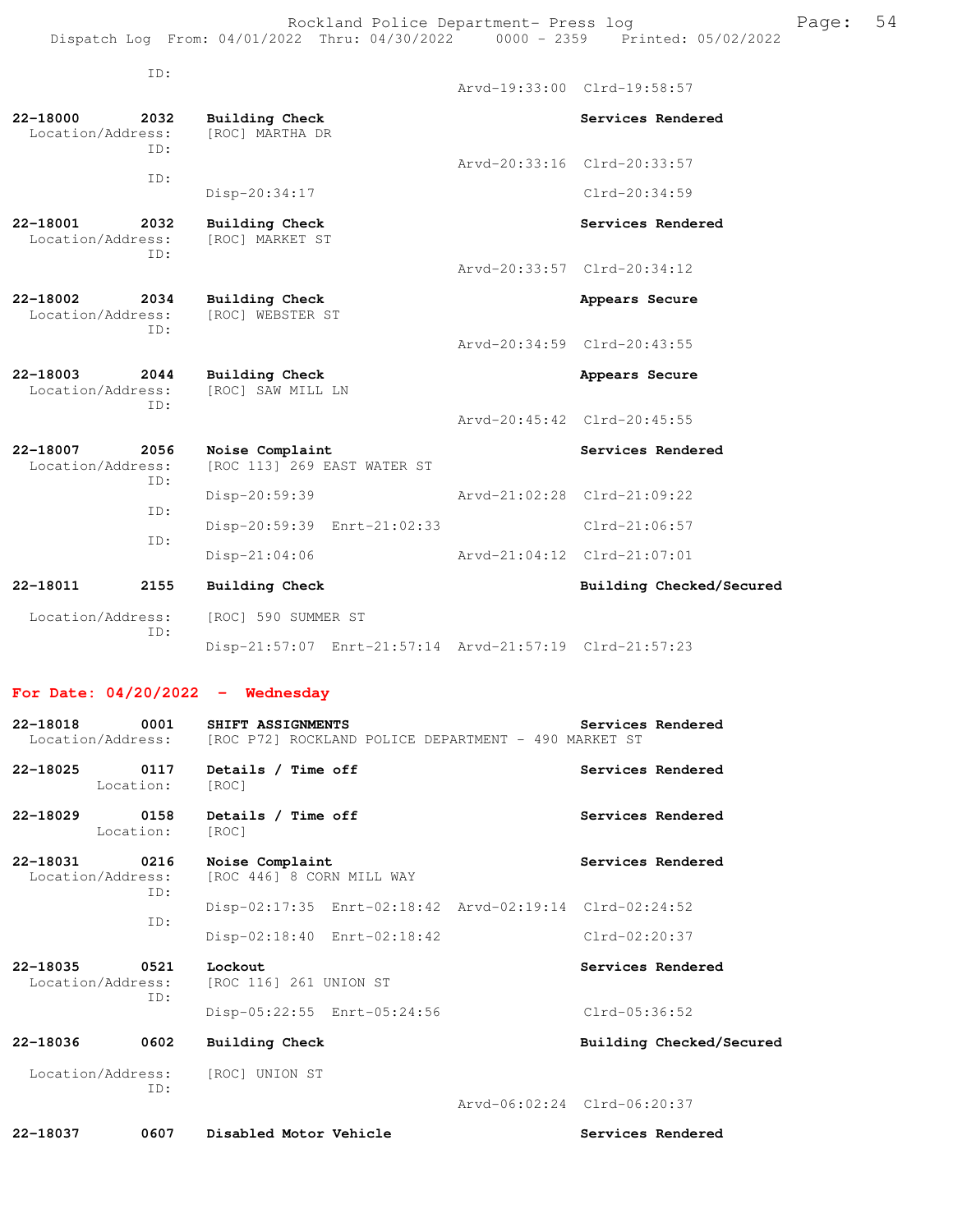Rockland Police Department- Press log entitled and Page: 54 Dispatch Log From: 04/01/2022 Thru: 04/30/2022 0000 - 2359 Printed: 05/02/2022

ID:

|                                                                           | Arvd-19:33:00 Clrd-19:58:57                                |
|---------------------------------------------------------------------------|------------------------------------------------------------|
| <b>Building Check</b><br>[ROC] MARTHA DR                                  | Services Rendered                                          |
|                                                                           | Arvd-20:33:16 Clrd-20:33:57                                |
| Disp-20:34:17                                                             | Clrd-20:34:59                                              |
| Building Check<br>[ROC] MARKET ST                                         | Services Rendered                                          |
|                                                                           | Arvd-20:33:57 Clrd-20:34:12                                |
| <b>Building Check</b><br>[ROC] WEBSTER ST                                 | Appears Secure                                             |
|                                                                           | Arvd-20:34:59 Clrd-20:43:55                                |
| Building Check<br>[ROC] SAW MILL LN                                       | Appears Secure                                             |
|                                                                           | Arvd-20:45:42 Clrd-20:45:55                                |
| Noise Complaint<br>[ROC 113] 269 EAST WATER ST                            | Services Rendered                                          |
| Disp-20:59:39                                                             |                                                            |
| Disp-20:59:39 Enrt-21:02:33                                               | $Clrd-21:06:57$                                            |
| $Disp-21:04:06$                                                           |                                                            |
| Building Check                                                            | Building Checked/Secured                                   |
|                                                                           |                                                            |
| [ROC] 590 SUMMER ST                                                       |                                                            |
| Disp-21:57:07 Enrt-21:57:14 Arvd-21:57:19 Clrd-21:57:23                   |                                                            |
| For Date: $04/20/2022 -$ Wednesday                                        |                                                            |
| SHIFT ASSIGNMENTS<br>[ROC P72] ROCKLAND POLICE DEPARTMENT - 490 MARKET ST | Services Rendered                                          |
| Details / Time off<br>[ROC]                                               | Services Rendered                                          |
| Details / Time off<br>[ROC]                                               | Services Rendered                                          |
| Noise Complaint<br>[ROC 446] 8 CORN MILL WAY                              | Services Rendered                                          |
| Disp-02:17:35 Enrt-02:18:42 Arvd-02:19:14 Clrd-02:24:52                   |                                                            |
| Disp-02:18:40 Enrt-02:18:42                                               | Clrd-02:20:37                                              |
| Lockout<br>[ROC 116] 261 UNION ST                                         | Services Rendered                                          |
| Disp-05:22:55 Enrt-05:24:56                                               | Clrd-05:36:52                                              |
| Building Check                                                            | Building Checked/Secured                                   |
| [ROC] UNION ST                                                            | Arvd-06:02:24 Clrd-06:20:37                                |
|                                                                           | Arvd-21:02:28 Clrd-21:09:22<br>Arvd-21:04:12 Clrd-21:07:01 |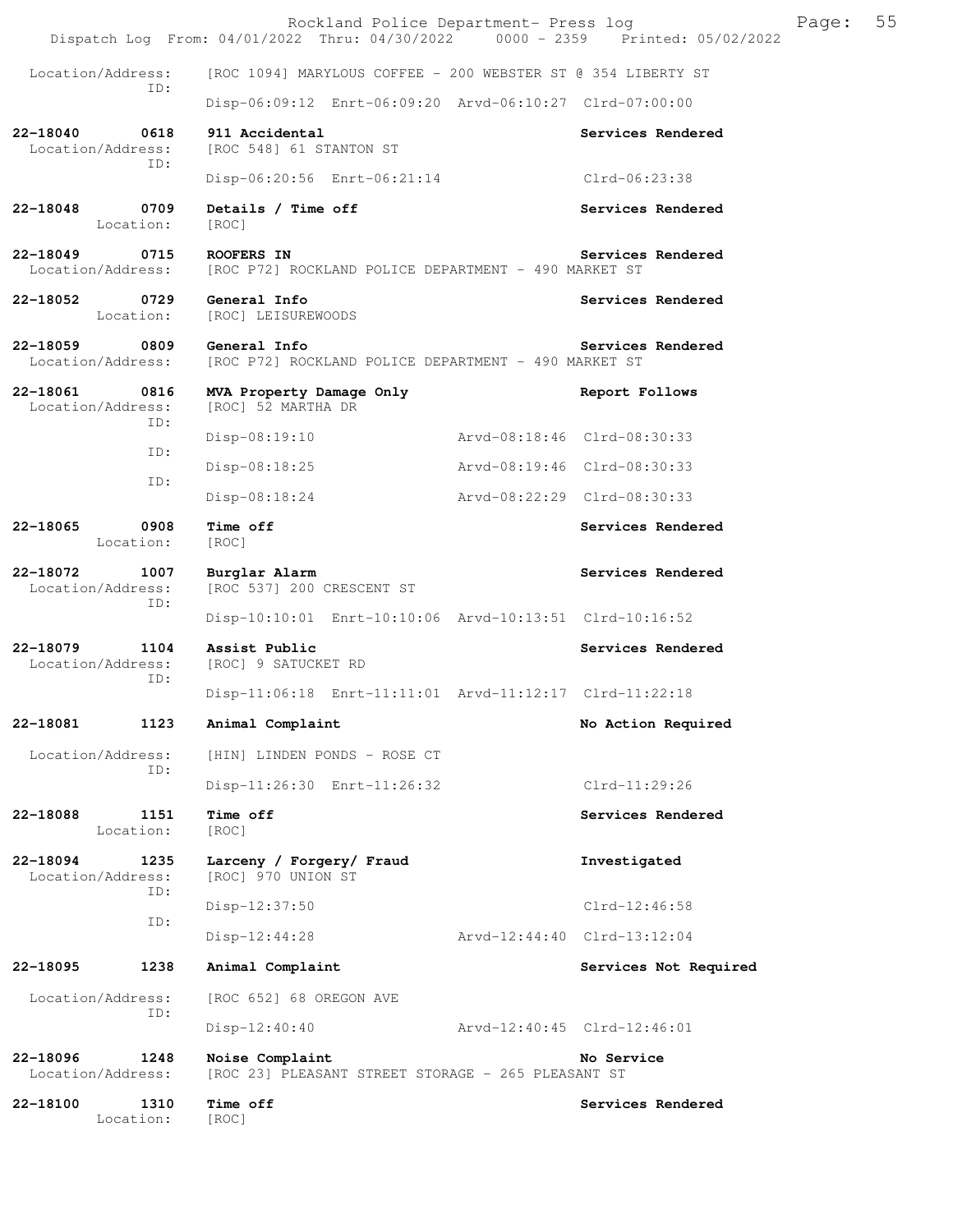|                                                 | Dispatch Log From: 04/01/2022 Thru: 04/30/2022 0000 - 2359 Printed: 05/02/2022 |                             | Rockland Police Department- Press log | Page: 55 |  |
|-------------------------------------------------|--------------------------------------------------------------------------------|-----------------------------|---------------------------------------|----------|--|
| Location/Address:                               | [ROC 1094] MARYLOUS COFFEE - 200 WEBSTER ST @ 354 LIBERTY ST                   |                             |                                       |          |  |
| ID:                                             | Disp-06:09:12 Enrt-06:09:20 Arvd-06:10:27 Clrd-07:00:00                        |                             |                                       |          |  |
| 22-18040 0618<br>Location/Address:              | 911 Accidental<br>[ROC 548] 61 STANTON ST                                      |                             | Services Rendered                     |          |  |
| ID:                                             | Disp-06:20:56 Enrt-06:21:14                                                    |                             | Clrd-06:23:38                         |          |  |
| 22-18048 0709<br>Location:                      | Details / Time off<br>[ROC]                                                    |                             | Services Rendered                     |          |  |
| 22-18049 0715<br>Location/Address:              | ROOFERS IN<br>[ROC P72] ROCKLAND POLICE DEPARTMENT - 490 MARKET ST             |                             | Services Rendered                     |          |  |
| 22-18052 0729 General Info<br>Location:         | [ROC] LEISUREWOODS                                                             |                             | Services Rendered                     |          |  |
| 22-18059 0809 General Info<br>Location/Address: | [ROC P72] ROCKLAND POLICE DEPARTMENT - 490 MARKET ST                           |                             | Services Rendered                     |          |  |
| 22-18061 0816<br>Location/Address:              | MVA Property Damage Only<br>[ROC] 52 MARTHA DR                                 |                             | Report Follows                        |          |  |
| ID:                                             | Disp-08:19:10 Arvd-08:18:46 Clrd-08:30:33                                      |                             |                                       |          |  |
| ID:                                             | Disp-08:18:25                                                                  | Arvd-08:19:46 Clrd-08:30:33 |                                       |          |  |
| ID:                                             | Disp-08:18:24                                                                  | Arvd-08:22:29 Clrd-08:30:33 |                                       |          |  |
| 22-18065<br>0908<br>Location:                   | Time off<br>[ROC]                                                              |                             | Services Rendered                     |          |  |
| 22-18072<br>1007<br>Location/Address:<br>ID:    | Burglar Alarm<br>[ROC 537] 200 CRESCENT ST                                     |                             | Services Rendered                     |          |  |
|                                                 | Disp-10:10:01 Enrt-10:10:06 Arvd-10:13:51 Clrd-10:16:52                        |                             |                                       |          |  |
| 22-18079<br>1104<br>Location/Address:<br>ID:    | Assist Public<br>[ROC] 9 SATUCKET RD                                           |                             | Services Rendered                     |          |  |
|                                                 | Disp-11:06:18 Enrt-11:11:01 Arvd-11:12:17 Clrd-11:22:18                        |                             |                                       |          |  |
| 22-18081<br>1123                                | Animal Complaint                                                               |                             | No Action Required                    |          |  |
| Location/Address:<br>ID:                        | [HIN] LINDEN PONDS - ROSE CT                                                   |                             |                                       |          |  |
|                                                 | Disp-11:26:30 Enrt-11:26:32                                                    |                             | $Clrd-11:29:26$                       |          |  |
| 22-18088<br>1151<br>Location:                   | <b>Time off</b><br>[ROC]                                                       |                             | Services Rendered                     |          |  |
| 22-18094<br>1235<br>Location/Address:<br>ID:    | Larceny / Forgery/ Fraud<br>[ROC] 970 UNION ST                                 |                             | Investigated                          |          |  |
| ID:                                             | $Disp-12:37:50$                                                                |                             | $Clrd-12:46:58$                       |          |  |
|                                                 | Disp-12:44:28                                                                  |                             | Arvd-12:44:40 Clrd-13:12:04           |          |  |
| 22-18095<br>1238                                | Animal Complaint                                                               |                             | Services Not Required                 |          |  |
| Location/Address:<br>ID:                        | [ROC 652] 68 OREGON AVE                                                        |                             |                                       |          |  |
|                                                 | $Disp-12:40:40$                                                                |                             | Arvd-12:40:45 Clrd-12:46:01           |          |  |
| 22-18096<br>1248<br>Location/Address:           | Noise Complaint<br>[ROC 23] PLEASANT STREET STORAGE - 265 PLEASANT ST          |                             | No Service                            |          |  |
| 22-18100<br>1310<br>Location:                   | Time off<br>[ROC]                                                              |                             | Services Rendered                     |          |  |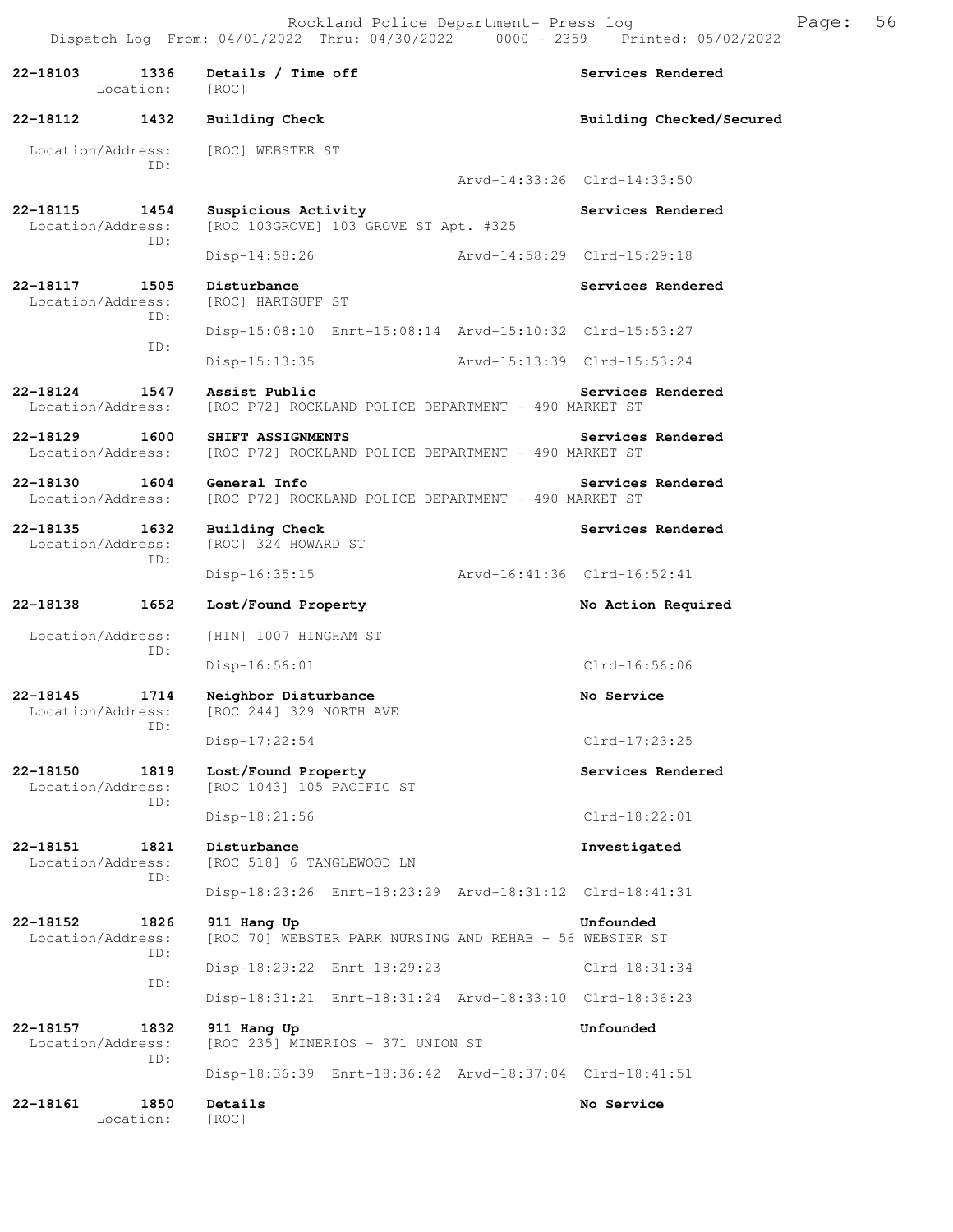Rockland Police Department- Press log Freed Page: 56 Dispatch Log From: 04/01/2022 Thru: 04/30/2022 0000 - 2359 Printed: 05/02/2022

22-18103 1336 Details / Time off **Services Rendered**  Location: [ROC] **22-18112 1432 Building Check Building Checked/Secured**  Location/Address: [ROC] WEBSTER ST ID: Arvd-14:33:26 Clrd-14:33:50 **22-18115 1454 Suspicious Activity Services Rendered**  Location/Address: [ROC 103GROVE] 103 GROVE ST Apt. #325 ID: Disp-14:58:26 Arvd-14:58:29 Clrd-15:29:18 **22-18117 1505 Disturbance Services Rendered**  Location/Address: [ROC] HARTSUFF ST ID: Disp-15:08:10 Enrt-15:08:14 Arvd-15:10:32 Clrd-15:53:27 ID: Disp-15:13:35 Arvd-15:13:39 Clrd-15:53:24 **22-18124 1547 Assist Public Services Rendered**  Location/Address: [ROC P72] ROCKLAND POLICE DEPARTMENT - 490 MARKET ST **22-18129 1600 SHIFT ASSIGNMENTS Services Rendered** Location/Address: [ROC P72] ROCKLAND POLICE DEPARTMENT - 490 MARKET ST [ROC P72] ROCKLAND POLICE DEPARTMENT - 490 MARKET ST **22-18130 1604 General Info Services Rendered** Location/Address: [ROC P72] ROCKLAND POLICE DEPARTMENT - 490 MARKET ST [ROC P72] ROCKLAND POLICE DEPARTMENT - 490 MARKET ST **22-18135 1632 Building Check Services Rendered Services Rendered Incremental Services Rendered** [ROC] 324 HOWARD ST ID: Disp-16:35:15 Arvd-16:41:36 Clrd-16:52:41 **22-18138 1652 Lost/Found Property No Action Required**  Location/Address: [HIN] 1007 HINGHAM ST ID: Disp-16:56:01 Clrd-16:56:06 **22-18145 1714 Neighbor Disturbance Mo Service** No Service **No Service No Service** [ROC 244] 329 NORTH AVE ID: Disp-17:22:54 Clrd-17:23:25 **22-18150 1819 Lost/Found Property Services Rendered**  Location/Address: [ROC 1043] 105 PACIFIC ST ID: Disp-18:21:56 Clrd-18:22:01 **22-18151 1821 Disturbance Investigated**  [ROC 518] 6 TANGLEWOOD LN ID: Disp-18:23:26 Enrt-18:23:29 Arvd-18:31:12 Clrd-18:41:31 **22-18152 1826 911 Hang Up Conserved Band Unfounded**<br>Location/Address: [ROC 70] WEBSTER PARK NURSING AND REHAB - 56 WEBSTER S [ROC 70] WEBSTER PARK NURSING AND REHAB - 56 WEBSTER ST ID: Disp-18:29:22 Enrt-18:29:23 Clrd-18:31:34 ID: Disp-18:31:21 Enrt-18:31:24 Arvd-18:33:10 Clrd-18:36:23 **22-18157 1832 911 Hang Up Unfounded**  Location/Address: [ROC 235] MINERIOS - 371 UNION ST ID: Disp-18:36:39 Enrt-18:36:42 Arvd-18:37:04 Clrd-18:41:51 **22-18161 1850 Details No Service**  Location: [ROC]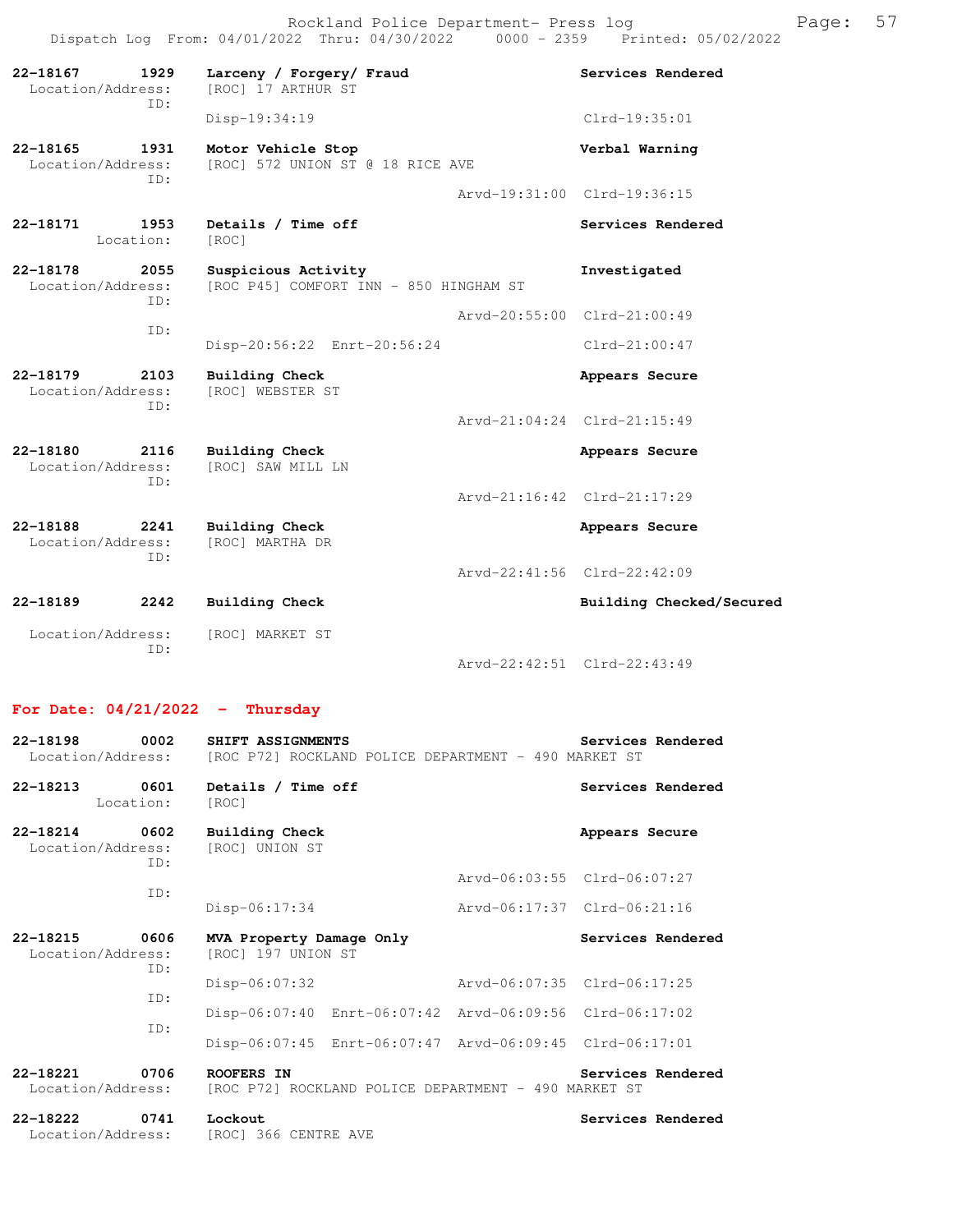| 1929<br>22-18167<br>Location/Address:<br>TD:     | Larceny / Forgery/ Fraud<br>[ROC] 17 ARTHUR ST                | Services Rendered           |
|--------------------------------------------------|---------------------------------------------------------------|-----------------------------|
|                                                  | Disp-19:34:19                                                 | Clrd-19:35:01               |
| $22 - 18165$<br>1931<br>Location/Address:<br>TD: | Motor Vehicle Stop<br>[ROC] 572 UNION ST @ 18 RICE AVE        | Verbal Warning              |
|                                                  |                                                               | Arvd-19:31:00 Clrd-19:36:15 |
| 22-18171<br>1953<br>Location:                    | Details / Time off<br>[ROC]                                   | Services Rendered           |
| 22-18178<br>2055<br>Location/Address:<br>ID:     | Suspicious Activity<br>[ROC P45] COMFORT INN - 850 HINGHAM ST | Investigated                |
|                                                  |                                                               | Arvd-20:55:00 Clrd-21:00:49 |
| ID:                                              | Disp-20:56:22 Enrt-20:56:24                                   | $Clrd-21:00:47$             |
| 22-18179<br>2103                                 | <b>Building Check</b>                                         | Appears Secure              |
| Location/Address:                                | [ROC] WEBSTER ST                                              |                             |
| ID:                                              |                                                               | Arvd-21:04:24 Clrd-21:15:49 |
| 22-18180<br>2116<br>Location/Address:            | <b>Building Check</b><br>[ROC] SAW MILL LN                    | Appears Secure              |
| ID:                                              |                                                               | Arvd-21:16:42 Clrd-21:17:29 |
| 22-18188<br>2241<br>Location/Address:            | <b>Building Check</b><br>[ROC] MARTHA DR                      | Appears Secure              |
| TD:                                              |                                                               | Arvd-22:41:56 Clrd-22:42:09 |
| 22-18189<br>2242                                 | <b>Building Check</b>                                         | Building Checked/Secured    |
| Location/Address:<br>TD:                         | [ROC] MARKET ST                                               | Arvd-22:42:51 Clrd-22:43:49 |

### **For Date: 04/21/2022 - Thursday**

| 22-18198<br>0002<br>Location/Address:        | SHIFT ASSIGNMENTS<br>[ROC P72] ROCKLAND POLICE DEPARTMENT - 490 MARKET ST | Services Rendered                                       |
|----------------------------------------------|---------------------------------------------------------------------------|---------------------------------------------------------|
| 22-18213<br>0601<br>Location:                | Details / Time off<br>[ROC]                                               | Services Rendered                                       |
| 22-18214<br>0602<br>Location/Address:<br>ID: | Building Check<br>[ROC] UNION ST                                          | Appears Secure                                          |
| ID:                                          |                                                                           | Arvd-06:03:55 Clrd-06:07:27                             |
|                                              | Disp-06:17:34                                                             | Arvd-06:17:37 Clrd-06:21:16                             |
| 22-18215<br>0606<br>Location/Address:<br>TD: | MVA Property Damage Only<br>[ROC] 197 UNION ST                            | Services Rendered                                       |
|                                              | Disp-06:07:32                                                             | Arvd-06:07:35 Clrd-06:17:25                             |
| ID:                                          |                                                                           | Disp-06:07:40 Enrt-06:07:42 Arvd-06:09:56 Clrd-06:17:02 |
| TD:                                          |                                                                           | Disp-06:07:45 Enrt-06:07:47 Arvd-06:09:45 Clrd-06:17:01 |
| 22-18221<br>0706<br>Location/Address:        | <b>ROOFERS IN</b><br>[ROC P72] ROCKLAND POLICE DEPARTMENT - 490 MARKET ST | Services Rendered                                       |
| $22 - 18222$<br>0741<br>Location/Address:    | Lockout<br>[ROC] 366 CENTRE AVE                                           | Services Rendered                                       |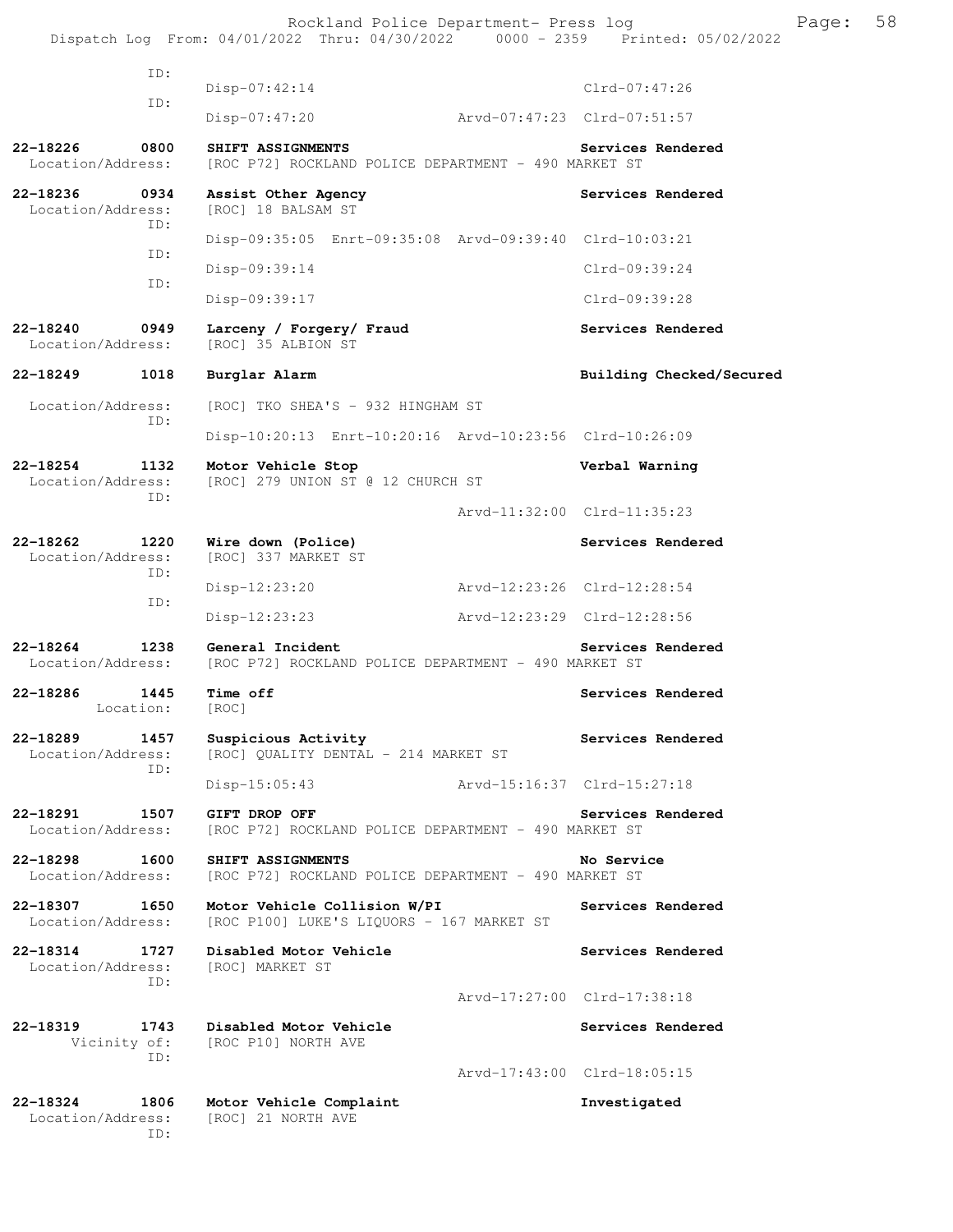Rockland Police Department- Press log Fage: 58 Dispatch Log From: 04/01/2022 Thru: 04/30/2022 0000 - 2359 Printed: 05/02/2022 ID: Disp-07:42:14 Clrd-07:47:26 ID: Disp-07:47:20 Arvd-07:47:23 Clrd-07:51:57 **22-18226 0800 SHIFT ASSIGNMENTS Services Rendered**  [ROC P72] ROCKLAND POLICE DEPARTMENT - 490 MARKET ST **22-18236 0934 Assist Other Agency Services Rendered**  Location/Address: [ROC] 18 BALSAM ST ID: Disp-09:35:05 Enrt-09:35:08 Arvd-09:39:40 Clrd-10:03:21 ID: Disp-09:39:14 Clrd-09:39:24 ID: Disp-09:39:17 Clrd-09:39:28 **22-18240 0949 Larceny / Forgery/ Fraud Services Rendered**  Location/Address: [ROC] 35 ALBION ST **22-18249 1018 Burglar Alarm Building Checked/Secured**  Location/Address: [ROC] TKO SHEA'S - 932 HINGHAM ST ID: Disp-10:20:13 Enrt-10:20:16 Arvd-10:23:56 Clrd-10:26:09 **22-18254 1132 Motor Vehicle Stop Verbal Warning**  Location/Address: [ROC] 279 UNION ST @ 12 CHURCH ST ID: Arvd-11:32:00 Clrd-11:35:23 **22-18262 1220 Wire down (Police) Services Rendered**  Location/Address: [ROC] 337 MARKET ST ID: Disp-12:23:20 Arvd-12:23:26 Clrd-12:28:54 ID: Disp-12:23:23 Arvd-12:23:29 Clrd-12:28:56 **22-18264 1238 General Incident Services Rendered**  Location/Address: [ROC P72] ROCKLAND POLICE DEPARTMENT - 490 MARKET ST **22-18286** 1445 Time off Services Rendered Location: [ROC] 22-18289 1457 Suspicious Activity **1457** Services Rendered Location/Address: [ROC] QUALITY DENTAL - 214 MARKET ST ID: Disp-15:05:43 Arvd-15:16:37 Clrd-15:27:18 **22-18291 1507 GIFT DROP OFF Services Rendered** Location/Address: [ROC P72] ROCKLAND POLICE DEPARTMENT - 490 MARKET ST [ROC P72] ROCKLAND POLICE DEPARTMENT - 490 MARKET ST **22-18298 1600 SHIFT ASSIGNMENTS No Service**  Location/Address: [ROC P72] ROCKLAND POLICE DEPARTMENT - 490 MARKET ST **22-18307 1650 Motor Vehicle Collision W/PI Services Rendered**  [ROC P100] LUKE'S LIQUORS - 167 MARKET ST **22-18314 1727 Disabled Motor Vehicle Services Rendered**  Location/Address: ID: Arvd-17:27:00 Clrd-17:38:18 **22-18319 1743 Disabled Motor Vehicle Services Rendered**  Vicinity of: [ROC P10] NORTH AVE ID: Arvd-17:43:00 Clrd-18:05:15 **22-18324 1806 Motor Vehicle Complaint Investigated**  Location/Address: [ROC] 21 NORTH AVE

ID: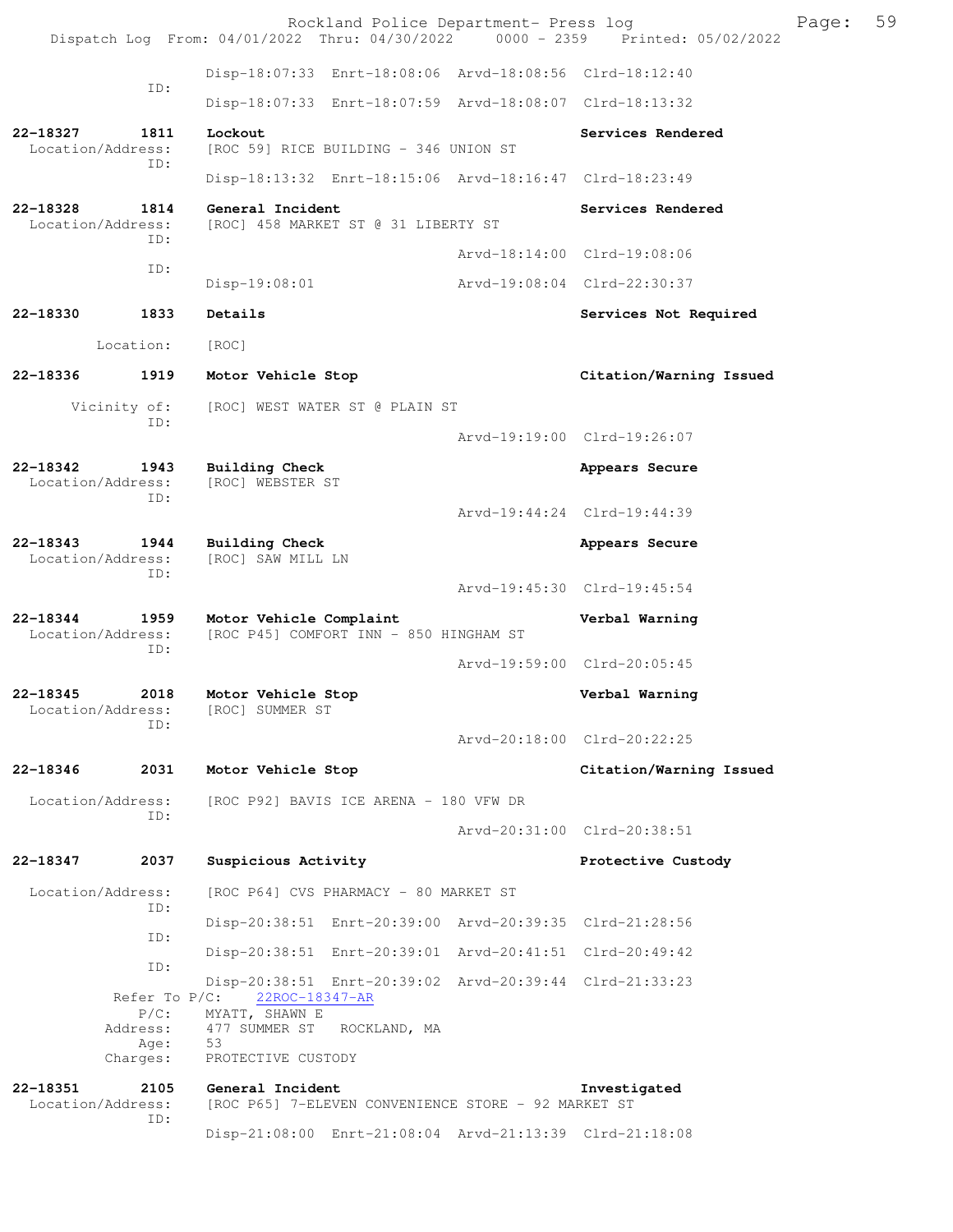Rockland Police Department- Press log Fage: 59 Dispatch Log From: 04/01/2022 Thru: 04/30/2022 0000 - 2359 Printed: 05/02/2022 Disp-18:07:33 Enrt-18:08:06 Arvd-18:08:56 Clrd-18:12:40 ID: Disp-18:07:33 Enrt-18:07:59 Arvd-18:08:07 Clrd-18:13:32 **22-18327 1811 Lockout Services Rendered** Location/Address: [ROC 59] RICE BUILDING - 346 UNION ST [ROC 59] RICE BUILDING - 346 UNION ST ID: Disp-18:13:32 Enrt-18:15:06 Arvd-18:16:47 Clrd-18:23:49 **22-18328 1814 General Incident Services Rendered**  Location/Address: [ROC] 458 MARKET ST @ 31 LIBERTY ST ID: Arvd-18:14:00 Clrd-19:08:06 ID: Disp-19:08:01 Arvd-19:08:04 Clrd-22:30:37 **22-18330 1833 Details Services Not Required**  Location: [ROC] **22-18336 1919 Motor Vehicle Stop Citation/Warning Issued**  Vicinity of: [ROC] WEST WATER ST @ PLAIN ST ID: Arvd-19:19:00 Clrd-19:26:07 **22-18342 1943 Building Check Appears Secure**  Location/Address: ID: Arvd-19:44:24 Clrd-19:44:39 **22-18343 1944 Building Check Appears Secure**  Location/Address: [ROC] SAW MILL LN ID: Arvd-19:45:30 Clrd-19:45:54 **22-18344 1959 Motor Vehicle Complaint Complaint Verbal Warning** Location/Address: [ROC P45] COMFORT INN - 850 HINGHAM ST [ROC P45] COMFORT INN - 850 HINGHAM ST ID: Arvd-19:59:00 Clrd-20:05:45 **22-18345 2018 Motor Vehicle Stop Verbal Warning**  Location/Address: [ROC] SUMMER ST ID: Arvd-20:18:00 Clrd-20:22:25 **22-18346 2031 Motor Vehicle Stop Citation/Warning Issued**  Location/Address: [ROC P92] BAVIS ICE ARENA - 180 VFW DR ID: Arvd-20:31:00 Clrd-20:38:51 **22-18347 2037 Suspicious Activity Protective Custody**  Location/Address: [ROC P64] CVS PHARMACY - 80 MARKET ST ID: Disp-20:38:51 Enrt-20:39:00 Arvd-20:39:35 Clrd-21:28:56 ID: Disp-20:38:51 Enrt-20:39:01 Arvd-20:41:51 Clrd-20:49:42 ID: Disp-20:38:51 Enrt-20:39:02 Arvd-20:39:44 Clrd-21:33:23 Refer To P/C: 22ROC-18347-AR P/C: MYATT, SHAWN E Address: 477 SUMMER ST ROCKLAND, MA Age: 53 Charges: PROTECTIVE CUSTODY **22-18351 2105 General Incident Investigated**  Location/Address: [ROC P65] 7-ELEVEN CONVENIENCE STORE - 92 MARKET ST ID: Disp-21:08:00 Enrt-21:08:04 Arvd-21:13:39 Clrd-21:18:08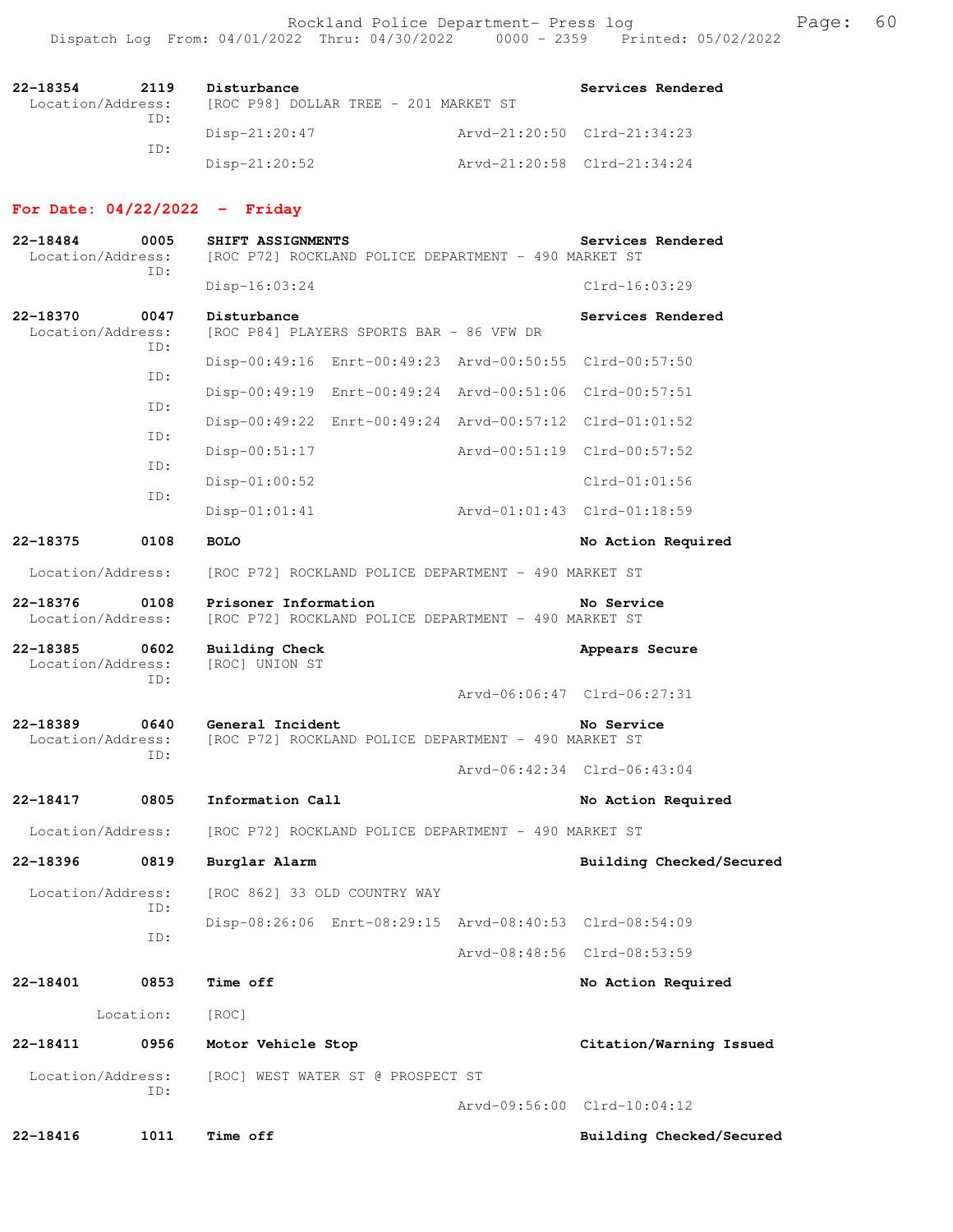Rockland Police Department- Press log entitled and Page: 60 Dispatch Log From: 04/01/2022 Thru: 04/30/2022 0000 - 2359 Printed: 05/02/2022

| $22 - 18354$      | 2119 | Disturbance                           |                             | Services Rendered |
|-------------------|------|---------------------------------------|-----------------------------|-------------------|
| Location/Address: |      | [ROC P98] DOLLAR TREE - 201 MARKET ST |                             |                   |
|                   | TD:  | Disp-21:20:47                         | Arvd-21:20:50 Clrd-21:34:23 |                   |
|                   | TD:  | Disp-21:20:52                         | Arvd-21:20:58 Clrd-21:34:24 |                   |

## **For Date: 04/22/2022 - Friday**

| 22-18484<br>Location/Address: | 0005<br>TD: | SHIFT ASSIGNMENTS<br>[ROC P72] ROCKLAND POLICE DEPARTMENT - 490 MARKET ST    | Services Rendered           |
|-------------------------------|-------------|------------------------------------------------------------------------------|-----------------------------|
|                               |             | $Disp-16:03:24$                                                              | $Clrd-16:03:29$             |
| 22-18370<br>Location/Address: | 0047        | Disturbance<br>[ROC P84] PLAYERS SPORTS BAR - 86 VFW DR                      | Services Rendered           |
|                               | ID:         | Disp-00:49:16 Enrt-00:49:23 Arvd-00:50:55 Clrd-00:57:50                      |                             |
|                               | ID:         | Disp-00:49:19 Enrt-00:49:24 Arvd-00:51:06 Clrd-00:57:51                      |                             |
|                               | ID:         | Disp-00:49:22 Enrt-00:49:24 Arvd-00:57:12 Clrd-01:01:52                      |                             |
|                               | ID:         | $Disp-00:51:17$                                                              | Arvd-00:51:19 Clrd-00:57:52 |
|                               | ID:         | $Disp-01:00:52$                                                              | $Clrd-01:01:56$             |
|                               | ID:         | $Disp-01:01:41$                                                              | Arvd-01:01:43 Clrd-01:18:59 |
| 22-18375                      | 0108        | <b>BOLO</b>                                                                  | No Action Required          |
| Location/Address:             |             | [ROC P72] ROCKLAND POLICE DEPARTMENT - 490 MARKET ST                         |                             |
| 22-18376<br>Location/Address: | 0108        | Prisoner Information<br>[ROC P72] ROCKLAND POLICE DEPARTMENT - 490 MARKET ST | No Service                  |
| 22-18385<br>Location/Address: | 0602        | <b>Building Check</b><br>[ROC] UNION ST                                      | Appears Secure              |
|                               | ID:         |                                                                              | Arvd-06:06:47 Clrd-06:27:31 |
| 22-18389<br>Location/Address: | 0640<br>ID: | General Incident<br>[ROC P72] ROCKLAND POLICE DEPARTMENT - 490 MARKET ST     | No Service                  |
|                               |             |                                                                              | Arvd-06:42:34 Clrd-06:43:04 |
| 22-18417                      | 0805        | Information Call                                                             | No Action Required          |
| Location/Address:             |             | [ROC P72] ROCKLAND POLICE DEPARTMENT - 490 MARKET ST                         |                             |
| 22-18396                      | 0819        | Burglar Alarm                                                                | Building Checked/Secured    |
| Location/Address:             |             | [ROC 862] 33 OLD COUNTRY WAY                                                 |                             |
|                               | ID:         | Disp-08:26:06 Enrt-08:29:15 Arvd-08:40:53 Clrd-08:54:09                      |                             |
|                               | ID:         |                                                                              | Arvd-08:48:56 Clrd-08:53:59 |
| 22-18401                      | 0853        | Time off                                                                     | No Action Required          |
| Location:                     |             | [ROC]                                                                        |                             |
| 22-18411                      | 0956        | Motor Vehicle Stop                                                           | Citation/Warning Issued     |
| Location/Address:             |             | [ROC] WEST WATER ST @ PROSPECT ST                                            |                             |
|                               | ID:         |                                                                              | Arvd-09:56:00 Clrd-10:04:12 |
| 22-18416                      | 1011        | Time off                                                                     | Building Checked/Secured    |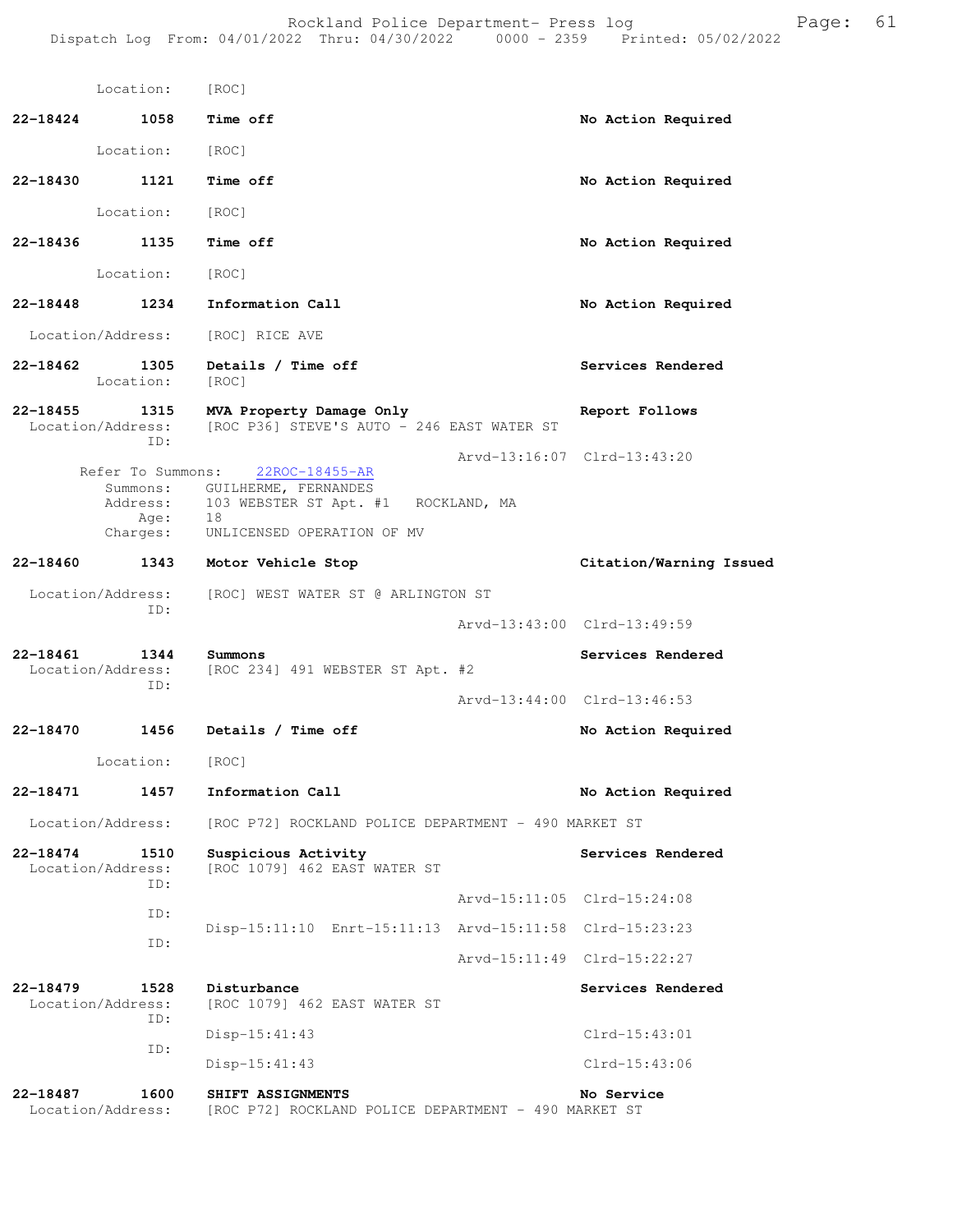Rockland Police Department- Press log entitled and Page: 61 Dispatch Log From: 04/01/2022 Thru: 04/30/2022 0000 - 2359 Printed: 05/02/2022

|              | Location:                        | [ROC]                                                                                                    |                             |
|--------------|----------------------------------|----------------------------------------------------------------------------------------------------------|-----------------------------|
| 22-18424     | 1058                             | Time off                                                                                                 | No Action Required          |
|              | Location:                        | [ROC]                                                                                                    |                             |
| 22-18430     | 1121                             | Time off                                                                                                 | No Action Required          |
|              | Location:                        | [ROC]                                                                                                    |                             |
| 22-18436     | 1135                             | Time off                                                                                                 | No Action Required          |
|              | Location:                        | [ROC]                                                                                                    |                             |
| $22 - 18448$ | 1234                             | Information Call                                                                                         | No Action Required          |
|              | Location/Address:                | [ROC] RICE AVE                                                                                           |                             |
| 22-18462     | 1305<br>Location:                | Details / Time off<br>[ROC]                                                                              | Services Rendered           |
| 22-18455     | 1315<br>Location/Address:<br>ID: | MVA Property Damage Only<br>[ROC P36] STEVE'S AUTO - 246 EAST WATER ST                                   | Report Follows              |
|              | Refer To Summons:                | 22ROC-18455-AR                                                                                           | Arvd-13:16:07 Clrd-13:43:20 |
|              | Address:<br>Age:<br>Charges:     | Summons: GUILHERME, FERNANDES<br>103 WEBSTER ST Apt. #1 ROCKLAND, MA<br>18<br>UNLICENSED OPERATION OF MV |                             |
| 22-18460     | 1343                             | Motor Vehicle Stop                                                                                       | Citation/Warning Issued     |
|              | Location/Address:                | [ROC] WEST WATER ST @ ARLINGTON ST                                                                       |                             |
|              | ID:                              |                                                                                                          | Arvd-13:43:00 Clrd-13:49:59 |
| 22-18461     | 1344<br>Location/Address:<br>TD: | Summons<br>[ROC 234] 491 WEBSTER ST Apt. #2                                                              | Services Rendered           |
|              |                                  |                                                                                                          | Arvd-13:44:00 Clrd-13:46:53 |
| 22-18470     | 1456                             | Details / Time off                                                                                       | No Action Required          |
|              | Location:                        | [ROC]                                                                                                    |                             |
| 22-18471     | 1457                             | Information Call                                                                                         | No Action Required          |
|              | Location/Address:                | [ROC P72] ROCKLAND POLICE DEPARTMENT - 490 MARKET ST                                                     |                             |
| 22-18474     | 1510<br>Location/Address:<br>ID: | Suspicious Activity<br>[ROC 1079] 462 EAST WATER ST                                                      | Services Rendered           |
|              | ID:                              |                                                                                                          | Arvd-15:11:05 Clrd-15:24:08 |
|              | ID:                              | Disp-15:11:10 Enrt-15:11:13 Arvd-15:11:58 Clrd-15:23:23                                                  |                             |
|              |                                  |                                                                                                          | Arvd-15:11:49 Clrd-15:22:27 |
| $22 - 18479$ | 1528<br>Location/Address:<br>ID: | Disturbance<br>[ROC 1079] 462 EAST WATER ST                                                              | Services Rendered           |
|              | ID:                              | $Disp-15:41:43$                                                                                          | $Clrd-15:43:01$             |
|              |                                  | $Disp-15:41:43$                                                                                          | $Clrd-15:43:06$             |
| 22-18487     | 1600<br>Location/Address:        | SHIFT ASSIGNMENTS<br>[ROC P72] ROCKLAND POLICE DEPARTMENT - 490 MARKET ST                                | No Service                  |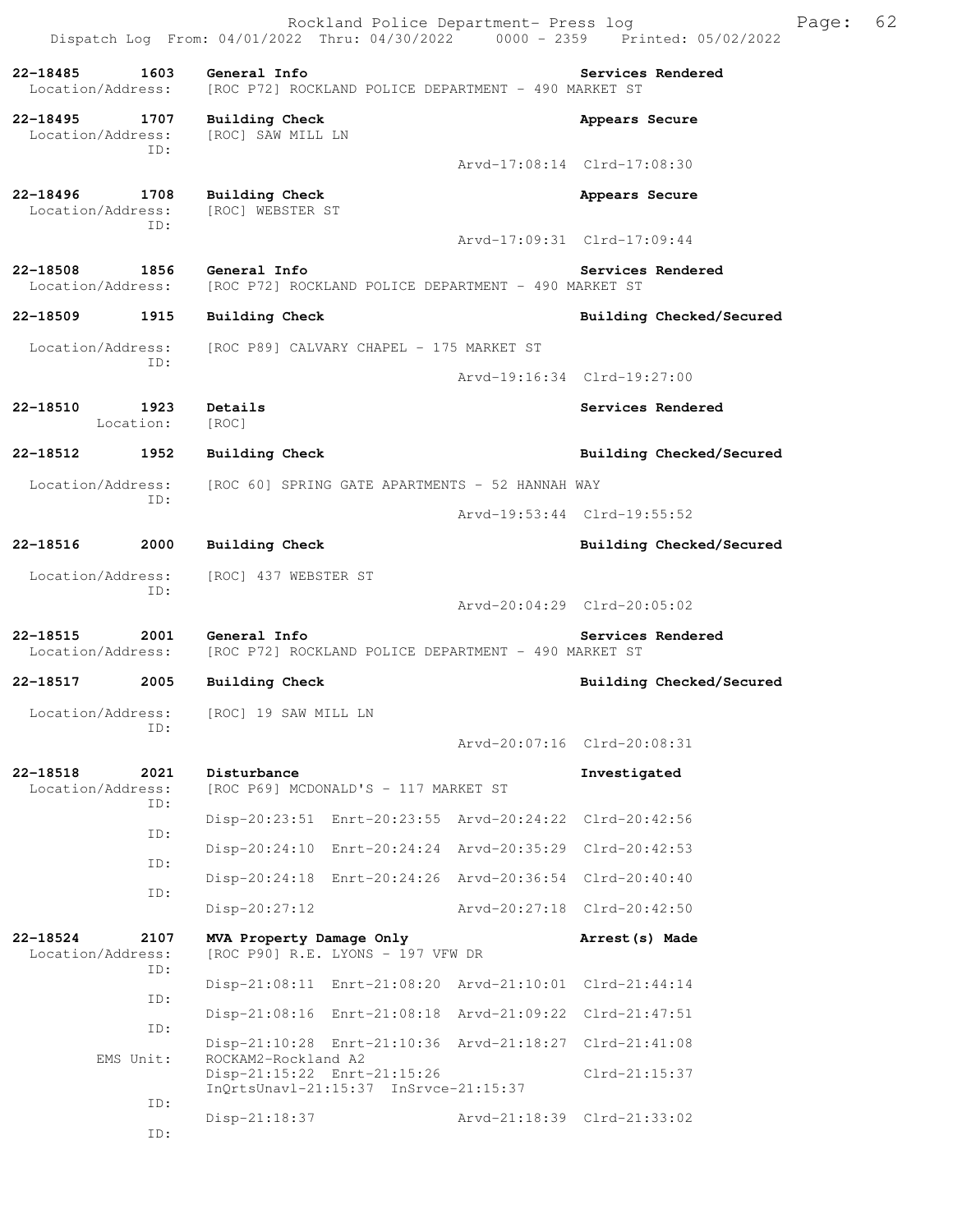|                                    |                   |                                                 | Rockland Police Department- Press log                                    | Dispatch Log From: 04/01/2022 Thru: 04/30/2022 0000 - 2359 Printed: 05/02/2022 | Page: | 62 |
|------------------------------------|-------------------|-------------------------------------------------|--------------------------------------------------------------------------|--------------------------------------------------------------------------------|-------|----|
| 22-18485<br>Location/Address:      | 1603              | General Info                                    | [ROC P72] ROCKLAND POLICE DEPARTMENT - 490 MARKET ST                     | Services Rendered                                                              |       |    |
| 22-18495 1707<br>Location/Address: | TD:               | <b>Building Check</b><br>[ROC] SAW MILL LN      |                                                                          | Appears Secure                                                                 |       |    |
|                                    |                   |                                                 |                                                                          | Arvd-17:08:14 Clrd-17:08:30                                                    |       |    |
| 22-18496 1708<br>Location/Address: | TD:               | Building Check<br>[ROC] WEBSTER ST              |                                                                          | Appears Secure                                                                 |       |    |
|                                    |                   |                                                 |                                                                          | Arvd-17:09:31 Clrd-17:09:44                                                    |       |    |
| 22-18508 1856<br>Location/Address: |                   | General Info                                    | [ROC P72] ROCKLAND POLICE DEPARTMENT - 490 MARKET ST                     | Services Rendered                                                              |       |    |
| 22-18509 1915                      |                   | <b>Building Check</b>                           |                                                                          | Building Checked/Secured                                                       |       |    |
| Location/Address:                  | ID:               |                                                 | [ROC P89] CALVARY CHAPEL - 175 MARKET ST                                 |                                                                                |       |    |
|                                    |                   |                                                 |                                                                          | Arvd-19:16:34 Clrd-19:27:00                                                    |       |    |
| 22-18510                           | 1923<br>Location: | Details<br>[ROC]                                |                                                                          | Services Rendered                                                              |       |    |
| 22-18512                           | 1952              | <b>Building Check</b>                           |                                                                          | Building Checked/Secured                                                       |       |    |
| Location/Address:                  |                   | [ROC 60] SPRING GATE APARTMENTS - 52 HANNAH WAY |                                                                          |                                                                                |       |    |
|                                    | ID:               |                                                 |                                                                          | Arvd-19:53:44 Clrd-19:55:52                                                    |       |    |
| 22-18516                           | 2000              | <b>Building Check</b>                           |                                                                          | Building Checked/Secured                                                       |       |    |
| Location/Address:                  | ID:               | [ROC] 437 WEBSTER ST                            |                                                                          |                                                                                |       |    |
|                                    |                   |                                                 |                                                                          | Arvd-20:04:29 Clrd-20:05:02                                                    |       |    |
| 22-18515<br>Location/Address:      | 2001              | General Info                                    | [ROC P72] ROCKLAND POLICE DEPARTMENT - 490 MARKET ST                     | Services Rendered                                                              |       |    |
| 22-18517 2005                      |                   | <b>Building Check</b>                           |                                                                          | Building Checked/Secured                                                       |       |    |
| Location/Address:                  | ID:               | [ROC] 19 SAW MILL LN                            |                                                                          |                                                                                |       |    |
|                                    |                   |                                                 |                                                                          | Arvd-20:07:16 Clrd-20:08:31                                                    |       |    |
| 22-18518<br>Location/Address:      | 2021              | Disturbance                                     | [ROC P69] MCDONALD'S - 117 MARKET ST                                     | Investigated                                                                   |       |    |
|                                    | ID:               |                                                 | Disp-20:23:51 Enrt-20:23:55 Arvd-20:24:22 Clrd-20:42:56                  |                                                                                |       |    |
|                                    | ID:               |                                                 | Disp-20:24:10 Enrt-20:24:24 Arvd-20:35:29 Clrd-20:42:53                  |                                                                                |       |    |
|                                    | ID:               |                                                 | Disp-20:24:18 Enrt-20:24:26 Arvd-20:36:54 Clrd-20:40:40                  |                                                                                |       |    |
|                                    | ID:               | $Disp-20:27:12$                                 |                                                                          | Arvd-20:27:18 Clrd-20:42:50                                                    |       |    |
| 22-18524<br>Location/Address:      | 2107<br>ID:       | MVA Property Damage Only                        | [ROC P90] R.E. LYONS - 197 VFW DR                                        | Arrest (s) Made                                                                |       |    |
|                                    |                   |                                                 | Disp-21:08:11 Enrt-21:08:20 Arvd-21:10:01 Clrd-21:44:14                  |                                                                                |       |    |
|                                    | ID:               |                                                 | Disp-21:08:16 Enrt-21:08:18 Arvd-21:09:22 Clrd-21:47:51                  |                                                                                |       |    |
|                                    | ID:               |                                                 | Disp-21:10:28 Enrt-21:10:36 Arvd-21:18:27 Clrd-21:41:08                  |                                                                                |       |    |
|                                    | EMS Unit:         | ROCKAM2-Rockland A2                             | Disp-21:15:22 Enrt-21:15:26<br>$InQrtsUnav1-21:15:37$ $InSrvce-21:15:37$ | $Clrd-21:15:37$                                                                |       |    |
|                                    | ID:<br>ID:        | Disp-21:18:37                                   |                                                                          | Arvd-21:18:39 Clrd-21:33:02                                                    |       |    |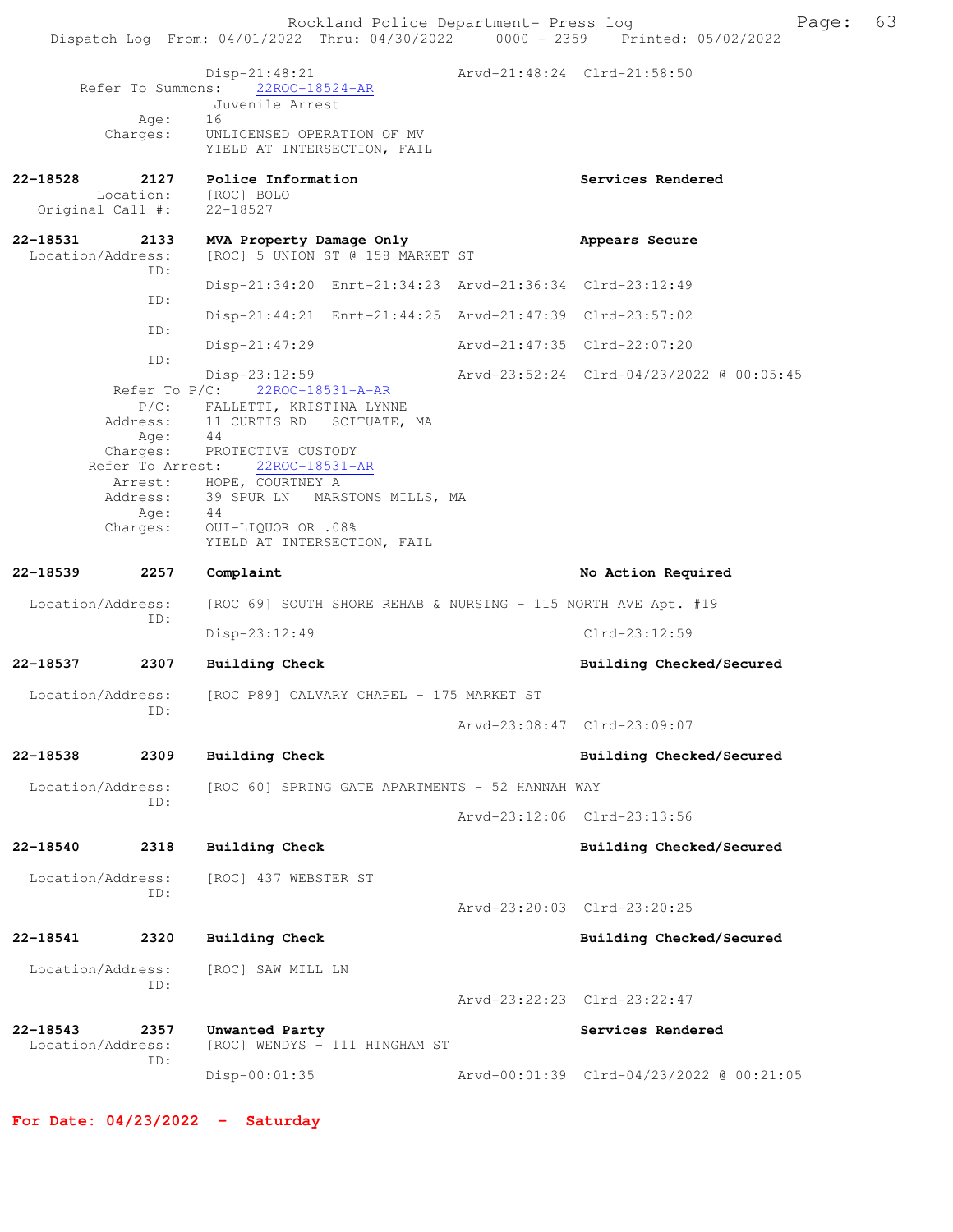Rockland Police Department- Press log Freed Page: 63 Dispatch Log From: 04/01/2022 Thru: 04/30/2022 0000 - 2359 Printed: 05/02/2022 Disp-21:48:21 Arvd-21:48:24 Clrd-21:58:50 Refer To Summons: 22ROC-18524-AR Juvenile Arrest Age: 16 Charges: UNLICENSED OPERATION OF MV YIELD AT INTERSECTION, FAIL **22-18528 2127 Police Information Services Rendered**  Location: [ROC] BOLO<br>al Call #: 22-18527 Original Call #: **22-18531 2133 MVA Property Damage Only Appears Secure**  [ROC] 5 UNION ST @ 158 MARKET ST ID: Disp-21:34:20 Enrt-21:34:23 Arvd-21:36:34 Clrd-23:12:49 ID: Disp-21:44:21 Enrt-21:44:25 Arvd-21:47:39 Clrd-23:57:02 ID: Disp-21:47:29 Arvd-21:47:35 Clrd-22:07:20 ID: Disp-23:12:59 Arvd-23:52:24 Clrd-04/23/2022 @ 00:05:45 Refer To P/C: 22ROC-18531-A-AR P/C: FALLETTI, KRISTINA LYNNE Address: 11 CURTIS RD SCITUATE, MA Age: 44 Charges: PROTECTIVE CUSTODY Refer To Arrest: 22ROC-18531-AR Arrest: HOPE, COURTNEY A Address: 39 SPUR LN MARSTONS MILLS, MA Age: 44 Charges: OUI-LIQUOR OR .08% YIELD AT INTERSECTION, FAIL **22-18539 2257 Complaint No Action Required**  Location/Address: [ROC 69] SOUTH SHORE REHAB & NURSING - 115 NORTH AVE Apt. #19 ID: Disp-23:12:49 Clrd-23:12:59 **22-18537 2307 Building Check Building Checked/Secured**  Location/Address: [ROC P89] CALVARY CHAPEL - 175 MARKET ST ID: Arvd-23:08:47 Clrd-23:09:07 **22-18538 2309 Building Check Building Checked/Secured**  Location/Address: [ROC 60] SPRING GATE APARTMENTS - 52 HANNAH WAY ID: Arvd-23:12:06 Clrd-23:13:56 **22-18540 2318 Building Check Building Checked/Secured**  Location/Address: [ROC] 437 WEBSTER ST ID: Arvd-23:20:03 Clrd-23:20:25 **22-18541 2320 Building Check Building Checked/Secured**  Location/Address: [ROC] SAW MILL LN ID: Arvd-23:22:23 Clrd-23:22:47 **22-18543 2357 Unwanted Party Services Rendered**  Location/Address: [ROC] WENDYS - 111 HINGHAM ST ID: Disp-00:01:35 Arvd-00:01:39 Clrd-04/23/2022 @ 00:21:05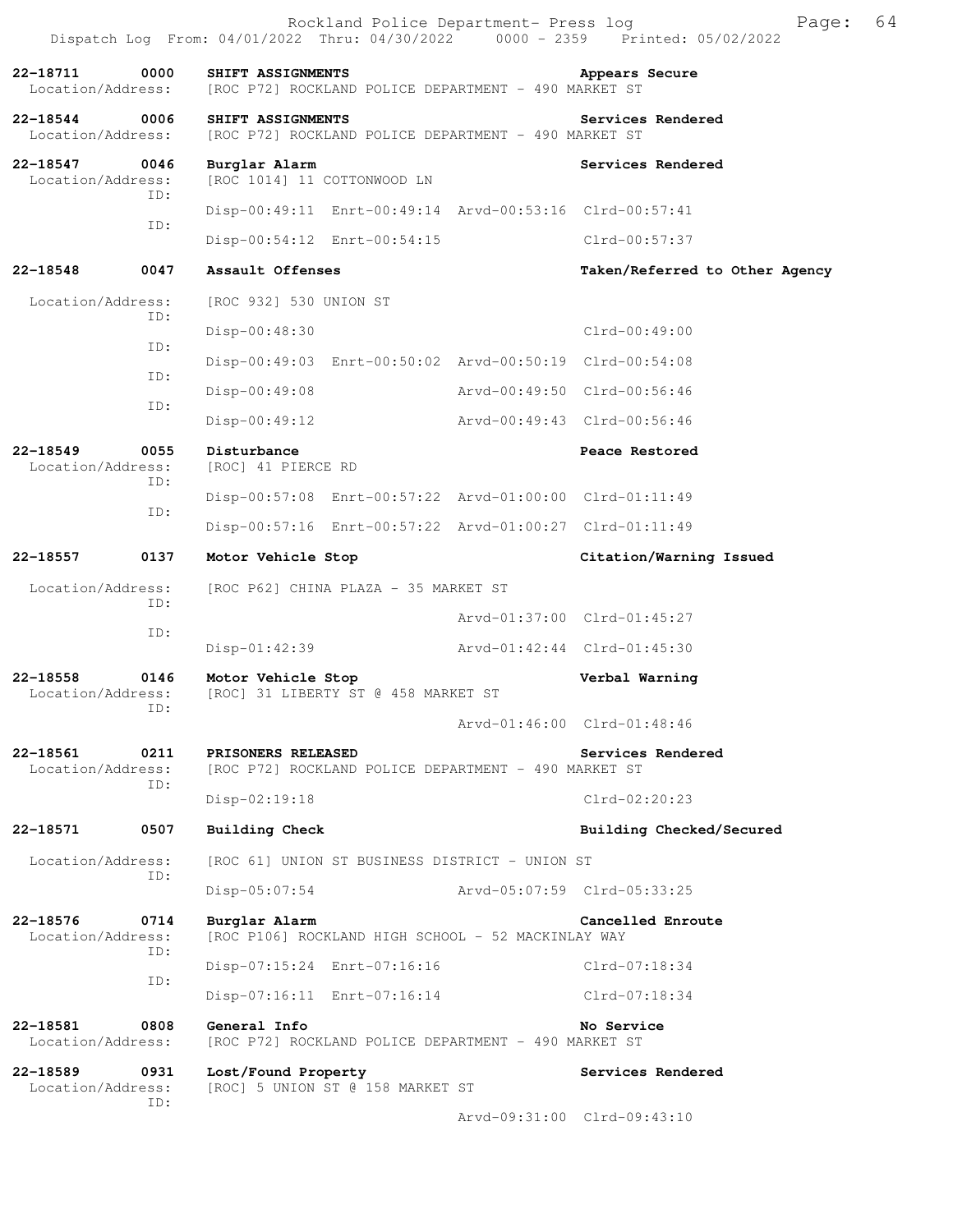|                                   |             | Rockland Police Department- Press log<br>Dispatch Log From: 04/01/2022 Thru: 04/30/2022 0000 - 2359 Printed: 05/02/2022 |                             |                                | Page: | 64 |
|-----------------------------------|-------------|-------------------------------------------------------------------------------------------------------------------------|-----------------------------|--------------------------------|-------|----|
| 22-18711<br>Location/Address:     | 0000        | SHIFT ASSIGNMENTS<br>[ROC P72] ROCKLAND POLICE DEPARTMENT - 490 MARKET ST                                               |                             | Appears Secure                 |       |    |
| 22-18544<br>Location/Address:     | 0006        | SHIFT ASSIGNMENTS<br>[ROC P72] ROCKLAND POLICE DEPARTMENT - 490 MARKET ST                                               |                             | Services Rendered              |       |    |
| 22-18547<br>Location/Address:     | 0046<br>ID: | Burglar Alarm<br>[ROC 1014] 11 COTTONWOOD LN                                                                            |                             | Services Rendered              |       |    |
|                                   |             | Disp-00:49:11 Enrt-00:49:14 Arvd-00:53:16 Clrd-00:57:41                                                                 |                             |                                |       |    |
|                                   | ID:         | Disp-00:54:12 Enrt-00:54:15                                                                                             |                             | $Clrd-00:57:37$                |       |    |
| 22-18548                          | 0047        | Assault Offenses                                                                                                        |                             | Taken/Referred to Other Agency |       |    |
| Location/Address:                 | ID:         | [ROC 932] 530 UNION ST                                                                                                  |                             |                                |       |    |
|                                   | ID:         | Disp-00:48:30                                                                                                           |                             | $Clrd-00:49:00$                |       |    |
|                                   | ID:         | Disp-00:49:03 Enrt-00:50:02 Arvd-00:50:19 Clrd-00:54:08                                                                 |                             |                                |       |    |
|                                   | ID:         | $Disp-00:49:08$                                                                                                         | Arvd-00:49:50 Clrd-00:56:46 |                                |       |    |
|                                   |             | $Disp-00:49:12$                                                                                                         | Arvd-00:49:43 Clrd-00:56:46 |                                |       |    |
| $22 - 18549$<br>Location/Address: | 0055<br>ID: | Disturbance<br>[ROC] 41 PIERCE RD                                                                                       |                             | Peace Restored                 |       |    |
|                                   | ID:         | Disp-00:57:08 Enrt-00:57:22 Arvd-01:00:00 Clrd-01:11:49                                                                 |                             |                                |       |    |
|                                   |             | Disp-00:57:16 Enrt-00:57:22 Arvd-01:00:27 Clrd-01:11:49                                                                 |                             |                                |       |    |
| 22-18557                          | 0137        | Motor Vehicle Stop                                                                                                      |                             | Citation/Warning Issued        |       |    |
| Location/Address:                 | ID:         | [ROC P62] CHINA PLAZA - 35 MARKET ST                                                                                    |                             |                                |       |    |
|                                   | ID:         |                                                                                                                         |                             | Arvd-01:37:00 Clrd-01:45:27    |       |    |
|                                   |             | Disp-01:42:39                                                                                                           | Arvd-01:42:44 Clrd-01:45:30 |                                |       |    |
| 22-18558<br>Location/Address:     | 0146<br>ID: | Motor Vehicle Stop<br>[ROC] 31 LIBERTY ST @ 458 MARKET ST                                                               |                             | Verbal Warning                 |       |    |
|                                   |             |                                                                                                                         |                             | Arvd-01:46:00 Clrd-01:48:46    |       |    |
| 22-18561<br>Location/Address:     | 0211<br>ID: | PRISONERS RELEASED<br>[ROC P72] ROCKLAND POLICE DEPARTMENT - 490 MARKET ST                                              |                             | Services Rendered              |       |    |
|                                   |             | Disp-02:19:18                                                                                                           |                             | $Clrd-02:20:23$                |       |    |
| 22-18571                          | 0507        | Building Check                                                                                                          |                             | Building Checked/Secured       |       |    |
| Location/Address:                 | ID:         | [ROC 61] UNION ST BUSINESS DISTRICT - UNION ST                                                                          |                             |                                |       |    |
|                                   |             | $Disp-05:07:54$                                                                                                         |                             | Arvd-05:07:59 Clrd-05:33:25    |       |    |
| 22-18576<br>Location/Address:     | 0714<br>ID: | Burglar Alarm<br>[ROC P106] ROCKLAND HIGH SCHOOL - 52 MACKINLAY WAY                                                     |                             | Cancelled Enroute              |       |    |
|                                   | ID:         | Disp-07:15:24 Enrt-07:16:16                                                                                             |                             | Clrd-07:18:34                  |       |    |
|                                   |             | Disp-07:16:11 Enrt-07:16:14                                                                                             |                             | Clrd-07:18:34                  |       |    |
| 22-18581<br>Location/Address:     | 0808        | General Info<br>[ROC P72] ROCKLAND POLICE DEPARTMENT - 490 MARKET ST                                                    |                             | No Service                     |       |    |
| 22-18589<br>Location/Address:     | 0931        | Lost/Found Property<br>[ROC] 5 UNION ST @ 158 MARKET ST                                                                 |                             | Services Rendered              |       |    |
|                                   | ID:         |                                                                                                                         |                             | Arvd-09:31:00 Clrd-09:43:10    |       |    |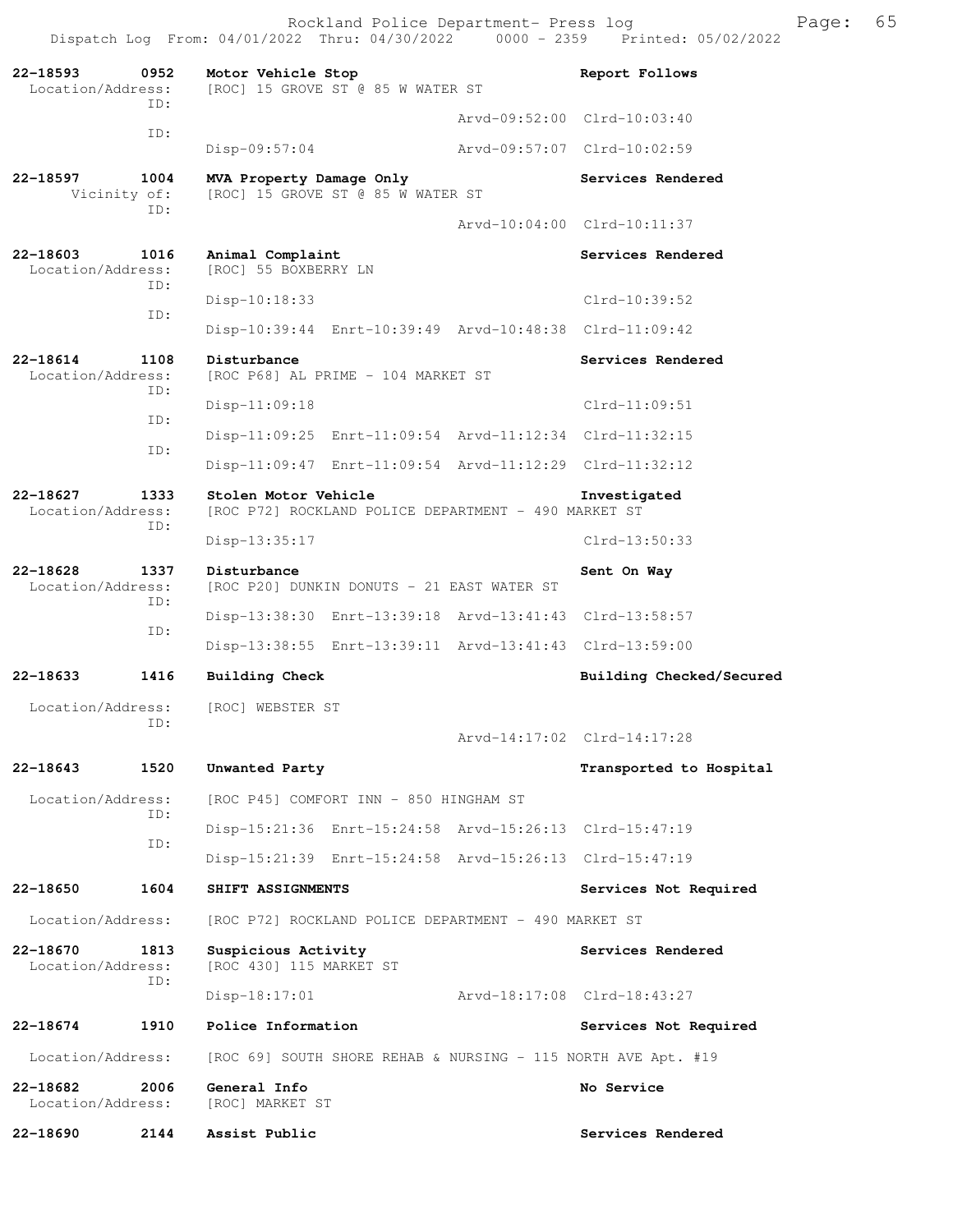Rockland Police Department- Press log Franch Press 100 Dispatch Log From: 04/01/2022 Thru: 04/30/2022 0000 - 2359 Printed: 05/02/2022

**22-18593 0952 Motor Vehicle Stop Report Follows**  Location/Address: [ROC] 15 GROVE ST @ 85 W WATER ST ID: Arvd-09:52:00 Clrd-10:03:40 ID: Disp-09:57:04 Arvd-09:57:07 Clrd-10:02:59 **22-18597 1004 MVA Property Damage Only Services Rendered**  Vicinity of: [ROC] 15 GROVE ST @ 85 W WATER ST ID: Arvd-10:04:00 Clrd-10:11:37 **22-18603 1016 Animal Complaint Services Rendered**  Location/Address: [ROC] 55 BOXBERRY LN ID: Disp-10:18:33 Clrd-10:39:52 ID: Disp-10:39:44 Enrt-10:39:49 Arvd-10:48:38 Clrd-11:09:42 **22-18614 1108 Disturbance Services Rendered Services Rendered Location/Address:** [ROC P68] AL PRIME - 104 MARKET ST [ROC P68] AL PRIME - 104 MARKET ST ID: Disp-11:09:18 Clrd-11:09:51 ID: Disp-11:09:25 Enrt-11:09:54 Arvd-11:12:34 Clrd-11:32:15 ID: Disp-11:09:47 Enrt-11:09:54 Arvd-11:12:29 Clrd-11:32:12 **22-18627 1333 Stolen Motor Vehicle Investigated**  Location/Address: [ROC P72] ROCKLAND POLICE DEPARTMENT - 490 MARKET ST ID: Disp-13:35:17 Clrd-13:50:33 **22-18628** 1337 Disturbance Sent On Way Location/Address: [ROC P20] DUNKIN DONUTS - 21 EAST WATER ST ID: Disp-13:38:30 Enrt-13:39:18 Arvd-13:41:43 Clrd-13:58:57 ID: Disp-13:38:55 Enrt-13:39:11 Arvd-13:41:43 Clrd-13:59:00 **22-18633 1416 Building Check Building Checked/Secured**  Location/Address: [ROC] WEBSTER ST ID: Arvd-14:17:02 Clrd-14:17:28 **22-18643 1520 Unwanted Party Transported to Hospital**  Location/Address: [ROC P45] COMFORT INN - 850 HINGHAM ST ID: Disp-15:21:36 Enrt-15:24:58 Arvd-15:26:13 Clrd-15:47:19 ID: Disp-15:21:39 Enrt-15:24:58 Arvd-15:26:13 Clrd-15:47:19 **22-18650 1604 SHIFT ASSIGNMENTS Services Not Required**  Location/Address: [ROC P72] ROCKLAND POLICE DEPARTMENT - 490 MARKET ST 22-18670 1813 Suspicious Activity **1813** Suspicious Activity **Services Rendered**  Location/Address: [ROC 430] 115 MARKET ST ID: Disp-18:17:01 Arvd-18:17:08 Clrd-18:43:27 **22-18674 1910 Police Information Services Not Required**  Location/Address: [ROC 69] SOUTH SHORE REHAB & NURSING - 115 NORTH AVE Apt. #19 **22-18682 2006 General Info No Service**  Location/Address: [ROC] MARKET ST **22-18690 2144 Assist Public Services Rendered**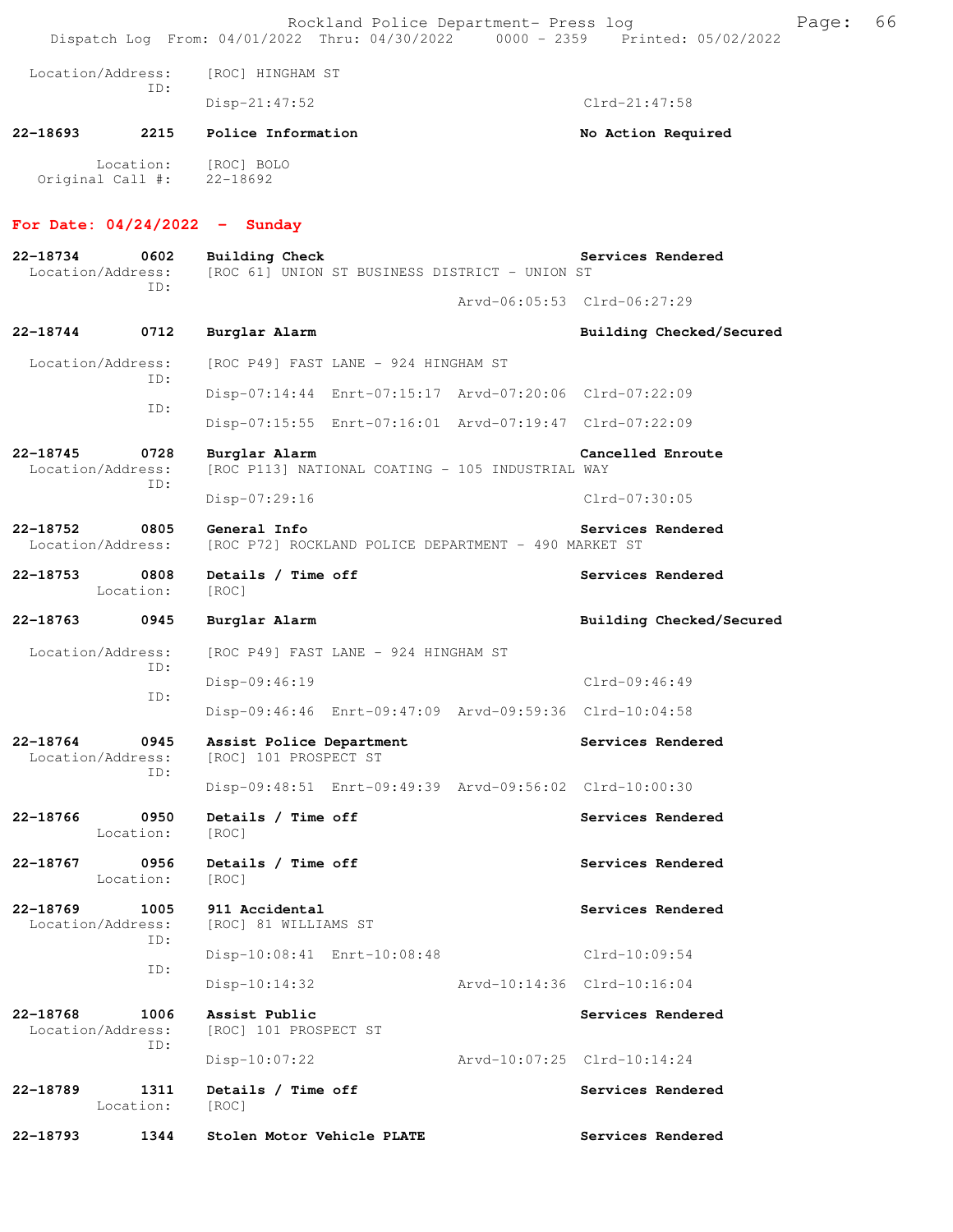|                                   |             | Rockland Police Department- Press log<br>Dispatch Log From: 04/01/2022 Thru: 04/30/2022 0000 - 2359 Printed: 05/02/2022 | 66<br>Page:                 |
|-----------------------------------|-------------|-------------------------------------------------------------------------------------------------------------------------|-----------------------------|
| Location/Address:                 |             | [ROC] HINGHAM ST                                                                                                        |                             |
|                                   | ID:         | Disp-21:47:52                                                                                                           | $Clrd-21:47:58$             |
| 22-18693                          | 2215        | Police Information                                                                                                      | No Action Required          |
| Original Call $\sharp$ : 22-18692 |             | Location: [ROC] BOLO                                                                                                    |                             |
| For Date: $04/24/2022 -$ Sunday   |             |                                                                                                                         |                             |
| 22-18734<br>Location/Address:     | 0602<br>ID: | Building Check<br>[ROC 61] UNION ST BUSINESS DISTRICT - UNION ST                                                        | Services Rendered           |
|                                   |             |                                                                                                                         | Arvd-06:05:53 Clrd-06:27:29 |
| 22-18744                          | 0712        | Burglar Alarm                                                                                                           | Building Checked/Secured    |
| Location/Address:                 | ID:         | [ROC P49] FAST LANE - 924 HINGHAM ST                                                                                    |                             |
|                                   | ID:         | Disp-07:14:44 Enrt-07:15:17 Arvd-07:20:06 Clrd-07:22:09                                                                 |                             |
|                                   |             | Disp-07:15:55 Enrt-07:16:01 Arvd-07:19:47 Clrd-07:22:09                                                                 |                             |
| $22 - 18745$<br>Location/Address: | 0728        | Burglar Alarm<br>[ROC P113] NATIONAL COATING - 105 INDUSTRIAL WAY                                                       | Cancelled Enroute           |
|                                   | ID:         | Disp-07:29:16                                                                                                           | Clrd-07:30:05               |
| 22-18752<br>Location/Address:     | 0805        | General Info<br>[ROC P72] ROCKLAND POLICE DEPARTMENT - 490 MARKET ST                                                    | Services Rendered           |
| 22-18753<br>Location:             | 0808        | Details / Time off<br>[ROC]                                                                                             | Services Rendered           |
| 22-18763                          | 0945        | Burglar Alarm                                                                                                           | Building Checked/Secured    |
| Location/Address:                 | ID:         | [ROC P49] FAST LANE - 924 HINGHAM ST<br>Disp-09:46:19                                                                   | $Clrd-09:46:49$             |
|                                   | ID:         | Disp-09:46:46 Enrt-09:47:09 Arvd-09:59:36 Clrd-10:04:58                                                                 |                             |
| 22-18764<br>Location/Address:     | 0945        | Assist Police Department<br>[ROC] 101 PROSPECT ST                                                                       | Services Rendered           |
|                                   | ID:         | Disp-09:48:51 Enrt-09:49:39 Arvd-09:56:02 Clrd-10:00:30                                                                 |                             |
| 22-18766<br>Location:             | 0950        | Details / Time off<br>[ROC]                                                                                             | Services Rendered           |
| 22-18767<br>Location:             | 0956        | Details / Time off<br>[ROC]                                                                                             | Services Rendered           |
| 22-18769<br>Location/Address:     | 1005<br>ID: | 911 Accidental<br>[ROC] 81 WILLIAMS ST                                                                                  | Services Rendered           |
|                                   | ID:         | Disp-10:08:41 Enrt-10:08:48                                                                                             | $Clrd-10:09:54$             |
|                                   |             | $Disp-10:14:32$                                                                                                         |                             |
| 22-18768<br>Location/Address:     | 1006<br>ID: | Assist Public<br>[ROC] 101 PROSPECT ST                                                                                  | Services Rendered           |
|                                   |             | $Disp-10:07:22$                                                                                                         | Arvd-10:07:25 Clrd-10:14:24 |
| 22-18789<br>Location:             | 1311        | Details / Time off<br>[ROC]                                                                                             | Services Rendered           |
| 22-18793                          | 1344        | Stolen Motor Vehicle PLATE                                                                                              | Services Rendered           |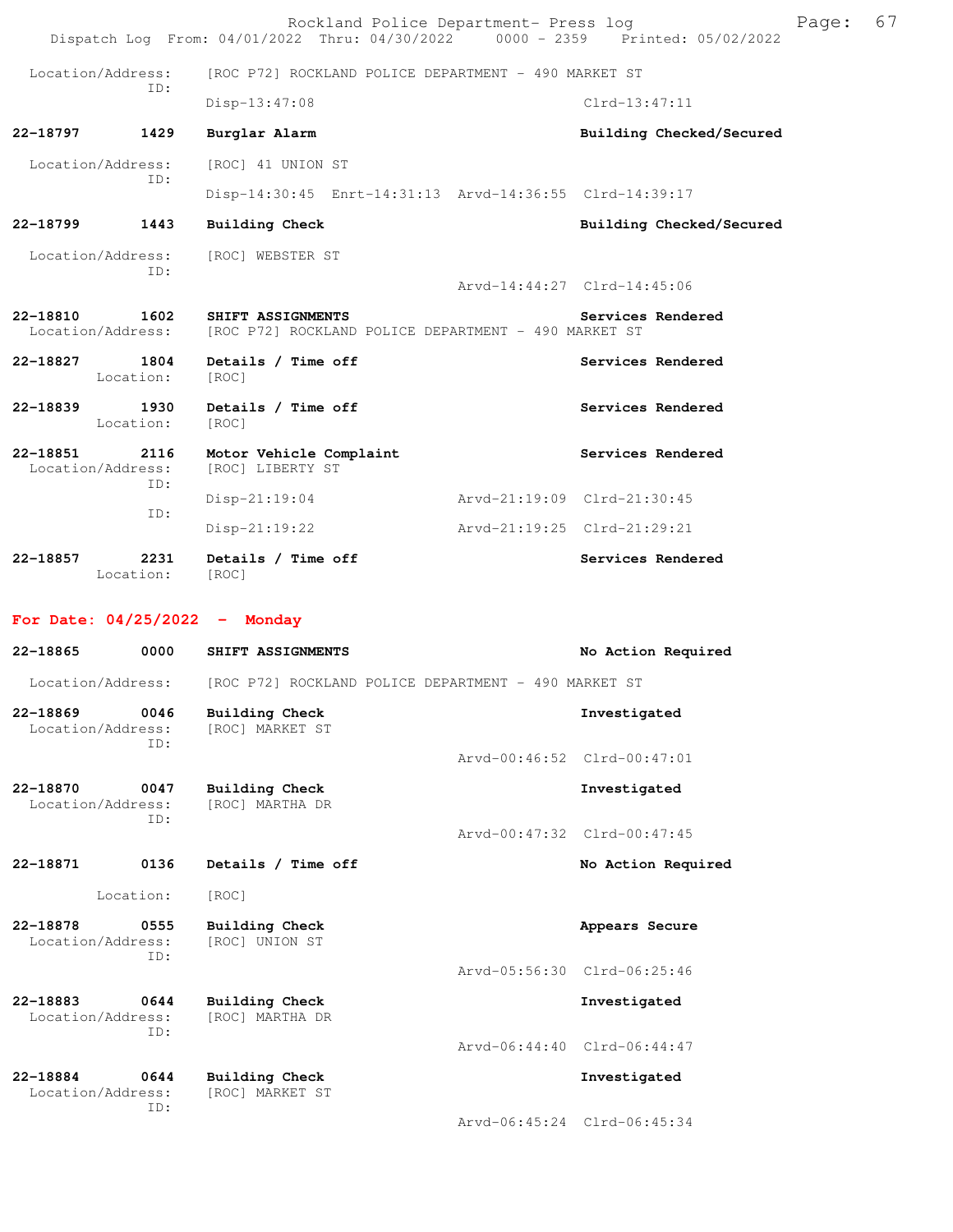|                                 |                   | Dispatch Log From: 04/01/2022 Thru: 04/30/2022 0000 - 2359 Printed: 05/02/2022          |                             | Rockland Police Department- Press log | Page: | 67 |
|---------------------------------|-------------------|-----------------------------------------------------------------------------------------|-----------------------------|---------------------------------------|-------|----|
| Location/Address:               |                   | [ROC P72] ROCKLAND POLICE DEPARTMENT - 490 MARKET ST                                    |                             |                                       |       |    |
|                                 | ID:               | $Disp-13:47:08$                                                                         |                             | $Clrd-13:47:11$                       |       |    |
| 22-18797 1429                   |                   | Burglar Alarm                                                                           |                             | Building Checked/Secured              |       |    |
| Location/Address:               |                   | [ROC] 41 UNION ST                                                                       |                             |                                       |       |    |
|                                 | ID:               | Disp-14:30:45 Enrt-14:31:13 Arvd-14:36:55 Clrd-14:39:17                                 |                             |                                       |       |    |
| 22-18799 1443                   |                   | Building Check                                                                          |                             | Building Checked/Secured              |       |    |
| Location/Address:               | ID:               | [ROC] WEBSTER ST                                                                        |                             |                                       |       |    |
|                                 |                   |                                                                                         |                             | Arvd-14:44:27 Clrd-14:45:06           |       |    |
| Location/Address:               |                   | 22-18810 1602 SHIFT ASSIGNMENTS<br>[ROC P72] ROCKLAND POLICE DEPARTMENT - 490 MARKET ST |                             | Services Rendered                     |       |    |
| 22-18827                        | 1804<br>Location: | Details / Time off<br>[ROC]                                                             |                             | Services Rendered                     |       |    |
| 22-18839                        | 1930<br>Location: | Details / Time off<br>[ROC]                                                             |                             | Services Rendered                     |       |    |
| 22-18851<br>Location/Address:   | 2116<br>ID:       | Motor Vehicle Complaint<br>[ROC] LIBERTY ST                                             |                             | Services Rendered                     |       |    |
|                                 | ID:               | $Disp-21:19:04$                                                                         | Arvd-21:19:09 Clrd-21:30:45 |                                       |       |    |
|                                 |                   | $Disp-21:19:22$                                                                         |                             | Arvd-21:19:25 Clrd-21:29:21           |       |    |
| 22-18857                        | Location:         | 2231 Details / Time off<br>[ROC]                                                        |                             | Services Rendered                     |       |    |
| For Date: $04/25/2022 -$ Monday |                   |                                                                                         |                             |                                       |       |    |
| 22-18865                        |                   | 0000 SHIFT ASSIGNMENTS                                                                  |                             | No Action Required                    |       |    |
|                                 |                   | Location/Address: [ROC P72] ROCKLAND POLICE DEPARTMENT - 490 MARKET ST                  |                             |                                       |       |    |
| Location/Address:               | ID:               | 22-18869 0046 Building Check<br>[ROC] MARKET ST                                         |                             | Investigated                          |       |    |
|                                 |                   |                                                                                         |                             | Arvd-00:46:52 Clrd-00:47:01           |       |    |
| 22-18870<br>Location/Address:   | 0047<br>ID:       | <b>Building Check</b><br>[ROC] MARTHA DR                                                |                             | Investigated                          |       |    |
|                                 |                   |                                                                                         |                             | Arvd-00:47:32 Clrd-00:47:45           |       |    |
| 22-18871                        | 0136              | Details / Time off                                                                      |                             | No Action Required                    |       |    |
|                                 | Location:         | [ROC]                                                                                   |                             |                                       |       |    |
| 22-18878<br>Location/Address:   | 0555<br>ID:       | <b>Building Check</b><br>[ROC] UNION ST                                                 |                             | Appears Secure                        |       |    |
|                                 |                   |                                                                                         |                             | Arvd-05:56:30 Clrd-06:25:46           |       |    |
| 22-18883<br>Location/Address:   | 0644<br>ID:       | <b>Building Check</b><br>[ROC] MARTHA DR                                                |                             | Investigated                          |       |    |
|                                 |                   |                                                                                         |                             | Arvd-06:44:40 Clrd-06:44:47           |       |    |
| 22-18884<br>Location/Address:   | 0644<br>ID:       | <b>Building Check</b><br>[ROC] MARKET ST                                                |                             | Investigated                          |       |    |
|                                 |                   |                                                                                         |                             | Arvd-06:45:24 Clrd-06:45:34           |       |    |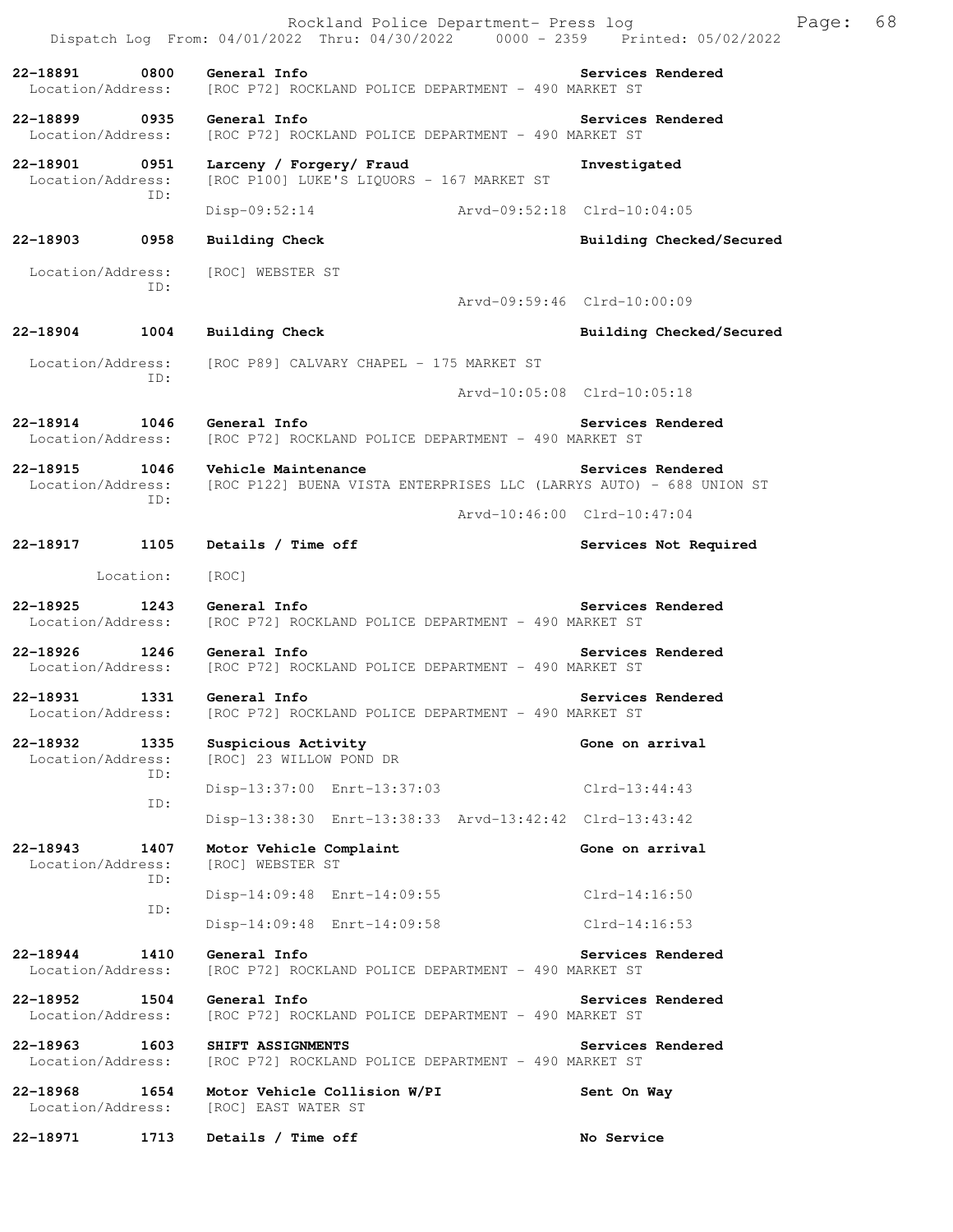|                                                 |             | Rockland Police Department- Press log<br>Dispatch Log From: 04/01/2022 Thru: 04/30/2022 0000 - 2359 Printed: 05/02/2022 |                             | Page: | 68 |
|-------------------------------------------------|-------------|-------------------------------------------------------------------------------------------------------------------------|-----------------------------|-------|----|
| 22-18891 0800<br>Location/Address:              |             | General Info<br>[ROC P72] ROCKLAND POLICE DEPARTMENT - 490 MARKET ST                                                    | Services Rendered           |       |    |
| 22-18899 0935<br>Location/Address:              |             | General Info<br>[ROC P72] ROCKLAND POLICE DEPARTMENT - 490 MARKET ST                                                    | Services Rendered           |       |    |
| 22-18901 0951<br>Location/Address:              | ID:         | Larceny / Forgery/ Fraud<br>[ROC P100] LUKE'S LIQUORS - 167 MARKET ST                                                   | Investigated                |       |    |
|                                                 |             | Arvd-09:52:18 Clrd-10:04:05<br>Disp-09:52:14                                                                            |                             |       |    |
| 22-18903 0958                                   |             | <b>Building Check</b>                                                                                                   | Building Checked/Secured    |       |    |
| Location/Address:                               | ID:         | [ROC] WEBSTER ST                                                                                                        | Arvd-09:59:46 Clrd-10:00:09 |       |    |
| 22-18904 1004                                   |             | <b>Building Check</b>                                                                                                   | Building Checked/Secured    |       |    |
| Location/Address:                               |             | [ROC P89] CALVARY CHAPEL - 175 MARKET ST                                                                                |                             |       |    |
|                                                 | ID:         |                                                                                                                         | Arvd-10:05:08 Clrd-10:05:18 |       |    |
| 22-18914 1046 General Info<br>Location/Address: |             | [ROC P72] ROCKLAND POLICE DEPARTMENT - 490 MARKET ST                                                                    | Services Rendered           |       |    |
| Location/Address:                               | ID:         | 22-18915 1046 Vehicle Maintenance<br>[ROC P122] BUENA VISTA ENTERPRISES LLC (LARRYS AUTO) - 688 UNION ST                | Services Rendered           |       |    |
|                                                 |             |                                                                                                                         | Arvd-10:46:00 Clrd-10:47:04 |       |    |
|                                                 |             | 22-18917 1105 Details / Time off                                                                                        | Services Not Required       |       |    |
|                                                 | Location:   | [ROC]                                                                                                                   |                             |       |    |
| 22-18925 1243<br>Location/Address:              |             | General Info<br>[ROC P72] ROCKLAND POLICE DEPARTMENT - 490 MARKET ST                                                    | Services Rendered           |       |    |
| 22-18926 1246<br>Location/Address:              |             | General Info<br>[ROC P72] ROCKLAND POLICE DEPARTMENT - 490 MARKET ST                                                    | Services Rendered           |       |    |
| 22-18931 1331<br>Location/Address:              |             | General Info<br>[ROC P72] ROCKLAND POLICE DEPARTMENT - 490 MARKET ST                                                    | Services Rendered           |       |    |
| 22-18932<br>Location/Address:                   | 1335<br>ID: | Suspicious Activity<br>[ROC] 23 WILLOW POND DR                                                                          | Gone on arrival             |       |    |
|                                                 | ID:         | Disp-13:37:00 Enrt-13:37:03                                                                                             | Clrd-13:44:43               |       |    |
|                                                 |             | Disp-13:38:30 Enrt-13:38:33 Arvd-13:42:42 Clrd-13:43:42                                                                 |                             |       |    |
| 22-18943<br>Location/Address:                   | 1407<br>ID: | Motor Vehicle Complaint<br>[ROC] WEBSTER ST                                                                             | Gone on arrival             |       |    |
|                                                 | ID:         | Disp-14:09:48 Enrt-14:09:55                                                                                             | Clrd-14:16:50               |       |    |
|                                                 |             | Disp-14:09:48 Enrt-14:09:58                                                                                             | Clrd-14:16:53               |       |    |
| 22-18944<br>Location/Address:                   | 1410        | General Info<br>[ROC P72] ROCKLAND POLICE DEPARTMENT - 490 MARKET ST                                                    | Services Rendered           |       |    |
| 22-18952 1504<br>Location/Address:              |             | General Info<br>[ROC P72] ROCKLAND POLICE DEPARTMENT - 490 MARKET ST                                                    | Services Rendered           |       |    |
| 22-18963<br>Location/Address:                   | 1603        | SHIFT ASSIGNMENTS<br>[ROC P72] ROCKLAND POLICE DEPARTMENT - 490 MARKET ST                                               | Services Rendered           |       |    |
| 22-18968<br>Location/Address:                   | 1654        | Motor Vehicle Collision W/PI<br>[ROC] EAST WATER ST                                                                     | Sent On Way                 |       |    |
| 22-18971                                        | 1713        | Details / Time off                                                                                                      | No Service                  |       |    |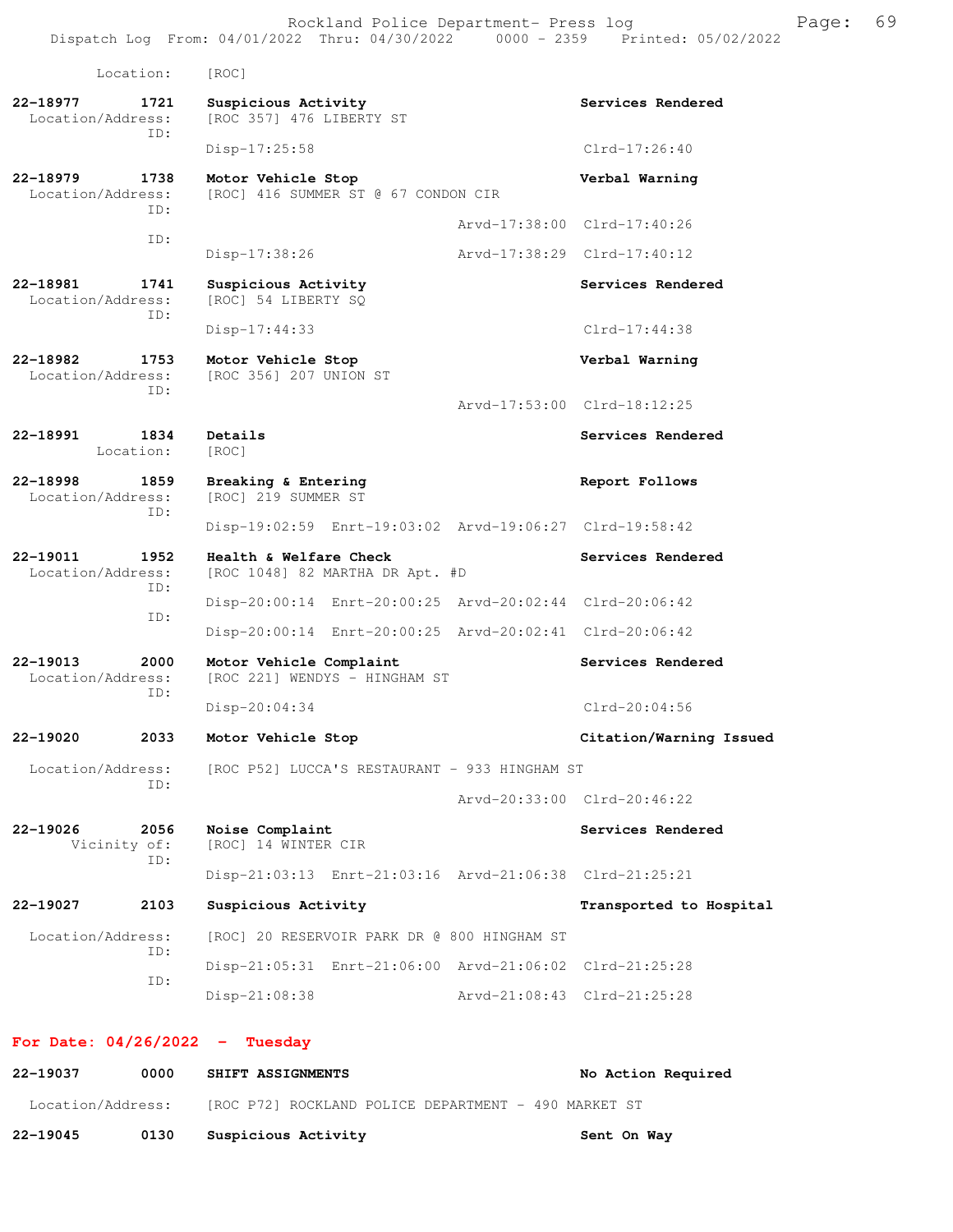Rockland Police Department- Press log Fage: 69 Dispatch Log From: 04/01/2022 Thru: 04/30/2022 0000 - 2359 Printed: 05/02/2022

 Location: [ROC] 22-18977 1721 Suspicious Activity **1721** Suspicious Activity **Services Rendered**  Location/Address: [ROC 357] 476 LIBERTY ST ID: Disp-17:25:58 Clrd-17:26:40 **22-18979 1738 Motor Vehicle Stop Verbal Warning**  Location/Address: [ROC] 416 SUMMER ST @ 67 CONDON CIR ID: Arvd-17:38:00 Clrd-17:40:26 ID: Disp-17:38:26 Arvd-17:38:29 Clrd-17:40:12 **22-18981 1741 Suspicious Activity 6 18 Services Rendered** Location/Address: [ROC] 54 LIBERTY SQ [ROC] 54 LIBERTY SQ ID: Disp-17:44:33 Clrd-17:44:38 **22-18982 1753 Motor Vehicle Stop Verbal Warning**  [ROC 356] 207 UNION ST ID: Arvd-17:53:00 Clrd-18:12:25 **22-18991 1834 Details Services Rendered**  Location: [ROC] **22-18998 1859 Breaking & Entering Report Follows**  Location/Address: [ROC] 219 SUMMER ST ID: Disp-19:02:59 Enrt-19:03:02 Arvd-19:06:27 Clrd-19:58:42 **22-19011 1952 Health & Welfare Check Services Rendered** Location/Address: [ROC 1048] 82 MARTHA DR Apt. #D [ROC 1048] 82 MARTHA DR Apt. #D ID: Disp-20:00:14 Enrt-20:00:25 Arvd-20:02:44 Clrd-20:06:42 ID: Disp-20:00:14 Enrt-20:00:25 Arvd-20:02:41 Clrd-20:06:42 **22-19013 2000 Motor Vehicle Complaint Services Rendered**  Location/Address: [ROC 221] WENDYS - HINGHAM ST ID: Disp-20:04:34 Clrd-20:04:56 **22-19020 2033 Motor Vehicle Stop Citation/Warning Issued**  Location/Address: [ROC P52] LUCCA'S RESTAURANT - 933 HINGHAM ST ID: Arvd-20:33:00 Clrd-20:46:22 **22-19026 2056 Noise Complaint Services Rendered**  Vicinity of: [ROC] 14 WINTER CIR ID: Disp-21:03:13 Enrt-21:03:16 Arvd-21:06:38 Clrd-21:25:21 **22-19027 2103 Suspicious Activity Transported to Hospital**  Location/Address: [ROC] 20 RESERVOIR PARK DR @ 800 HINGHAM ST ID: Disp-21:05:31 Enrt-21:06:00 Arvd-21:06:02 Clrd-21:25:28 ID: Disp-21:08:38 Arvd-21:08:43 Clrd-21:25:28

#### **For Date: 04/26/2022 - Tuesday**

| 22-19045          | 0130 | Suspicious Activity                                  | Sent On Way        |
|-------------------|------|------------------------------------------------------|--------------------|
| Location/Address: |      | [ROC P72] ROCKLAND POLICE DEPARTMENT - 490 MARKET ST |                    |
| 22-19037          | 0000 | <b>SHIFT ASSIGNMENTS</b>                             | No Action Required |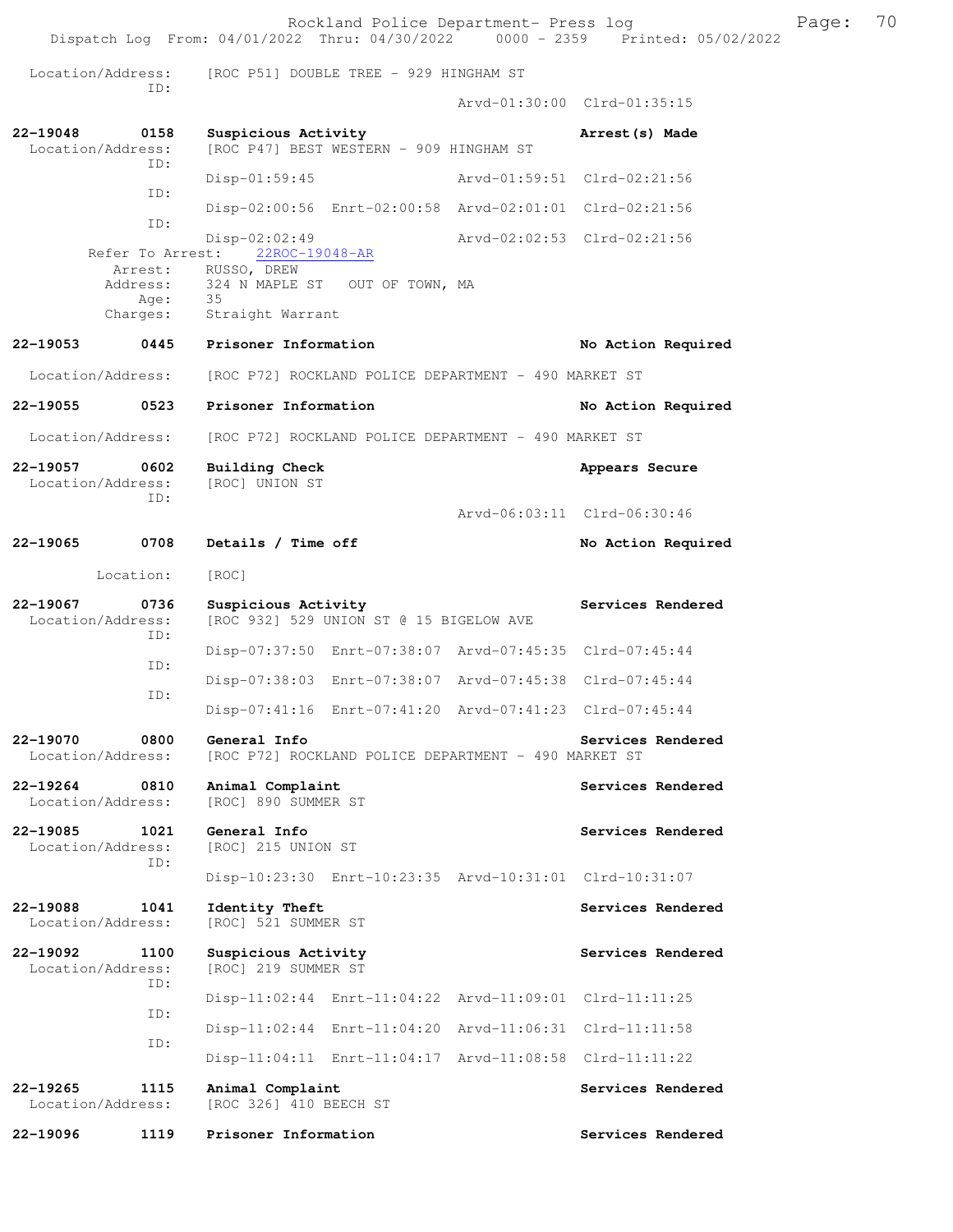Rockland Police Department- Press log Page: 70 Dispatch Log From: 04/01/2022 Thru: 04/30/2022 0000 - 2359 Printed: 05/02/2022 Location/Address: [ROC P51] DOUBLE TREE - 929 HINGHAM ST ID: Arvd-01:30:00 Clrd-01:35:15 **22-19048 0158 Suspicious Activity Arrest(s) Made**  [ROC P47] BEST WESTERN - 909 HINGHAM ST ID: Disp-01:59:45 Arvd-01:59:51 Clrd-02:21:56 ID: Disp-02:00:56 Enrt-02:00:58 Arvd-02:01:01 Clrd-02:21:56 ID: Disp-02:02:49 Arvd-02:02:53 Clrd-02:21:56 Refer To Arrest: 22ROC-19048-AR Arrest: RUSSO, DREW Address: 324 N MAPLE ST OUT OF TOWN, MA Age: Charges: Straight Warrant **22-19053 0445 Prisoner Information No Action Required**  Location/Address: [ROC P72] ROCKLAND POLICE DEPARTMENT - 490 MARKET ST **22-19055 0523 Prisoner Information No Action Required**  Location/Address: [ROC P72] ROCKLAND POLICE DEPARTMENT - 490 MARKET ST **22-19057 0602 Building Check Appears Secure**  Location/Address: [ROC] UNION ST ID: Arvd-06:03:11 Clrd-06:30:46 **22-19065 0708 Details / Time off No Action Required**  Location: [ROC] 22-19067 **0736** Suspicious Activity **1986** Services Rendered Location/Address: [ROC 932] 529 UNION ST @ 15 BIGELOW AVE ID: Disp-07:37:50 Enrt-07:38:07 Arvd-07:45:35 Clrd-07:45:44 ID: Disp-07:38:03 Enrt-07:38:07 Arvd-07:45:38 Clrd-07:45:44 ID: Disp-07:41:16 Enrt-07:41:20 Arvd-07:41:23 Clrd-07:45:44 **22-19070 0800 General Info Services Rendered**  Location/Address: [ROC P72] ROCKLAND POLICE DEPARTMENT - 490 MARKET ST **22-19264 0810 Animal Complaint Services Rendered**  Location/Address: [ROC] 890 SUMMER ST **22-19085 1021 General Info Services Rendered**  [ROC] 215 UNION ST ID: Disp-10:23:30 Enrt-10:23:35 Arvd-10:31:01 Clrd-10:31:07 **22-19088 1041 Identity Theft Services Rendered**  Location/Address: [ROC] 521 SUMMER ST 22-19092 1100 Suspicious Activity **120 Services Rendered**  Location/Address: [ROC] 219 SUMMER ST ID: Disp-11:02:44 Enrt-11:04:22 Arvd-11:09:01 Clrd-11:11:25 ID: Disp-11:02:44 Enrt-11:04:20 Arvd-11:06:31 Clrd-11:11:58 ID: Disp-11:04:11 Enrt-11:04:17 Arvd-11:08:58 Clrd-11:11:22 **22-19265 1115 Animal Complaint Services Rendered**  Location/Address: [ROC 326] 410 BEECH ST **22-19096 1119 Prisoner Information Services Rendered**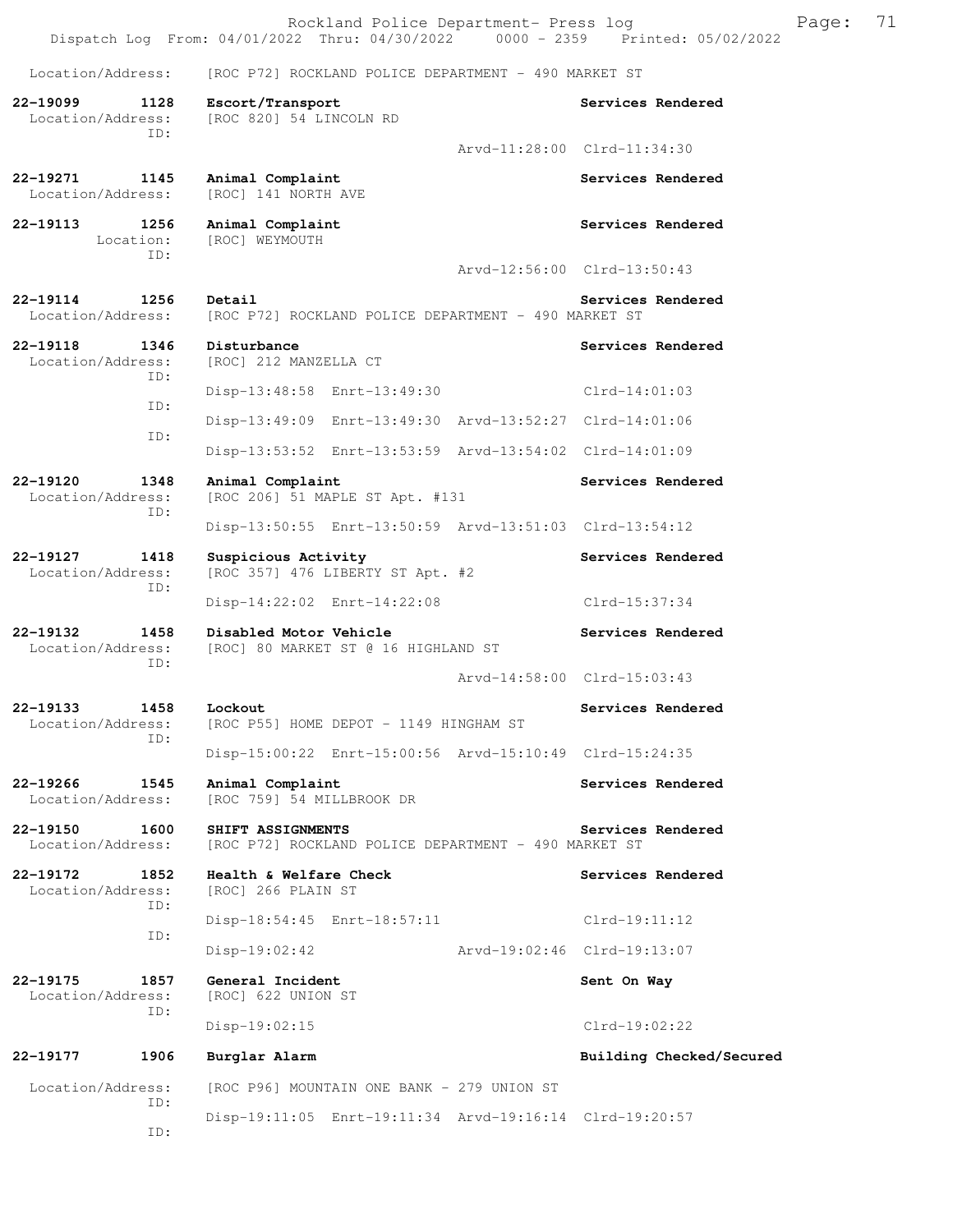Location/Address: [ROC P72] ROCKLAND POLICE DEPARTMENT - 490 MARKET ST

**22-19099 1128 Escort/Transport Services Rendered** Location/Address: [ROC 820] 54 LINCOLN RD [ROC 820] 54 LINCOLN RD ID: Arvd-11:28:00 Clrd-11:34:30 **22-19271 1145 Animal Complaint Complexist Services Rendered** Location/Address: [ROC] 141 NORTH AVE [ROC] 141 NORTH AVE **22-19113 1256 Animal Complaint Complaint Services Rendered** Services Rendered **Internation:** [ROC] WEYMOUTH [ROC] WEYMOUTH ID: Arvd-12:56:00 Clrd-13:50:43 **22-19114 1256 Detail Services Rendered**  Location/Address: [ROC P72] ROCKLAND POLICE DEPARTMENT - 490 MARKET ST **22-19118 1346 Disturbance Services Rendered**  Location/Address: [ROC] 212 MANZELLA CT ID: Disp-13:48:58 Enrt-13:49:30 Clrd-14:01:03 ID: Disp-13:49:09 Enrt-13:49:30 Arvd-13:52:27 Clrd-14:01:06 ID: Disp-13:53:52 Enrt-13:53:59 Arvd-13:54:02 Clrd-14:01:09 **22-19120 1348 Animal Complaint Services Rendered**  Location/Address: [ROC 206] 51 MAPLE ST Apt. #131 ID: Disp-13:50:55 Enrt-13:50:59 Arvd-13:51:03 Clrd-13:54:12 **22-19127 1418 Suspicious Activity 6. Services Rendered** Location/Address: [ROC 357] 476 LIBERTY ST Apt. #2 [ROC 357] 476 LIBERTY ST Apt. #2 ID: Disp-14:22:02 Enrt-14:22:08 Clrd-15:37:34 **22-19132 1458 Disabled Motor Vehicle Services Rendered**  Location/Address: [ROC] 80 MARKET ST @ 16 HIGHLAND ST ID: Arvd-14:58:00 Clrd-15:03:43 **22-19133 1458 Lockout Services Rendered**  Location/Address: [ROC P55] HOME DEPOT - 1149 HINGHAM ST ID: Disp-15:00:22 Enrt-15:00:56 Arvd-15:10:49 Clrd-15:24:35 **22-19266 1545 Animal Complaint Services Rendered**  Location/Address: [ROC 759] 54 MILLBROOK DR **22-19150 1600 SHIFT ASSIGNMENTS Services Rendered**  Location/Address: [ROC P72] ROCKLAND POLICE DEPARTMENT - 490 MARKET ST **22-19172 1852 Health & Welfare Check Services Rendered**  Location/Address: [ROC] 266 PLAIN ST ID: Disp-18:54:45 Enrt-18:57:11 Clrd-19:11:12 ID: Disp-19:02:42 Arvd-19:02:46 Clrd-19:13:07 **22-19175 1857 General Incident Sent On Way**  Location/Address: [ROC] 622 UNION ST ID: Disp-19:02:15 Clrd-19:02:22 **22-19177 1906 Burglar Alarm Building Checked/Secured**  Location/Address: [ROC P96] MOUNTAIN ONE BANK - 279 UNION ST ID: Disp-19:11:05 Enrt-19:11:34 Arvd-19:16:14 Clrd-19:20:57

ID: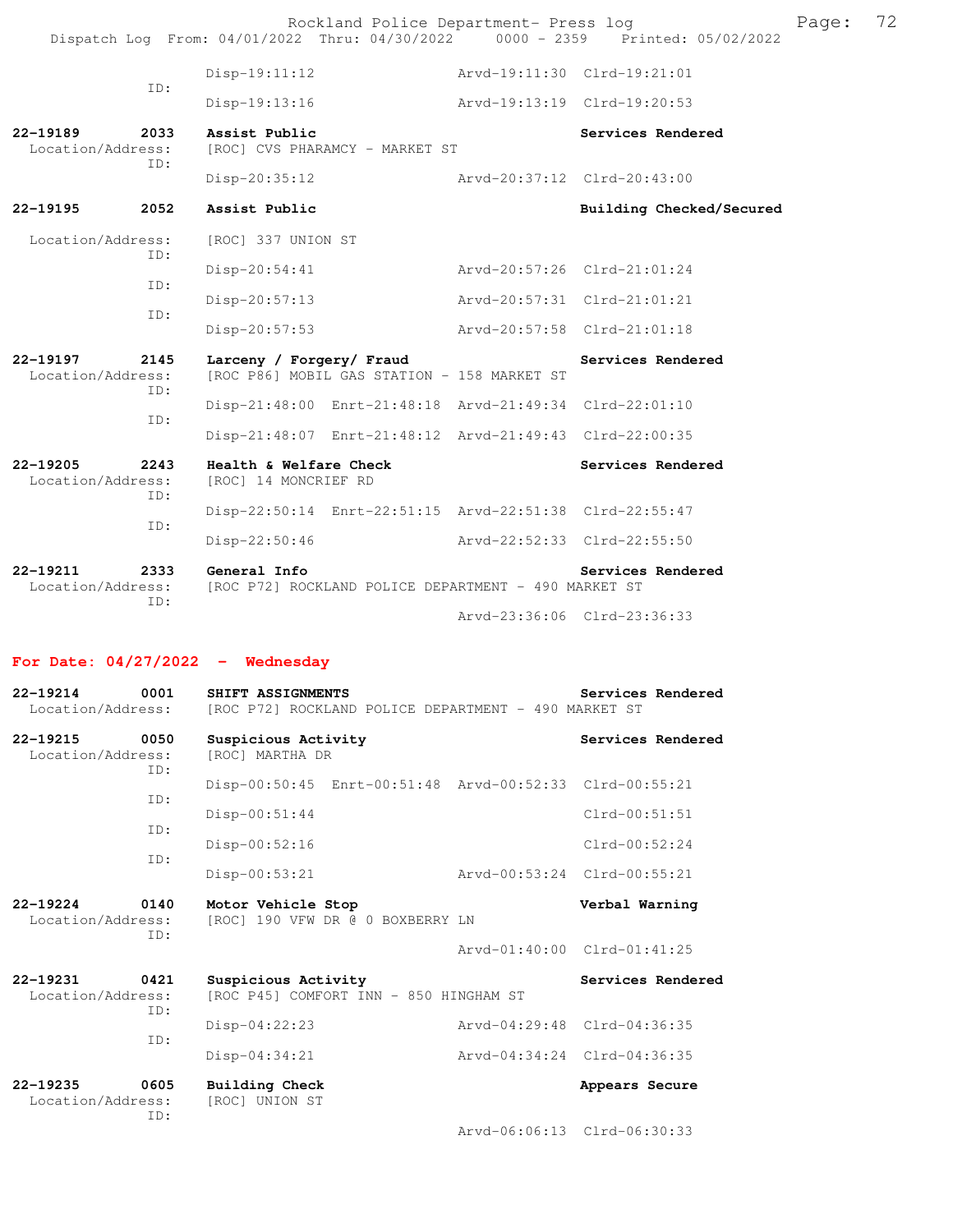|                                   |             | Dispatch Log From: 04/01/2022 Thru: 04/30/2022 0000 - 2359 Printed: 05/02/2022 | Rockland Police Department- Press log |                          | Page: | 72 |
|-----------------------------------|-------------|--------------------------------------------------------------------------------|---------------------------------------|--------------------------|-------|----|
|                                   |             | $Disp-19:11:12$                                                                | Arvd-19:11:30 Clrd-19:21:01           |                          |       |    |
|                                   | ID:         | $Disp-19:13:16$                                                                | Arvd-19:13:19 Clrd-19:20:53           |                          |       |    |
| 22-19189<br>Location/Address:     | 2033<br>ID: | Assist Public<br>[ROC] CVS PHARAMCY - MARKET ST                                |                                       | Services Rendered        |       |    |
|                                   |             | Disp-20:35:12                                                                  | Arvd-20:37:12 Clrd-20:43:00           |                          |       |    |
| 22-19195 2052                     |             | Assist Public                                                                  |                                       | Building Checked/Secured |       |    |
| Location/Address:                 | TD:         | [ROC] 337 UNION ST                                                             |                                       |                          |       |    |
|                                   |             | $Disp-20:54:41$                                                                | Arvd-20:57:26 Clrd-21:01:24           |                          |       |    |
|                                   | TD:         | Disp-20:57:13                                                                  | Arvd-20:57:31 Clrd-21:01:21           |                          |       |    |
|                                   | ID:         | Disp-20:57:53                                                                  | Arvd-20:57:58 Clrd-21:01:18           |                          |       |    |
| 22-19197<br>Location/Address:     | 2145<br>ID: | Larceny / Forgery/ Fraud<br>[ROC P86] MOBIL GAS STATION - 158 MARKET ST        |                                       | Services Rendered        |       |    |
|                                   | TD:         | Disp-21:48:00 Enrt-21:48:18 Arvd-21:49:34 Clrd-22:01:10                        |                                       |                          |       |    |
|                                   |             | Disp-21:48:07 Enrt-21:48:12 Arvd-21:49:43 Clrd-22:00:35                        |                                       |                          |       |    |
| 22-19205<br>Location/Address:     | 2243<br>ID: | Health & Welfare Check<br>[ROC] 14 MONCRIEF RD                                 |                                       | Services Rendered        |       |    |
|                                   | ID:         | Disp-22:50:14 Enrt-22:51:15 Arvd-22:51:38 Clrd-22:55:47                        |                                       |                          |       |    |
|                                   |             | Disp-22:50:46 Arvd-22:52:33 Clrd-22:55:50                                      |                                       |                          |       |    |
| $22 - 19211$<br>Location/Address: | 2333<br>ID: | General Info<br>[ROC P72] ROCKLAND POLICE DEPARTMENT - 490 MARKET ST           |                                       | Services Rendered        |       |    |

Arvd-23:36:06 Clrd-23:36:33

# **For Date: 04/27/2022 - Wednesday**

| $22 - 19214$<br>0001<br>Location/Address:        | SHIFT ASSIGNMENTS<br>[ROC P72] ROCKLAND POLICE DEPARTMENT - 490 MARKET ST          |                             | Services Rendered           |
|--------------------------------------------------|------------------------------------------------------------------------------------|-----------------------------|-----------------------------|
| $22 - 19215$<br>0050<br>Location/Address:<br>TD: | Suspicious Activity<br>[ROC] MARTHA DR                                             |                             | Services Rendered           |
| ID:                                              | Disp-00:50:45 Enrt-00:51:48 Arvd-00:52:33 Clrd-00:55:21                            |                             |                             |
| ID:                                              | $Disp-00:51:44$                                                                    |                             | $Clrd-00:51:51$             |
| TD:                                              | Disp-00:52:16                                                                      |                             | $Clrd-00:52:24$             |
|                                                  | Disp-00:53:21                                                                      | Arvd-00:53:24 Clrd-00:55:21 |                             |
| $22 - 19224$<br>0140<br>Location/Address:<br>ID: | Motor Vehicle Stop<br>[ROC] 190 VFW DR @ 0 BOXBERRY LN                             |                             | Verbal Warning              |
|                                                  |                                                                                    |                             | Arvd-01:40:00 Clrd-01:41:25 |
| $22 - 19231$<br>0421<br>Location/Address:<br>ID: | Suspicious Activity<br>Services Rendered<br>[ROC P45] COMFORT INN - 850 HINGHAM ST |                             |                             |
| TD:                                              | $Disp-04:22:23$                                                                    |                             | Arvd-04:29:48 Clrd-04:36:35 |
|                                                  | $Disp-04:34:21$                                                                    | Arvd-04:34:24 Clrd-04:36:35 |                             |
| $22 - 19235$<br>0605<br>Location/Address:<br>ID: | Building Check<br>[ROC] UNION ST                                                   |                             | Appears Secure              |
|                                                  |                                                                                    |                             | Arvd-06:06:13 Clrd-06:30:33 |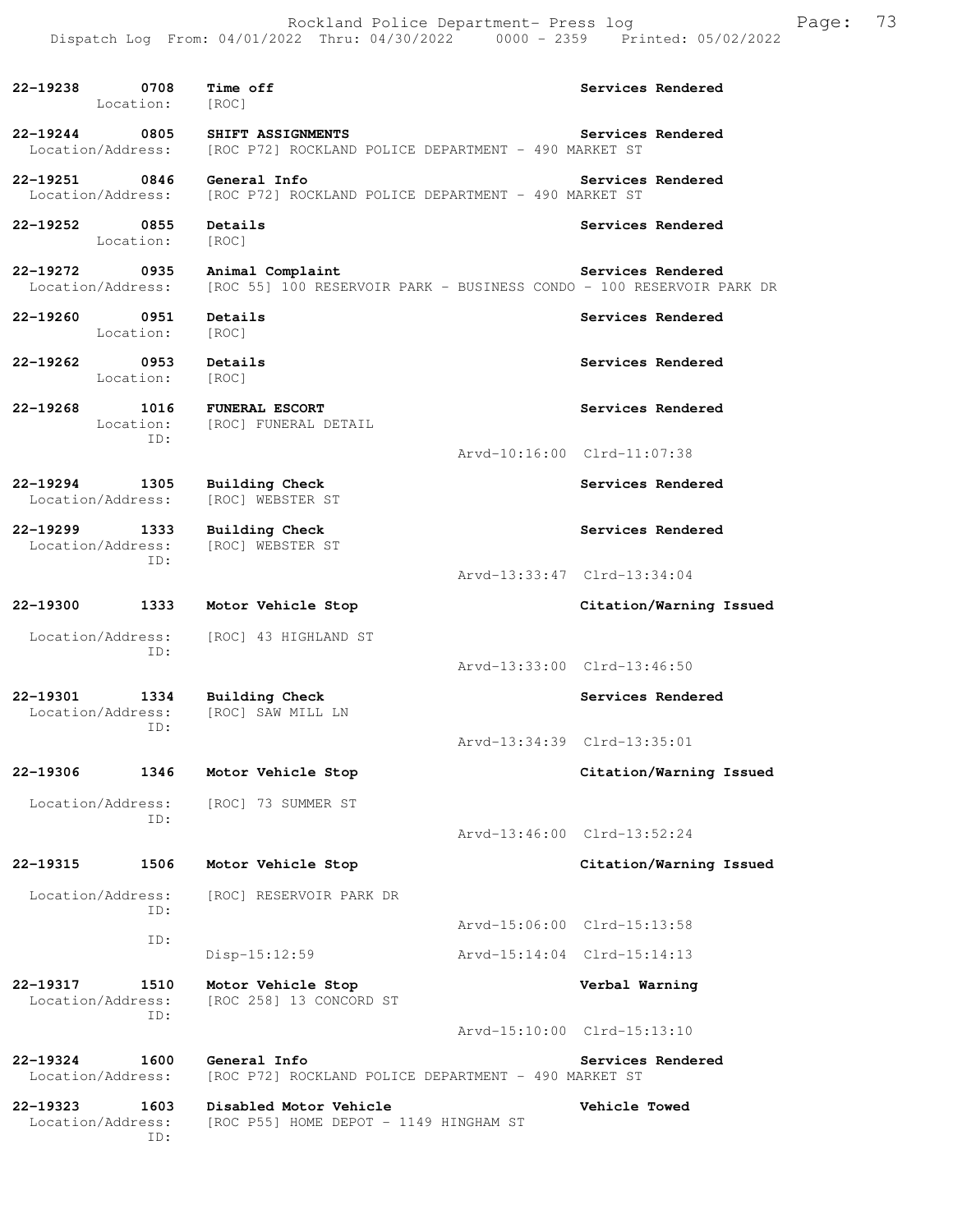| 22-19238          | 0708<br>Location:                | Time off<br>[ROC]                                                                        | Services Rendered           |
|-------------------|----------------------------------|------------------------------------------------------------------------------------------|-----------------------------|
| 22-19244          | 0805<br>Location/Address:        | SHIFT ASSIGNMENTS<br>[ROC P72] ROCKLAND POLICE DEPARTMENT - 490 MARKET ST                | Services Rendered           |
| 22-19251          | 0846<br>Location/Address:        | General Info<br>[ROC P72] ROCKLAND POLICE DEPARTMENT - 490 MARKET ST                     | Services Rendered           |
| 22-19252          | 0855<br>Location:                | Details<br>[ROC]                                                                         | Services Rendered           |
| 22-19272          | 0935<br>Location/Address:        | Animal Complaint<br>[ROC 55] 100 RESERVOIR PARK - BUSINESS CONDO - 100 RESERVOIR PARK DR | Services Rendered           |
| 22-19260          | 0951<br>Location:                | Details<br>[ROC]                                                                         | Services Rendered           |
| 22-19262          | 0953<br>Location:                | Details<br>[ROC]                                                                         | Services Rendered           |
| $22 - 19268$      | 1016<br>Location:<br>ID:         | <b>FUNERAL ESCORT</b><br>[ROC] FUNERAL DETAIL                                            | Services Rendered           |
|                   |                                  |                                                                                          | Aryd-10:16:00 Clrd-11:07:38 |
| 22-19294          | 1305<br>Location/Address:        | <b>Building Check</b><br>[ROC] WEBSTER ST                                                | Services Rendered           |
| 22-19299          | 1333<br>Location/Address:<br>ID: | Building Check<br>[ROC] WEBSTER ST                                                       | Services Rendered           |
|                   |                                  |                                                                                          | Arvd-13:33:47 Clrd-13:34:04 |
| 22-19300          | 1333                             | Motor Vehicle Stop                                                                       | Citation/Warning Issued     |
| Location/Address: |                                  | [ROC] 43 HIGHLAND ST                                                                     |                             |
|                   | ID:                              |                                                                                          | Arvd-13:33:00 Clrd-13:46:50 |
| 22-19301          | 1334<br>Location/Address:<br>ID: | <b>Building Check</b><br>[ROC] SAW MILL LN                                               | Services Rendered           |
|                   |                                  |                                                                                          | Arvd-13:34:39 Clrd-13:35:01 |
| 22-19306          | 1346                             | Motor Vehicle Stop                                                                       | Citation/Warning Issued     |
|                   | Location/Address:<br>ID:         | [ROC] 73 SUMMER ST                                                                       |                             |
|                   |                                  |                                                                                          | Arvd-13:46:00 Clrd-13:52:24 |
| 22-19315          | 1506                             | Motor Vehicle Stop                                                                       | Citation/Warning Issued     |
|                   | Location/Address:<br>ID:         | [ROC] RESERVOIR PARK DR                                                                  |                             |
|                   | ID:                              |                                                                                          | Arvd-15:06:00 Clrd-15:13:58 |
|                   |                                  | $Disp-15:12:59$                                                                          | Arvd-15:14:04 Clrd-15:14:13 |
| 22-19317          | 1510<br>Location/Address:<br>ID: | Motor Vehicle Stop<br>[ROC 258] 13 CONCORD ST                                            | Verbal Warning              |
|                   |                                  |                                                                                          | Arvd-15:10:00 Clrd-15:13:10 |
| 22-19324          | 1600<br>Location/Address:        | General Info<br>[ROC P72] ROCKLAND POLICE DEPARTMENT - 490 MARKET ST                     | Services Rendered           |
| 22-19323          | 1603<br>Location/Address:<br>ID: | Disabled Motor Vehicle<br>[ROC P55] HOME DEPOT - 1149 HINGHAM ST                         | Vehicle Towed               |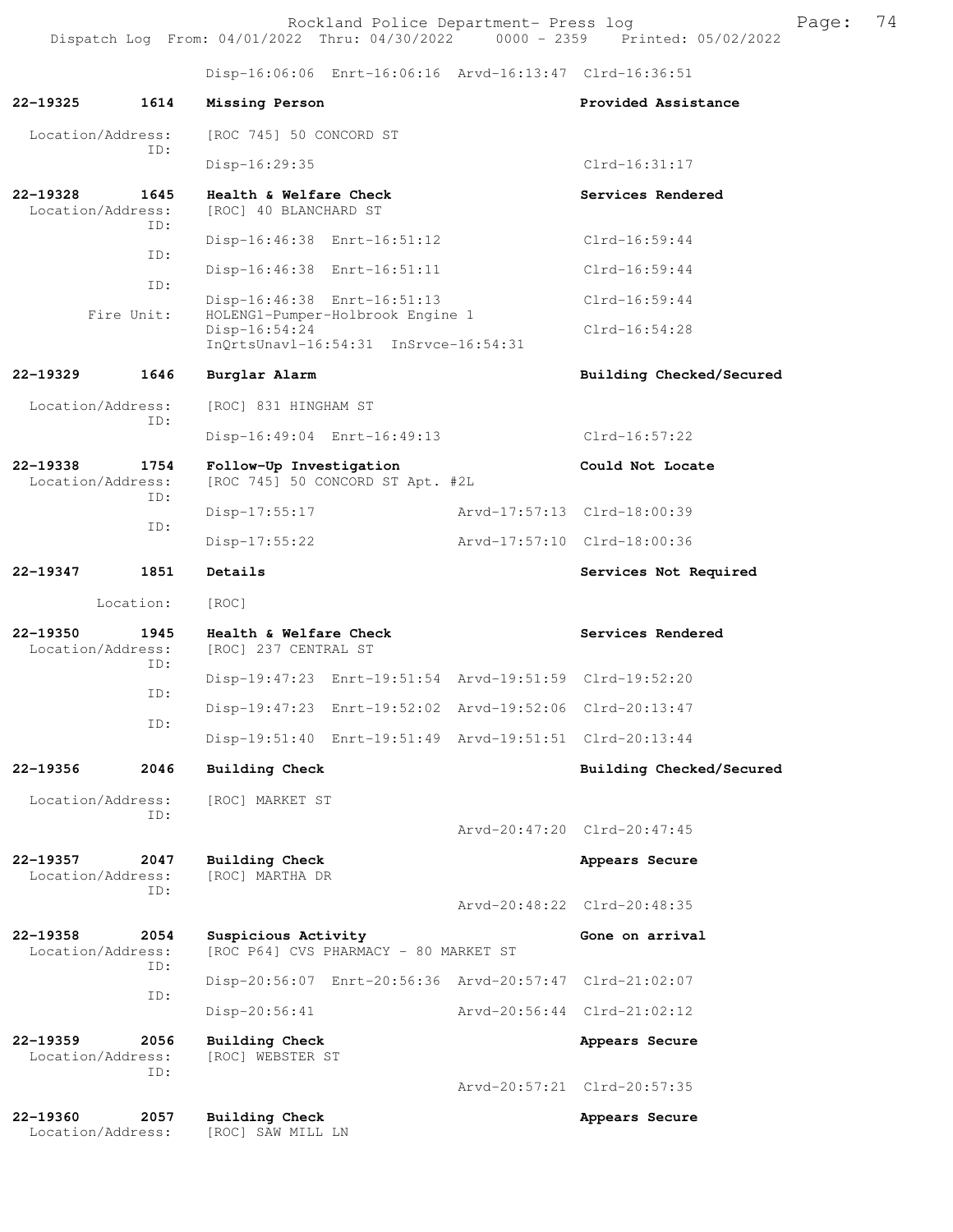Disp-16:06:06 Enrt-16:06:16 Arvd-16:13:47 Clrd-16:36:51

| 22-19325                          | 1614        | Missing Person                                                                                 |                             | Provided Assistance         |
|-----------------------------------|-------------|------------------------------------------------------------------------------------------------|-----------------------------|-----------------------------|
| Location/Address:                 | ID:         | [ROC 745] 50 CONCORD ST                                                                        |                             |                             |
|                                   |             | Disp-16:29:35                                                                                  |                             | $Clrd-16:31:17$             |
| 22-19328<br>Location/Address:     | 1645<br>TD: | Health & Welfare Check<br>[ROC] 40 BLANCHARD ST                                                |                             | Services Rendered           |
|                                   | ID:         | Disp-16:46:38 Enrt-16:51:12                                                                    |                             | $Clrd-16:59:44$             |
|                                   |             | Disp-16:46:38 Enrt-16:51:11                                                                    |                             | $Clrd-16:59:44$             |
|                                   | ID:         | Disp-16:46:38 Enrt-16:51:13                                                                    |                             | $Clrd-16:59:44$             |
| Fire Unit:                        |             | HOLENG1-Pumper-Holbrook Engine 1<br>Disp-16:54:24<br>$InQrtsUnav1-16:54:31$ $InSrvce-16:54:31$ |                             | $Clrd-16:54:28$             |
| 22-19329                          | 1646        | Burglar Alarm                                                                                  |                             | Building Checked/Secured    |
| Location/Address:                 | ID:         | [ROC] 831 HINGHAM ST                                                                           |                             |                             |
|                                   |             | Disp-16:49:04 Enrt-16:49:13                                                                    |                             | Clrd-16:57:22               |
| 22-19338<br>Location/Address:     | 1754<br>ID: | Follow-Up Investigation<br>[ROC 745] 50 CONCORD ST Apt. #2L                                    |                             | Could Not Locate            |
|                                   | ID:         | $Disp-17:55:17$                                                                                |                             | Arvd-17:57:13 Clrd-18:00:39 |
|                                   |             | $Disp-17:55:22$                                                                                |                             | Arvd-17:57:10 Clrd-18:00:36 |
| 22-19347                          | 1851        | Details                                                                                        |                             | Services Not Required       |
| Location:                         |             | [ROC]                                                                                          |                             |                             |
| $22 - 19350$<br>Location/Address: | 1945<br>TD: | Health & Welfare Check<br>[ROC] 237 CENTRAL ST                                                 |                             | Services Rendered           |
|                                   | ID:         | Disp-19:47:23 Enrt-19:51:54 Arvd-19:51:59 Clrd-19:52:20                                        |                             |                             |
|                                   | ID:         | Disp-19:47:23 Enrt-19:52:02 Arvd-19:52:06 Clrd-20:13:47                                        |                             |                             |
|                                   |             | Disp-19:51:40 Enrt-19:51:49 Arvd-19:51:51 Clrd-20:13:44                                        |                             |                             |
| $22 - 19356$                      | 2046        | Building Check                                                                                 |                             | Building Checked/Secured    |
| Location/Address:                 | ID:         | [ROC] MARKET ST                                                                                |                             |                             |
|                                   |             |                                                                                                |                             | Arvd-20:47:20 Clrd-20:47:45 |
| 22-19357<br>Location/Address:     | 2047<br>ID: | <b>Building Check</b><br>[ROC] MARTHA DR                                                       |                             | Appears Secure              |
|                                   |             |                                                                                                |                             | Arvd-20:48:22 Clrd-20:48:35 |
| 22-19358<br>Location/Address:     | 2054<br>ID: | Suspicious Activity<br>[ROC P64] CVS PHARMACY - 80 MARKET ST                                   |                             | Gone on arrival             |
|                                   | ID:         | Disp-20:56:07 Enrt-20:56:36 Arvd-20:57:47 Clrd-21:02:07                                        |                             |                             |
|                                   |             | Disp-20:56:41                                                                                  | Arvd-20:56:44 Clrd-21:02:12 |                             |
| 22-19359<br>Location/Address:     | 2056<br>ID: | <b>Building Check</b><br>[ROC] WEBSTER ST                                                      |                             | Appears Secure              |
|                                   |             |                                                                                                |                             | Arvd-20:57:21 Clrd-20:57:35 |
| 22-19360<br>Location/Address:     | 2057        | <b>Building Check</b><br>[ROC] SAW MILL LN                                                     |                             | Appears Secure              |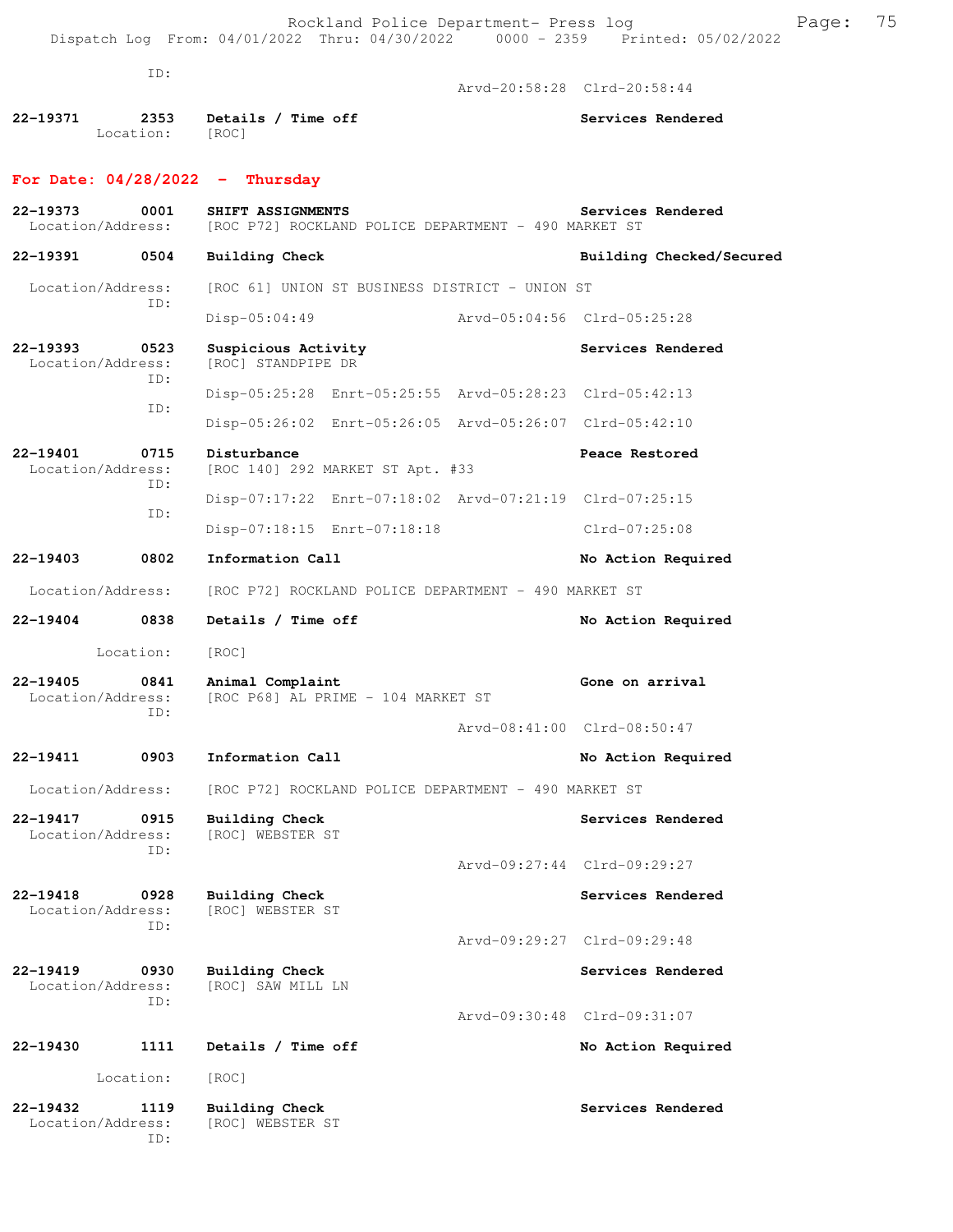|                               |                 | Dispatch Log From: 04/01/2022 Thru: 04/30/2022 0000 - 2359 Printed: 05/02/2022 | Rockland Police Department- Press log |                             | Page: | 75 |
|-------------------------------|-----------------|--------------------------------------------------------------------------------|---------------------------------------|-----------------------------|-------|----|
|                               | ID:             |                                                                                | Arvd-20:58:28 Clrd-20:58:44           |                             |       |    |
| 22-19371                      | Location: [ROC] | 2353 Details / Time off                                                        |                                       | Services Rendered           |       |    |
|                               |                 | For Date: $04/28/2022 -$ Thursday                                              |                                       |                             |       |    |
| 22-19373<br>Location/Address: | 0001            | SHIFT ASSIGNMENTS<br>[ROC P72] ROCKLAND POLICE DEPARTMENT - 490 MARKET ST      |                                       | Services Rendered           |       |    |
| 22-19391 0504                 |                 | <b>Building Check</b>                                                          |                                       | Building Checked/Secured    |       |    |
| Location/Address:             |                 | [ROC 61] UNION ST BUSINESS DISTRICT - UNION ST                                 |                                       |                             |       |    |
|                               | ID:             | Disp-05:04:49                                                                  |                                       |                             |       |    |
| 22-19393<br>Location/Address: | 0523            | Suspicious Activity<br>[ROC] STANDPIPE DR                                      |                                       | Services Rendered           |       |    |
|                               | ID:             | Disp-05:25:28 Enrt-05:25:55 Arvd-05:28:23 Clrd-05:42:13                        |                                       |                             |       |    |
|                               | ID:             | Disp-05:26:02 Enrt-05:26:05 Arvd-05:26:07 Clrd-05:42:10                        |                                       |                             |       |    |
| 22-19401<br>Location/Address: | 0715<br>ID:     | Disturbance<br>[ROC 140] 292 MARKET ST Apt. #33                                |                                       | Peace Restored              |       |    |
|                               | ID:             | Disp-07:17:22 Enrt-07:18:02 Arvd-07:21:19 Clrd-07:25:15                        |                                       |                             |       |    |
|                               |                 | Disp-07:18:15 Enrt-07:18:18                                                    |                                       | Clrd-07:25:08               |       |    |
| 22-19403                      | 0802            | Information Call                                                               |                                       | No Action Required          |       |    |
| Location/Address:             |                 | [ROC P72] ROCKLAND POLICE DEPARTMENT - 490 MARKET ST                           |                                       |                             |       |    |
| 22-19404                      | 0838            | Details / Time off                                                             |                                       | No Action Required          |       |    |
| Location:                     |                 | [ROC]                                                                          |                                       |                             |       |    |
| 22-19405<br>Location/Address: | 0841<br>ID:     | Animal Complaint<br>[ROC P68] AL PRIME - 104 MARKET ST                         |                                       | Gone on arrival             |       |    |
|                               |                 |                                                                                |                                       | Arvd-08:41:00 Clrd-08:50:47 |       |    |
| 22-19411                      | 0903            | Information Call                                                               |                                       | No Action Required          |       |    |
| Location/Address:             |                 | [ROC P72] ROCKLAND POLICE DEPARTMENT - 490 MARKET ST                           |                                       |                             |       |    |
| 22-19417<br>Location/Address: | 0915<br>ID:     | <b>Building Check</b><br>[ROC] WEBSTER ST                                      |                                       | Services Rendered           |       |    |
|                               |                 |                                                                                |                                       | Arvd-09:27:44 Clrd-09:29:27 |       |    |
| 22-19418<br>Location/Address: | 0928<br>ID:     | <b>Building Check</b><br>[ROC] WEBSTER ST                                      |                                       | Services Rendered           |       |    |
|                               |                 |                                                                                |                                       | Arvd-09:29:27 Clrd-09:29:48 |       |    |
| 22-19419<br>Location/Address: | 0930<br>ID:     | <b>Building Check</b><br>[ROC] SAW MILL LN                                     |                                       | Services Rendered           |       |    |
|                               |                 |                                                                                |                                       | Arvd-09:30:48 Clrd-09:31:07 |       |    |
| 22-19430                      | 1111            | Details / Time off                                                             |                                       | No Action Required          |       |    |
| Location:                     |                 | [ROC]                                                                          |                                       |                             |       |    |
| 22-19432<br>Location/Address: | 1119<br>ID:     | <b>Building Check</b><br>[ROC] WEBSTER ST                                      |                                       | Services Rendered           |       |    |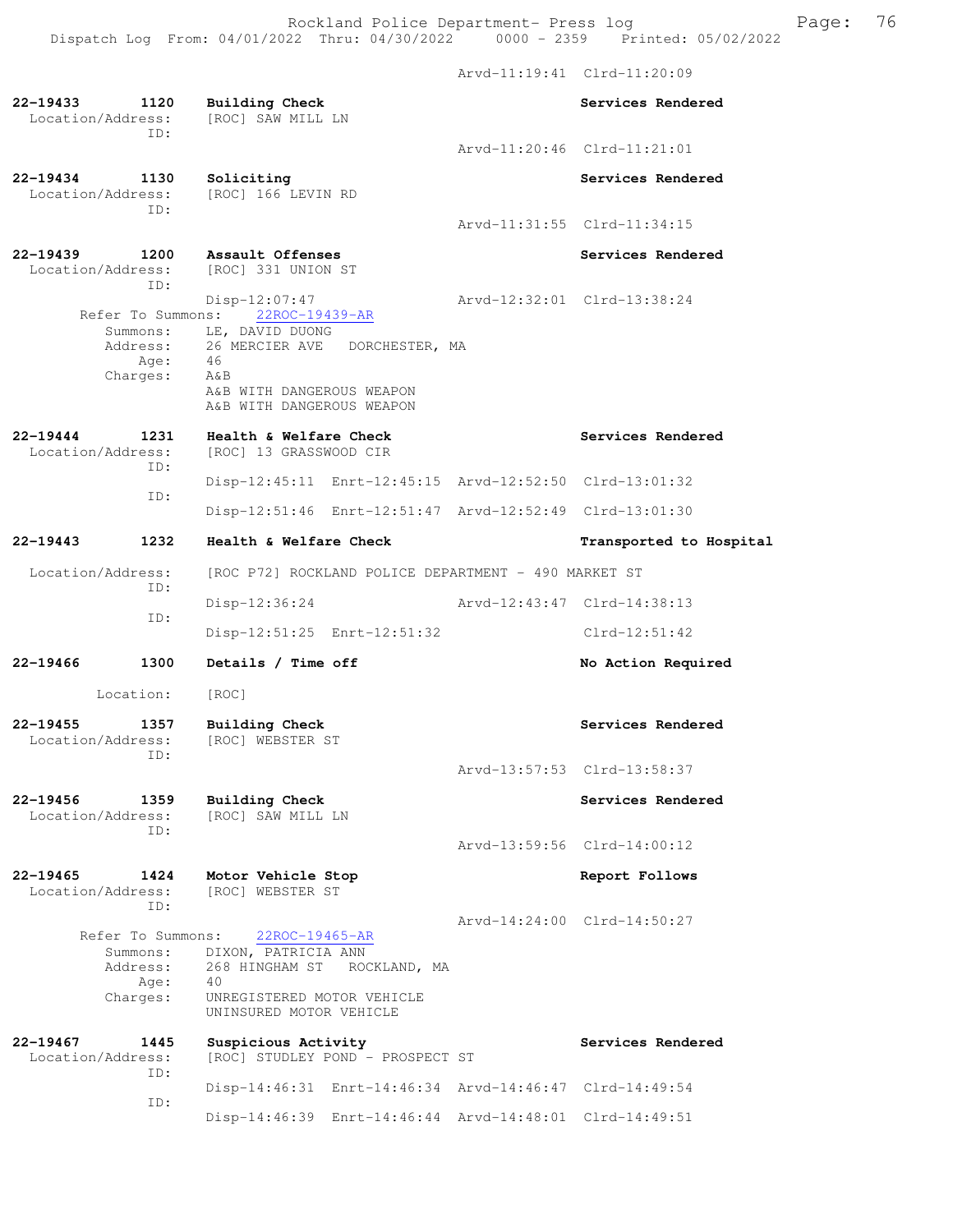Arvd-11:31:55 Clrd-11:34:15

Arvd-13:57:53 Clrd-13:58:37

Arvd-13:59:56 Clrd-14:00:12

Arvd-14:24:00 Clrd-14:50:27

**22-19439 1200 Assault Offenses Services Rendered** 

| Location/Address: | [ROC] 331 UNION ST                     |                             |  |
|-------------------|----------------------------------------|-----------------------------|--|
| TD:               |                                        |                             |  |
|                   | Disp-12:07:47                          | Arvd-12:32:01 Clrd-13:38:24 |  |
|                   | Refer To Summons: 22ROC-19439-AR       |                             |  |
|                   | Summons: LE, DAVID DUONG               |                             |  |
|                   | Address: 26 MERCIER AVE DORCHESTER, MA |                             |  |

 Age: 46 Charges: A&B A&B WITH DANGEROUS WEAPON A&B WITH DANGEROUS WEAPON

## **22-19444 1231 Health & Welfare Check Services Rendered** Location/Address: [ROC] 13 GRASSWOOD CIR [ROC] 13 GRASSWOOD CIR ID:

 Disp-12:45:11 Enrt-12:45:15 Arvd-12:52:50 Clrd-13:01:32 ID: Disp-12:51:46 Enrt-12:51:47 Arvd-12:52:49 Clrd-13:01:30

- **22-19443 1232 Health & Welfare Check Transported to Hospital** 
	- Location/Address: [ROC P72] ROCKLAND POLICE DEPARTMENT 490 MARKET ST ID: Disp-12:36:24 Arvd-12:43:47 Clrd-14:38:13 ID: Disp-12:51:25 Enrt-12:51:32 Clrd-12:51:42
- **22-19466 1300 Details / Time off No Action Required**

Location: [ROC]

**22-19455 1357 Building Check Services Rendered**  Location/Address: [ROC] WEBSTER ST ID:

**22-19456 1359 Building Check Services Rendered**  Location/Address: [ROC] SAW MILL LN

ID:

**22-19465 1424 Motor Vehicle Stop Report Follows**  Location/Address: [ROC] WEBSTER ST

ID:

Refer To Summons: 22ROC-19465-AR Summons: DIXON, PATRICIA ANN Address: 268 HINGHAM ST ROCKLAND, MA  $A$ ge: Charges: UNREGISTERED MOTOR VEHICLE UNINSURED MOTOR VEHICLE

**22-19467 1445 Suspicious Activity Services Rendered**  Location/Address: [ROC] STUDLEY POND - PROSPECT ST ID: Disp-14:46:31 Enrt-14:46:34 Arvd-14:46:47 Clrd-14:49:54 ID: Disp-14:46:39 Enrt-14:46:44 Arvd-14:48:01 Clrd-14:49:51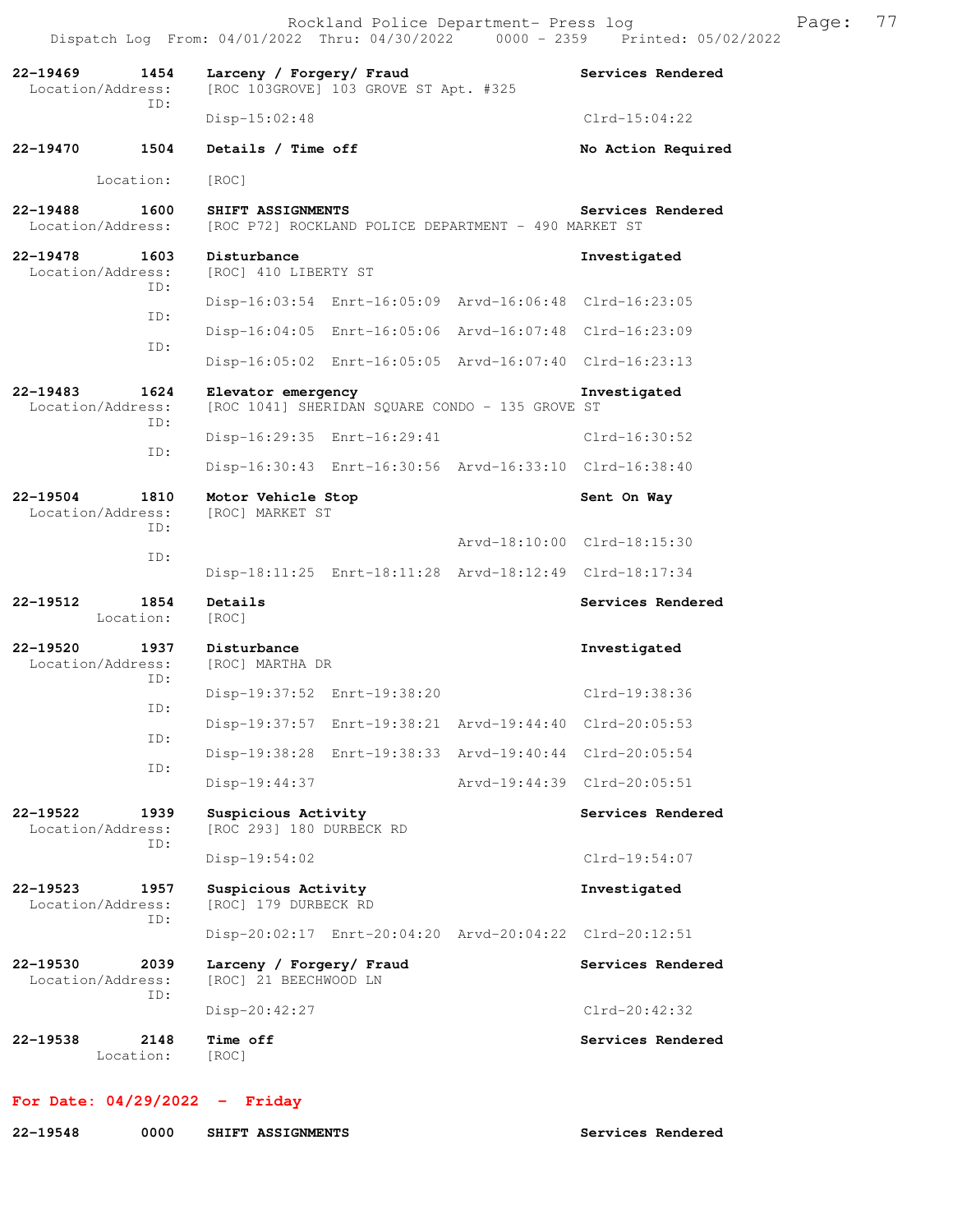| $22 - 19469$<br>1454<br>Location/Address:    | Larceny / Forgery/ Fraud<br>[ROC 103GROVE] 103 GROVE ST Apt. #325         | Services Rendered           |  |
|----------------------------------------------|---------------------------------------------------------------------------|-----------------------------|--|
| ID:                                          | $Disp-15:02:48$                                                           | $Clrd-15:04:22$             |  |
| 22-19470<br>1504                             | Details / Time off                                                        | No Action Required          |  |
| Location:                                    | [ROC]                                                                     |                             |  |
| 22-19488<br>1600<br>Location/Address:        | SHIFT ASSIGNMENTS<br>[ROC P72] ROCKLAND POLICE DEPARTMENT - 490 MARKET ST | Services Rendered           |  |
| 22-19478<br>1603<br>Location/Address:<br>ID: | Disturbance<br>[ROC] 410 LIBERTY ST                                       | Investigated                |  |
| ID:                                          | Disp-16:03:54 Enrt-16:05:09 Arvd-16:06:48 Clrd-16:23:05                   |                             |  |
| ID:                                          | Disp-16:04:05 Enrt-16:05:06 Arvd-16:07:48 Clrd-16:23:09                   |                             |  |
|                                              | Disp-16:05:02 Enrt-16:05:05 Arvd-16:07:40 Clrd-16:23:13                   |                             |  |
| 22-19483<br>1624<br>Location/Address:<br>ID: | Elevator emergency<br>[ROC 1041] SHERIDAN SQUARE CONDO - 135 GROVE ST     | Investigated                |  |
| ID:                                          | Disp-16:29:35 Enrt-16:29:41                                               | Clrd-16:30:52               |  |
|                                              | Disp-16:30:43 Enrt-16:30:56 Arvd-16:33:10 Clrd-16:38:40                   |                             |  |
| 22-19504<br>1810<br>Location/Address:<br>ID: | Motor Vehicle Stop<br>[ROC] MARKET ST                                     | Sent On Way                 |  |
| ID:                                          |                                                                           | Arvd-18:10:00 Clrd-18:15:30 |  |
|                                              | Disp-18:11:25 Enrt-18:11:28 Arvd-18:12:49 Clrd-18:17:34                   |                             |  |
| 22-19512<br>1854<br>Location:                | Details<br>[ROC]                                                          | Services Rendered           |  |
| 22-19520<br>1937<br>Location/Address:<br>ID: | Disturbance<br>[ROC] MARTHA DR                                            | Investigated                |  |
| ID:                                          | Disp-19:37:52 Enrt-19:38:20                                               | Clrd-19:38:36               |  |
| ID:                                          | Disp-19:37:57 Enrt-19:38:21 Arvd-19:44:40 Clrd-20:05:53                   |                             |  |
|                                              | Disp-19:38:28 Enrt-19:38:33 Arvd-19:40:44 Clrd-20:05:54                   |                             |  |
| ID:                                          | $Disp-19:44:37$                                                           | Arvd-19:44:39 Clrd-20:05:51 |  |
| $22 - 19522$<br>1939<br>Location/Address:    | Suspicious Activity<br>[ROC 293] 180 DURBECK RD                           | Services Rendered           |  |
| ID:                                          | Disp-19:54:02                                                             | Clrd-19:54:07               |  |
| 22-19523<br>1957<br>Location/Address:        | Suspicious Activity<br>[ROC] 179 DURBECK RD                               | Investigated                |  |
| ID:                                          | Disp-20:02:17 Enrt-20:04:20 Arvd-20:04:22 Clrd-20:12:51                   |                             |  |
| 22-19530<br>2039<br>Location/Address:<br>ID: | Larceny / Forgery/ Fraud<br>[ROC] 21 BEECHWOOD LN                         | Services Rendered           |  |
|                                              | Disp-20:42:27                                                             | $Clrd-20:42:32$             |  |
| 22-19538<br>2148<br>Location:                | Time off<br>[ROC]                                                         | Services Rendered           |  |

# **For Date: 04/29/2022 - Friday**

| 22-19548<br>0000 | SHIFT ASSIGNMENTS |
|------------------|-------------------|
|------------------|-------------------|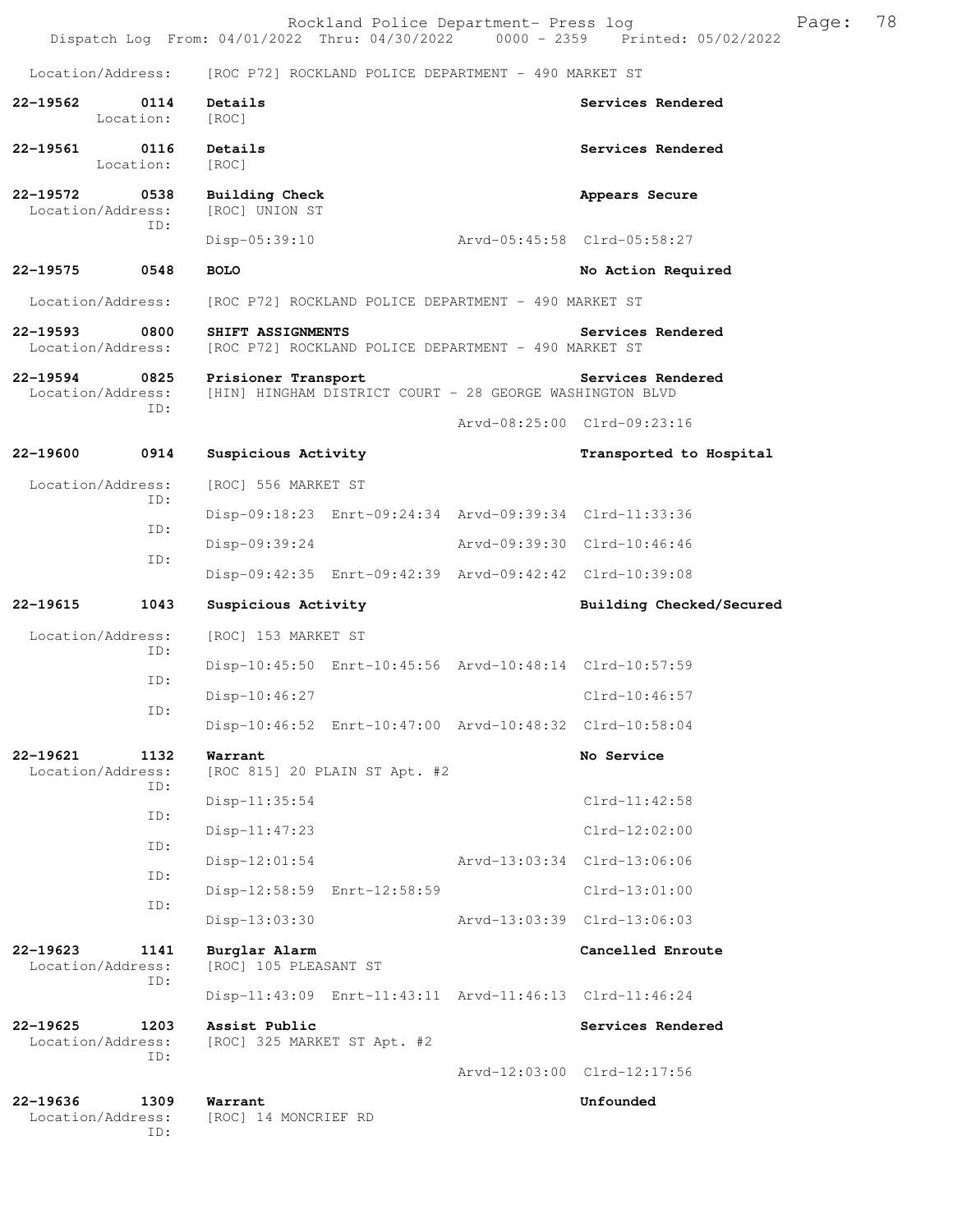Location/Address: [ROC P72] ROCKLAND POLICE DEPARTMENT - 490 MARKET ST **22-19562 0114 Details Services Rendered**  Location: [ROC] **22-19561 0116 Details Services Rendered**  Location: [ROC] **22-19572 0538 Building Check Appears Secure**  Location/Address: [ROC] UNION ST ID: Disp-05:39:10 Arvd-05:45:58 Clrd-05:58:27 **22-19575 0548 BOLO No Action Required**  Location/Address: [ROC P72] ROCKLAND POLICE DEPARTMENT - 490 MARKET ST **22-19593 0800 SHIFT ASSIGNMENTS Services Rendered**  Location/Address: [ROC P72] ROCKLAND POLICE DEPARTMENT - 490 MARKET ST **22-19594 0825 Prisioner Transport Services Rendered**  Location/Address: [HIN] HINGHAM DISTRICT COURT - 28 GEORGE WASHINGTON BLVD ID: Arvd-08:25:00 Clrd-09:23:16 **22-19600 0914 Suspicious Activity Transported to Hospital**  Location/Address: [ROC] 556 MARKET ST ID: Disp-09:18:23 Enrt-09:24:34 Arvd-09:39:34 Clrd-11:33:36 ID: Disp-09:39:24 Arvd-09:39:30 Clrd-10:46:46 ID: Disp-09:42:35 Enrt-09:42:39 Arvd-09:42:42 Clrd-10:39:08 **22-19615 1043 Suspicious Activity Building Checked/Secured**  Location/Address: [ROC] 153 MARKET ST ID: Disp-10:45:50 Enrt-10:45:56 Arvd-10:48:14 Clrd-10:57:59 ID: Disp-10:46:27 Clrd-10:46:57 ID: Disp-10:46:52 Enrt-10:47:00 Arvd-10:48:32 Clrd-10:58:04 **22-19621 1132 Warrant No Service**  Location/Address: [ROC 815] 20 PLAIN ST Apt. #2 ID: Disp-11:35:54 Clrd-11:42:58 ID: Disp-11:47:23 Clrd-12:02:00 ID: Disp-12:01:54 Arvd-13:03:34 Clrd-13:06:06 ID: Disp-12:58:59 Enrt-12:58:59 Clrd-13:01:00 ID: Disp-13:03:30 Arvd-13:03:39 Clrd-13:06:03 **22-19623 1141 Burglar Alarm Cancelled Enroute**  [ROC] 105 PLEASANT ST ID: Disp-11:43:09 Enrt-11:43:11 Arvd-11:46:13 Clrd-11:46:24 **22-19625 1203 Assist Public Services Rendered**  Location/Address: [ROC] 325 MARKET ST Apt. #2 ID: Arvd-12:03:00 Clrd-12:17:56 **22-19636 1309 Warrant Unfounded**  Location/Address: [ROC] 14 MONCRIEF RD

ID: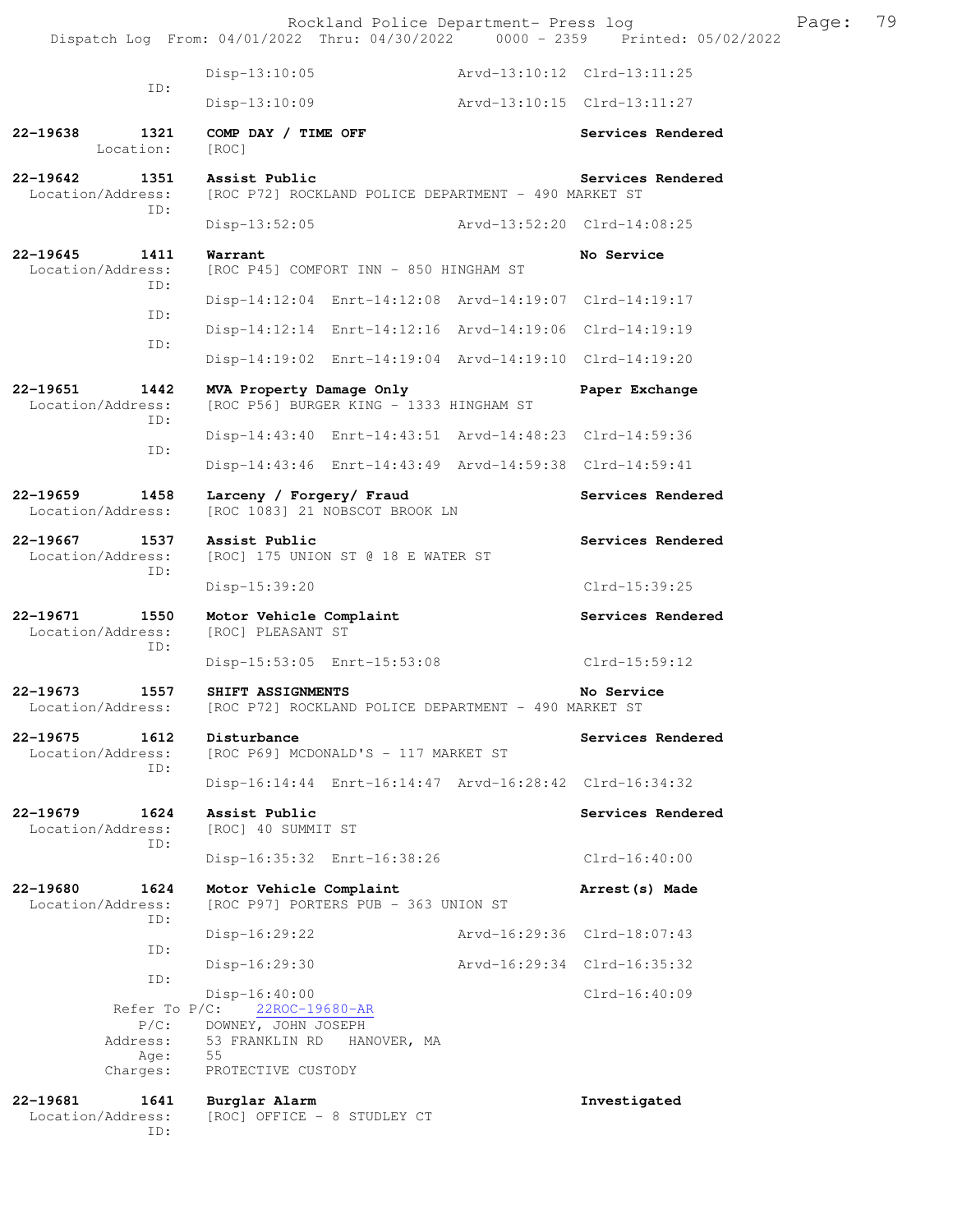|                                              | Dispatch Log From: 04/01/2022 Thru: 04/30/2022 0000 - 2359 Printed: 05/02/2022 | Rockland Police Department- Press log |                             | Page: | 79 |
|----------------------------------------------|--------------------------------------------------------------------------------|---------------------------------------|-----------------------------|-------|----|
|                                              | $Disp-13:10:05$                                                                | Arvd-13:10:12 Clrd-13:11:25           |                             |       |    |
| ID:                                          | $Disp-13:10:09$                                                                |                                       | Arvd-13:10:15 Clrd-13:11:27 |       |    |
| 22-19638<br>1321<br>Location:                | COMP DAY / TIME OFF<br>[ROC]                                                   |                                       | Services Rendered           |       |    |
| 22-19642<br>1351<br>Location/Address:        | Assist Public<br>[ROC P72] ROCKLAND POLICE DEPARTMENT - 490 MARKET ST          |                                       | Services Rendered           |       |    |
| ID:                                          | $Disp-13:52:05$                                                                | Arvd-13:52:20 Clrd-14:08:25           |                             |       |    |
| 22-19645<br>1411<br>Location/Address:        | Warrant<br>[ROC P45] COMFORT INN - 850 HINGHAM ST                              |                                       | No Service                  |       |    |
| ID:                                          | Disp-14:12:04 Enrt-14:12:08 Arvd-14:19:07 Clrd-14:19:17                        |                                       |                             |       |    |
| ID:                                          | Disp-14:12:14 Enrt-14:12:16 Arvd-14:19:06 Clrd-14:19:19                        |                                       |                             |       |    |
| ID:                                          | Disp-14:19:02 Enrt-14:19:04 Arvd-14:19:10 Clrd-14:19:20                        |                                       |                             |       |    |
| 22-19651<br>1442<br>Location/Address:        | MVA Property Damage Only<br>[ROC P56] BURGER KING - 1333 HINGHAM ST            |                                       | Paper Exchange              |       |    |
| ID:                                          | Disp-14:43:40 Enrt-14:43:51 Arvd-14:48:23 Clrd-14:59:36                        |                                       |                             |       |    |
| ID:                                          | Disp-14:43:46 Enrt-14:43:49 Arvd-14:59:38 Clrd-14:59:41                        |                                       |                             |       |    |
| 22-19659<br>1458<br>Location/Address:        | Larceny / Forgery/ Fraud<br>[ROC 1083] 21 NOBSCOT BROOK LN                     |                                       | Services Rendered           |       |    |
| 22-19667 1537<br>Location/Address:           | Assist Public<br>[ROC] 175 UNION ST @ 18 E WATER ST                            |                                       | Services Rendered           |       |    |
| ID:                                          | Disp-15:39:20                                                                  |                                       | $Clrd-15:39:25$             |       |    |
| 22-19671<br>1550<br>Location/Address:        | Motor Vehicle Complaint<br>[ROC] PLEASANT ST                                   |                                       | Services Rendered           |       |    |
| ID:                                          | Disp-15:53:05 Enrt-15:53:08                                                    |                                       | Clrd-15:59:12               |       |    |
| $22 - 19673$<br>1557<br>Location/Address:    | SHIFT ASSIGNMENTS<br>[ROC P72] ROCKLAND POLICE DEPARTMENT - 490 MARKET ST      |                                       | No Service                  |       |    |
| 22-19675<br>1612<br>Location/Address:<br>ID: | Disturbance<br>[ROC P69] MCDONALD'S - 117 MARKET ST                            |                                       | Services Rendered           |       |    |
|                                              | Disp-16:14:44 Enrt-16:14:47 Arvd-16:28:42 Clrd-16:34:32                        |                                       |                             |       |    |
| 22-19679<br>1624<br>Location/Address:<br>ID: | Assist Public<br>[ROC] 40 SUMMIT ST                                            |                                       | Services Rendered           |       |    |
|                                              | Disp-16:35:32 Enrt-16:38:26                                                    |                                       | $Clrd-16:40:00$             |       |    |
| 22-19680<br>1624<br>Location/Address:        | Motor Vehicle Complaint<br>[ROC P97] PORTERS PUB - 363 UNION ST                |                                       | Arrest (s) Made             |       |    |
| ID:                                          | $Disp-16:29:22$                                                                |                                       | Arvd-16:29:36 Clrd-18:07:43 |       |    |
| ID:                                          | Disp-16:29:30                                                                  |                                       | Arvd-16:29:34 Clrd-16:35:32 |       |    |
| ID:<br>Refer To $P/C$ :                      | $Disp-16:40:00$<br>22ROC-19680-AR                                              |                                       | $Clrd-16:40:09$             |       |    |
| $P/C$ :<br>Address:<br>Age:                  | DOWNEY, JOHN JOSEPH<br>53 FRANKLIN RD<br>HANOVER, MA<br>55                     |                                       |                             |       |    |
| Charges:                                     | PROTECTIVE CUSTODY                                                             |                                       |                             |       |    |
| 22-19681<br>1641<br>Location/Address:<br>ID: | Burglar Alarm<br>[ROC] OFFICE - 8 STUDLEY CT                                   |                                       | Investigated                |       |    |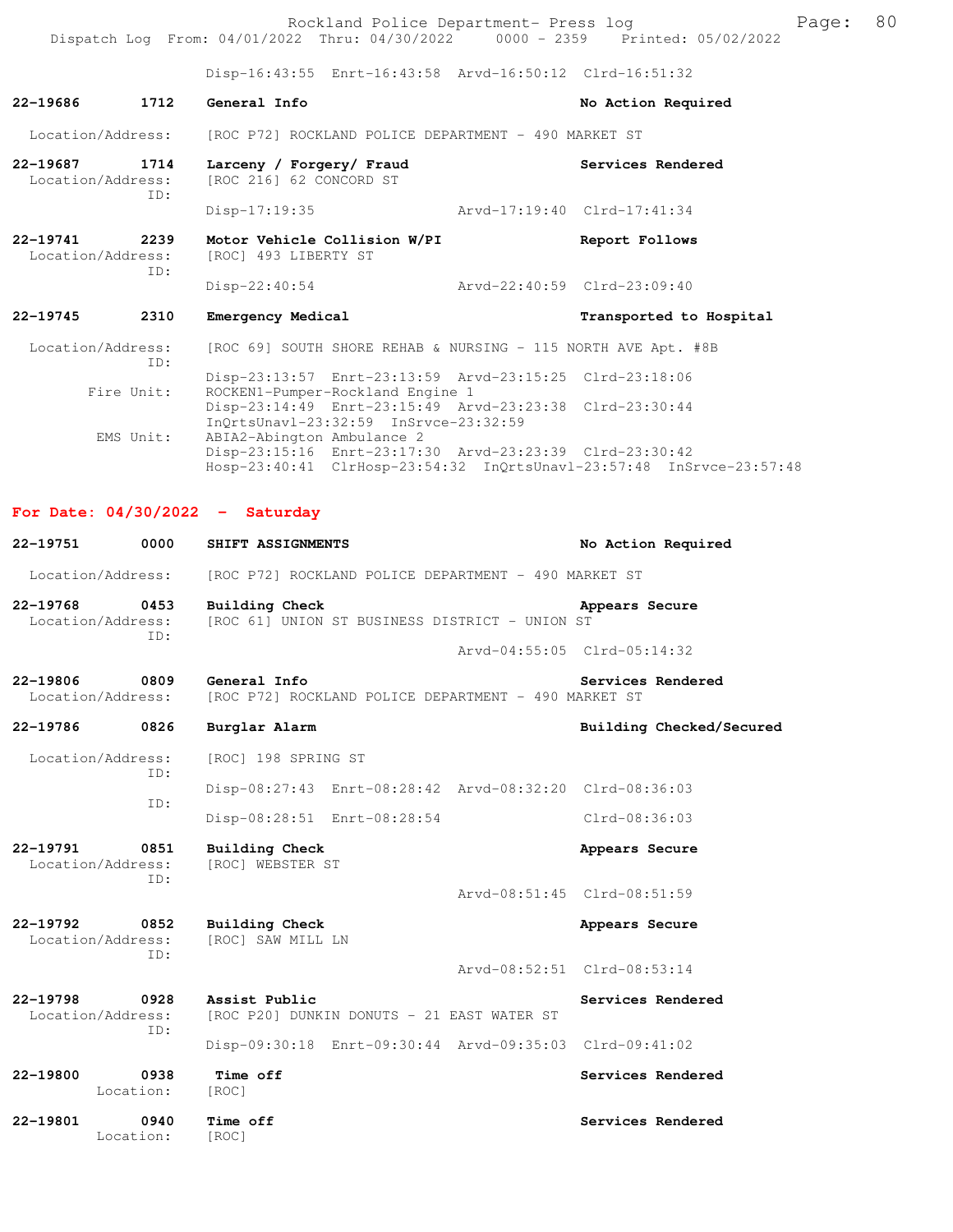Rockland Police Department- Press log Page: 80 Dispatch Log From: 04/01/2022 Thru: 04/30/2022 0000 - 2359 Printed: 05/02/2022

Disp-16:43:55 Enrt-16:43:58 Arvd-16:50:12 Clrd-16:51:32

#### **22-19686 1712 General Info No Action Required**

Location/Address: [ROC P72] ROCKLAND POLICE DEPARTMENT - 490 MARKET ST

**22-19687 1714 Larceny / Forgery/ Fraud Services Rendered**  Location/Address: [ROC 216] 62 CONCORD ST ID: Disp-17:19:35 Arvd-17:19:40 Clrd-17:41:34 **22-19741 2239 Motor Vehicle Collision W/PI Report Follows**  [ROC] 493 LIBERTY ST ID: Disp-22:40:54 Arvd-22:40:59 Clrd-23:09:40

#### **22-19745 2310 Emergency Medical Transported to Hospital**

 Location/Address: [ROC 69] SOUTH SHORE REHAB & NURSING - 115 NORTH AVE Apt. #8B ID: Disp-23:13:57 Enrt-23:13:59 Arvd-23:15:25 Clrd-23:18:06<br>Fire Unit: ROCKEN1-Pumper-Rockland Engine 1 ROCKEN1-Pumper-Rockland Engine 1 Disp-23:14:49 Enrt-23:15:49 Arvd-23:23:38 Clrd-23:30:44 InQrtsUnavl-23:32:59 InSrvce-23:32:59<br>EMS Unit: ABIA2-Abington Ambulance 2 ABIA2-Abington Ambulance 2 Disp-23:15:16 Enrt-23:17:30 Arvd-23:23:39 Clrd-23:30:42 Hosp-23:40:41 ClrHosp-23:54:32 InQrtsUnavl-23:57:48 InSrvce-23:57:48

### **For Date: 04/30/2022 - Saturday**

| 22-19751                                  | 0000        | SHIFT ASSIGNMENTS                                                    | No Action Required          |
|-------------------------------------------|-------------|----------------------------------------------------------------------|-----------------------------|
| Location/Address:                         |             | [ROC P72] ROCKLAND POLICE DEPARTMENT - 490 MARKET ST                 |                             |
| $22 - 19768$<br>0453<br>Location/Address: | TD:         | Building Check<br>[ROC 61] UNION ST BUSINESS DISTRICT - UNION ST     | Appears Secure              |
|                                           |             |                                                                      | Arvd-04:55:05 Clrd-05:14:32 |
| 22-19806<br>Location/Address:             | 0809        | General Info<br>[ROC P72] ROCKLAND POLICE DEPARTMENT - 490 MARKET ST | Services Rendered           |
| 22-19786                                  | 0826        | Burglar Alarm                                                        | Building Checked/Secured    |
| Location/Address:                         | TD:         | [ROC] 198 SPRING ST                                                  |                             |
|                                           | ID:         | Disp-08:27:43 Enrt-08:28:42 Arvd-08:32:20 Clrd-08:36:03              |                             |
|                                           |             | Disp-08:28:51 Enrt-08:28:54                                          | Clrd-08:36:03               |
| 22-19791<br>Location/Address:             | 0851<br>ID: | <b>Building Check</b><br>[ROC] WEBSTER ST                            | Appears Secure              |
|                                           |             |                                                                      | Arvd-08:51:45 Clrd-08:51:59 |
| $22 - 19792$<br>Location/Address:         | 0852<br>ID: | <b>Building Check</b><br>[ROC] SAW MILL LN                           | Appears Secure              |
|                                           |             |                                                                      | Arvd-08:52:51 Clrd-08:53:14 |
| $22 - 19798$<br>Location/Address:         | 0928<br>ID: | Assist Public<br>[ROC P20] DUNKIN DONUTS - 21 EAST WATER ST          | Services Rendered           |
|                                           |             | Disp-09:30:18 Enrt-09:30:44 Arvd-09:35:03 Clrd-09:41:02              |                             |
| 22-19800<br>Location:                     | 0938        | Time off<br>[ROC]                                                    | Services Rendered           |
| 22-19801<br>Location:                     | 0940        | Time off<br>[ROC]                                                    | Services Rendered           |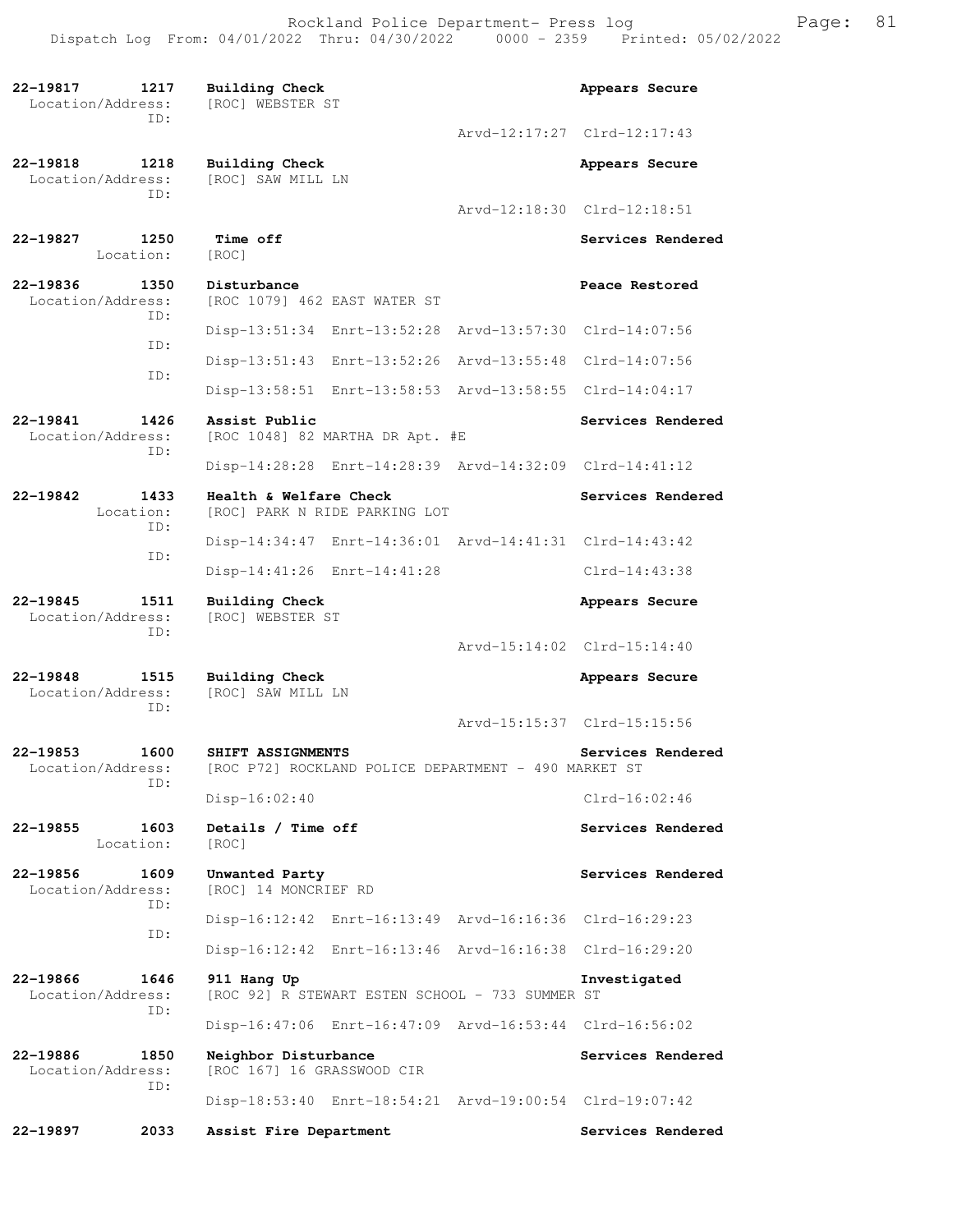Rockland Police Department- Press log Freed Page: 81 Dispatch Log From: 04/01/2022 Thru: 04/30/2022 0000 - 2359 Printed: 05/02/2022

**22-19817 1217 Building Check Appears Secure**  Location/Address: [ROC] WEBSTER ST ID: Arvd-12:17:27 Clrd-12:17:43 **22-19818 1218 Building Check 6 Appears Secure Appears Secure** Location/Address: [ROC] SAW MILL LN Location/Address: ID: Arvd-12:18:30 Clrd-12:18:51 **22-19827** 1250 Time off Services Rendered **Services Rendered** Location: **22-19836 1350 Disturbance Beace Restored Peace Restored Peace Restored Incrementation** *Peace Restored* **Peace Restored** [ROC 1079] 462 EAST WATER ST ID: Disp-13:51:34 Enrt-13:52:28 Arvd-13:57:30 Clrd-14:07:56 ID: Disp-13:51:43 Enrt-13:52:26 Arvd-13:55:48 Clrd-14:07:56 ID: Disp-13:58:51 Enrt-13:58:53 Arvd-13:58:55 Clrd-14:04:17 **22-19841 1426 Assist Public Services Rendered Location/Address:** [ROC 1048] 82 MARTHA DR Apt. #E  $[ROC 1048] 82 MARTHA DR Apt. #E$  ID: Disp-14:28:28 Enrt-14:28:39 Arvd-14:32:09 Clrd-14:41:12 **22-19842 1433 Health & Welfare Check 6 Services Rendered Location:** [ROC] PARK N RIDE PARKING LOT [ROC] PARK N RIDE PARKING LOT ID: Disp-14:34:47 Enrt-14:36:01 Arvd-14:41:31 Clrd-14:43:42 ID: Disp-14:41:26 Enrt-14:41:28 Clrd-14:43:38 **22-19845 1511 Building Check Appears Secure**  Location/Address: [ROC] WEBSTER ST ID: Arvd-15:14:02 Clrd-15:14:40 **22-19848 1515 Building Check Appears Secure**  [ROC] SAW MILL LN ID: Arvd-15:15:37 Clrd-15:15:56 **22-19853 1600 SHIFT ASSIGNMENTS Services Rendered** Location/Address: [ROC P72] ROCKLAND POLICE DEPARTMENT - 490 MARKET ST [ROC P72] ROCKLAND POLICE DEPARTMENT - 490 MARKET ST ID: Disp-16:02:40 Clrd-16:02:46 22-19855 1603 Details / Time off **Services Rendered Services** Rendered Location: [ROC] **22-19856 1609 Unwanted Party Services Rendered Exercise Services Rendered** Location/Address: [ROC] 14 MONCRIEF RD [ROC] 14 MONCRIEF RD ID: Disp-16:12:42 Enrt-16:13:49 Arvd-16:16:36 Clrd-16:29:23 ID: Disp-16:12:42 Enrt-16:13:46 Arvd-16:16:38 Clrd-16:29:20 **22-19866 1646 911 Hang Up Investigated**  Location/Address: [ROC 92] R STEWART ESTEN SCHOOL - 733 SUMMER ST ID: Disp-16:47:06 Enrt-16:47:09 Arvd-16:53:44 Clrd-16:56:02 **22-19886 1850 Neighbor Disturbance Services Rendered**  Location/Address: [ROC 167] 16 GRASSWOOD CIR ID: Disp-18:53:40 Enrt-18:54:21 Arvd-19:00:54 Clrd-19:07:42 **22-19897 2033 Assist Fire Department Services Rendered**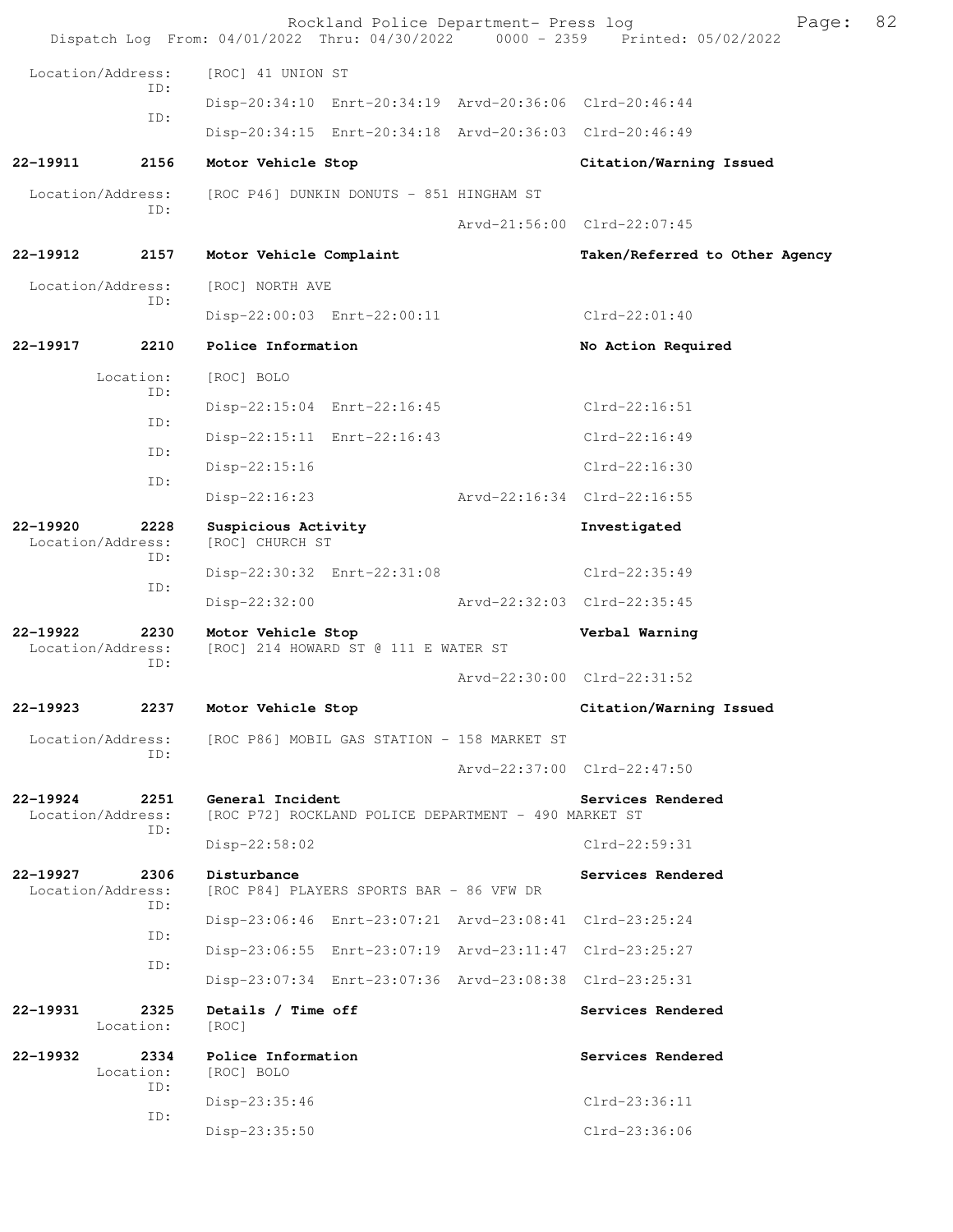|                               |                          |                                                         |                                          | Rockland Police Department- Press log                   | Dispatch Log From: 04/01/2022 Thru: 04/30/2022 0000 - 2359 Printed: 05/02/2022 | Page: | 82 |
|-------------------------------|--------------------------|---------------------------------------------------------|------------------------------------------|---------------------------------------------------------|--------------------------------------------------------------------------------|-------|----|
| Location/Address:             |                          | [ROC] 41 UNION ST                                       |                                          |                                                         |                                                                                |       |    |
|                               | ID:                      |                                                         |                                          | Disp-20:34:10 Enrt-20:34:19 Arvd-20:36:06 Clrd-20:46:44 |                                                                                |       |    |
|                               | ID:                      |                                                         |                                          | Disp-20:34:15 Enrt-20:34:18 Arvd-20:36:03 Clrd-20:46:49 |                                                                                |       |    |
| 22-19911                      | 2156                     | Motor Vehicle Stop                                      |                                          |                                                         | Citation/Warning Issued                                                        |       |    |
| Location/Address:             |                          |                                                         | [ROC P46] DUNKIN DONUTS - 851 HINGHAM ST |                                                         |                                                                                |       |    |
|                               | ID:                      |                                                         |                                          |                                                         | Arvd-21:56:00 Clrd-22:07:45                                                    |       |    |
| 22-19912                      | 2157                     | Motor Vehicle Complaint                                 |                                          |                                                         | Taken/Referred to Other Agency                                                 |       |    |
| Location/Address:             |                          | [ROC] NORTH AVE                                         |                                          |                                                         |                                                                                |       |    |
|                               | ID:                      |                                                         | Disp-22:00:03 Enrt-22:00:11              |                                                         | $Clrd-22:01:40$                                                                |       |    |
| 22-19917                      | 2210                     | Police Information                                      |                                          |                                                         | No Action Required                                                             |       |    |
|                               | Location:                | [ROC] BOLO                                              |                                          |                                                         |                                                                                |       |    |
|                               | ID:                      |                                                         | Disp-22:15:04 Enrt-22:16:45              |                                                         | $Clrd-22:16:51$                                                                |       |    |
|                               | ID:                      | Disp-22:15:11 Enrt-22:16:43                             |                                          |                                                         | $Clrd-22:16:49$                                                                |       |    |
|                               | ID:<br>ID:               | $Disp-22:15:16$                                         |                                          |                                                         | Clrd-22:16:30                                                                  |       |    |
|                               |                          | $Disp-22:16:23$                                         |                                          | Arvd-22:16:34 Clrd-22:16:55                             |                                                                                |       |    |
| 22-19920<br>Location/Address: | 2228<br>ID:              | Suspicious Activity<br>[ROC] CHURCH ST                  |                                          |                                                         | Investigated                                                                   |       |    |
|                               | ID:                      |                                                         | Disp-22:30:32 Enrt-22:31:08              |                                                         | Clrd-22:35:49                                                                  |       |    |
|                               |                          | Disp-22:32:00                                           |                                          | Arvd-22:32:03 Clrd-22:35:45                             |                                                                                |       |    |
| 22-19922<br>Location/Address: | 2230<br>ID:              | Motor Vehicle Stop                                      | [ROC] 214 HOWARD ST @ 111 E WATER ST     |                                                         | Verbal Warning                                                                 |       |    |
|                               |                          |                                                         |                                          |                                                         | Arvd-22:30:00 Clrd-22:31:52                                                    |       |    |
| 22-19923                      | 2237                     | Motor Vehicle Stop                                      |                                          |                                                         | Citation/Warning Issued                                                        |       |    |
| Location/Address:             | ID:                      | [ROC P86] MOBIL GAS STATION - 158 MARKET ST             |                                          |                                                         |                                                                                |       |    |
|                               |                          |                                                         |                                          |                                                         | Arvd-22:37:00 Clrd-22:47:50                                                    |       |    |
| 22-19924<br>Location/Address: | 2251<br>ID:              | General Incident                                        |                                          | [ROC P72] ROCKLAND POLICE DEPARTMENT - 490 MARKET ST    | Services Rendered                                                              |       |    |
|                               |                          | $Disp-22:58:02$                                         |                                          |                                                         | $Clrd-22:59:31$                                                                |       |    |
| 22-19927<br>Location/Address: | 2306<br>ID:              | Disturbance<br>[ROC P84] PLAYERS SPORTS BAR - 86 VFW DR |                                          |                                                         | Services Rendered                                                              |       |    |
|                               | ID:                      |                                                         |                                          | Disp-23:06:46 Enrt-23:07:21 Arvd-23:08:41 Clrd-23:25:24 |                                                                                |       |    |
|                               | ID:                      |                                                         |                                          | Disp-23:06:55 Enrt-23:07:19 Arvd-23:11:47 Clrd-23:25:27 |                                                                                |       |    |
|                               |                          |                                                         |                                          | Disp-23:07:34 Enrt-23:07:36 Arvd-23:08:38 Clrd-23:25:31 |                                                                                |       |    |
| 22-19931                      | 2325<br>Location:        | Details / Time off<br>[ROC]                             |                                          |                                                         | Services Rendered                                                              |       |    |
| 22-19932                      | 2334<br>Location:<br>ID: | Police Information<br>[ROC] BOLO                        |                                          |                                                         | Services Rendered                                                              |       |    |
|                               | ID:                      | Disp-23:35:46                                           |                                          |                                                         | Clrd-23:36:11                                                                  |       |    |
|                               |                          | Disp-23:35:50                                           |                                          |                                                         | Clrd-23:36:06                                                                  |       |    |